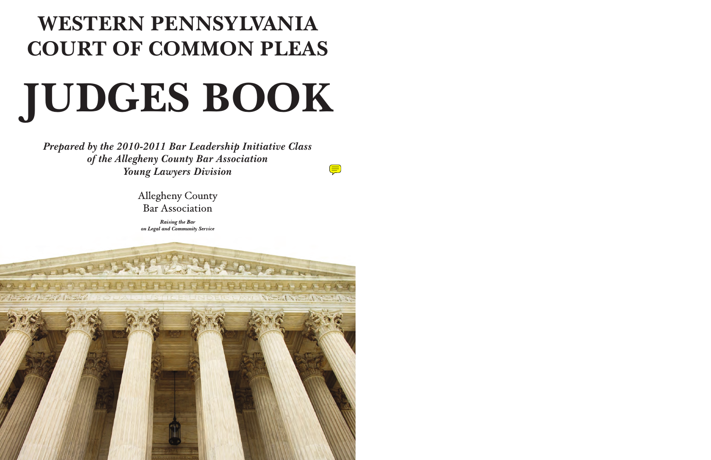# **WESTERN PENNSYLVANIA COURT OF COMMON PLEAS JUDGES BOOK**

*Prepared by the 2010-2011 Bar Leadership Initiative Class of the Allegheny County Bar Association Young Lawyers Division* 

 $\left(\equiv\right)$ 

**Allegheny County Bar Association** 

**Raising the Bar** on Legal and Community Service

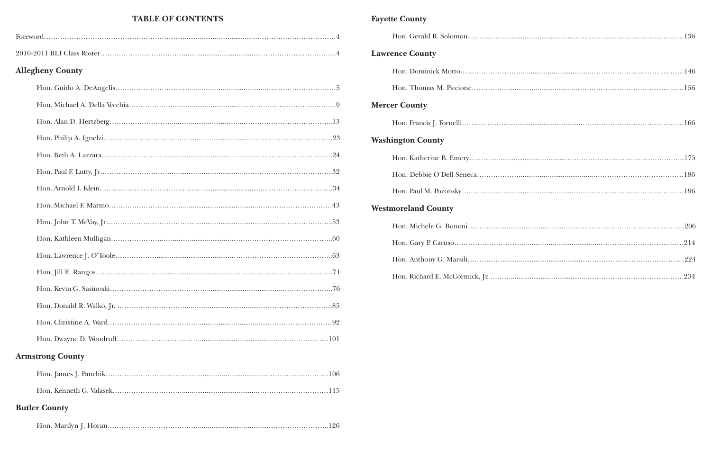### **TABLE OF CONTENTS**

| <b>Allegheny County</b> |  |
|-------------------------|--|
|                         |  |
|                         |  |
|                         |  |
|                         |  |
|                         |  |
|                         |  |
|                         |  |
|                         |  |
|                         |  |
|                         |  |
|                         |  |
|                         |  |
|                         |  |
|                         |  |
|                         |  |
|                         |  |

### **Armstrong County**

### **Butler County**

|--|

### **Fayette County**

| <b>Lawrence County</b>     |  |
|----------------------------|--|
|                            |  |
|                            |  |
| <b>Mercer County</b>       |  |
|                            |  |
| <b>Washington County</b>   |  |
|                            |  |
|                            |  |
|                            |  |
| <b>Westmoreland County</b> |  |
|                            |  |
|                            |  |
|                            |  |
|                            |  |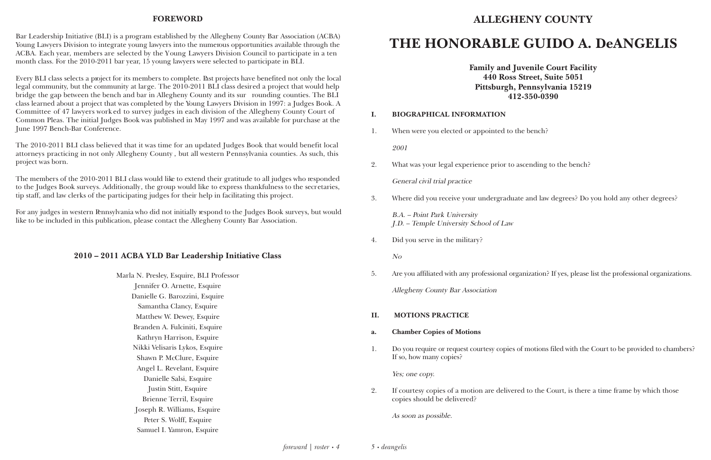#### **FOREWORD**

Bar Leadership Initiative (BLI) is a program established by the Allegheny County Bar Association (ACBA) Young Lawyers Division to integrate young lawyers into the numerous opportunities available through the ACBA. Each year, members are selected by the Young Lawyers Division Council to participate in a ten month class. For the 2010-2011 bar year, 15 young lawyers were selected to participate in BLI.

Every BLI class selects a project for its members to complete. Past projects have benefited not only the local legal community, but the community at large. The 2010-2011 BLI class desired a project that would help bridge the gap between the bench and bar in Allegheny County and its sur rounding counties. The BLI class learned about a project that was completed by the Young Lawyers Division in 1997: a Judges Book. A Committee of 47 lawyers work ed to survey judges in each division of the Allegheny County Court of Common Pleas. The initial Judges Book was published in May 1997 and was available for purchase at the June 1997 Bench-Bar Conference.

bench?

cending to the bench?

and law degrees? Do you hold any other degrees?

nization? If yes, please list the professional organizations.

The 2010-2011 BLI class believed that it was time for an updated Judges Book that would benefit local attorneys practicing in not only Allegheny County , but all western Pennsylvania counties. As such, this project was born.

The members of the 2010-2011 BLI class would like to extend their gratitude to all judges who responded to the Judges Book surveys. Additionally, the group would like to express thankfulness to the secretaries, tip staff, and law clerks of the participating judges for their help in facilitating this project.

For any judges in western Pennsylvania who did not initially respond to the Judges Book surveys, but would like to be included in this publication, please contact the Allegheny County Bar Association.

#### **2010 – 2011 ACBA YLD Bar Leadership Initiative Class**

Marla N. Presley, Esquire, BLI Professor Jennifer O. Arnette, Esquire Danielle G. Barozzini, Esquire Samantha Clancy, Esquire Matthew W. Dewey, Esquire Branden A. Fulciniti, Esquire Kathryn Harrison, Esquire Nikki Velisaris Lykos, Esquire Shawn P. McClure, Esquire Angel L. Revelant, Esquire Danielle Salsi, Esquire Justin Stitt, Esquire Brienne Terril, Esquire Joseph R. Williams, Esquire Peter S. Wolff, Esquire Samuel I. Yamron, Esquire

### **ALLEGHENY COUNTY**

## **THE HONORABLE GUIDO A. DeANGELIS**

**Family and Juvenile Court Facility 440 Ross Street, Suite 5051 Pittsburgh, Pennsylvania 15219 412-350-0390**

| I. | <b>BIOGRAPHICAL INFORMATION</b>                                               |
|----|-------------------------------------------------------------------------------|
| 1. | When were you elected or appointed to the                                     |
|    | 2001                                                                          |
| 2. | What was your legal experience prior to ase                                   |
|    | General civil trial practice                                                  |
| 3. | Where did you receive your undergraduate                                      |
|    | <b>B.A.</b> – Point Park University<br>J.D. – Temple University School of Law |
| 4. | Did you serve in the military?                                                |
|    | No                                                                            |
| 5. | Are you affiliated with any professional organ                                |
|    | <b>Allegheny County Bar Association</b>                                       |
| Π. | <b>MOTIONS PRACTICE</b>                                                       |

- **a. Chamber Copies of Motions**
- If so, how many copies?

1. Do you require or request courtesy copies of motions filed with the Court to be provided to chambers?

Yes; one copy.

2. If courtesy copies of a motion are delivered to the Court, is there a time frame by which those

copies should be delivered?

As soon as possible.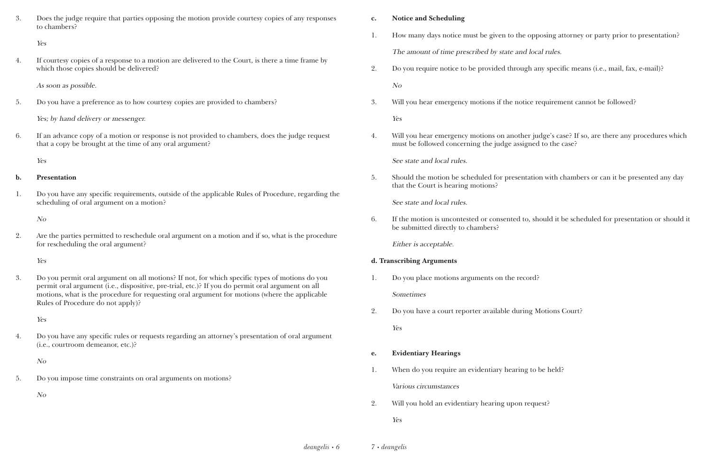| Does the judge require that parties opposing the motion provide courtesy copies of any responses |
|--------------------------------------------------------------------------------------------------|
| to chambers?                                                                                     |

Yes

4. If courtesy copies of a response to a motion are delivered to the Court, is there a time frame by which those copies should be delivered?

As soon as possible.

5. Do you have a preference as to how courtesy copies are provided to chambers?

Yes; by hand delivery or messenger.

6. If an advance copy of a motion or response is not provided to chambers, does the judge request that a copy be brought at the time of any oral argument?

Yes

#### **b. Presentation**

1. Do you have any specific requirements, outside of the applicable Rules of Procedure, regarding the scheduling of oral argument on a motion?

No

2. Are the parties permitted to reschedule oral argument on a motion and if so, what is the procedure for rescheduling the oral argument?

Yes

3. Do you permit oral argument on all motions? If not, for which specific types of motions do you permit oral argument (i.e., dispositive, pre-trial, etc.)? If you do permit oral argument on all motions, what is the procedure for requesting oral argument for motions (where the applicable Rules of Procedure do not apply)?

Yes

4. Do you have any specific rules or requests regarding an attorney's presentation of oral argument (i.e., courtroom demeanor, etc.)?

No

5. Do you impose time constraints on oral arguments on motions?

No

#### **c. Notice and Scheduling**

1. How many days notice must be given to the opposing attorney or party prior to presentation? The amount of time prescribed by state and local rules.

2. Do you require notice to be provided through any specific means (i.e., mail, fax, e-mail)?

No

3. Will you hear emergency motions if the notice requirement cannot be followed?

Yes

4. Will you hear emergency motions on another judge's case? If so, are there any procedures which

must be followed concerning the judge assigned to the case?

See state and local rules.

5. Should the motion be scheduled for presentation with chambers or can it be presented any day

that the Court is hearing motions?

See state and local rules.

6. If the motion is uncontested or consented to, should it be scheduled for presentation or should it

be submitted directly to chambers?

Either is acceptable.

#### **d. Transcribing Arguments**

1. Do you place motions arguments on the record?

Sometimes

2. Do you have a court reporter available during Motions Court? Yes

**e. Evidentiary Hearings**

- 1. When do you require an evidentiary hearing to be held? Various circumstances
- 2. Will you hold an evidentiary hearing upon request? Yes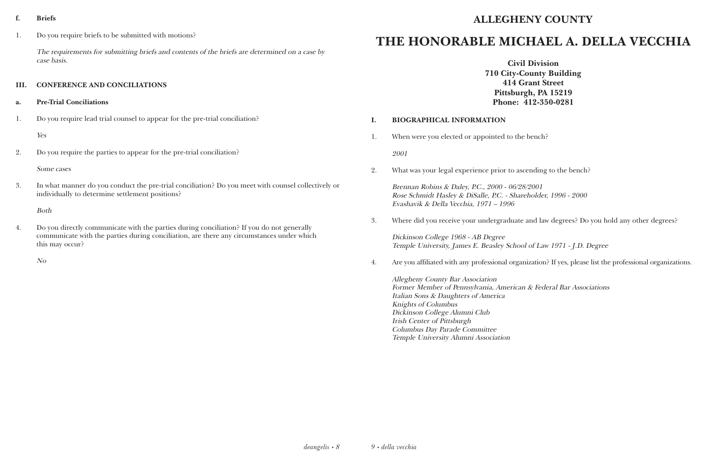#### **f. Briefs**

1. Do you require briefs to be submitted with motions?

The requirements for submitting briefs and contents of the briefs are determined on a case by case basis.

#### **III. CONFERENCE AND CONCILIATIONS**

- **a. Pre-Trial Conciliations**
- 1. Do you require lead trial counsel to appear for the pre-trial conciliation?

Yes

2. Do you require the parties to appear for the pre-trial conciliation?

#### Some cases

3. In what manner do you conduct the pre-trial conciliation? Do you meet with counsel collectively or individually to determine settlement positions?

Both

4. Do you directly communicate with the parties during conciliation? If you do not generally communicate with the parties during conciliation, are there any circumstances under which this may occur?

No

### **ALLEGHENY COUNTY**

## **THE HONORABLE MICHAEL A. DELLA VECCHIA**

**Civil Division 710 City-County Building 414 Grant Street Pittsburgh, PA 15219 Phone: 412-350-0281**

#### **I. BIOGRAPHICAL INFORMATION**

1. When were you elected or appointed to the bench? 2001

2. What was your legal experience prior to ascending to the bench?

Brennan Robins & Daley, P.C., 2000 - 06/28/2001 Rose Schmidt Hasley & DiSalle, P.C. - Shareholder, 1996 - 2000 Evashavik & Della Vecchia, 1971 – 1996

3. Where did you receive your undergraduate and law degrees? Do you hold any other degrees?

Dickinson College 1968 - AB Degree Temple University, James E. Beasley School of Law 1971 - J.D. Degree

4. Are you affiliated with any professional organization? If yes, please list the professional organizations.

Allegheny County Bar Association Former Member of Pennsylvania, American & Federal Bar Associations Italian Sons & Daughters of America Knights of Columbus Dickinson College Alumni Club Irish Center of Pittsburgh Columbus Day Parade Committee Temple University Alumni Association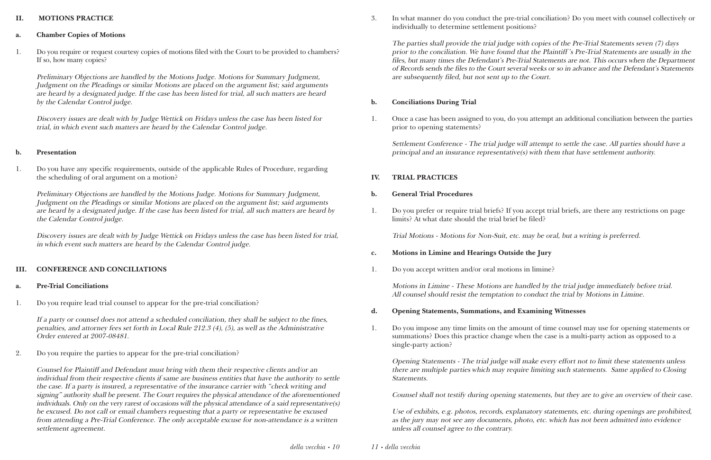#### **II. MOTIONS PRACTICE**

- **a. Chamber Copies of Motions**
- 1. Do you require or request courtesy copies of motions filed with the Court to be provided to chambers? If so, how many copies?

Preliminary Objections are handled by the Motions Judge. Motions for Summary Judgment, Judgment on the Pleadings or similar Motions are placed on the argument list; said arguments are heard by a designated judge. If the case has been listed for trial, all such matters are heard by the Calendar Control judge.

Discovery issues are dealt with by Judge Wettick on Fridays unless the case has been listed for trial, in which event such matters are heard by the Calendar Control judge.

#### **b. Presentation**

1. Do you have any specific requirements, outside of the applicable Rules of Procedure, regarding the scheduling of oral argument on a motion?

Preliminary Objections are handled by the Motions Judge. Motions for Summary Judgment, Judgment on the Pleadings or similar Motions are placed on the argument list; said arguments are heard by a designated judge. If the case has been listed for trial, all such matters are heard by the Calendar Control judge.

Discovery issues are dealt with by Judge Wettick on Fridays unless the case has been listed for trial, in which event such matters are heard by the Calendar Control judge.

#### **III. CONFERENCE AND CONCILIATIONS**

- **a. Pre-Trial Conciliations**
- 1. Do you require lead trial counsel to appear for the pre-trial conciliation?

If a party or counsel does not attend a scheduled conciliation, they shall be subject to the fines, penalties, and attorney fees set forth in Local Rule 212.3 (4), (5), as well as the Administrative Order entered at 2007-08481.

2. Do you require the parties to appear for the pre-trial conciliation?

Counsel for Plaintiff and Defendant must bring with them their respective clients and/or an individual from their respective clients if same are business entities that have the authority to settle the case. If a party is insured, a representative of the insurance carrier with "check writing and signing" authority shall be present. The Court requires the physical attendance of the aforementioned individuals. Only on the very rarest of occasions will the physical attendance of a said representative(s) be excused. Do not call or email chambers requesting that a party or representative be excused from attending a Pre-Trial Conference. The only acceptable excuse for non-attendance is a written settlement agreement.

3. In what manner do you conduct the pre-trial conciliation? Do you meet with counsel collectively or

individually to determine settlement positions?

The parties shall provide the trial judge with copies of the Pre-Trial Statements seven (7) days prior to the conciliation. We have found that the Plaintiff 's Pre-Trial Statements are usually in the files, but many times the Defendant's Pre-Trial Statements are not. This occurs when the Department of Records sends the files to the Court several weeks or so in advance and the Defendant's Statements are subsequently filed, but not sent up to the Court.

#### **b. Conciliations During Trial**

1. Once a case has been assigned to you, do you attempt an additional conciliation between the parties

prior to opening statements?

Settlement Conference - The trial judge will attempt to settle the case. All parties should have a principal and an insurance representative(s) with them that have settlement authority.

#### **IV. TRIAL PRACTICES**

#### **b. General Trial Procedures**

1. Do you prefer or require trial briefs? If you accept trial briefs, are there any restrictions on page

limits? At what date should the trial brief be filed?

Trial Motions - Motions for Non-Suit, etc. may be oral, but a writing is preferred.

- **c. Motions in Limine and Hearings Outside the Jury**
- 1. Do you accept written and/or oral motions in limine?

Motions in Limine - These Motions are handled by the trial judge immediately before trial. All counsel should resist the temptation to conduct the trial by Motions in Limine.

- **d. Opening Statements, Summations, and Examining Witnesses**
- single-party action?

1. Do you impose any time limits on the amount of time counsel may use for opening statements or summations? Does this practice change when the case is a multi-party action as opposed to a

Opening Statements - The trial judge will make every effort not to limit these statements unless there are multiple parties which may require limiting such statements. Same applied to Closing Statements.

Counsel shall not testify during opening statements, but they are to give an overview of their case.

Use of exhibits, e.g. photos, records, explanatory statements, etc. during openings are prohibited, as the jury may not see any documents, photo, etc. which has not been admitted into evidence unless all counsel agree to the contrary.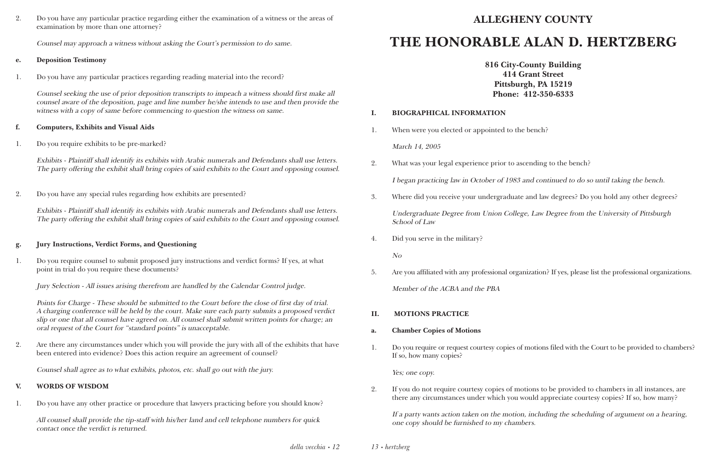2. Do you have any particular practice regarding either the examination of a witness or the areas of examination by more than one attorney?

Counsel may approach a witness without asking the Court's permission to do same.

#### **e. Deposition Testimony**

1. Do you have any particular practices regarding reading material into the record?

Counsel seeking the use of prior deposition transcripts to impeach a witness should first make all counsel aware of the deposition, page and line number he/she intends to use and then provide the witness with a copy of same before commencing to question the witness on same.

#### **f. Computers, Exhibits and Visual Aids**

1. Do you require exhibits to be pre-marked?

Exhibits - Plaintiff shall identify its exhibits with Arabic numerals and Defendants shall use letters. The party offering the exhibit shall bring copies of said exhibits to the Court and opposing counsel.

2. Do you have any special rules regarding how exhibits are presented?

Exhibits - Plaintiff shall identify its exhibits with Arabic numerals and Defendants shall use letters. The party offering the exhibit shall bring copies of said exhibits to the Court and opposing counsel.

#### **g. Jury Instructions, Verdict Forms, and Questioning**

1. Do you require counsel to submit proposed jury instructions and verdict forms? If yes, at what point in trial do you require these documents?

Jury Selection - All issues arising therefrom are handled by the Calendar Control judge.

Points for Charge - These should be submitted to the Court before the close of first day of trial. A charging conference will be held by the court. Make sure each party submits a proposed verdict slip or one that all counsel have agreed on. All counsel shall submit written points for charge; an oral request of the Court for "standard points" is unacceptable.

2. Are there any circumstances under which you will provide the jury with all of the exhibits that have been entered into evidence? Does this action require an agreement of counsel?

Counsel shall agree as to what exhibits, photos, etc. shall go out with the jury.

#### **V. WORDS OF WISDOM**

1. Do you have any other practice or procedure that lawyers practicing before you should know?

All counsel shall provide the tip-staff with his/her land and cell telephone numbers for quick contact once the verdict is returned.

## **ALLEGHENY COUNTY**

## **THE HONORABLE ALAN D. HERTZBERG**

**816 City-County Building 414 Grant Street Pittsburgh, PA 15219 Phone: 412-350-6333**

#### **I. BIOGRAPHICAL INFORMATION**

1. When were you elected or appointed to the bench?

March 14, 2005

2. What was your legal experience prior to ascending to the bench? I began practicing law in October of 1983 and continued to do so until taking the bench. 3. Where did you receive your undergraduate and law degrees? Do you hold any other degrees? Undergraduate Degree from Union College, Law Degree from the University of Pittsburgh

School of Law

4. Did you serve in the military?

No

5. Are you affiliated with any professional organization? If yes, please list the professional organizations.

Member of the ACBA and the PBA

#### **II. MOTIONS PRACTICE**

#### **a. Chamber Copies of Motions**

1. Do you require or request courtesy copies of motions filed with the Court to be provided to chambers?

If so, how many copies?

Yes; one copy.

2. If you do not require courtesy copies of motions to be provided to chambers in all instances, are there any circumstances under which you would appreciate courtesy copies? If so, how many?

If a party wants action taken on the motion, including the scheduling of argument on a hearing, one copy should be furnished to my chambers.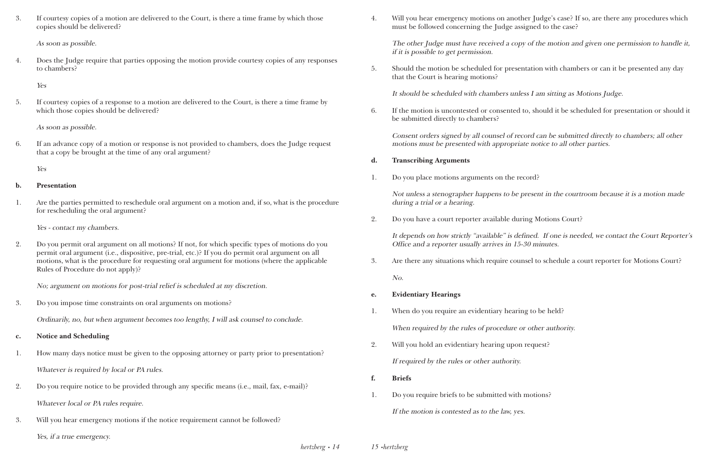3. If courtesy copies of a motion are delivered to the Court, is there a time frame by which those copies should be delivered?

As soon as possible.

4. Does the Judge require that parties opposing the motion provide courtesy copies of any responses to chambers?

Yes

5. If courtesy copies of a response to a motion are delivered to the Court, is there a time frame by which those copies should be delivered?

As soon as possible.

6. If an advance copy of a motion or response is not provided to chambers, does the Judge request that a copy be brought at the time of any oral argument?

Yes

#### **b. Presentation**

1. Are the parties permitted to reschedule oral argument on a motion and, if so, what is the procedure for rescheduling the oral argument?

Yes - contact my chambers.

2. Do you permit oral argument on all motions? If not, for which specific types of motions do you permit oral argument (i.e., dispositive, pre-trial, etc.)? If you do permit oral argument on all motions, what is the procedure for requesting oral argument for motions (where the applicable Rules of Procedure do not apply)?

No; argument on motions for post-trial relief is scheduled at my discretion.

3. Do you impose time constraints on oral arguments on motions?

Ordinarily, no, but when argument becomes too lengthy, I will ask counsel to conclude.

- **c. Notice and Scheduling**
- 1. How many days notice must be given to the opposing attorney or party prior to presentation? Whatever is required by local or PA rules.
- 2. Do you require notice to be provided through any specific means (i.e., mail, fax, e-mail)? Whatever local or PA rules require.
- 3. Will you hear emergency motions if the notice requirement cannot be followed? Yes, if a true emergency.

4. Will you hear emergency motions on another Judge's case? If so, are there any procedures which

must be followed concerning the Judge assigned to the case?

The other Judge must have received a copy of the motion and given one permission to handle it, if it is possible to get permission.

5. Should the motion be scheduled for presentation with chambers or can it be presented any day

that the Court is hearing motions?

It should be scheduled with chambers unless I am sitting as Motions Judge.

6. If the motion is uncontested or consented to, should it be scheduled for presentation or should it

be submitted directly to chambers?

Consent orders signed by all counsel of record can be submitted directly to chambers; all other motions must be presented with appropriate notice to all other parties.

#### **d. Transcribing Arguments**

1. Do you place motions arguments on the record?

Not unless a stenographer happens to be present in the courtroom because it is a motion made during a trial or a hearing.

2. Do you have a court reporter available during Motions Court?

It depends on how strictly "available" is defined. If one is needed, we contact the Court Reporter's Office and a reporter usually arrives in 15-30 minutes.

3. Are there any situations which require counsel to schedule a court reporter for Motions Court?

No.

#### **e. Evidentiary Hearings**

- 1. When do you require an evidentiary hearing to be held? When required by the rules of procedure or other authority.
- 2. Will you hold an evidentiary hearing upon request? If required by the rules or other authority.
- **f. Briefs**
- 1. Do you require briefs to be submitted with motions? If the motion is contested as to the law, yes.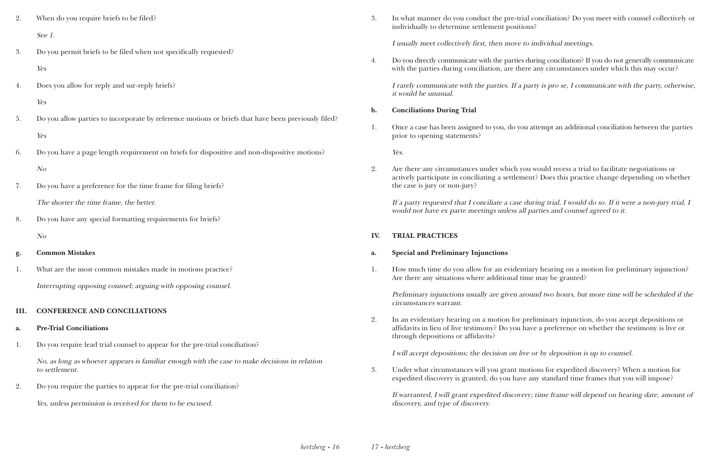- 2. When do you require briefs to be filed? See 1.
- 3. Do you permit briefs to be filed when not specifically requested? Yes
- 4. Does you allow for reply and sur-reply briefs?

#### Yes

- 5. Do you allow parties to incorporate by reference motions or briefs that have been previously filed? Yes
- 6. Do you have a page length requirement on briefs for dispositive and non-dispositive motions? No
- 7. Do you have a preference for the time frame for filing briefs? The shorter the time frame, the better.
- 8. Do you have any special formatting requirements for briefs? No

#### **g. Common Mistakes**

1. What are the most common mistakes made in motions practice? Interrupting opposing counsel; arguing with opposing counsel.

4. Do you directly communicate with the parties during conciliation? If you do not generally communicate with the parties during conciliation, are there any circumstances under which this may occur?

#### **III. CONFERENCE AND CONCILIATIONS**

#### **a. Pre-Trial Conciliations**

1. Do you require lead trial counsel to appear for the pre-trial conciliation?

No, as long as whoever appears is familiar enough with the case to make decisions in relation to settlement.

2. Do you require the parties to appear for the pre-trial conciliation?

Yes, unless permission is received for them to be excused.

3. In what manner do you conduct the pre-trial conciliation? Do you meet with counsel collectively or

individually to determine settlement positions?

I usually meet collectively first, then move to individual meetings.

I rarely communicate with the parties. If a party is pro se, I communicate with the party, otherwise, it would be unusual.

#### **b. Conciliations During Trial**

1. Once a case has been assigned to you, do you attempt an additional conciliation between the parties

prior to opening statements?

Yes.

2. Are there any circumstances under which you would recess a trial to facilitate negotiations or actively participate in conciliating a settlement? Does this practice change depending on whether

the case is jury or non-jury?

If a party requested that I conciliate a case during trial, I would do so. If it were a non-jury trial, I would not have ex parte meetings unless all parties and counsel agreed to it.

#### **IV. TRIAL PRACTICES**

#### **a. Special and Preliminary Injunctions**

1. How much time do you allow for an evidentiary hearing on a motion for preliminary injunction?

Are there any situations where additional time may be granted?

Preliminary injunctions usually are given around two hours, but more time will be scheduled if the circumstances warrant.

2. In an evidentiary hearing on a motion for preliminary injunction, do you accept depositions or affidavits in lieu of live testimony? Do you have a preference on whether the testimony is live or

through depositions or affidavits?

I will accept depositions; the decision on live or by deposition is up to counsel.

3. Under what circumstances will you grant motions for expedited discovery? When a motion for expedited discovery is granted, do you have any standard time frames that you will impose?

If warranted, I will grant expedited discovery; time frame will depend on hearing date, amount of discovery, and type of discovery.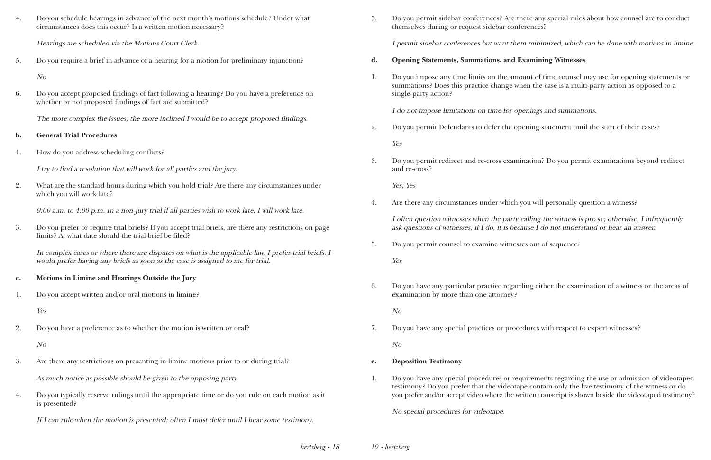| Do you schedule hearings in advance of the next month's motions schedule? Under what |
|--------------------------------------------------------------------------------------|
| circumstances does this occur? Is a written motion necessary?                        |

Hearings are scheduled via the Motions Court Clerk.

5. Do you require a brief in advance of a hearing for a motion for preliminary injunction?

No

6. Do you accept proposed findings of fact following a hearing? Do you have a preference on whether or not proposed findings of fact are submitted?

The more complex the issues, the more inclined I would be to accept proposed findings.

- **b. General Trial Procedures**
- 1. How do you address scheduling conflicts?

I try to find a resolution that will work for all parties and the jury.

2. What are the standard hours during which you hold trial? Are there any circumstances under which you will work late?

9:00 a.m. to 4:00 p.m. In a non-jury trial if all parties wish to work late, I will work late.

3. Do you prefer or require trial briefs? If you accept trial briefs, are there any restrictions on page limits? At what date should the trial brief be filed?

In complex cases or where there are disputes on what is the applicable law, I prefer trial briefs. I would prefer having any briefs as soon as the case is assigned to me for trial.

#### **c. Motions in Limine and Hearings Outside the Jury**

1. Do you accept written and/or oral motions in limine?

Yes

2. Do you have a preference as to whether the motion is written or oral?

No

3. Are there any restrictions on presenting in limine motions prior to or during trial?

As much notice as possible should be given to the opposing party.

4. Do you typically reserve rulings until the appropriate time or do you rule on each motion as it is presented?

If I can rule when the motion is presented; often I must defer until I hear some testimony.

5. Do you permit sidebar conferences? Are there any special rules about how counsel are to conduct

themselves during or request sidebar conferences?

I permit sidebar conferences but want them minimized, which can be done with motions in limine.

- **d. Opening Statements, Summations, and Examining Witnesses**
- single-party action?

1. Do you impose any time limits on the amount of time counsel may use for opening statements or summations? Does this practice change when the case is a multi-party action as opposed to a

I do not impose limitations on time for openings and summations.

2. Do you permit Defendants to defer the opening statement until the start of their cases?

Yes

3. Do you permit redirect and re-cross examination? Do you permit examinations beyond redirect

and re-cross?

Yes; Yes

4. Are there any circumstances under which you will personally question a witness?

I often question witnesses when the party calling the witness is pro se; otherwise, I infrequently ask questions of witnesses; if I do, it is because I do not understand or hear an answer.

5. Do you permit counsel to examine witnesses out of sequence?

Yes

6. Do you have any particular practice regarding either the examination of a witness or the areas of

examination by more than one attorney?

No

7. Do you have any special practices or procedures with respect to expert witnesses?

No

- **e. Deposition Testimony**
- 

1. Do you have any special procedures or requirements regarding the use or admission of videotaped testimony? Do you prefer that the videotape contain only the live testimony of the witness or do you prefer and/or accept video where the written transcript is shown beside the videotaped testimony?

No special procedures for videotape.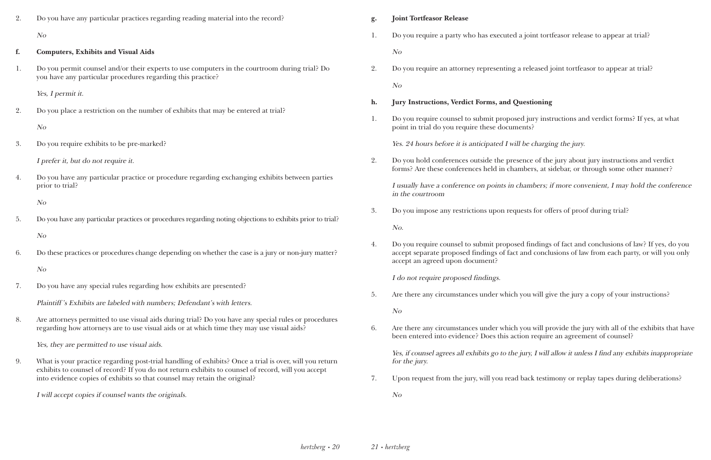a joint tortfeasor release to appear at trial?

Preleased joint tortfeasor to appear at trial?

#### **ha.** Jury instructioning

ed jury instructions and verdict forms? If yes, at what

I be charging the jury.

sence of the jury about jury instructions and verdict mbers, at sidebar, or through some other manner?

chambers; if more convenient, I may hold the conference

uests for offers of proof during trial?

ed findings of fact and conclusions of law? If yes, do you and conclusions of law from each party, or will you only

you will give the jury a copy of your instructions?

you will provide the jury with all of the exhibits that have tion require an agreement of counsel?

 $y_i$  jury, I will allow it unless I find any exhibits inappropriate

1. back testimony or replay tapes during deliberations?

| 2. | Do you have any particular practices regarding reading material into the record?                                                                                                                  | g.                                             | <b>Joint Tortfeasor Release</b>                                                                                                   |
|----|---------------------------------------------------------------------------------------------------------------------------------------------------------------------------------------------------|------------------------------------------------|-----------------------------------------------------------------------------------------------------------------------------------|
|    | N o                                                                                                                                                                                               | 1.                                             | Do you require a party who has executed a join                                                                                    |
| f. | <b>Computers, Exhibits and Visual Aids</b>                                                                                                                                                        |                                                | N o                                                                                                                               |
| 1. | Do you permit counsel and/or their experts to use computers in the courtroom during trial? Do<br>you have any particular procedures regarding this practice?                                      | 2.                                             | Do you require an attorney representing a rele                                                                                    |
|    | Yes, I permit it.                                                                                                                                                                                 |                                                | N o                                                                                                                               |
| 2. | Do you place a restriction on the number of exhibits that may be entered at trial?                                                                                                                | h.<br>1.                                       | <b>Jury Instructions, Verdict Forms, and Questi</b><br>Do you require counsel to submit proposed jui                              |
|    | N o                                                                                                                                                                                               |                                                | point in trial do you require these documents?                                                                                    |
| 3. | Do you require exhibits to be pre-marked?                                                                                                                                                         |                                                | Yes. 24 hours before it is anticipated I will be o                                                                                |
|    | I prefer it, but do not require it.                                                                                                                                                               | 2.                                             | Do you hold conferences outside the presence<br>forms? Are these conferences held in chamber                                      |
| 4. | Do you have any particular practice or procedure regarding exchanging exhibits between parties<br>prior to trial?                                                                                 |                                                | I usually have a conference on points in chami<br>in the courtroom                                                                |
|    | N <sub>O</sub>                                                                                                                                                                                    |                                                |                                                                                                                                   |
| 5. | Do you have any particular practices or procedures regarding noting objections to exhibits prior to trial?                                                                                        | 3.                                             | Do you impose any restrictions upon requests<br>No.                                                                               |
|    | N o                                                                                                                                                                                               |                                                |                                                                                                                                   |
| 6. | Do these practices or procedures change depending on whether the case is a jury or non-jury matter?                                                                                               | 4.                                             | Do you require counsel to submit proposed fin<br>accept separate proposed findings of fact and<br>accept an agreed upon document? |
|    | N <sub>O</sub>                                                                                                                                                                                    |                                                | I do not require proposed findings.                                                                                               |
| 7. | Do you have any special rules regarding how exhibits are presented?                                                                                                                               |                                                |                                                                                                                                   |
|    | Plaintiff's Exhibits are labeled with numbers; Defendant's with letters.                                                                                                                          | 5.                                             | Are there any circumstances under which you                                                                                       |
| 8. | Are attorneys permitted to use visual aids during trial? Do you have any special rules or procedures<br>regarding how attorneys are to use visual aids or at which time they may use visual aids? | 6.                                             | N <sub>O</sub><br>Are there any circumstances under which you                                                                     |
|    | Yes, they are permitted to use visual aids.                                                                                                                                                       | been entered into evidence? Does this action r |                                                                                                                                   |
| 9. | What is your practice regarding post-trial handling of exhibits? Once a trial is over, will you return                                                                                            |                                                | Yes, if counsel agrees all exhibits go to the jury,<br>for the jury.                                                              |
|    | exhibits to counsel of record? If you do not return exhibits to counsel of record, will you accept<br>into evidence copies of exhibits so that counsel may retain the original?                   | 7.                                             | Upon request from the jury, will you read back                                                                                    |
|    | I will accept copies if counsel wants the originals.                                                                                                                                              |                                                | N o                                                                                                                               |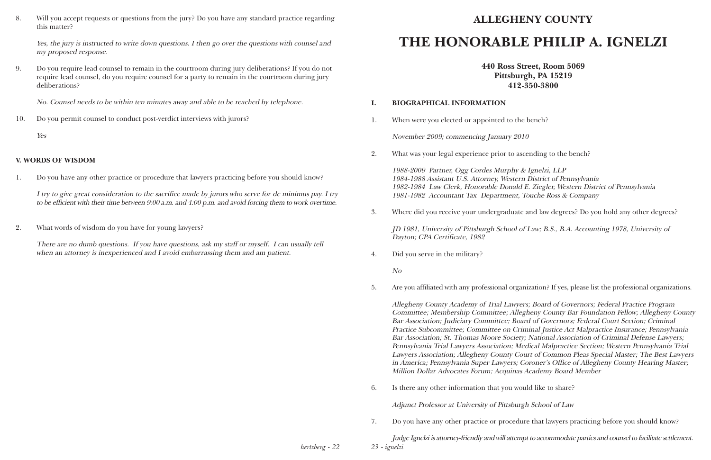8. Will you accept requests or questions from the jury? Do you have any standard practice regarding this matter?

Yes, the jury is instructed to write down questions. I then go over the questions with counsel and my proposed response.

9. Do you require lead counsel to remain in the courtroom during jury deliberations? If you do not require lead counsel, do you require counsel for a party to remain in the courtroom during jury deliberations?

There are no dumb questions. If you have questions, ask my staff or myself. I can usually tell when an attorney is inexperienced and I avoid embarrassing them and am patient.

No. Counsel needs to be within ten minutes away and able to be reached by telephone.

10. Do you permit counsel to conduct post-verdict interviews with jurors?

Yes

#### **V. WORDS OF WISDOM**

1. Do you have any other practice or procedure that lawyers practicing before you should know?

I try to give great consideration to the sacrifice made by jurors who serve for de minimus pay. I try to be efficient with their time between 9:00 a.m. and 4:00 p.m. and avoid forcing them to work overtime.

2. What words of wisdom do you have for young lawyers?

### **ALLEGHENY COUNTY**

## **THE HONORABLE PHILIP A. IGNELZI**

**440 Ross Street, Room 5069 Pittsburgh, PA 15219 412-350-3800**

#### **I. BIOGRAPHICAL INFORMATION**

1. When were you elected or appointed to the bench?

November 2009; commencing January 2010

2. What was your legal experience prior to ascending to the bench?

1988-2009 Partner, Ogg Cordes Murphy & Ignelzi, LLP 1984-1988 Assistant U.S. Attorney, Western District of Pennsylvania 1982-1984 Law Clerk, Honorable Donald E. Ziegler, Western District of Pennsylvania 1981-1982 Accountant Tax Department, Touche Ross & Company

3. Where did you receive your undergraduate and law degrees? Do you hold any other degrees?

JD 1981, University of Pittsburgh School of Law; B.S., B.A. Accounting 1978, University of Dayton; CPA Certificate, 1982

4. Did you serve in the military?

No

5. Are you affiliated with any professional organization? If yes, please list the professional organizations.

*23 • ignelzi* Judge Ignelzi is attorney-friendly and will attempt to accommodate parties and counsel to facilitate settlement.

Allegheny County Academy of Trial Lawyers; Board of Governors; Federal Practice Program Committee; Membership Committee; Allegheny County Bar Foundation Fellow; Allegheny County Bar Association; Judiciary Committee; Board of Governors; Federal Court Section; Criminal Practice Subcommittee; Committee on Criminal Justice Act Malpractice Insurance; Pennsylvania Bar Association; St. Thomas Moore Society; National Association of Criminal Defense Lawyers; Pennsylvania Trial Lawyers Association; Medical Malpractice Section; Western Pennsylvania Trial Lawyers Association; Allegheny County Court of Common Pleas Special Master; The Best Lawyers in America; Pennsylvania Super Lawyers; Coroner's Office of Allegheny County Hearing Master; Million Dollar Advocates Forum; Acquinas Academy Board Member

6. Is there any other information that you would like to share?

Adjunct Professor at University of Pittsburgh School of Law

7. Do you have any other practice or procedure that lawyers practicing before you should know?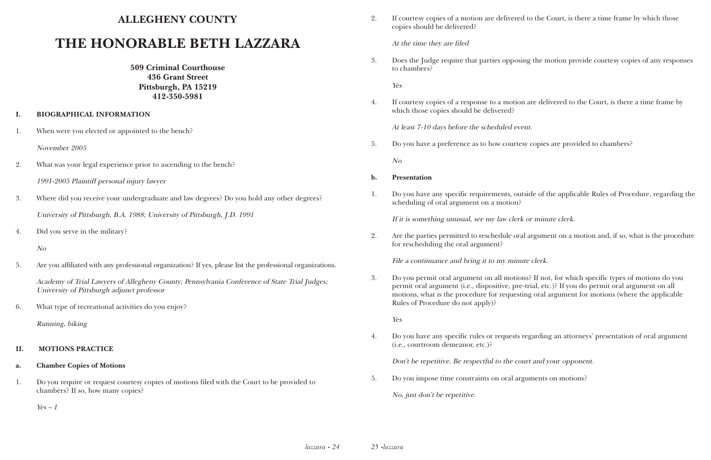#### **ALLEGHENY COUNTY**

## **THE HONORABLE BETH LAZZARA**

**509 Criminal Courthouse 436 Grant Street Pittsburgh, PA 15219 412-350-5981** 

#### **I. BIOGRAPHICAL INFORMATION**

1. When were you elected or appointed to the bench?

November 2005

2. What was your legal experience prior to ascending to the bench?

1991-2005 Plaintiff personal injury lawyer

- 3. Where did you receive your undergraduate and law degrees? Do you hold any other degrees? University of Pittsburgh, B.A. 1988; University of Pittsburgh, J.D. 1991
- 4. Did you serve in the military?

No

5. Are you affiliated with any professional organization? If yes, please list the professional organizations.

Academy of Trial Lawyers of Allegheny County; Pennsylvania Conference of State Trial Judges; University of Pittsburgh adjunct professor

6. What type of recreational activities do you enjoy?

Running, biking

#### **II. MOTIONS PRACTICE**

#### **a. Chamber Copies of Motions**

1. Do you require or request courtesy copies of motions filed with the Court to be provided to chambers? If so, how many copies?

 $Yes - 1$ 

2. If courtesy copies of a motion are delivered to the Court, is there a time frame by which those

copies should be delivered?

At the time they are filed

3. Does the Judge require that parties opposing the motion provide courtesy copies of any responses

to chambers?

Yes

4. If courtesy copies of a response to a motion are delivered to the Court, is there a time frame by

which those copies should be delivered?

At least 7-10 days before the scheduled event.

5. Do you have a preference as to how courtesy copies are provided to chambers?

No

#### **b. Presentation**

1. Do you have any specific requirements, outside of the applicable Rules of Procedure, regarding the

scheduling of oral argument on a motion?

If it is something unusual, see my law clerk or minute clerk.

2. Are the parties permitted to reschedule oral argument on a motion and, if so, what is the procedure

for rescheduling the oral argument?

File a continuance and bring it to my minute clerk.

3. Do you permit oral argument on all motions? If not, for which specific types of motions do you permit oral argument (i.e., dispositive, pre-trial, etc.)? If you do permit oral argument on all motions, what is the procedure for requesting oral argument for motions (where the applicable Rules of Procedure do not apply)?

Yes

4. Do you have any specific rules or requests regarding an attorneys' presentation of oral argument

(i.e., courtroom demeanor, etc.)?

Don't be repetitive. Be respectful to the court and your opponent.

5. Do you impose time constraints on oral arguments on motions?

No, just don't be repetitive.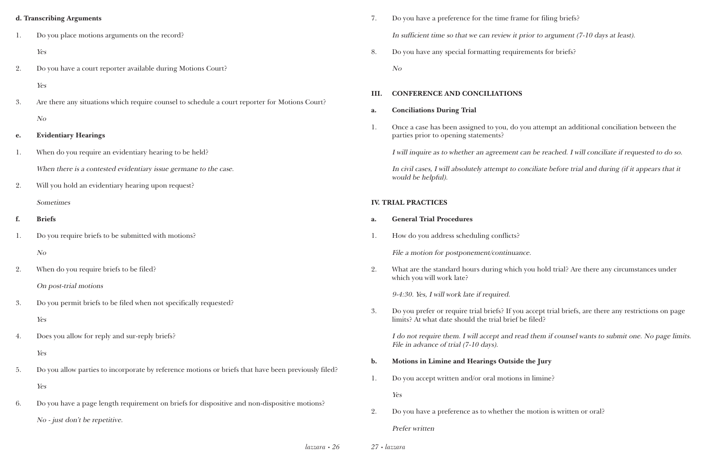#### **d. Transcribing Arguments**

- 1. Do you place motions arguments on the record? Yes
- 2. Do you have a court reporter available during Motions Court?
	- Yes
- 3. Are there any situations which require counsel to schedule a court reporter for Motions Court? No

#### **e. Evidentiary Hearings**

- 1. When do you require an evidentiary hearing to be held? When there is a contested evidentiary issue germane to the case.
- 2. Will you hold an evidentiary hearing upon request? Sometimes

#### **f. Briefs**

*lazzara • 26 27 • lazzara*

- 1. Do you require briefs to be submitted with motions? No
- 2. When do you require briefs to be filed?

On post-trial motions

- 3. Do you permit briefs to be filed when not specifically requested? Yes
- 4. Does you allow for reply and sur-reply briefs? Yes
- 5. Do you allow parties to incorporate by reference motions or briefs that have been previously filed? Yes
- 6. Do you have a page length requirement on briefs for dispositive and non-dispositive motions? No - just don't be repetitive.
- 7. Do you have a preference for the time frame for filing briefs? In sufficient time so that we can review it prior to argument (7-10 days at least).
- 8. Do you have any special formatting requirements for briefs?

No

#### **III. CONFERENCE AND CONCILIATIONS**

**a. Conciliations During Trial**

1. Once a case has been assigned to you, do you attempt an additional conciliation between the

parties prior to opening statements?

I will inquire as to whether an agreement can be reached. I will conciliate if requested to do so. In civil cases, I will absolutely attempt to conciliate before trial and during (if it appears that it would be helpful).

#### **IV. TRIAL PRACTICES**

- **a. General Trial Procedures**
- 1. How do you address scheduling conflicts?

File a motion for postponement/continuance.

2. What are the standard hours during which you hold trial? Are there any circumstances under which you will work late?

9-4:30. Yes, I will work late if required.

3. Do you prefer or require trial briefs? If you accept trial briefs, are there any restrictions on page

limits? At what date should the trial brief be filed?

I do not require them. I will accept and read them if counsel wants to submit one. No page limits. File in advance of trial (7-10 days).

- **b. Motions in Limine and Hearings Outside the Jury**
- 1. Do you accept written and/or oral motions in limine?

Yes

2. Do you have a preference as to whether the motion is written or oral?

Prefer written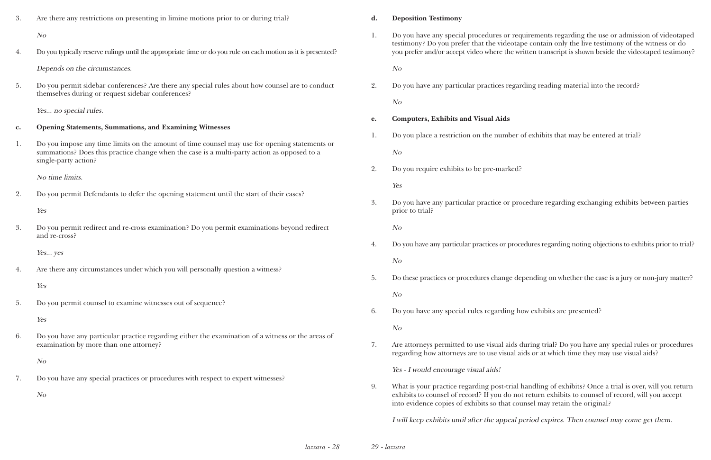| 3.             | Are there any restrictions on presenting in limine motions prior to or during trial?                                                                                                                                                                                                    | d. | <b>Deposition Testimony</b>                                                                                                                  |
|----------------|-----------------------------------------------------------------------------------------------------------------------------------------------------------------------------------------------------------------------------------------------------------------------------------------|----|----------------------------------------------------------------------------------------------------------------------------------------------|
|                | N o                                                                                                                                                                                                                                                                                     | 1. | Do you have any special procedures or req                                                                                                    |
| 4.             | Do you typically reserve rulings until the appropriate time or do you rule on each motion as it is presented?                                                                                                                                                                           |    | testimony? Do you prefer that the videotap<br>you prefer and/or accept video where the wr                                                    |
|                | Depends on the circumstances.                                                                                                                                                                                                                                                           |    | No                                                                                                                                           |
| 5.             | Do you permit sidebar conferences? Are there any special rules about how counsel are to conduct<br>themselves during or request sidebar conferences?                                                                                                                                    | 2. | Do you have any particular practices regar                                                                                                   |
|                |                                                                                                                                                                                                                                                                                         |    | N o                                                                                                                                          |
|                | Yes no special rules.<br><b>Opening Statements, Summations, and Examining Witnesses</b><br>Do you impose any time limits on the amount of time counsel may use for opening statements or<br>summations? Does this practice change when the case is a multi-party action as opposed to a | e. | <b>Computers, Exhibits and Visual Aids</b>                                                                                                   |
| $\mathbf{c}$ . |                                                                                                                                                                                                                                                                                         | 1. | Do you place a restriction on the number of                                                                                                  |
| 1.             |                                                                                                                                                                                                                                                                                         |    | N o                                                                                                                                          |
|                | single-party action?                                                                                                                                                                                                                                                                    | 2. | Do you require exhibits to be pre-marked?                                                                                                    |
|                | No time limits.                                                                                                                                                                                                                                                                         |    | Yes                                                                                                                                          |
| 2.             | Do you permit Defendants to defer the opening statement until the start of their cases?                                                                                                                                                                                                 | 3. | Do you have any particular practice or pro                                                                                                   |
|                | Yes                                                                                                                                                                                                                                                                                     |    | prior to trial?                                                                                                                              |
| 3.             | Do you permit redirect and re-cross examination? Do you permit examinations beyond redirect<br>and re-cross?                                                                                                                                                                            |    | N o                                                                                                                                          |
|                | Yes yes                                                                                                                                                                                                                                                                                 | 4. | Do you have any particular practices or proce                                                                                                |
|                | Are there any circumstances under which you will personally question a witness?<br>Yes                                                                                                                                                                                                  |    | N <sub>O</sub>                                                                                                                               |
|                |                                                                                                                                                                                                                                                                                         | 5. | Do these practices or procedures change de                                                                                                   |
| 5.             | Do you permit counsel to examine witnesses out of sequence?<br>Yes                                                                                                                                                                                                                      |    | No                                                                                                                                           |
|                |                                                                                                                                                                                                                                                                                         | 6. | Do you have any special rules regarding ho                                                                                                   |
| 6.             | Do you have any particular practice regarding either the examination of a witness or the areas of<br>examination by more than one attorney?                                                                                                                                             |    | No                                                                                                                                           |
|                |                                                                                                                                                                                                                                                                                         | 7. | Are attorneys permitted to use visual aids d<br>regarding how attorneys are to use visual ai                                                 |
|                | N <sub>O</sub><br>Do you have any special practices or procedures with respect to expert witnesses?<br>N <sub>O</sub>                                                                                                                                                                   |    | Yes - I would encourage visual aids!                                                                                                         |
| 7.             |                                                                                                                                                                                                                                                                                         | 9. | What is your practice regarding post-trial l<br>exhibits to counsel of record? If you do not<br>into evidence copies of exhibits so that cou |
|                |                                                                                                                                                                                                                                                                                         |    |                                                                                                                                              |

ecial procedures or requirements regarding the use or admission of videotaped refer that the videotape contain only the live testimony of the witness or do ept video where the written transcript is shown beside the videotaped testimony?

ticular practices regarding reading material into the record?

iction on the number of exhibits that may be entered at trial?

ticular practice or procedure regarding exchanging exhibits between parties

icular practices or procedures regarding noting objections to exhibits prior to trial?

procedures change depending on whether the case is a jury or non-jury matter?

ecial rules regarding how exhibits are presented?

ted to use visual aids during trial? Do you have any special rules or procedures neys are to use visual aids or at which time they may use visual aids?

eregarding post-trial handling of exhibits? Once a trial is over, will you return frecord? If you do not return exhibits to counsel of record, will you accept of exhibits so that counsel may retain the original?

I will keep exhibits until after the appeal period expires. Then counsel may come get them.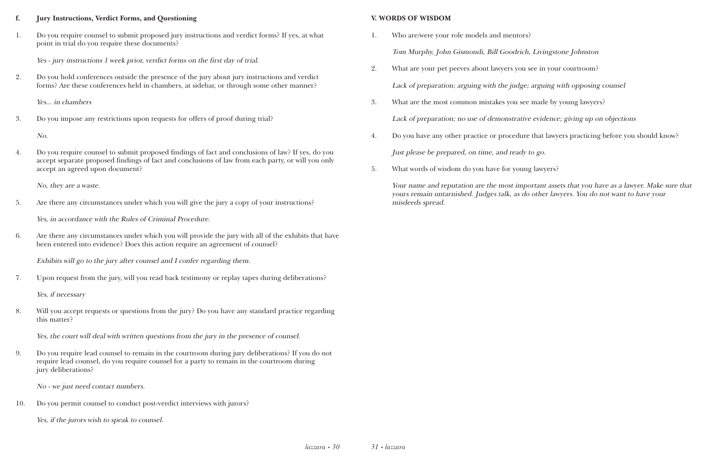#### **f. Jury Instructions, Verdict Forms, and Questioning**

1. Do you require counsel to submit proposed jury instructions and verdict forms? If yes, at what point in trial do you require these documents?

Yes - jury instructions 1 week prior, verdict forms on the first day of trial.

2. Do you hold conferences outside the presence of the jury about jury instructions and verdict forms? Are these conferences held in chambers, at sidebar, or through some other manner?

Yes... in chambers

3. Do you impose any restrictions upon requests for offers of proof during trial?

No.

4. Do you require counsel to submit proposed findings of fact and conclusions of law? If yes, do you accept separate proposed findings of fact and conclusions of law from each party, or will you only accept an agreed upon document?

No, they are a waste.

5. Are there any circumstances under which you will give the jury a copy of your instructions?

Yes, in accordance with the Rules of Criminal Procedure.

6. Are there any circumstances under which you will provide the jury with all of the exhibits that have been entered into evidence? Does this action require an agreement of counsel?

Exhibits will go to the jury after counsel and I confer regarding them.

7. Upon request from the jury, will you read back testimony or replay tapes during deliberations?

Yes, if necessary

8. Will you accept requests or questions from the jury? Do you have any standard practice regarding this matter?

Yes, the court will deal with written questions from the jury in the presence of counsel.

9. Do you require lead counsel to remain in the courtroom during jury deliberations? If you do not require lead counsel, do you require counsel for a party to remain in the courtroom during jury deliberations?

No - we just need contact numbers.

10. Do you permit counsel to conduct post-verdict interviews with jurors?

Yes, if the jurors wish to speak to counsel.

#### **V. WORDS OF WISDOM**

- 1. Who are/were your role models and mentors? Tom Murphy, John Gismondi, Bill Goodrich, Livingstone Johnston
- 2. What are your pet peeves about lawyers you see in your courtroom? Lack of preparation; arguing with the judge; arguing with opposing counsel
- 3. What are the most common mistakes you see made by young lawyers?

Lack of preparation; no use of demonstrative evidence; giving up on objections

- 4. Do you have any other practice or procedure that lawyers practicing before you should know? Just please be prepared, on time, and ready to go.
- 5. What words of wisdom do you have for young lawyers?

Your name and reputation are the most important assets that you have as a lawyer. Make sure that yours remain untarnished. Judges talk, as do other lawyers. You do not want to have your misdeeds spread.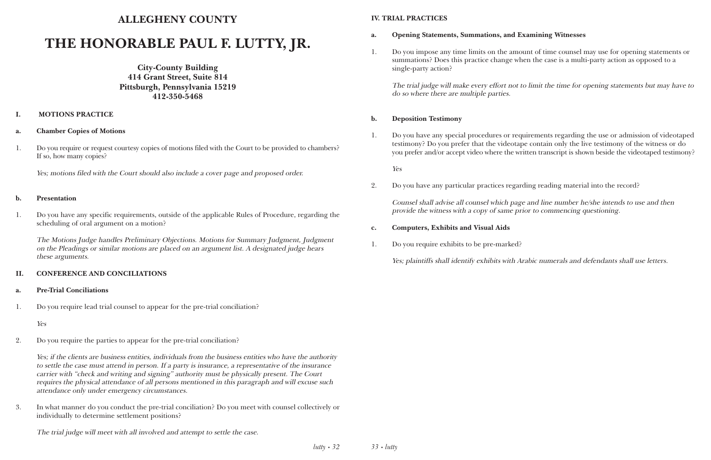#### **ALLEGHENY COUNTY**

## **THE HONORABLE PAUL F. LUTTY, JR.**

**City-County Building 414 Grant Street, Suite 814 Pittsburgh, Pennsylvania 15219 412-350-5468**

#### **I. MOTIONS PRACTICE**

#### **a. Chamber Copies of Motions**

1. Do you require or request courtesy copies of motions filed with the Court to be provided to chambers? If so, how many copies?

Yes; motions filed with the Court should also include a cover page and proposed order.

#### **b. Presentation**

1. Do you have any specific requirements, outside of the applicable Rules of Procedure, regarding the scheduling of oral argument on a motion?

The Motions Judge handles Preliminary Objections. Motions for Summary Judgment, Judgment on the Pleadings or similar motions are placed on an argument list. A designated judge hears these arguments.

#### **II. CONFERENCE AND CONCILIATIONS**

- **a. Pre-Trial Conciliations**
- 1. Do you require lead trial counsel to appear for the pre-trial conciliation?

Yes

2. Do you require the parties to appear for the pre-trial conciliation?

Yes; if the clients are business entities, individuals from the business entities who have the authority to settle the case must attend in person. If a party is insurance, a representative of the insurance carrier with "check and writing and signing" authority must be physically present. The Court requires the physical attendance of all persons mentioned in this paragraph and will excuse such attendance only under emergency circumstances.

3. In what manner do you conduct the pre-trial conciliation? Do you meet with counsel collectively or individually to determine settlement positions?

The trial judge will meet with all involved and attempt to settle the case.

#### **IV. TRIAL PRACTICES**

- **a. Opening Statements, Summations, and Examining Witnesses**
- single-party action?

1. Do you impose any time limits on the amount of time counsel may use for opening statements or summations? Does this practice change when the case is a multi-party action as opposed to a

The trial judge will make every effort not to limit the time for opening statements but may have to do so where there are multiple parties.

#### **b. Deposition Testimony**

1. Do you have any special procedures or requirements regarding the use or admission of videotaped testimony? Do you prefer that the videotape contain only the live testimony of the witness or do you prefer and/or accept video where the written transcript is shown beside the videotaped testimony?

Yes

2. Do you have any particular practices regarding reading material into the record?

Counsel shall advise all counsel which page and line number he/she intends to use and then provide the witness with a copy of same prior to commencing questioning.

- **c. Computers, Exhibits and Visual Aids**
- 1. Do you require exhibits to be pre-marked?

Yes; plaintiffs shall identify exhibits with Arabic numerals and defendants shall use letters.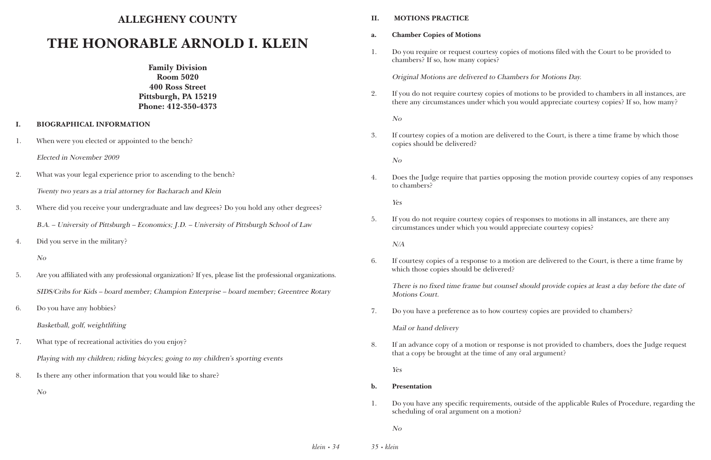#### **ALLEGHENY COUNTY**

### **THE HONORABLE ARNOLD I. KLEIN**

**Family Division Room 5020 400 Ross Street Pittsburgh, PA 15219 Phone: 412-350-4373**

#### **I. BIOGRAPHICAL INFORMATION**

- 1. When were you elected or appointed to the bench?
	- Elected in November 2009
- 2. What was your legal experience prior to ascending to the bench? Twenty two years as a trial attorney for Bacharach and Klein
- 3. Where did you receive your undergraduate and law degrees? Do you hold any other degrees? B.A. – University of Pittsburgh – Economics; J.D. – University of Pittsburgh School of Law
- 4. Did you serve in the military?

- 5. Are you affiliated with any professional organization? If yes, please list the professional organizations. SIDS/Cribs for Kids – board member; Champion Enterprise – board member; Greentree Rotary
- 6. Do you have any hobbies? Basketball, golf, weightlifting
- 7. What type of recreational activities do you enjoy? Playing with my children; riding bicycles; going to my children's sporting events
- 8. Is there any other information that you would like to share?
	- No

#### **II. MOTIONS PRACTICE**

1. Do you require or request courtesy copies of motions filed with the Court to be provided to

- **a. Chamber Copies of Motions**
- chambers? If so, how many copies?

Original Motions are delivered to Chambers for Motions Day.

2. If you do not require courtesy copies of motions to be provided to chambers in all instances, are there any circumstances under which you would appreciate courtesy copies? If so, how many?

No

3. If courtesy copies of a motion are delivered to the Court, is there a time frame by which those

copies should be delivered?

No

4. Does the Judge require that parties opposing the motion provide courtesy copies of any responses

to chambers?

Yes

5. If you do not require courtesy copies of responses to motions in all instances, are there any circumstances under which you would appreciate courtesy copies?

N/A

6. If courtesy copies of a response to a motion are delivered to the Court, is there a time frame by

which those copies should be delivered?

There is no fixed time frame but counsel should provide copies at least a day before the date of Motions Court.

7. Do you have a preference as to how courtesy copies are provided to chambers?

Mail or hand delivery

8. If an advance copy of a motion or response is not provided to chambers, does the Judge request

that a copy be brought at the time of any oral argument?

Yes

1. Do you have any specific requirements, outside of the applicable Rules of Procedure, regarding the

- **b. Presentation**
- scheduling of oral argument on a motion?

No

No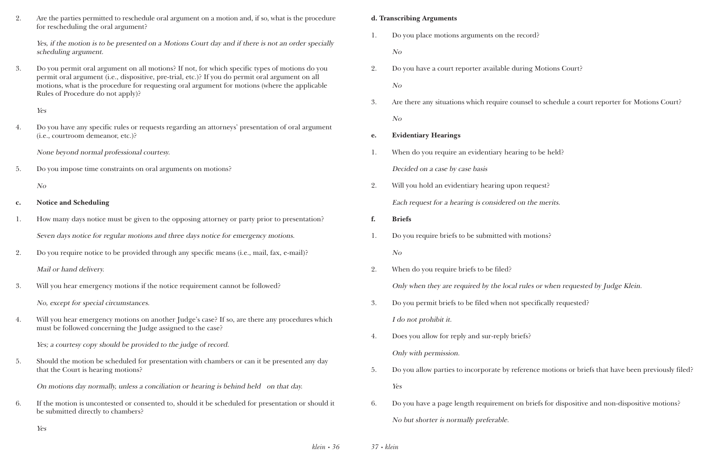| Are the parties permitted to reschedule oral argument on a motion and, if so, what is the procedure |
|-----------------------------------------------------------------------------------------------------|
| for rescheduling the oral argument?                                                                 |

Yes, if the motion is to be presented on a Motions Court day and if there is not an order specially scheduling argument.

3. Do you permit oral argument on all motions? If not, for which specific types of motions do you permit oral argument (i.e., dispositive, pre-trial, etc.)? If you do permit oral argument on all motions, what is the procedure for requesting oral argument for motions (where the applicable Rules of Procedure do not apply)?

Yes

4. Do you have any specific rules or requests regarding an attorneys' presentation of oral argument (i.e., courtroom demeanor, etc.)?

None beyond normal professional courtesy.

5. Do you impose time constraints on oral arguments on motions?

No

#### **c. Notice and Scheduling**

- 1. How many days notice must be given to the opposing attorney or party prior to presentation? Seven days notice for regular motions and three days notice for emergency motions.
- 2. Do you require notice to be provided through any specific means (i.e., mail, fax, e-mail)?

Mail or hand delivery.

3. Will you hear emergency motions if the notice requirement cannot be followed?

No, except for special circumstances.

4. Will you hear emergency motions on another Judge's case? If so, are there any procedures which must be followed concerning the Judge assigned to the case?

Yes; a courtesy copy should be provided to the judge of record.

5. Should the motion be scheduled for presentation with chambers or can it be presented any day that the Court is hearing motions?

On motions day normally, unless a conciliation or hearing is behind held on that day.

6. If the motion is uncontested or consented to, should it be scheduled for presentation or should it be submitted directly to chambers?

#### **d. Transcribing Arguments**

1. Do you place motions arguments on the record?

No

- 2. Do you have a court reporter available during Motions Court? No
- No

3. Are there any situations which require counsel to schedule a court reporter for Motions Court?

**e. Evidentiary Hearings**

- 1. When do you require an evidentiary hearing to be held? Decided on a case by case basis
- 2. Will you hold an evidentiary hearing upon request? Each request for a hearing is considered on the merits.
- **f. Briefs**
- 1. Do you require briefs to be submitted with motions? No
- 2. When do you require briefs to be filed? Only when they are required by the local rules or when requested by Judge Klein.
- 3. Do you permit briefs to be filed when not specifically requested? I do not prohibit it.
- 4. Does you allow for reply and sur-reply briefs? Only with permission.
- Yes
- No but shorter is normally preferable.

5. Do you allow parties to incorporate by reference motions or briefs that have been previously filed?

6. Do you have a page length requirement on briefs for dispositive and non-dispositive motions?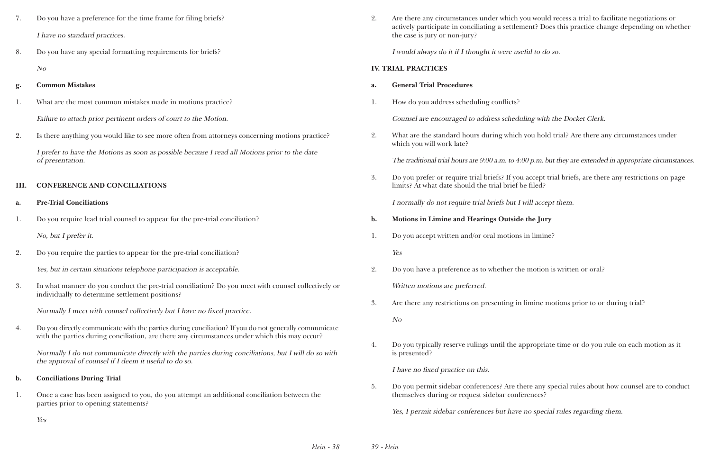| Do you have a preference for the time frame for filing briefs? |
|----------------------------------------------------------------|
| I have no standard practices.                                  |

8. Do you have any special formatting requirements for briefs? No

#### **g. Common Mistakes**

- 1. What are the most common mistakes made in motions practice? Failure to attach prior pertinent orders of court to the Motion.
- 2. Is there anything you would like to see more often from attorneys concerning motions practice?

I prefer to have the Motions as soon as possible because I read all Motions prior to the date of presentation.

4. Do you directly communicate with the parties during conciliation? If you do not generally communicate with the parties during conciliation, are there any circumstances under which this may occur?

#### **III. CONFERENCE AND CONCILIATIONS**

#### **a. Pre-Trial Conciliations**

1. Do you require lead trial counsel to appear for the pre-trial conciliation?

No, but I prefer it.

2. Do you require the parties to appear for the pre-trial conciliation?

Yes, but in certain situations telephone participation is acceptable.

3. In what manner do you conduct the pre-trial conciliation? Do you meet with counsel collectively or individually to determine settlement positions?

Normally I meet with counsel collectively but I have no fixed practice.

Normally I do not communicate directly with the parties during conciliations, but I will do so with the approval of counsel if I deem it useful to do so.

- **b. Conciliations During Trial**
- 1. Once a case has been assigned to you, do you attempt an additional conciliation between the parties prior to opening statements?

2. Are there any circumstances under which you would recess a trial to facilitate negotiations or actively participate in conciliating a settlement? Does this practice change depending on whether

the case is jury or non-jury?

I would always do it if I thought it were useful to do so.

#### **IV. TRIAL PRACTICES**

#### **a. General Trial Procedures**

1. How do you address scheduling conflicts?

Counsel are encouraged to address scheduling with the Docket Clerk.

2. What are the standard hours during which you hold trial? Are there any circumstances under

which you will work late?

The traditional trial hours are 9:00 a.m. to 4:00 p.m. but they are extended in appropriate circumstances.

3. Do you prefer or require trial briefs? If you accept trial briefs, are there any restrictions on page

limits? At what date should the trial brief be filed?

I normally do not require trial briefs but I will accept them.

- **b. Motions in Limine and Hearings Outside the Jury**
- 1. Do you accept written and/or oral motions in limine?

Yes

- 2. Do you have a preference as to whether the motion is written or oral? Written motions are preferred.
- 3. Are there any restrictions on presenting in limine motions prior to or during trial?

No

4. Do you typically reserve rulings until the appropriate time or do you rule on each motion as it

is presented?

I have no fixed practice on this.

5. Do you permit sidebar conferences? Are there any special rules about how counsel are to conduct

themselves during or request sidebar conferences?

Yes, I permit sidebar conferences but have no special rules regarding them.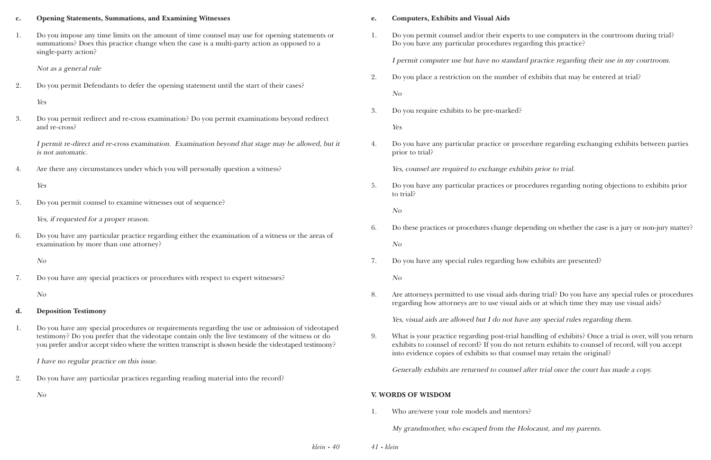#### **c. Opening Statements, Summations, and Examining Witnesses**

1. Do you impose any time limits on the amount of time counsel may use for opening statements or summations? Does this practice change when the case is a multi-party action as opposed to a single-party action?

Not as a general rule

2. Do you permit Defendants to defer the opening statement until the start of their cases?

Yes

3. Do you permit redirect and re-cross examination? Do you permit examinations beyond redirect and re-cross?

I permit re-direct and re-cross examination. Examination beyond that stage may be allowed, but it is not automatic.

4. Are there any circumstances under which you will personally question a witness?

Yes

5. Do you permit counsel to examine witnesses out of sequence?

Yes, if requested for a proper reason.

6. Do you have any particular practice regarding either the examination of a witness or the areas of examination by more than one attorney?

No

7. Do you have any special practices or procedures with respect to expert witnesses?

No

- **d. Deposition Testimony**
- 1. Do you have any special procedures or requirements regarding the use or admission of videotaped testimony? Do you prefer that the videotape contain only the live testimony of the witness or do you prefer and/or accept video where the written transcript is shown beside the videotaped testimony?

I have no regular practice on this issue.

2. Do you have any particular practices regarding reading material into the record?

No

#### **e. Computers, Exhibits and Visual Aids**

1. Do you permit counsel and/or their experts to use computers in the courtroom during trial?

Do you have any particular procedures regarding this practice?

I permit computer use but have no standard practice regarding their use in my courtroom.

2. Do you place a restriction on the number of exhibits that may be entered at trial?

No

3. Do you require exhibits to be pre-marked?

Yes

4. Do you have any particular practice or procedure regarding exchanging exhibits between parties

prior to trial?

Yes, counsel are required to exchange exhibits prior to trial.

5. Do you have any particular practices or procedures regarding noting objections to exhibits prior

to trial?

No

6. Do these practices or procedures change depending on whether the case is a jury or non-jury matter?

No

7. Do you have any special rules regarding how exhibits are presented?

No

8. Are attorneys permitted to use visual aids during trial? Do you have any special rules or procedures regarding how attorneys are to use visual aids or at which time they may use visual aids?

Yes, visual aids are allowed but I do not have any special rules regarding them.

9. What is your practice regarding post-trial handling of exhibits? Once a trial is over, will you return exhibits to counsel of record? If you do not return exhibits to counsel of record, will you accept

into evidence copies of exhibits so that counsel may retain the original?

Generally exhibits are returned to counsel after trial once the court has made a copy.

#### **V. WORDS OF WISDOM**

1. Who are/were your role models and mentors?

My grandmother, who escaped from the Holocaust, and my parents.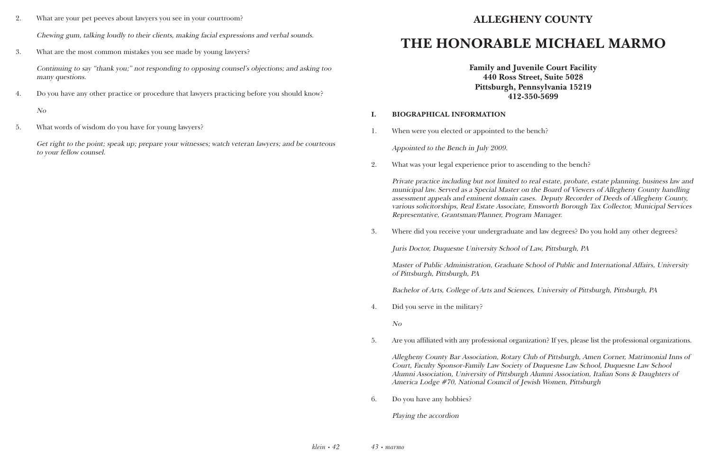- 2. What are your pet peeves about lawyers you see in your courtroom? Chewing gum, talking loudly to their clients, making facial expressions and verbal sounds.
- 3. What are the most common mistakes you see made by young lawyers?

Continuing to say "thank you;" not responding to opposing counsel's objections; and asking too many questions.

4. Do you have any other practice or procedure that lawyers practicing before you should know?

No

5. What words of wisdom do you have for young lawyers?

Get right to the point; speak up; prepare your witnesses; watch veteran lawyers; and be courteous to your fellow counsel.

### **ALLEGHENY COUNTY**

## **THE HONORABLE MICHAEL MARMO**

**Family and Juvenile Court Facility 440 Ross Street, Suite 5028 Pittsburgh, Pennsylvania 15219 412-350-5699**

#### **I. BIOGRAPHICAL INFORMATION**

1. When were you elected or appointed to the bench?

Appointed to the Bench in July 2009.

2. What was your legal experience prior to ascending to the bench?

Private practice including but not limited to real estate, probate, estate planning, business law and municipal law. Served as a Special Master on the Board of Viewers of Allegheny County handling assessment appeals and eminent domain cases. Deputy Recorder of Deeds of Allegheny County, various solicitorships, Real Estate Associate, Emsworth Borough Tax Collector, Municipal Services Representative, Grantsman/Planner, Program Manager.

3. Where did you receive your undergraduate and law degrees? Do you hold any other degrees?

Juris Doctor, Duquesne University School of Law, Pittsburgh, PA

Master of Public Administration, Graduate School of Public and International Affairs, University of Pittsburgh, Pittsburgh, PA

Bachelor of Arts, College of Arts and Sciences, University of Pittsburgh, Pittsburgh, PA

4. Did you serve in the military?

No

5. Are you affiliated with any professional organization? If yes, please list the professional organizations.

Allegheny County Bar Association, Rotary Club of Pittsburgh, Amen Corner, Matrimonial Inns of Court, Faculty Sponsor-Family Law Society of Duquesne Law School, Duquesne Law School Alumni Association, University of Pittsburgh Alumni Association, Italian Sons & Daughters of America Lodge #70, National Council of Jewish Women, Pittsburgh

6. Do you have any hobbies?

Playing the accordion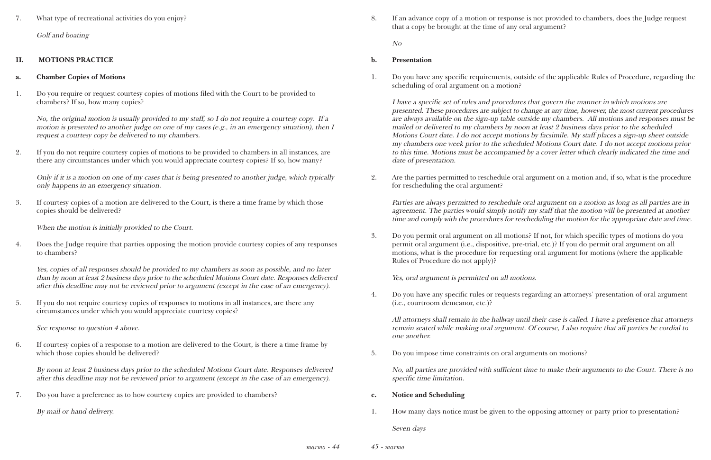#### 7. What type of recreational activities do you enjoy?

Golf and boating

#### **II. MOTIONS PRACTICE**

#### **a. Chamber Copies of Motions**

1. Do you require or request courtesy copies of motions filed with the Court to be provided to chambers? If so, how many copies?

No, the original motion is usually provided to my staff, so I do not require a courtesy copy. If a motion is presented to another judge on one of my cases (e.g., in an emergency situation), then I request a courtesy copy be delivered to my chambers.

2. If you do not require courtesy copies of motions to be provided to chambers in all instances, are there any circumstances under which you would appreciate courtesy copies? If so, how many?

Only if it is a motion on one of my cases that is being presented to another judge, which typically only happens in an emergency situation.

3. If courtesy copies of a motion are delivered to the Court, is there a time frame by which those copies should be delivered?

When the motion is initially provided to the Court.

4. Does the Judge require that parties opposing the motion provide courtesy copies of any responses to chambers?

Yes, copies of all responses should be provided to my chambers as soon as possible, and no later than by noon at least 2 business days prior to the scheduled Motions Court date. Responses delivered after this deadline may not be reviewed prior to argument (except in the case of an emergency).

5. If you do not require courtesy copies of responses to motions in all instances, are there any circumstances under which you would appreciate courtesy copies?

See response to question 4 above.

6. If courtesy copies of a response to a motion are delivered to the Court, is there a time frame by which those copies should be delivered?

By noon at least 2 business days prior to the scheduled Motions Court date. Responses delivered after this deadline may not be reviewed prior to argument (except in the case of an emergency).

7. Do you have a preference as to how courtesy copies are provided to chambers?

By mail or hand delivery.

8. If an advance copy of a motion or response is not provided to chambers, does the Judge request

that a copy be brought at the time of any oral argument?

No

#### **b. Presentation**

1. Do you have any specific requirements, outside of the applicable Rules of Procedure, regarding the

scheduling of oral argument on a motion?

I have a specific set of rules and procedures that govern the manner in which motions are presented. These procedures are subject to change at any time, however, the most current procedures are always available on the sign-up table outside my chambers. All motions and responses must be mailed or delivered to my chambers by noon at least 2 business days prior to the scheduled Motions Court date. I do not accept motions by facsimile. My staff places a sign-up sheet outside my chambers one week prior to the scheduled Motions Court date. I do not accept motions prior to this time. Motions must be accompanied by a cover letter which clearly indicated the time and date of presentation.

2. Are the parties permitted to reschedule oral argument on a motion and, if so, what is the procedure

for rescheduling the oral argument?

Parties are always permitted to reschedule oral argument on a motion as long as all parties are in agreement. The parties would simply notify my staff that the motion will be presented at another time and comply with the procedures for rescheduling the motion for the appropriate date and time.

3. Do you permit oral argument on all motions? If not, for which specific types of motions do you permit oral argument (i.e., dispositive, pre-trial, etc.)? If you do permit oral argument on all motions, what is the procedure for requesting oral argument for motions (where the applicable

Rules of Procedure do not apply)?

Yes, oral argument is permitted on all motions.

4. Do you have any specific rules or requests regarding an attorneys' presentation of oral argument

(i.e., courtroom demeanor, etc.)?

All attorneys shall remain in the hallway until their case is called. I have a preference that attorneys remain seated while making oral argument. Of course, I also require that all parties be cordial to one another.

5. Do you impose time constraints on oral arguments on motions?

No, all parties are provided with sufficient time to make their arguments to the Court. There is no specific time limitation.

- **c. Notice and Scheduling**
- 

1. How many days notice must be given to the opposing attorney or party prior to presentation?

Seven days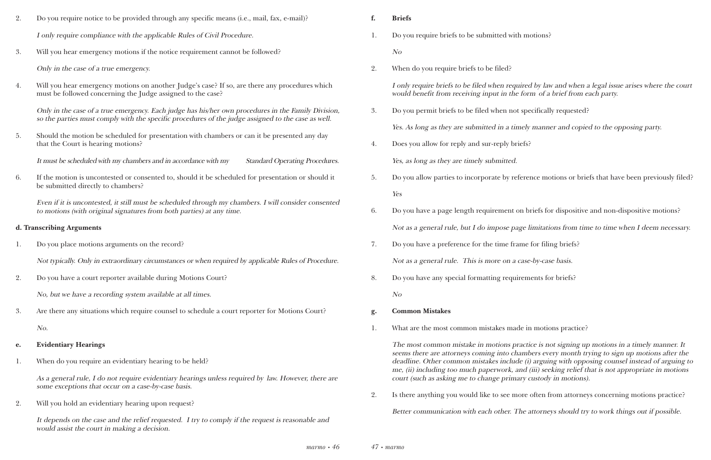#### you require briefs to be submitted with motions?

nly require briefs to be filed when required by law and when a legal issue arises where the court uld benefit from receiving input in the form of a brief from each party.

you permit briefs to be filed when not specifically requested?

As long as they are submitted in a timely manner and copied to the opposing party.

es you allow for reply and sur-reply briefs?

you allow parties to incorporate by reference motions or briefs that have been previously filed?

you have a page length requirement on briefs for dispositive and non-dispositive motions?

t as a general rule, but I do impose page limitations from time to time when I deem necessary.

you have a preference for the time frame for filing briefs?

t as a general rule. This is more on a case-by-case basis.

you have any special formatting requirements for briefs?

at are the most common mistakes made in motions practice?

e most common mistake in motions practice is not signing up motions in a timely manner. It ms there are attorneys coming into chambers every month trying to sign up motions after the dline. Other common mistakes include (i) arguing with opposing counsel instead of arguing to (ii) including too much paperwork, and (iii) seeking relief that is not appropriate in motions rt (such as asking me to change primary custody in motions).

here anything you would like to see more often from attorneys concerning motions practice?

| 2. | Do you require notice to be provided through any specific means (i.e., mail, fax, e-mail)?                                                                                                                | f. | <b>Briefs</b>                                                                                                          |
|----|-----------------------------------------------------------------------------------------------------------------------------------------------------------------------------------------------------------|----|------------------------------------------------------------------------------------------------------------------------|
|    | I only require compliance with the applicable Rules of Civil Procedure.                                                                                                                                   | 1. | Do you require briefs to be submitted w                                                                                |
| 3. | Will you hear emergency motions if the notice requirement cannot be followed?                                                                                                                             |    | N <sub>O</sub>                                                                                                         |
|    | Only in the case of a true emergency.                                                                                                                                                                     | 2. | When do you require briefs to be filed?                                                                                |
| 4. | Will you hear emergency motions on another Judge's case? If so, are there any procedures which<br>must be followed concerning the Judge assigned to the case?                                             |    | I only require briefs to be filed when re<br>would benefit from receiving input in t.                                  |
|    | Only in the case of a true emergency. Each judge has his/her own procedures in the Family Division,<br>so the parties must comply with the specific procedures of the judge assigned to the case as well. | 3. | Do you permit briefs to be filed when n                                                                                |
| 5. | Should the motion be scheduled for presentation with chambers or can it be presented any day                                                                                                              |    | Yes. As long as they are submitted in a                                                                                |
|    | that the Court is hearing motions?                                                                                                                                                                        | 4. | Does you allow for reply and sur-reply I                                                                               |
|    | It must be scheduled with my chambers and in accordance with my<br><b>Standard Operating Procedures.</b>                                                                                                  |    | Yes, as long as they are timely submitted                                                                              |
| 6. | If the motion is uncontested or consented to, should it be scheduled for presentation or should it                                                                                                        | 5. | Do you allow parties to incorporate by                                                                                 |
|    | be submitted directly to chambers?                                                                                                                                                                        |    | Yes                                                                                                                    |
|    | Even if it is uncontested, it still must be scheduled through my chambers. I will consider consented<br>to motions (with original signatures from both parties) at any time.                              | 6. | Do you have a page length requiremen                                                                                   |
|    | d. Transcribing Arguments                                                                                                                                                                                 |    | Not as a general rule, but I do impose                                                                                 |
| 1. | Do you place motions arguments on the record?                                                                                                                                                             | 7. | Do you have a preference for the time f                                                                                |
|    | Not typically. Only in extraordinary circumstances or when required by applicable Rules of Procedure.                                                                                                     |    | Not as a general rule. This is more on                                                                                 |
| 2. | Do you have a court reporter available during Motions Court?                                                                                                                                              | 8. | Do you have any special formatting req                                                                                 |
|    | No, but we have a recording system available at all times.                                                                                                                                                |    | N o                                                                                                                    |
| 3. | Are there any situations which require counsel to schedule a court reporter for Motions Court?                                                                                                            | g. | <b>Common Mistakes</b>                                                                                                 |
|    | No.                                                                                                                                                                                                       | 1. | What are the most common mistakes m                                                                                    |
| e. | <b>Evidentiary Hearings</b>                                                                                                                                                                               |    | The most common mistake in motions                                                                                     |
| 1. | When do you require an evidentiary hearing to be held?                                                                                                                                                    |    | seems there are attorneys coming into<br>deadline. Other common mistakes incl<br>me, (ii) including too much paperwork |
|    | As a general rule, I do not require evidentiary hearings unless required by law. However, there are<br>some exceptions that occur on a case-by-case basis.                                                |    | court (such as asking me to change prin                                                                                |
|    |                                                                                                                                                                                                           | 2. | Is there anything you would like to see                                                                                |
| 2. | Will you hold an evidentiary hearing upon request?                                                                                                                                                        |    | Better communication with each other.                                                                                  |
|    | It depends on the case and the relief requested. I try to comply if the request is reasonable and<br>would assist the court in making a decision.                                                         |    |                                                                                                                        |

Better communication with each other. The attorneys should try to work things out if possible.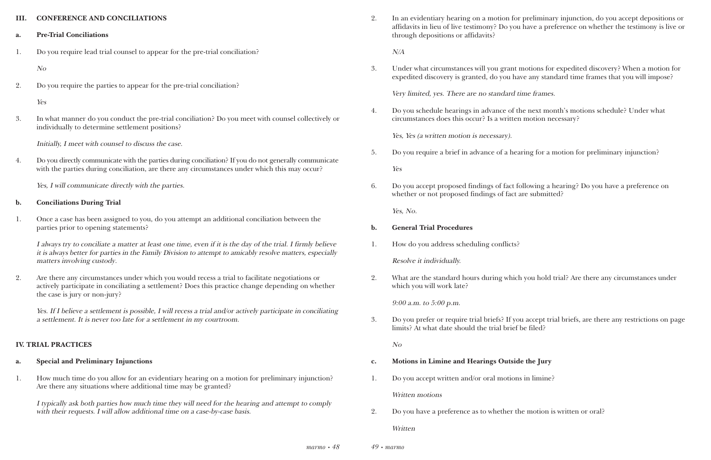#### **III. CONFERENCE AND CONCILIATIONS**

- **a. Pre-Trial Conciliations**
- 1. Do you require lead trial counsel to appear for the pre-trial conciliation?

No

2. Do you require the parties to appear for the pre-trial conciliation?

Yes

3. In what manner do you conduct the pre-trial conciliation? Do you meet with counsel collectively or individually to determine settlement positions?

Initially, I meet with counsel to discuss the case.

4. Do you directly communicate with the parties during conciliation? If you do not generally communicate with the parties during conciliation, are there any circumstances under which this may occur?

Yes, I will communicate directly with the parties.

#### **b. Conciliations During Trial**

1. Once a case has been assigned to you, do you attempt an additional conciliation between the parties prior to opening statements?

I always try to conciliate a matter at least one time, even if it is the day of the trial. I firmly believe it is always better for parties in the Family Division to attempt to amicably resolve matters, especially matters involving custody.

2. Are there any circumstances under which you would recess a trial to facilitate negotiations or actively participate in conciliating a settlement? Does this practice change depending on whether the case is jury or non-jury?

Yes. If I believe a settlement is possible, I will recess a trial and/or actively participate in conciliating a settlement. It is never too late for a settlement in my courtroom.

#### **IV. TRIAL PRACTICES**

#### **a. Special and Preliminary Injunctions**

1. How much time do you allow for an evidentiary hearing on a motion for preliminary injunction? Are there any situations where additional time may be granted?

I typically ask both parties how much time they will need for the hearing and attempt to comply with their requests. I will allow additional time on a case-by-case basis.

2. In an evidentiary hearing on a motion for preliminary injunction, do you accept depositions or affidavits in lieu of live testimony? Do you have a preference on whether the testimony is live or

through depositions or affidavits?

N/A

3. Under what circumstances will you grant motions for expedited discovery? When a motion for expedited discovery is granted, do you have any standard time frames that you will impose?

Very limited, yes. There are no standard time frames.

4. Do you schedule hearings in advance of the next month's motions schedule? Under what circumstances does this occur? Is a written motion necessary?

Yes, Yes (a written motion is necessary).

5. Do you require a brief in advance of a hearing for a motion for preliminary injunction?

Yes

6. Do you accept proposed findings of fact following a hearing? Do you have a preference on whether or not proposed findings of fact are submitted?

Yes, No.

#### **b. General Trial Procedures**

1. How do you address scheduling conflicts?

Resolve it individually.

2. What are the standard hours during which you hold trial? Are there any circumstances under which you will work late?

9:00 a.m. to 5:00 p.m.

3. Do you prefer or require trial briefs? If you accept trial briefs, are there any restrictions on page

limits? At what date should the trial brief be filed?

No

- **c. Motions in Limine and Hearings Outside the Jury**
- 1. Do you accept written and/or oral motions in limine?

Written motions

2. Do you have a preference as to whether the motion is written or oral?

Written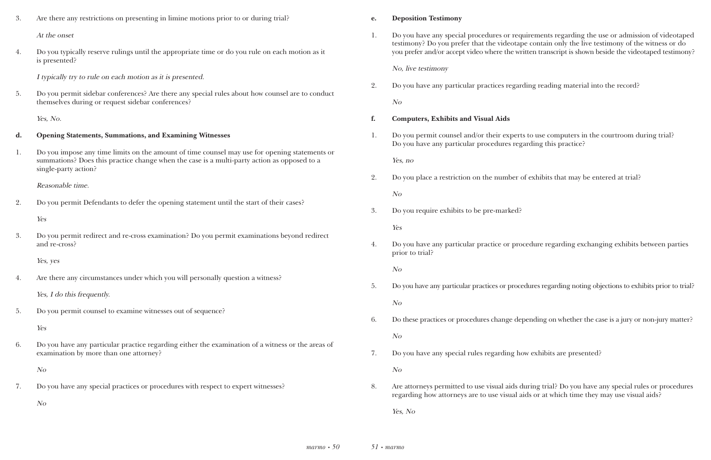irements regarding the use or admission of videotaped the contain only the live testimony of the witness or do itten transcript is shown beside the videotaped testimony?

ling reading material into the record?

to use computers in the courtroom during trial? arding this practice?

exhibits that may be entered at trial?

edure regarding exchanging exhibits between parties

dures regarding noting objections to exhibits prior to trial?

bending on whether the case is a jury or non-jury matter?

w exhibits are presented?

uring trial? Do you have any special rules or procedures ds or at which time they may use visual aids?

| 3.             | Are there any restrictions on presenting in limine motions prior to or during trial?                                                                                                                                 | e. | <b>Deposition Testimony</b>                                                                |
|----------------|----------------------------------------------------------------------------------------------------------------------------------------------------------------------------------------------------------------------|----|--------------------------------------------------------------------------------------------|
|                | At the onset                                                                                                                                                                                                         | 1. | Do you have any special procedures or requi<br>testimony? Do you prefer that the videotape |
| 4.             | Do you typically reserve rulings until the appropriate time or do you rule on each motion as it<br>is presented?                                                                                                     |    | you prefer and/or accept video where the writ                                              |
|                | I typically try to rule on each motion as it is presented.                                                                                                                                                           |    | No, live testimony                                                                         |
|                |                                                                                                                                                                                                                      | 2. | Do you have any particular practices regardi                                               |
| 5.             | Do you permit sidebar conferences? Are there any special rules about how counsel are to conduct<br>themselves during or request sidebar conferences?                                                                 |    | N <sub>O</sub>                                                                             |
|                | Yes, No.                                                                                                                                                                                                             | f. | <b>Computers, Exhibits and Visual Aids</b>                                                 |
| d.             | <b>Opening Statements, Summations, and Examining Witnesses</b>                                                                                                                                                       | 1. | Do you permit counsel and/or their experts<br>Do you have any particular procedures regas  |
| $\mathbf{1}$ . | Do you impose any time limits on the amount of time counsel may use for opening statements or<br>summations? Does this practice change when the case is a multi-party action as opposed to a<br>single-party action? |    | Yes, no                                                                                    |
|                |                                                                                                                                                                                                                      | 2. | Do you place a restriction on the number of                                                |
|                | Reasonable time.                                                                                                                                                                                                     |    | N <sub>O</sub>                                                                             |
| 2.             | Do you permit Defendants to defer the opening statement until the start of their cases?                                                                                                                              |    |                                                                                            |
|                | Yes                                                                                                                                                                                                                  | 3. | Do you require exhibits to be pre-marked?                                                  |
|                |                                                                                                                                                                                                                      |    | Yes                                                                                        |
| 3.             | Do you permit redirect and re-cross examination? Do you permit examinations beyond redirect<br>and re-cross?                                                                                                         | 4. | Do you have any particular practice or proce<br>prior to trial?                            |
|                | Yes, yes                                                                                                                                                                                                             |    | N o                                                                                        |
| 4.             | Are there any circumstances under which you will personally question a witness?                                                                                                                                      |    |                                                                                            |
|                | Yes, I do this frequently.                                                                                                                                                                                           | 5. | Do you have any particular practices or proced                                             |
|                |                                                                                                                                                                                                                      |    | N <sub>O</sub>                                                                             |
| 5.             | Do you permit counsel to examine witnesses out of sequence?                                                                                                                                                          | 6. | Do these practices or procedures change depe                                               |
|                | Yes                                                                                                                                                                                                                  |    |                                                                                            |
| 6.             | Do you have any particular practice regarding either the examination of a witness or the areas of                                                                                                                    |    | N o                                                                                        |
|                | examination by more than one attorney?                                                                                                                                                                               | 7. | Do you have any special rules regarding how                                                |
|                | N o                                                                                                                                                                                                                  |    | N <sub>O</sub>                                                                             |
| 7.             | Do you have any special practices or procedures with respect to expert witnesses?                                                                                                                                    | 8. | Are attorneys permitted to use visual aids du                                              |
|                | N o                                                                                                                                                                                                                  |    | regarding how attorneys are to use visual aid                                              |
|                |                                                                                                                                                                                                                      |    | Yes, No                                                                                    |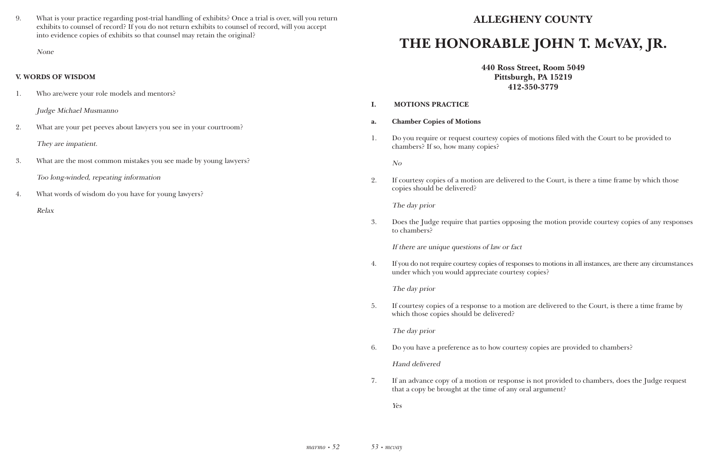9. What is your practice regarding post-trial handling of exhibits? Once a trial is over, will you return exhibits to counsel of record? If you do not return exhibits to counsel of record, will you accept into evidence copies of exhibits so that counsel may retain the original?

None

#### **V. WORDS OF WISDOM**

notions filed with the Court to be provided to

the Court, is there a time frame by which those

the motion provide courtesy copies of any responses

 $4.6$  to motions in all instances, are there any circumstances

re delivered to the Court, is there a time frame by

copies are provided to chambers?

1. Who are/were your role models and mentors?

Judge Michael Musmanno

- 2. What are your pet peeves about lawyers you see in your courtroom? They are impatient.
- 3. What are the most common mistakes you see made by young lawyers? Too long-winded, repeating information
- 4. What words of wisdom do you have for young lawyers?

Relax

## **ALLEGHENY COUNTY THE HONORABLE JOHN T. McVAY, JR.**

**440 Ross Street, Room 5049 Pittsburgh, PA 15219 412-350-3779** 

| I. | <b>MOTIONS PRACTICE</b>                                                                                       |
|----|---------------------------------------------------------------------------------------------------------------|
| a. | <b>Chamber Copies of Motions</b>                                                                              |
| 1. | Do you require or request courtesy copies of motion<br>chambers? If so, how many copies?                      |
|    | N <sub>O</sub>                                                                                                |
| 2. | If courtesy copies of a motion are delivered to the O<br>copies should be delivered?                          |
|    | The day prior                                                                                                 |
| 3. | Does the Judge require that parties opposing the m<br>to chambers?                                            |
|    | If there are unique questions of law or fact                                                                  |
| 4. | If you do not require courtesy copies of responses to me<br>under which you would appreciate courtesy copies? |
|    | The day prior                                                                                                 |
| 5. | If courtesy copies of a response to a motion are deli<br>which those copies should be delivered?              |
|    | The day prior                                                                                                 |
| 6. | Do you have a preference as to how courtesy copies                                                            |
|    | <b>Hand delivered</b>                                                                                         |

7. If an advance copy of a motion or response is not provided to chambers, does the Judge request

that a copy be brought at the time of any oral argument?

Yes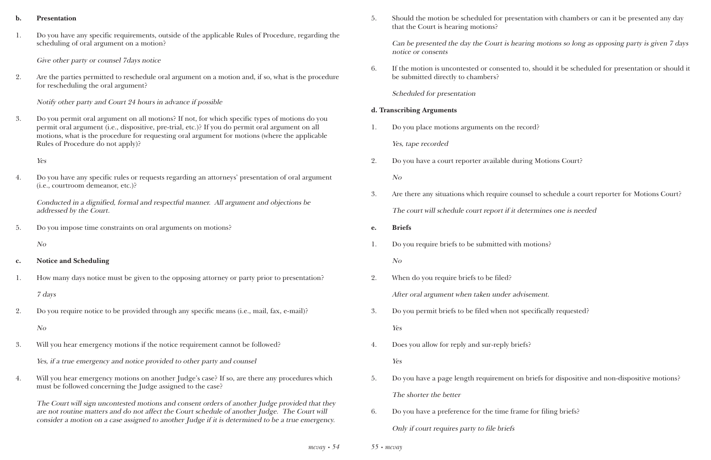#### **b. Presentation**

1. Do you have any specific requirements, outside of the applicable Rules of Procedure, regarding the scheduling of oral argument on a motion?

Give other party or counsel 7days notice

2. Are the parties permitted to reschedule oral argument on a motion and, if so, what is the procedure for rescheduling the oral argument?

Notify other party and Court 24 hours in advance if possible

3. Do you permit oral argument on all motions? If not, for which specific types of motions do you permit oral argument (i.e., dispositive, pre-trial, etc.)? If you do permit oral argument on all motions, what is the procedure for requesting oral argument for motions (where the applicable Rules of Procedure do not apply)?

Yes

4. Do you have any specific rules or requests regarding an attorneys' presentation of oral argument (i.e., courtroom demeanor, etc.)?

Conducted in a dignified, formal and respectful manner. All argument and objections be addressed by the Court.

5. Do you impose time constraints on oral arguments on motions?

No

- **c. Notice and Scheduling**
- 1. How many days notice must be given to the opposing attorney or party prior to presentation?

7 days

2. Do you require notice to be provided through any specific means (i.e., mail, fax, e-mail)?

No

3. Will you hear emergency motions if the notice requirement cannot be followed?

Yes, if a true emergency and notice provided to other party and counsel

4. Will you hear emergency motions on another Judge's case? If so, are there any procedures which must be followed concerning the Judge assigned to the case?

The Court will sign uncontested motions and consent orders of another Judge provided that they are not routine matters and do not affect the Court schedule of another Judge. The Court will consider a motion on a case assigned to another Judge if it is determined to be a true emergency.

*55 • mcvay*

5. Should the motion be scheduled for presentation with chambers or can it be presented any day

that the Court is hearing motions?

Can be presented the day the Court is hearing motions so long as opposing party is given 7 days notice or consents

6. If the motion is uncontested or consented to, should it be scheduled for presentation or should it

be submitted directly to chambers?

Scheduled for presentation

#### **d. Transcribing Arguments**

1. Do you place motions arguments on the record?

Yes, tape recorded

3. Are there any situations which require counsel to schedule a court reporter for Motions Court?

- 2. Do you have a court reporter available during Motions Court? No
- The court will schedule court report if it determines one is needed
- **e. Briefs**
- 1. Do you require briefs to be submitted with motions?

No

2. When do you require briefs to be filed?

After oral argument when taken under advisement.

- 3. Do you permit briefs to be filed when not specifically requested? Yes
- 4. Does you allow for reply and sur-reply briefs? Yes
- The shorter the better
- 6. Do you have a preference for the time frame for filing briefs?

5. Do you have a page length requirement on briefs for dispositive and non-dispositive motions?

Only if court requires party to file briefs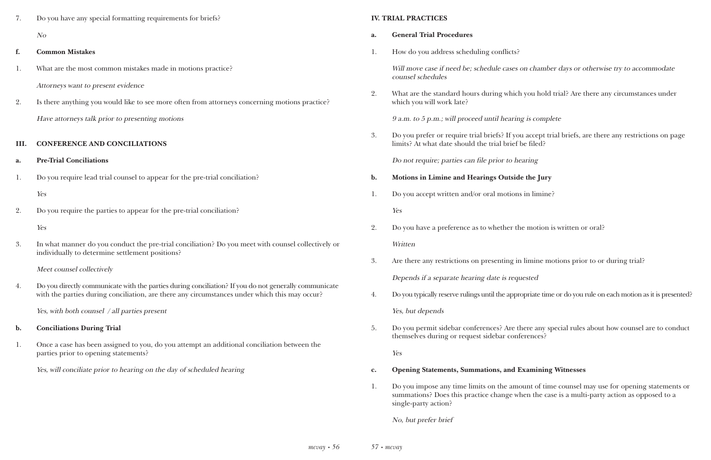| 7. | Do you have any special formatting requirements for briefs?                                    |
|----|------------------------------------------------------------------------------------------------|
|    | N <sub>O</sub>                                                                                 |
| f. | <b>Common Mistakes</b>                                                                         |
| 1. | What are the most common mistakes made in motions practice?                                    |
|    | Attorneys want to present evidence                                                             |
| 2. | Is there anything you would like to see more often from attorneys concerning motions practice? |
|    | Have attorneys talk prior to presenting motions                                                |
|    |                                                                                                |
|    |                                                                                                |

#### **III. CONFERENCE AND CONCILIATIONS**

4. Do you directly communicate with the parties during conciliation? If you do not generally communicate with the parties during conciliation, are there any circumstances under which this may occur?

- **a. Pre-Trial Conciliations**
- 1. Do you require lead trial counsel to appear for the pre-trial conciliation?

Yes

2. Do you require the parties to appear for the pre-trial conciliation?

Yes

3. In what manner do you conduct the pre-trial conciliation? Do you meet with counsel collectively or individually to determine settlement positions?

Will move case if need be; schedule cases on chamber days or otherwise try to accommodate counsel schedules

Meet counsel collectively

Yes, with both counsel / all parties present

- **b. Conciliations During Trial**
- 1. Once a case has been assigned to you, do you attempt an additional conciliation between the parties prior to opening statements?

Yes, will conciliate prior to hearing on the day of scheduled hearing

#### **IV. TRIAL PRACTICES**

- **a. General Trial Procedures**
- 1. How do you address scheduling conflicts?

2. What are the standard hours during which you hold trial? Are there any circumstances under

which you will work late?

9 a.m. to 5 p.m.; will proceed until hearing is complete

3. Do you prefer or require trial briefs? If you accept trial briefs, are there any restrictions on page

limits? At what date should the trial brief be filed?

Do not require; parties can file prior to hearing

- **b. Motions in Limine and Hearings Outside the Jury**
- 1. Do you accept written and/or oral motions in limine?

Yes

- 2. Do you have a preference as to whether the motion is written or oral? Written
- 3. Are there any restrictions on presenting in limine motions prior to or during trial?

Depends if a separate hearing date is requested

4. Do you typically reserve rulings until the appropriate time or do you rule on each motion as it is presented?

Yes, but depends

5. Do you permit sidebar conferences? Are there any special rules about how counsel are to conduct

themselves during or request sidebar conferences?

Yes

- **c. Opening Statements, Summations, and Examining Witnesses**
- single-party action?

1. Do you impose any time limits on the amount of time counsel may use for opening statements or summations? Does this practice change when the case is a multi-party action as opposed to a

No, but prefer brief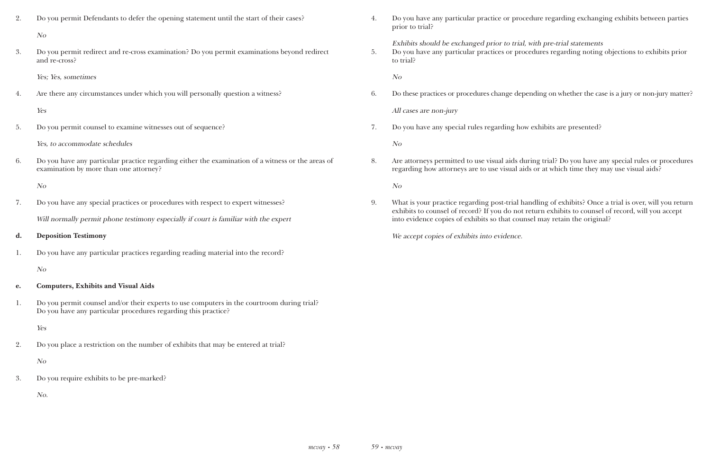| Do you permit Defendants to defer the opening statement until the start of their cases?     |  |  |  |  |
|---------------------------------------------------------------------------------------------|--|--|--|--|
| $N_{O}$                                                                                     |  |  |  |  |
| Do you permit redirect and re-cross examination? Do you permit examinations beyond redirect |  |  |  |  |

and re-cross?

Yes; Yes, sometimes

4. Are there any circumstances under which you will personally question a witness?

Yes

5. Do you permit counsel to examine witnesses out of sequence?

Yes, to accommodate schedules

6. Do you have any particular practice regarding either the examination of a witness or the areas of examination by more than one attorney?

No

7. Do you have any special practices or procedures with respect to expert witnesses?

Will normally permit phone testimony especially if court is familiar with the expert

**d. Deposition Testimony**

1. Do you have any particular practices regarding reading material into the record?

No

#### **e. Computers, Exhibits and Visual Aids**

1. Do you permit counsel and/or their experts to use computers in the courtroom during trial? Do you have any particular procedures regarding this practice?

Yes

2. Do you place a restriction on the number of exhibits that may be entered at trial?

No

3. Do you require exhibits to be pre-marked?

No.

4. Do you have any particular practice or procedure regarding exchanging exhibits between parties

prior to trial?

Exhibits should be exchanged prior to trial, with pre-trial statements 5. Do you have any particular practices or procedures regarding noting objections to exhibits prior to trial?

No

6. Do these practices or procedures change depending on whether the case is a jury or non-jury matter?

All cases are non-jury

7. Do you have any special rules regarding how exhibits are presented?

No

8. Are attorneys permitted to use visual aids during trial? Do you have any special rules or procedures regarding how attorneys are to use visual aids or at which time they may use visual aids?

No

9. What is your practice regarding post-trial handling of exhibits? Once a trial is over, will you return exhibits to counsel of record? If you do not return exhibits to counsel of record, will you accept

into evidence copies of exhibits so that counsel may retain the original?

We accept copies of exhibits into evidence.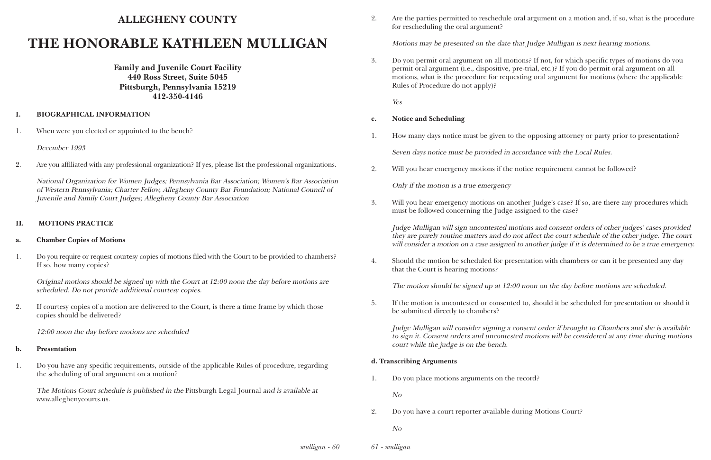### **ALLEGHENY COUNTY**

### **THE HONORABLE KATHLEEN MULLIGAN**

**Family and Juvenile Court Facility 440 Ross Street, Suite 5045 Pittsburgh, Pennsylvania 15219 412-350-4146**

#### **I. BIOGRAPHICAL INFORMATION**

1. When were you elected or appointed to the bench?

December 1993

2. Are you affiliated with any professional organization? If yes, please list the professional organizations.

National Organization for Women Judges; Pennsylvania Bar Association; Women's Bar Association of Western Pennsylvania; Charter Fellow, Allegheny County Bar Foundation; National Council of Juvenile and Family Court Judges; Allegheny County Bar Association

#### **II. MOTIONS PRACTICE**

#### **a. Chamber Copies of Motions**

1. Do you require or request courtesy copies of motions filed with the Court to be provided to chambers? If so, how many copies?

Original motions should be signed up with the Court at 12:00 noon the day before motions are scheduled. Do not provide additional courtesy copies.

2. If courtesy copies of a motion are delivered to the Court, is there a time frame by which those copies should be delivered?

12:00 noon the day before motions are scheduled

#### **b. Presentation**

Judge Mulligan will sign uncontested motions and consent orders of other judges' cases provided they are purely routine matters and do not affect the court schedule of the other judge. The court will consider a motion on a case assigned to another judge if it is determined to be a true emergency.

1. Do you have any specific requirements, outside of the applicable Rules of procedure, regarding the scheduling of oral argument on a motion?

The Motions Court schedule is published in the Pittsburgh Legal Journal and is available at www.alleghenycourts.us.

2. Are the parties permitted to reschedule oral argument on a motion and, if so, what is the procedure

for rescheduling the oral argument?

Motions may be presented on the date that Judge Mulligan is next hearing motions.

3. Do you permit oral argument on all motions? If not, for which specific types of motions do you permit oral argument (i.e., dispositive, pre-trial, etc.)? If you do permit oral argument on all motions, what is the procedure for requesting oral argument for motions (where the applicable

Rules of Procedure do not apply)?

Yes

#### **c. Notice and Scheduling**

1. How many days notice must be given to the opposing attorney or party prior to presentation?

Seven days notice must be provided in accordance with the Local Rules.

2. Will you hear emergency motions if the notice requirement cannot be followed?

Only if the motion is a true emergency

3. Will you hear emergency motions on another Judge's case? If so, are there any procedures which

must be followed concerning the Judge assigned to the case?

4. Should the motion be scheduled for presentation with chambers or can it be presented any day

that the Court is hearing motions?

The motion should be signed up at 12:00 noon on the day before motions are scheduled.

5. If the motion is uncontested or consented to, should it be scheduled for presentation or should it

be submitted directly to chambers?

Judge Mulligan will consider signing a consent order if brought to Chambers and she is available to sign it. Consent orders and uncontested motions will be considered at any time during motions court while the judge is on the bench.

#### **d. Transcribing Arguments**

1. Do you place motions arguments on the record?

No

2. Do you have a court reporter available during Motions Court?

No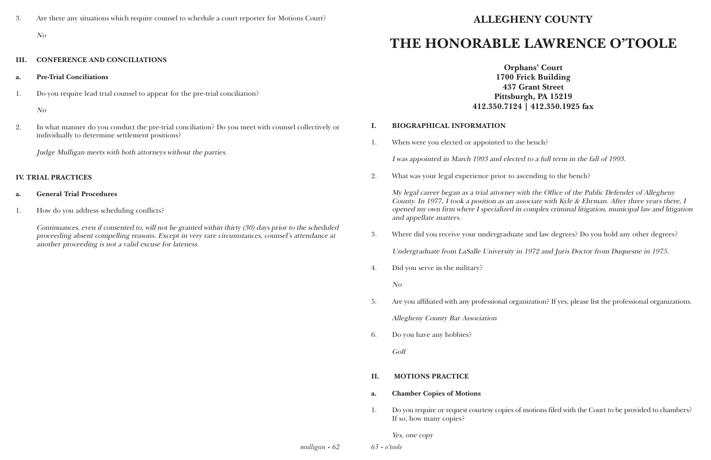3. Are there any situations which require counsel to schedule a court reporter for Motions Court?

#### No

#### **III. CONFERENCE AND CONCILIATIONS**

- **a. Pre-Trial Conciliations**
- 1. Do you require lead trial counsel to appear for the pre-trial conciliation?

No

2. In what manner do you conduct the pre-trial conciliation? Do you meet with counsel collectively or individually to determine settlement positions?

> *mulligan • 62 63 • o'toole*

Judge Mulligan meets with both attorneys without the parties.

#### **IV. TRIAL PRACTICES**

#### **a. General Trial Procedures**

1. How do you address scheduling conflicts?

Continuances, even if consented to, will not be granted within thirty (30) days prior to the scheduled proceeding absent compelling reasons. Except in very rare circumstances, counsel's attendance at another proceeding is not a valid excuse for lateness.

### **ALLEGHENY COUNTY**

## **THE HONORABLE LAWRENCE O'TOOLE**

**Orphans' Court 1700 Frick Building 437 Grant Street Pittsburgh, PA 15219 412.350.7124 | 412.350.1925 fax**

#### **I. BIOGRAPHICAL INFORMATION**

1. When were you elected or appointed to the bench?

I was appointed in March 1993 and elected to a full term in the fall of 1993.

2. What was your legal experience prior to ascending to the bench?

My legal career began as a trial attorney with the Office of the Public Defender of Allegheny County. In 1977, I took a position as an associate with Kyle & Ehrman. After three years there, I opened my own firm where I specialized in complex criminal litigation, municipal law and litigation and appellate matters.

3. Where did you receive your undergraduate and law degrees? Do you hold any other degrees?

Undergraduate from LaSalle University in 1972 and Juris Doctor from Duquesne in 1975.

4. Did you serve in the military?

No

5. Are you affiliated with any professional organization? If yes, please list the professional organizations.

Allegheny County Bar Association

6. Do you have any hobbies?

Golf

#### **II. MOTIONS PRACTICE**

- **a. Chamber Copies of Motions**
- If so, how many copies?

1. Do you require or request courtesy copies of motions filed with the Court to be provided to chambers?

Yes, one copy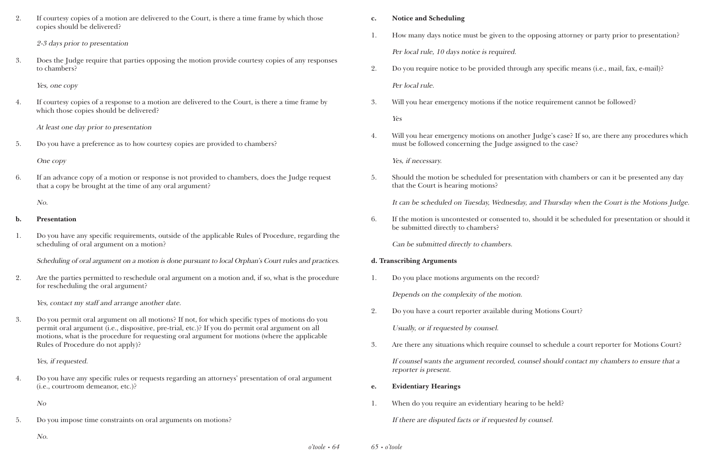2. If courtesy copies of a motion are delivered to the Court, is there a time frame by which those copies should be delivered?

2-3 days prior to presentation

3. Does the Judge require that parties opposing the motion provide courtesy copies of any responses to chambers?

Yes, one copy

4. If courtesy copies of a response to a motion are delivered to the Court, is there a time frame by which those copies should be delivered?

At least one day prior to presentation

5. Do you have a preference as to how courtesy copies are provided to chambers?

One copy

6. If an advance copy of a motion or response is not provided to chambers, does the Judge request that a copy be brought at the time of any oral argument?

No.

#### **b. Presentation**

1. Do you have any specific requirements, outside of the applicable Rules of Procedure, regarding the scheduling of oral argument on a motion?

Scheduling of oral argument on a motion is done pursuant to local Orphan's Court rules and practices.

2. Are the parties permitted to reschedule oral argument on a motion and, if so, what is the procedure for rescheduling the oral argument?

Yes, contact my staff and arrange another date.

3. Do you permit oral argument on all motions? If not, for which specific types of motions do you permit oral argument (i.e., dispositive, pre-trial, etc.)? If you do permit oral argument on all motions, what is the procedure for requesting oral argument for motions (where the applicable Rules of Procedure do not apply)?

Yes, if requested.

4. Do you have any specific rules or requests regarding an attorneys' presentation of oral argument (i.e., courtroom demeanor, etc.)?

No

5. Do you impose time constraints on oral arguments on motions?

#### No.

#### **c. Notice and Scheduling**

1. How many days notice must be given to the opposing attorney or party prior to presentation?

- Per local rule, 10 days notice is required.
- 2. Do you require notice to be provided through any specific means (i.e., mail, fax, e-mail)? Per local rule.
- 3. Will you hear emergency motions if the notice requirement cannot be followed?

Yes

4. Will you hear emergency motions on another Judge's case? If so, are there any procedures which

must be followed concerning the Judge assigned to the case?

Yes, if necessary.

5. Should the motion be scheduled for presentation with chambers or can it be presented any day It can be scheduled on Tuesday, Wednesday, and Thursday when the Court is the Motions Judge.

that the Court is hearing motions?

6. If the motion is uncontested or consented to, should it be scheduled for presentation or should it be submitted directly to chambers?

Can be submitted directly to chambers.

#### **d. Transcribing Arguments**

1. Do you place motions arguments on the record?

Depends on the complexity of the motion.

2. Do you have a court reporter available during Motions Court?

Usually, or if requested by counsel.

3. Are there any situations which require counsel to schedule a court reporter for Motions Court? If counsel wants the argument recorded, counsel should contact my chambers to ensure that a reporter is present.

- **e. Evidentiary Hearings**
- 1. When do you require an evidentiary hearing to be held?

If there are disputed facts or if requested by counsel.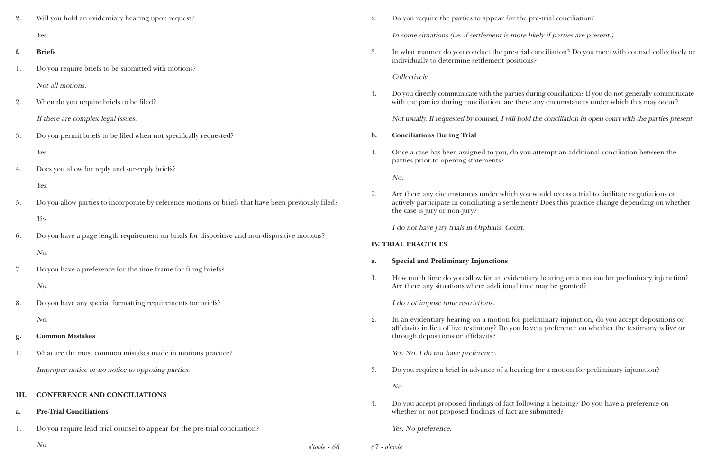| 2. | Will you hold an evidentiary hearing upon request?                                                  |
|----|-----------------------------------------------------------------------------------------------------|
|    | Yes                                                                                                 |
| f. | <b>Briefs</b>                                                                                       |
| 1. | Do you require briefs to be submitted with motions?                                                 |
|    | Not all motions.                                                                                    |
| 2. | When do you require briefs to be filed?                                                             |
|    | If there are complex legal issues.                                                                  |
| 3. | Do you permit briefs to be filed when not specifically requested?                                   |
|    | Yes.                                                                                                |
| 4. | Does you allow for reply and sur-reply briefs?                                                      |
|    | Yes.                                                                                                |
| 5. | Do you allow parties to incorporate by reference motions or briefs that have been previously filed? |
|    | Yes.                                                                                                |
| 6. | Do you have a page length requirement on briefs for dispositive and non-dispositive motions?        |
|    | No.                                                                                                 |
| 7. | Do you have a preference for the time frame for filing briefs?                                      |
|    | No.                                                                                                 |
| 8. | Do you have any special formatting requirements for briefs?                                         |
|    | No.                                                                                                 |
| g. | <b>Common Mistakes</b>                                                                              |
| 1. | What are the most common mistakes made in motions practice?                                         |
|    | Improper notice or no notice to opposing parties.                                                   |

*o'toole • 66* No *67 • o'toole*

4. Do you directly communicate with the parties during conciliation? If you do not generally communicate with the parties during conciliation, are there any circumstances under which this may occur?

#### **III. CONFERENCE AND CONCILIATIONS**

#### **a. Pre-Trial Conciliations**

1. Do you require lead trial counsel to appear for the pre-trial conciliation?

2. Do you require the parties to appear for the pre-trial conciliation? In some situations (i.e. if settlement is more likely if parties are present.)

3. In what manner do you conduct the pre-trial conciliation? Do you meet with counsel collectively or

individually to determine settlement positions?

#### Collectively.

Not usually. If requested by counsel, I will hold the conciliation in open court with the parties present.

1. Once a case has been assigned to you, do you attempt an additional conciliation between the

- **b. Conciliations During Trial**
- parties prior to opening statements?

No.

2. Are there any circumstances under which you would recess a trial to facilitate negotiations or the case is jury or non-jury?

actively participate in conciliating a settlement? Does this practice change depending on whether

I do not have jury trials in Orphans' Court.

#### **IV. TRIAL PRACTICES**

#### **a. Special and Preliminary Injunctions**

1. How much time do you allow for an evidentiary hearing on a motion for preliminary injunction?

Are there any situations where additional time may be granted?

I do not impose time restrictions.

2. In an evidentiary hearing on a motion for preliminary injunction, do you accept depositions or affidavits in lieu of live testimony? Do you have a preference on whether the testimony is live or

through depositions or affidavits?

Yes. No, I do not have preference.

3. Do you require a brief in advance of a hearing for a motion for preliminary injunction?

No.

4. Do you accept proposed findings of fact following a hearing? Do you have a preference on whether or not proposed findings of fact are submitted?

Yes, No preference.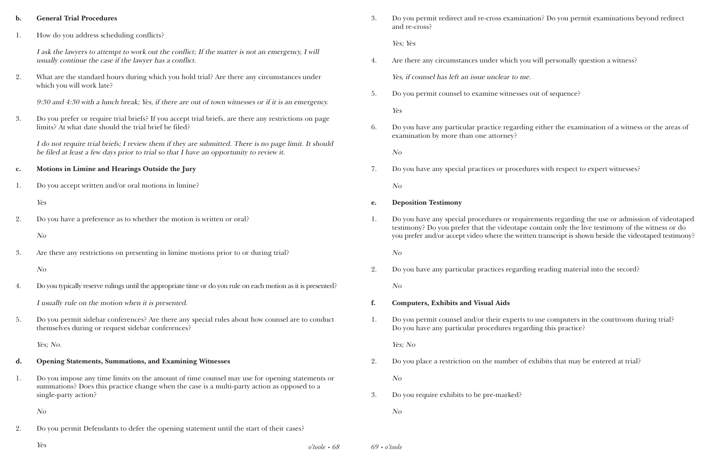| $\mathbf{b}$ . | <b>General Trial Procedures</b>                                                                                                                                                                  | 3. | Do you permit redirect and re-cross exam<br>and re-cross?                             |
|----------------|--------------------------------------------------------------------------------------------------------------------------------------------------------------------------------------------------|----|---------------------------------------------------------------------------------------|
| 1.             | How do you address scheduling conflicts?                                                                                                                                                         |    | Yes; Yes                                                                              |
|                | I ask the lawyers to attempt to work out the conflict; If the matter is not an emergency, I will<br>usually continue the case if the lawyer has a conflict.                                      | 4. | Are there any circumstances under which                                               |
| 2.             | What are the standard hours during which you hold trial? Are there any circumstances under<br>which you will work late?                                                                          |    | Yes, if counsel has left an issue unclear to                                          |
|                | 9:30 and 4:30 with a lunch break; Yes, if there are out of town witnesses or if it is an emergency.                                                                                              | 5. | Do you permit counsel to examine witnes<br>Yes                                        |
| 3.             | Do you prefer or require trial briefs? If you accept trial briefs, are there any restrictions on page<br>limits? At what date should the trial brief be filed?                                   | 6. | Do you have any particular practice regar<br>examination by more than one attorney?   |
|                | I do not require trial briefs; I review them if they are submitted. There is no page limit. It should<br>be filed at least a few days prior to trial so that I have an opportunity to review it. |    | N o                                                                                   |
| $\mathbf{c}$ . | Motions in Limine and Hearings Outside the Jury                                                                                                                                                  | 7. | Do you have any special practices or proo                                             |
| 1.             | Do you accept written and/or oral motions in limine?                                                                                                                                             |    | N <sub>O</sub>                                                                        |
|                | Yes                                                                                                                                                                                              | e. | <b>Deposition Testimony</b>                                                           |
| 2.             | Do you have a preference as to whether the motion is written or oral?                                                                                                                            | 1. | Do you have any special procedures or re<br>testimony? Do you prefer that the videota |
|                | N <sub>O</sub>                                                                                                                                                                                   |    | you prefer and/or accept video where the v                                            |
| 3.             | Are there any restrictions on presenting in limine motions prior to or during trial?                                                                                                             |    | N <sub>O</sub>                                                                        |
|                | N <sub>O</sub>                                                                                                                                                                                   | 2. | Do you have any particular practices rega                                             |
| 4.             | Do you typically reserve rulings until the appropriate time or do you rule on each motion as it is presented?                                                                                    |    | N o                                                                                   |
|                | I usually rule on the motion when it is presented.                                                                                                                                               | f. | <b>Computers, Exhibits and Visual Aids</b>                                            |
| 5.             | Do you permit sidebar conferences? Are there any special rules about how counsel are to conduct<br>themselves during or request sidebar conferences?                                             | 1. | Do you permit counsel and/or their expe<br>Do you have any particular procedures re   |
|                | Yes; No.                                                                                                                                                                                         |    | Yes; No                                                                               |
| d.             | <b>Opening Statements, Summations, and Examining Witnesses</b>                                                                                                                                   | 2. | Do you place a restriction on the number                                              |
|                |                                                                                                                                                                                                  |    |                                                                                       |

1. Do you impose any time limits on the amount of time counsel may use for opening statements or summations? Does this practice change when the case is a multi-party action as opposed to a single-party action?

No

- 2. Do you permit Defendants to defer the opening statement until the start of their cases?
	- *o'toole • 68* Yes *69 • o'toole*

No

3. Do you require exhibits to be pre-marked?

ermit redirect and re-cross examination? Do you permit examinations beyond redirect

any circumstances under which you will personally question a witness?

nsel has left an issue unclear to me.

rmit counsel to examine witnesses out of sequence?

ve any particular practice regarding either the examination of a witness or the areas of

ve any special practices or procedures with respect to expert witnesses?

ve any special procedures or requirements regarding the use or admission of videotaped Do you prefer that the videotape contain only the live testimony of the witness or do and/or accept video where the written transcript is shown beside the videotaped testimony?

ve any particular practices regarding reading material into the record?

rmit counsel and/or their experts to use computers in the courtroom during trial? ve any particular procedures regarding this practice?

ace a restriction on the number of exhibits that may be entered at trial?

No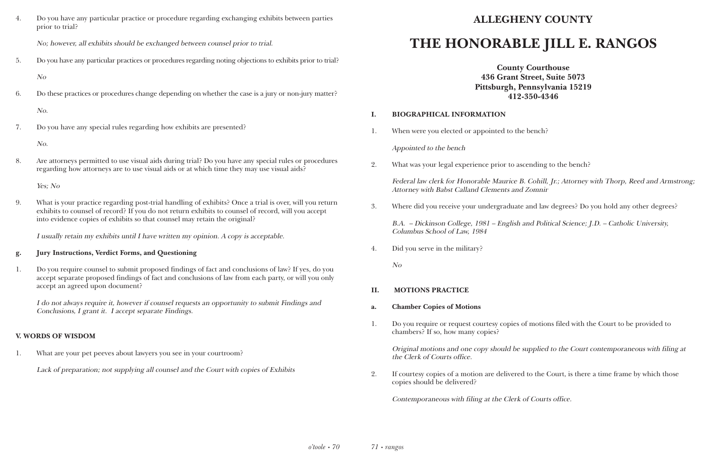4. Do you have any particular practice or procedure regarding exchanging exhibits between parties prior to trial?

No; however, all exhibits should be exchanged between counsel prior to trial.

5. Do you have any particular practices or procedures regarding noting objections to exhibits prior to trial?

No

6. Do these practices or procedures change depending on whether the case is a jury or non-jury matter?

No.

7. Do you have any special rules regarding how exhibits are presented?

No.

8. Are attorneys permitted to use visual aids during trial? Do you have any special rules or procedures regarding how attorneys are to use visual aids or at which time they may use visual aids?

Yes; No

9. What is your practice regarding post-trial handling of exhibits? Once a trial is over, will you return exhibits to counsel of record? If you do not return exhibits to counsel of record, will you accept into evidence copies of exhibits so that counsel may retain the original?

I usually retain my exhibits until I have written my opinion. A copy is acceptable.

#### **g. Jury Instructions, Verdict Forms, and Questioning**

1. Do you require counsel to submit proposed findings of fact and conclusions of law? If yes, do you accept separate proposed findings of fact and conclusions of law from each party, or will you only accept an agreed upon document?

I do not always require it, however if counsel requests an opportunity to submit Findings and Conclusions, I grant it. I accept separate Findings.

#### **V. WORDS OF WISDOM**

1. What are your pet peeves about lawyers you see in your courtroom?

Lack of preparation; not supplying all counsel and the Court with copies of Exhibits

### **ALLEGHENY COUNTY**

## **THE HONORABLE JILL E. RANGOS**

**County Courthouse 436 Grant Street, Suite 5073 Pittsburgh, Pennsylvania 15219 412-350-4346**

#### **I. BIOGRAPHICAL INFORMATION**

1. When were you elected or appointed to the bench?

Appointed to the bench

2. What was your legal experience prior to ascending to the bench?

Federal law clerk for Honorable Maurice B. Cohill, Jr.; Attorney with Thorp, Reed and Armstrong; Attorney with Babst Calland Clements and Zomnir

3. Where did you receive your undergraduate and law degrees? Do you hold any other degrees?

B.A. – Dickinson College, 1981 – English and Political Science; J.D. – Catholic University, Columbus School of Law, 1984

4. Did you serve in the military?

No

#### **II. MOTIONS PRACTICE**

1. Do you require or request courtesy copies of motions filed with the Court to be provided to

- **a. Chamber Copies of Motions**
- chambers? If so, how many copies?

Original motions and one copy should be supplied to the Court contemporaneous with filing at the Clerk of Courts office.

2. If courtesy copies of a motion are delivered to the Court, is there a time frame by which those

copies should be delivered?

Contemporaneous with filing at the Clerk of Courts office.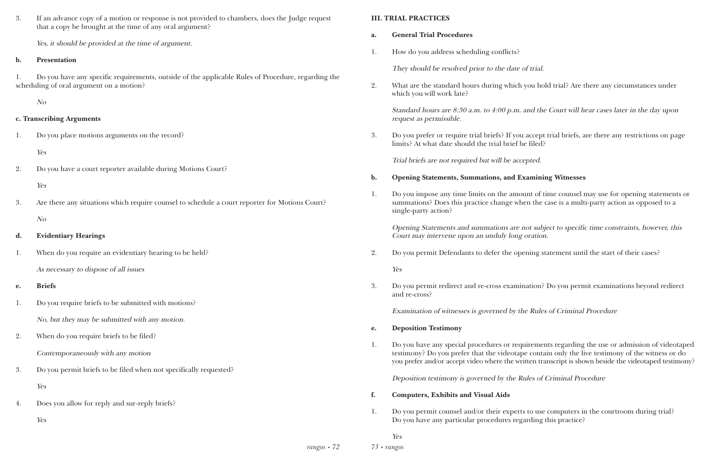3. If an advance copy of a motion or response is not provided to chambers, does the Judge request that a copy be brought at the time of any oral argument?

Yes, it should be provided at the time of argument.

#### **b. Presentation**

1. Do you have any specific requirements, outside of the applicable Rules of Procedure, regarding the scheduling of oral argument on a motion?

No

#### **c. Transcribing Arguments**

1. Do you place motions arguments on the record?

Yes

2. Do you have a court reporter available during Motions Court?

Yes

3. Are there any situations which require counsel to schedule a court reporter for Motions Court? No

### **d. Evidentiary Hearings**

1. When do you require an evidentiary hearing to be held?

As necessary to dispose of all issues

### **e. Briefs**

1. Do you require briefs to be submitted with motions?

No, but they may be submitted with any motion.

- 2. When do you require briefs to be filed? Contemporaneously with any motion
- 3. Do you permit briefs to be filed when not specifically requested? Yes
- 4. Does you allow for reply and sur-reply briefs?

Yes

#### **III. TRIAL PRACTICES**

- **a. General Trial Procedures**
- 1. How do you address scheduling conflicts?

They should be resolved prior to the date of trial.

2. What are the standard hours during which you hold trial? Are there any circumstances under

which you will work late?

#### Standard hours are 8:30 a.m. to 4:00 p.m. and the Court will hear cases later in the day upon

request as permissible.

3. Do you prefer or require trial briefs? If you accept trial briefs, are there any restrictions on page

limits? At what date should the trial brief be filed?

Trial briefs are not required but will be accepted.

## **b. Opening Statements, Summations, and Examining Witnesses**

1. Do you impose any time limits on the amount of time counsel may use for opening statements or summations? Does this practice change when the case is a multi-party action as opposed to a

single-party action?

# Opening Statements and summations are not subject to specific time constraints, however, this

Court may intervene upon an unduly long oration.

2. Do you permit Defendants to defer the opening statement until the start of their cases?

Yes

3. Do you permit redirect and re-cross examination? Do you permit examinations beyond redirect

and re-cross?

Examination of witnesses is governed by the Rules of Criminal Procedure

- **e. Deposition Testimony**
- 

1. Do you have any special procedures or requirements regarding the use or admission of videotaped testimony? Do you prefer that the videotape contain only the live testimony of the witness or do you prefer and/or accept video where the written transcript is shown beside the videotaped testimony?

Deposition testimony is governed by the Rules of Criminal Procedure

- **f. Computers, Exhibits and Visual Aids**
- 1. Do you permit counsel and/or their experts to use computers in the courtroom during trial? Do you have any particular procedures regarding this practice?

Yes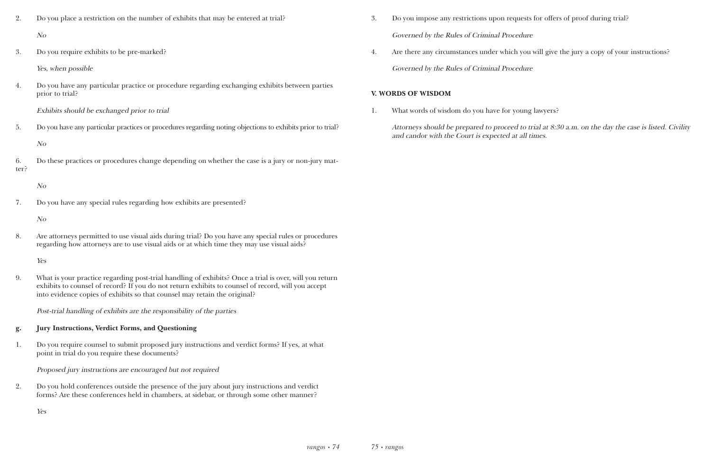- 2. Do you place a restriction on the number of exhibits that may be entered at trial? No
- 3. Do you require exhibits to be pre-marked?

Yes, when possible

4. Do you have any particular practice or procedure regarding exchanging exhibits between parties prior to trial?

Exhibits should be exchanged prior to trial

5. Do you have any particular practices or procedures regarding noting objections to exhibits prior to trial?

No

6. Do these practices or procedures change depending on whether the case is a jury or non-jury matter?

No

7. Do you have any special rules regarding how exhibits are presented?

No

8. Are attorneys permitted to use visual aids during trial? Do you have any special rules or procedures regarding how attorneys are to use visual aids or at which time they may use visual aids?

Yes

9. What is your practice regarding post-trial handling of exhibits? Once a trial is over, will you return exhibits to counsel of record? If you do not return exhibits to counsel of record, will you accept into evidence copies of exhibits so that counsel may retain the original?

Post-trial handling of exhibits are the responsibility of the parties

### **g. Jury Instructions, Verdict Forms, and Questioning**

1. Do you require counsel to submit proposed jury instructions and verdict forms? If yes, at what point in trial do you require these documents?

Proposed jury instructions are encouraged but not required

2. Do you hold conferences outside the presence of the jury about jury instructions and verdict forms? Are these conferences held in chambers, at sidebar, or through some other manner?

Yes

- 3. Do you impose any restrictions upon requests for offers of proof during trial? Governed by the Rules of Criminal Procedure
- 4. Are there any circumstances under which you will give the jury a copy of your instructions?

Governed by the Rules of Criminal Procedure

#### **V. WORDS OF WISDOM**

1. What words of wisdom do you have for young lawyers?

Attorneys should be prepared to proceed to trial at 8:30 a.m. on the day the case is listed. Civility and candor with the Court is expected at all times.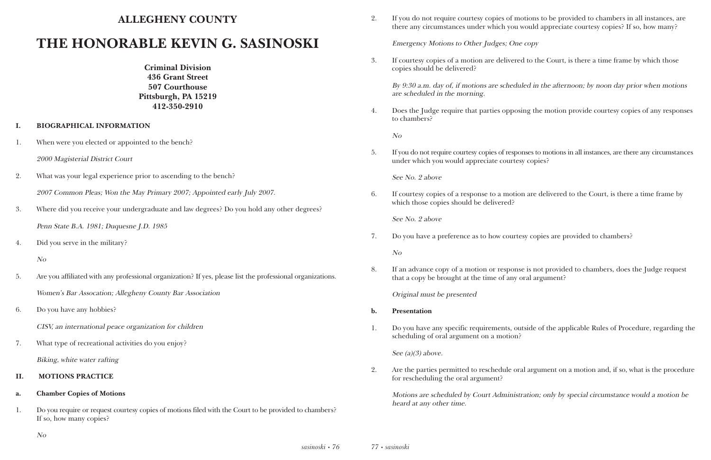## **ALLEGHENY COUNTY**

# **THE HONORABLE KEVIN G. SASINOSKI**

**Criminal Division 436 Grant Street 507 Courthouse Pittsburgh, PA 15219 412-350-2910**

#### **I. BIOGRAPHICAL INFORMATION**

- 1. When were you elected or appointed to the bench?
	- 2000 Magisterial District Court
- 2. What was your legal experience prior to ascending to the bench? 2007 Common Pleas; Won the May Primary 2007; Appointed early July 2007.
- 3. Where did you receive your undergraduate and law degrees? Do you hold any other degrees? Penn State B.A. 1981; Duquesne J.D. 1985
- 4. Did you serve in the military?

#### No

- 5. Are you affiliated with any professional organization? If yes, please list the professional organizations. Women's Bar Assocation; Allegheny County Bar Association
- 6. Do you have any hobbies?

CISV, an international peace organization for children

7. What type of recreational activities do you enjoy? Biking, white water rafting

#### **II. MOTIONS PRACTICE**

#### **a. Chamber Copies of Motions**

1. Do you require or request courtesy copies of motions filed with the Court to be provided to chambers? If so, how many copies?

2. If you do not require courtesy copies of motions to be provided to chambers in all instances, are there any circumstances under which you would appreciate courtesy copies? If so, how many?

Emergency Motions to Other Judges; One copy

3. If courtesy copies of a motion are delivered to the Court, is there a time frame by which those

copies should be delivered?

By 9:30 a.m. day of, if motions are scheduled in the afternoon; by noon day prior when motions are scheduled in the morning.

4. Does the Judge require that parties opposing the motion provide courtesy copies of any responses

to chambers?

No

5. If you do not require courtesy copies of responses to motions in all instances, are there any circumstances

under which you would appreciate courtesy copies?

See No. 2 above

6. If courtesy copies of a response to a motion are delivered to the Court, is there a time frame by

which those copies should be delivered?

See No. 2 above

7. Do you have a preference as to how courtesy copies are provided to chambers?

No

8. If an advance copy of a motion or response is not provided to chambers, does the Judge request

that a copy be brought at the time of any oral argument?

Original must be presented

1. Do you have any specific requirements, outside of the applicable Rules of Procedure, regarding the

- **b. Presentation**
- scheduling of oral argument on a motion?

See  $(a)(3)$  above.

2. Are the parties permitted to reschedule oral argument on a motion and, if so, what is the procedure

for rescheduling the oral argument?

Motions are scheduled by Court Administration; only by special circumstance would a motion be heard at any other time.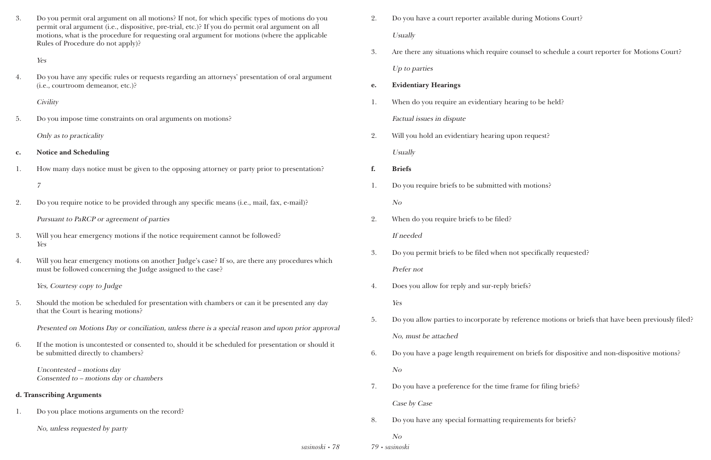| 3.                                     | Do you permit oral argument on all motions? If not, for which specific types of motions do you<br>permit oral argument (i.e., dispositive, pre-trial, etc.)? If you do permit oral argument on all | 2. | Do you have a court reporter available during   |
|----------------------------------------|----------------------------------------------------------------------------------------------------------------------------------------------------------------------------------------------------|----|-------------------------------------------------|
|                                        | motions, what is the procedure for requesting oral argument for motions (where the applicable<br>Rules of Procedure do not apply)?                                                                 |    | Usually                                         |
|                                        | Yes                                                                                                                                                                                                | 3. | Are there any situations which require counse   |
| 4.                                     | Do you have any specific rules or requests regarding an attorneys' presentation of oral argument                                                                                                   |    | Up to parties                                   |
|                                        | (i.e., courtroom demeanor, etc.)?                                                                                                                                                                  |    | <b>Evidentiary Hearings</b>                     |
|                                        | <b>Civility</b>                                                                                                                                                                                    | 1. | When do you require an evidentiary hearing      |
| 5.                                     | Do you impose time constraints on oral arguments on motions?                                                                                                                                       |    | Factual issues in dispute                       |
|                                        | Only as to practicality                                                                                                                                                                            | 2. | Will you hold an evidentiary hearing upon re    |
| $\mathbf{c}$ .                         | <b>Notice and Scheduling</b>                                                                                                                                                                       |    | Usually                                         |
| 1.                                     | How many days notice must be given to the opposing attorney or party prior to presentation?                                                                                                        | f. | <b>Briefs</b>                                   |
|                                        | $\overline{7}$                                                                                                                                                                                     | 1. | Do you require briefs to be submitted with mo   |
| 2.                                     | Do you require notice to be provided through any specific means (i.e., mail, fax, e-mail)?                                                                                                         |    | N <sub>O</sub>                                  |
|                                        | Pursuant to PaRCP or agreement of parties                                                                                                                                                          | 2. | When do you require briefs to be filed?         |
| 3.                                     | Will you hear emergency motions if the notice requirement cannot be followed?                                                                                                                      |    | If needed                                       |
|                                        | Yes                                                                                                                                                                                                | 3. | Do you permit briefs to be filed when not spe   |
| 4.                                     | Will you hear emergency motions on another Judge's case? If so, are there any procedures which<br>must be followed concerning the Judge assigned to the case?                                      |    | Prefer not                                      |
|                                        | Yes, Courtesy copy to Judge                                                                                                                                                                        | 4. | Does you allow for reply and sur-reply briefs?  |
| 5.                                     | Should the motion be scheduled for presentation with chambers or can it be presented any day                                                                                                       |    | Yes                                             |
|                                        | that the Court is hearing motions?                                                                                                                                                                 | 5. | Do you allow parties to incorporate by referent |
|                                        | Presented on Motions Day or conciliation, unless there is a special reason and upon prior approval                                                                                                 |    | No, must be attached                            |
| 6.                                     | If the motion is uncontested or consented to, should it be scheduled for presentation or should it<br>be submitted directly to chambers?                                                           | 6. | Do you have a page length requirement on bi     |
|                                        | Uncontested - motions day                                                                                                                                                                          |    | N <sub>O</sub>                                  |
| Consented to – motions day or chambers |                                                                                                                                                                                                    | 7. | Do you have a preference for the time frame     |
|                                        | d. Transcribing Arguments                                                                                                                                                                          |    | Case by Case                                    |
| 1.                                     | Do you place motions arguments on the record?                                                                                                                                                      | 8. | Do you have any special formatting requirem     |
|                                        | No, unless requested by party                                                                                                                                                                      |    | N <sub>O</sub>                                  |
|                                        | sasinoski • 78                                                                                                                                                                                     |    | 79 · sasinoski                                  |

2. De Motions Court?

sel to schedule a court reporter for Motions Court?

to be held?

request?

motions?

pecifically requested?

frence motions or briefs that have been previously filed?

briefs for dispositive and non-dispositive motions?

<sup>2</sup> for filing briefs?

ments for briefs?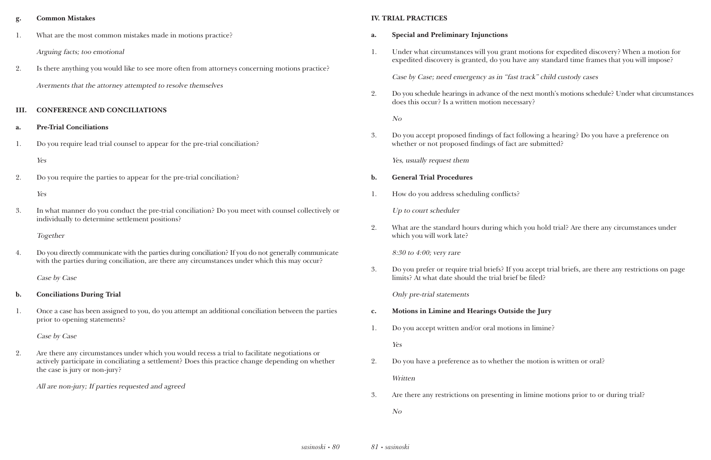#### **g. Common Mistakes**

- 1. What are the most common mistakes made in motions practice? Arguing facts; too emotional
- 2. Is there anything you would like to see more often from attorneys concerning motions practice? Averments that the attorney attempted to resolve themselves

#### **III. CONFERENCE AND CONCILIATIONS**

#### **a. Pre-Trial Conciliations**

4. Do you directly communicate with the parties during conciliation? If you do not generally communicate with the parties during conciliation, are there any circumstances under which this may occur?

1. Do you require lead trial counsel to appear for the pre-trial conciliation?

#### Yes

2. Do you require the parties to appear for the pre-trial conciliation?

#### Yes

3. In what manner do you conduct the pre-trial conciliation? Do you meet with counsel collectively or individually to determine settlement positions?

#### Together

Case by Case

#### **b. Conciliations During Trial**

1. Once a case has been assigned to you, do you attempt an additional conciliation between the parties prior to opening statements?

Case by Case

2. Are there any circumstances under which you would recess a trial to facilitate negotiations or actively participate in conciliating a settlement? Does this practice change depending on whether the case is jury or non-jury?

All are non-jury; If parties requested and agreed

#### **IV. TRIAL PRACTICES**

- **a. Special and Preliminary Injunctions**
- 

1. Under what circumstances will you grant motions for expedited discovery? When a motion for expedited discovery is granted, do you have any standard time frames that you will impose?

Case by Case; need emergency as in "fast track" child custody cases

2. Do you schedule hearings in advance of the next month's motions schedule? Under what circumstances

does this occur? Is a written motion necessary?

No

3. Do you accept proposed findings of fact following a hearing? Do you have a preference on whether or not proposed findings of fact are submitted?

Yes, usually request them

#### **b. General Trial Procedures**

1. How do you address scheduling conflicts?

Up to court scheduler

2. What are the standard hours during which you hold trial? Are there any circumstances under

which you will work late?

8:30 to 4:00; very rare

3. Do you prefer or require trial briefs? If you accept trial briefs, are there any restrictions on page

limits? At what date should the trial brief be filed?

Only pre-trial statements

- **c. Motions in Limine and Hearings Outside the Jury**
- 1. Do you accept written and/or oral motions in limine?

Yes

- 2. Do you have a preference as to whether the motion is written or oral? **Written**
- 3. Are there any restrictions on presenting in limine motions prior to or during trial?

No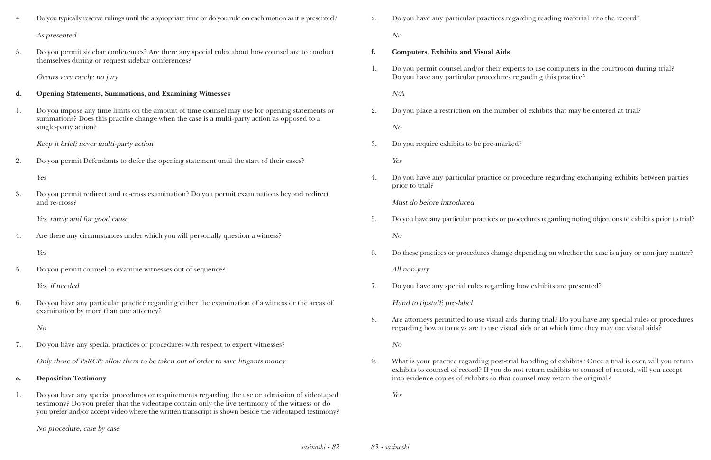| 4. | Do you typically reserve rulings until the appropriate time or do you rule on each motion as it is presented?                                                                                                                                                                                                |
|----|--------------------------------------------------------------------------------------------------------------------------------------------------------------------------------------------------------------------------------------------------------------------------------------------------------------|
|    | As presented                                                                                                                                                                                                                                                                                                 |
| 5. | Do you permit sidebar conferences? Are there any special rules about how counsel are to conduct<br>themselves during or request sidebar conferences?                                                                                                                                                         |
|    | Occurs very rarely; no jury                                                                                                                                                                                                                                                                                  |
| d. | <b>Opening Statements, Summations, and Examining Witnesses</b>                                                                                                                                                                                                                                               |
| 1. | Do you impose any time limits on the amount of time counsel may use for opening statements or<br>summations? Does this practice change when the case is a multi-party action as opposed to a<br>single-party action?                                                                                         |
|    | Keep it brief; never multi-party action                                                                                                                                                                                                                                                                      |
| 2. | Do you permit Defendants to defer the opening statement until the start of their cases?                                                                                                                                                                                                                      |
|    | Yes                                                                                                                                                                                                                                                                                                          |
| 3. | Do you permit redirect and re-cross examination? Do you permit examinations beyond redirect<br>and re-cross?                                                                                                                                                                                                 |
|    | Yes, rarely and for good cause                                                                                                                                                                                                                                                                               |
| 4. | Are there any circumstances under which you will personally question a witness?                                                                                                                                                                                                                              |
|    | Yes                                                                                                                                                                                                                                                                                                          |
| 5. | Do you permit counsel to examine witnesses out of sequence?                                                                                                                                                                                                                                                  |
|    | Yes, if needed                                                                                                                                                                                                                                                                                               |
| 6. | Do you have any particular practice regarding either the examination of a witness or the areas of<br>examination by more than one attorney?                                                                                                                                                                  |
|    | N <sub>O</sub>                                                                                                                                                                                                                                                                                               |
| 7. | Do you have any special practices or procedures with respect to expert witnesses?                                                                                                                                                                                                                            |
|    | Only those of PaRCP; allow them to be taken out of order to save litigants money                                                                                                                                                                                                                             |
| e. | <b>Deposition Testimony</b>                                                                                                                                                                                                                                                                                  |
| 1. | Do you have any special procedures or requirements regarding the use or admission of videotaped<br>testimony? Do you prefer that the videotape contain only the live testimony of the witness or do<br>you prefer and/or accept video where the written transcript is shown beside the videotaped testimony? |

No procedure; case by case

2. Do you have any particular practices regarding reading material into the record?

No

**f. Computers, Exhibits and Visual Aids**

1. Do you permit counsel and/or their experts to use computers in the courtroom during trial? Do you have any particular procedures regarding this practice?

N/A

2. Do you place a restriction on the number of exhibits that may be entered at trial?

No

3. Do you require exhibits to be pre-marked?

Yes

4. Do you have any particular practice or procedure regarding exchanging exhibits between parties

prior to trial?

Must do before introduced

5. Do you have any particular practices or procedures regarding noting objections to exhibits prior to trial?

No

6. Do these practices or procedures change depending on whether the case is a jury or non-jury matter?

All non-jury

7. Do you have any special rules regarding how exhibits are presented?

Hand to tipstaff; pre-label

8. Are attorneys permitted to use visual aids during trial? Do you have any special rules or procedures regarding how attorneys are to use visual aids or at which time they may use visual aids?

No

9. What is your practice regarding post-trial handling of exhibits? Once a trial is over, will you return exhibits to counsel of record? If you do not return exhibits to counsel of record, will you accept into evidence copies of exhibits so that counsel may retain the original?

Yes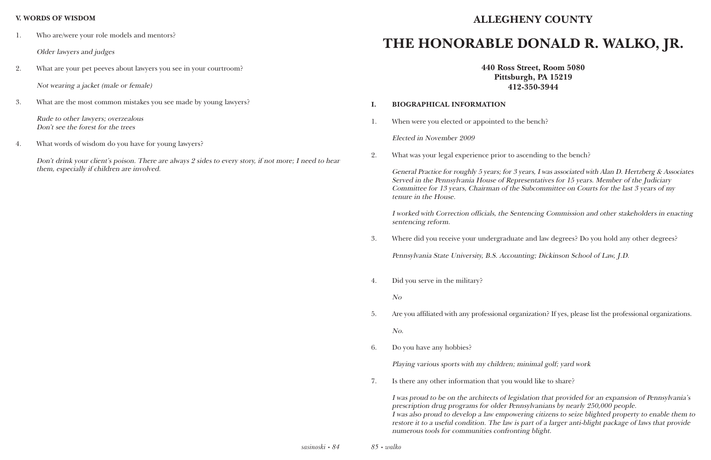#### **V. WORDS OF WISDOM**

1. Who are/were your role models and mentors?

Older lawyers and judges

2. What are your pet peeves about lawyers you see in your courtroom?

Not wearing a jacket (male or female)

3. What are the most common mistakes you see made by young lawyers?

Rude to other lawyers; overzealous Don't see the forest for the trees

4. What words of wisdom do you have for young lawyers?

Don't drink your client's poison. There are always 2 sides to every story, if not more; I need to hear them, especially if children are involved.

*85 • walko*

## **ALLEGHENY COUNTY**

# **THE HONORABLE DONALD R. WALKO, JR.**

**440 Ross Street, Room 5080 Pittsburgh, PA 15219 412-350-3944**

#### **I. BIOGRAPHICAL INFORMATION**

1. When were you elected or appointed to the bench?

Elected in November 2009

2. What was your legal experience prior to ascending to the bench?

General Practice for roughly 5 years; for 3 years, I was associated with Alan D. Hertzberg & Associates Served in the Pennsylvania House of Representatives for 15 years. Member of the Judiciary Committee for 13 years, Chairman of the Subcommittee on Courts for the last 3 years of my tenure in the House.

I worked with Correction officials, the Sentencing Commission and other stakeholders in enacting sentencing reform.

3. Where did you receive your undergraduate and law degrees? Do you hold any other degrees?

Pennsylvania State University, B.S. Accounting; Dickinson School of Law, J.D.

4. Did you serve in the military?

No

5. Are you affiliated with any professional organization? If yes, please list the professional organizations.

No.

6. Do you have any hobbies?

Playing various sports with my children; minimal golf; yard work

7. Is there any other information that you would like to share?

I was proud to be on the architects of legislation that provided for an expansion of Pennsylvania's prescription drug programs for older Pennsylvanians by nearly 250,000 people. I was also proud to develop a law empowering citizens to seize blighted property to enable them to restore it to a useful condition. The law is part of a larger anti-blight package of laws that provide numerous tools for communities confronting blight.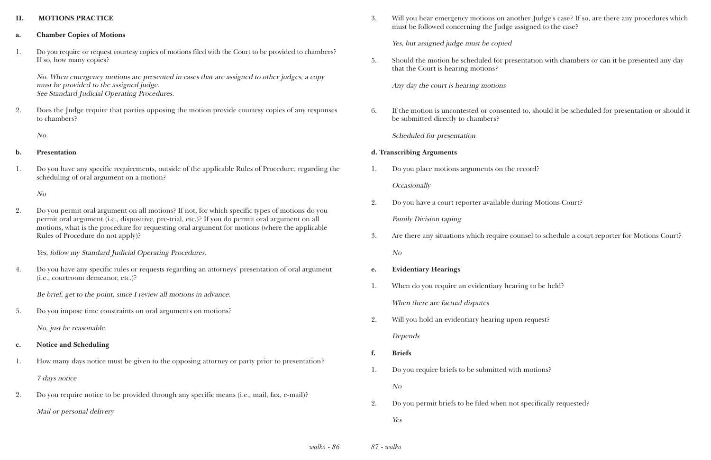#### **II. MOTIONS PRACTICE**

#### **a. Chamber Copies of Motions**

No. When emergency motions are presented in cases that are assigned to other judges, a copy must be provided to the assigned judge. See Standard Judicial Operating Procedures.

1. Do you require or request courtesy copies of motions filed with the Court to be provided to chambers? If so, how many copies?

2. Does the Judge require that parties opposing the motion provide courtesy copies of any responses to chambers?

No.

#### **b. Presentation**

1. Do you have any specific requirements, outside of the applicable Rules of Procedure, regarding the scheduling of oral argument on a motion?

No

2. Do you permit oral argument on all motions? If not, for which specific types of motions do you permit oral argument (i.e., dispositive, pre-trial, etc.)? If you do permit oral argument on all motions, what is the procedure for requesting oral argument for motions (where the applicable Rules of Procedure do not apply)?

Yes, follow my Standard Judicial Operating Procedures.

4. Do you have any specific rules or requests regarding an attorneys' presentation of oral argument (i.e., courtroom demeanor, etc.)?

Be brief, get to the point, since I review all motions in advance.

5. Do you impose time constraints on oral arguments on motions?

No, just be reasonable.

- **c. Notice and Scheduling**
- 1. How many days notice must be given to the opposing attorney or party prior to presentation?

7 days notice

2. Do you require notice to be provided through any specific means (i.e., mail, fax, e-mail)?

Mail or personal delivery

3. Will you hear emergency motions on another Judge's case? If so, are there any procedures which

must be followed concerning the Judge assigned to the case?

Yes, but assigned judge must be copied

5. Should the motion be scheduled for presentation with chambers or can it be presented any day

that the Court is hearing motions?

Any day the court is hearing motions

6. If the motion is uncontested or consented to, should it be scheduled for presentation or should it

be submitted directly to chambers?

Scheduled for presentation

### **d. Transcribing Arguments**

3. Are there any situations which require counsel to schedule a court reporter for Motions Court?

- 1. Do you place motions arguments on the record? **Occasionally**
- 2. Do you have a court reporter available during Motions Court? Family Division taping
- No
- **e. Evidentiary Hearings**
- 1. When do you require an evidentiary hearing to be held? When there are factual disputes
- 2. Will you hold an evidentiary hearing upon request?

Depends

- **f. Briefs**
- 1. Do you require briefs to be submitted with motions?

No

2. Do you permit briefs to be filed when not specifically requested? Yes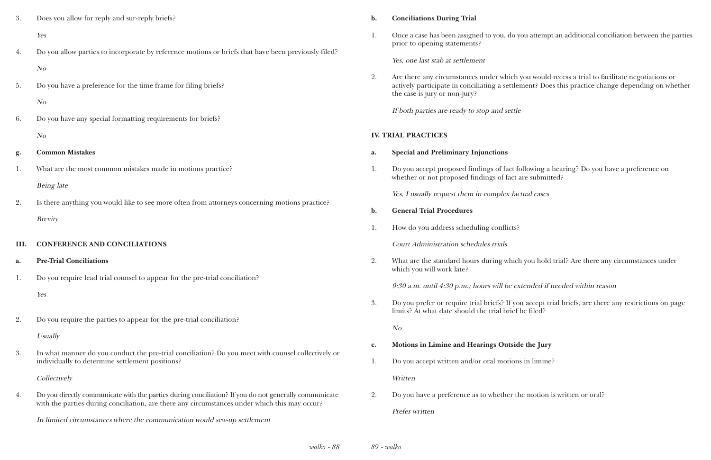| 3.   | Does you allow for reply and sur-reply briefs?                                                                                                                                                         | $b$ .          |
|------|--------------------------------------------------------------------------------------------------------------------------------------------------------------------------------------------------------|----------------|
|      | Yes                                                                                                                                                                                                    | 1.             |
| 4.   | Do you allow parties to incorporate by reference motions or briefs that have been previously filed?                                                                                                    |                |
|      | N <sub>O</sub>                                                                                                                                                                                         |                |
| 5.   | Do you have a preference for the time frame for filing briefs?                                                                                                                                         | 2.             |
|      | N <sub>O</sub>                                                                                                                                                                                         |                |
| 6.   | Do you have any special formatting requirements for briefs?                                                                                                                                            |                |
|      | N <sub>O</sub>                                                                                                                                                                                         | <b>IV. TR</b>  |
| g.   | <b>Common Mistakes</b>                                                                                                                                                                                 | a.             |
| 1.   | What are the most common mistakes made in motions practice?                                                                                                                                            | 1.             |
|      | <b>Being</b> late                                                                                                                                                                                      |                |
| 2.   | Is there anything you would like to see more often from attorneys concerning motions practice?                                                                                                         | b.             |
|      | <b>Brevity</b>                                                                                                                                                                                         | 1.             |
| III. | <b>CONFERENCE AND CONCILIATIONS</b>                                                                                                                                                                    |                |
| a.   | <b>Pre-Trial Conciliations</b>                                                                                                                                                                         | 2.             |
| 1.   | Do you require lead trial counsel to appear for the pre-trial conciliation?                                                                                                                            |                |
|      | Yes                                                                                                                                                                                                    |                |
|      |                                                                                                                                                                                                        | 3.             |
| 2.   | Do you require the parties to appear for the pre-trial conciliation?                                                                                                                                   |                |
|      | Usually                                                                                                                                                                                                | $\mathbf{c}$ . |
| 3.   | In what manner do you conduct the pre-trial conciliation? Do you meet with counsel collectively or<br>individually to determine settlement positions?                                                  | 1.             |
|      | Collectively                                                                                                                                                                                           |                |
| 4.   | Do you directly communicate with the parties during conciliation? If you do not generally communicate<br>with the parties during conciliation, are there any circumstances under which this may occur? | 2.             |
|      | In limited circumstances where the communication would sew-up settlement                                                                                                                               |                |

Are there any circumstances under which you would recess a trial to facilitate negotiations or actively participate in conciliating a settlement? Does this practice change depending on whether

#### **b. Conciliations During Trial**

1. Once a case has been assigned to you, do you attempt an additional conciliation between the parties

prior to opening statements?

Yes, one last stab at settlement

the case is jury or non-jury?

If both parties are ready to stop and settle

#### **IAL PRACTICES**

1. Do you accept proposed findings of fact following a hearing? Do you have a preference on

What are the standard hours during which you hold trial? Are there any circumstances under

- **a. Special and Preliminary Injunctions**
- whether or not proposed findings of fact are submitted?

Yes, I usually request them in complex factual cases

- **b. General Trial Procedures**
- 1. How do you address scheduling conflicts?

Court Administration schedules trials

which you will work late?

9:30 a.m. until 4:30 p.m.; hours will be extended if needed within reason

3. Do you prefer or require trial briefs? If you accept trial briefs, are there any restrictions on page

limits? At what date should the trial brief be filed?

No

- **c. Motions in Limine and Hearings Outside the Jury**
- 1. Do you accept written and/or oral motions in limine?

Written

2. Do you have a preference as to whether the motion is written or oral?

Prefer written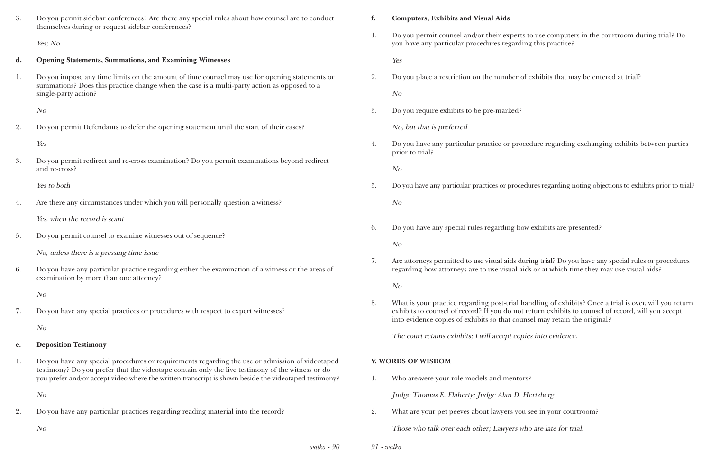*walko • 90*

| 3. | Do you permit sidebar conferences? Are there any special rules about how counsel are to conduct<br>themselves during or request sidebar conferences?                                                                                                                                                         |
|----|--------------------------------------------------------------------------------------------------------------------------------------------------------------------------------------------------------------------------------------------------------------------------------------------------------------|
|    | Yes; No                                                                                                                                                                                                                                                                                                      |
| d. | <b>Opening Statements, Summations, and Examining Witnesses</b>                                                                                                                                                                                                                                               |
| 1. | Do you impose any time limits on the amount of time counsel may use for opening statements or<br>summations? Does this practice change when the case is a multi-party action as opposed to a<br>single-party action?                                                                                         |
|    | N <sub>O</sub>                                                                                                                                                                                                                                                                                               |
| 2. | Do you permit Defendants to defer the opening statement until the start of their cases?                                                                                                                                                                                                                      |
|    | Yes                                                                                                                                                                                                                                                                                                          |
| 3. | Do you permit redirect and re-cross examination? Do you permit examinations beyond redirect<br>and re-cross?                                                                                                                                                                                                 |
|    | Yes to both                                                                                                                                                                                                                                                                                                  |
| 4. | Are there any circumstances under which you will personally question a witness?                                                                                                                                                                                                                              |
|    | Yes, when the record is scant                                                                                                                                                                                                                                                                                |
| 5. | Do you permit counsel to examine witnesses out of sequence?                                                                                                                                                                                                                                                  |
|    | No, unless there is a pressing time issue                                                                                                                                                                                                                                                                    |
| 6. | Do you have any particular practice regarding either the examination of a witness or the areas of<br>examination by more than one attorney?                                                                                                                                                                  |
|    | N <sub>O</sub>                                                                                                                                                                                                                                                                                               |
| 7. | Do you have any special practices or procedures with respect to expert witnesses?                                                                                                                                                                                                                            |
|    | N <sub>O</sub>                                                                                                                                                                                                                                                                                               |
| e. | <b>Deposition Testimony</b>                                                                                                                                                                                                                                                                                  |
| 1. | Do you have any special procedures or requirements regarding the use or admission of videotaped<br>testimony? Do you prefer that the videotape contain only the live testimony of the witness or do<br>you prefer and/or accept video where the written transcript is shown beside the videotaped testimony? |
|    | N <sub>O</sub>                                                                                                                                                                                                                                                                                               |
| 2. | Do you have any particular practices regarding reading material into the record?                                                                                                                                                                                                                             |
|    | N <sub>O</sub>                                                                                                                                                                                                                                                                                               |

*91 • walko*

#### **f. Computers, Exhibits and Visual Aids**

1. Do you permit counsel and/or their experts to use computers in the courtroom during trial? Do

you have any particular procedures regarding this practice?

Yes

2. Do you place a restriction on the number of exhibits that may be entered at trial?

No

3. Do you require exhibits to be pre-marked?

No, but that is preferred

4. Do you have any particular practice or procedure regarding exchanging exhibits between parties

prior to trial?

No

5. Do you have any particular practices or procedures regarding noting objections to exhibits prior to trial?

No

6. Do you have any special rules regarding how exhibits are presented?

No

7. Are attorneys permitted to use visual aids during trial? Do you have any special rules or procedures regarding how attorneys are to use visual aids or at which time they may use visual aids?

No

8. What is your practice regarding post-trial handling of exhibits? Once a trial is over, will you return exhibits to counsel of record? If you do not return exhibits to counsel of record, will you accept

into evidence copies of exhibits so that counsel may retain the original?

The court retains exhibits; I will accept copies into evidence.

#### **V. WORDS OF WISDOM**

1. Who are/were your role models and mentors?

Judge Thomas E. Flaherty; Judge Alan D. Hertzberg

2. What are your pet peeves about lawyers you see in your courtroom?

Those who talk over each other; Lawyers who are late for trial.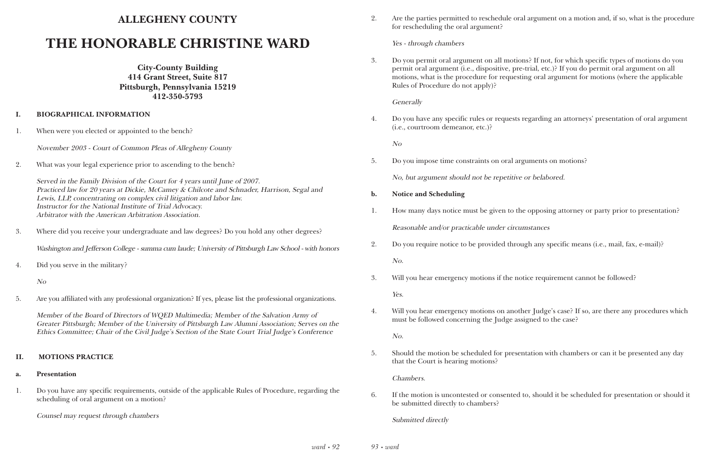## **ALLEGHENY COUNTY**

# **THE HONORABLE CHRISTINE WARD**

**City-County Building 414 Grant Street, Suite 817 Pittsburgh, Pennsylvania 15219 412-350-5793**

#### **I. BIOGRAPHICAL INFORMATION**

1. When were you elected or appointed to the bench?

November 2003 - Court of Common Pleas of Allegheny County

2. What was your legal experience prior to ascending to the bench?

Served in the Family Division of the Court for 4 years until June of 2007. Practiced law for 20 years at Dickie, McCamey & Chilcote and Schnader, Harrison, Segal and Lewis, LLP, concentrating on complex civil litigation and labor law. Instructor for the National Institute of Trial Advocacy. Arbitrator with the American Arbitration Association.

3. Where did you receive your undergraduate and law degrees? Do you hold any other degrees?

Washington and Jefferson College - summa cum laude; University of Pittsburgh Law School - with honors

4. Did you serve in the military?

No

5. Are you affiliated with any professional organization? If yes, please list the professional organizations.

Member of the Board of Directors of WQED Multimedia; Member of the Salvation Army of Greater Pittsburgh; Member of the University of Pittsburgh Law Alumni Association; Serves on the Ethics Committee; Chair of the Civil Judge's Section of the State Court Trial Judge's Conference

### **II. MOTIONS PRACTICE**

### **a. Presentation**

1. Do you have any specific requirements, outside of the applicable Rules of Procedure, regarding the scheduling of oral argument on a motion?

Counsel may request through chambers

2. Are the parties permitted to reschedule oral argument on a motion and, if so, what is the procedure

for rescheduling the oral argument?

Yes - through chambers

3. Do you permit oral argument on all motions? If not, for which specific types of motions do you permit oral argument (i.e., dispositive, pre-trial, etc.)? If you do permit oral argument on all motions, what is the procedure for requesting oral argument for motions (where the applicable

Rules of Procedure do not apply)?

**Generally** 

4. Do you have any specific rules or requests regarding an attorneys' presentation of oral argument

(i.e., courtroom demeanor, etc.)?

No

5. Do you impose time constraints on oral arguments on motions?

No, but argument should not be repetitive or belabored.

1. How many days notice must be given to the opposing attorney or party prior to presentation?

- **b. Notice and Scheduling**
- Reasonable and/or practicable under circumstances
- 2. Do you require notice to be provided through any specific means (i.e., mail, fax, e-mail)?

No.

3. Will you hear emergency motions if the notice requirement cannot be followed?

Yes.

4. Will you hear emergency motions on another Judge's case? If so, are there any procedures which

must be followed concerning the Judge assigned to the case?

No.

5. Should the motion be scheduled for presentation with chambers or can it be presented any day

that the Court is hearing motions?

Chambers.

6. If the motion is uncontested or consented to, should it be scheduled for presentation or should it

be submitted directly to chambers?

Submitted directly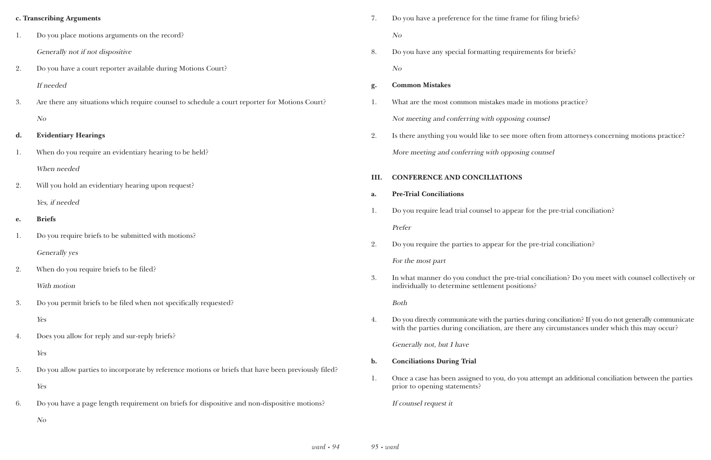|    | c. Transcribing Arguments                                                                           |  |  |  |  |
|----|-----------------------------------------------------------------------------------------------------|--|--|--|--|
| 1. | Do you place motions arguments on the record?                                                       |  |  |  |  |
|    | Generally not if not dispositive                                                                    |  |  |  |  |
| 2. | Do you have a court reporter available during Motions Court?                                        |  |  |  |  |
|    | If needed                                                                                           |  |  |  |  |
| 3. | Are there any situations which require counsel to schedule a court reporter for Motions Court?      |  |  |  |  |
|    | N <sub>O</sub>                                                                                      |  |  |  |  |
| d. | <b>Evidentiary Hearings</b>                                                                         |  |  |  |  |
| 1. | When do you require an evidentiary hearing to be held?                                              |  |  |  |  |
|    | When needed                                                                                         |  |  |  |  |
| 2. | Will you hold an evidentiary hearing upon request?                                                  |  |  |  |  |
|    | Yes, if needed                                                                                      |  |  |  |  |
| e. | <b>Briefs</b>                                                                                       |  |  |  |  |
| 1. | Do you require briefs to be submitted with motions?                                                 |  |  |  |  |
|    | Generally yes                                                                                       |  |  |  |  |
| 2. | When do you require briefs to be filed?                                                             |  |  |  |  |
|    | With motion                                                                                         |  |  |  |  |
| 3. | Do you permit briefs to be filed when not specifically requested?                                   |  |  |  |  |
|    | Yes                                                                                                 |  |  |  |  |
| 4. | Does you allow for reply and sur-reply briefs?                                                      |  |  |  |  |
|    | Yes                                                                                                 |  |  |  |  |
| 5. | Do you allow parties to incorporate by reference motions or briefs that have been previously filed? |  |  |  |  |
|    | Yes                                                                                                 |  |  |  |  |
| 6. | Do you have a page length requirement on briefs for dispositive and non-dispositive motions?        |  |  |  |  |
|    | N <sub>O</sub>                                                                                      |  |  |  |  |
|    |                                                                                                     |  |  |  |  |

ne for filing briefs?

ements for briefs?

e in motions practice?

counsel

re often from attorneys concerning motions practice? ng counsel

If for the pre-trial conciliation?

e pre-trial conciliation?

ial conciliation? Do you meet with counsel collectively or

during conciliation? If you do not generally communicate ere any circumstances under which this may occur?

bu attempt an additional conciliation between the parties

| 7.   | Do you have a preference for the time frame fo                                                         |
|------|--------------------------------------------------------------------------------------------------------|
|      | N <sub>O</sub>                                                                                         |
| 8.   | Do you have any special formatting requiremer                                                          |
|      | N <sub>O</sub>                                                                                         |
| g.   | <b>Common Mistakes</b>                                                                                 |
| 1.   | What are the most common mistakes made in r                                                            |
|      | Not meeting and conferring with opposing cou                                                           |
| 2.   | Is there anything you would like to see more of                                                        |
|      | More meeting and conferring with opposing co                                                           |
| III. | <b>CONFERENCE AND CONCILIATIONS</b>                                                                    |
| a.   | <b>Pre-Trial Conciliations</b>                                                                         |
| 1.   | Do you require lead trial counsel to appear for                                                        |
|      | Prefer                                                                                                 |
| 2.   | Do you require the parties to appear for the pro-                                                      |
|      | For the most part                                                                                      |
| 3.   | In what manner do you conduct the pre-trial con-<br>individually to determine settlement positions?    |
|      | <b>Both</b>                                                                                            |
| 4.   | Do you directly communicate with the parties duri<br>with the parties during conciliation, are there a |
|      | Generally not, but I have                                                                              |
| b.   | <b>Conciliations During Trial</b>                                                                      |
| 1.   | Once a case has been assigned to you, do you at<br>prior to opening statements?                        |

If counsel request it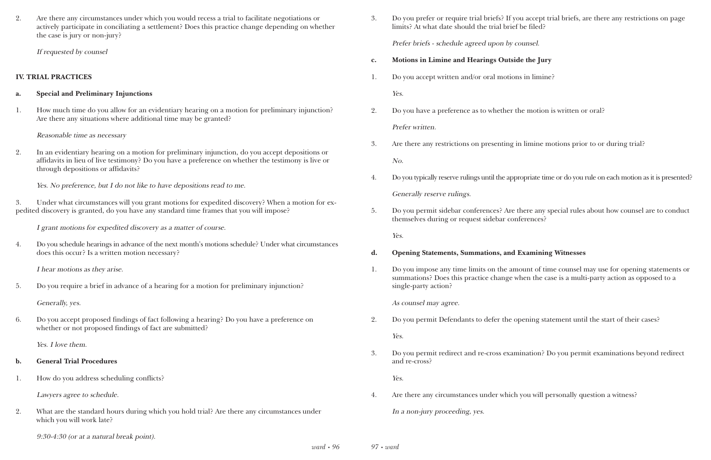2. Are there any circumstances under which you would recess a trial to facilitate negotiations or actively participate in conciliating a settlement? Does this practice change depending on whether the case is jury or non-jury?

If requested by counsel

#### **IV. TRIAL PRACTICES**

#### **a. Special and Preliminary Injunctions**

1. How much time do you allow for an evidentiary hearing on a motion for preliminary injunction? Are there any situations where additional time may be granted?

Reasonable time as necessary

2. In an evidentiary hearing on a motion for preliminary injunction, do you accept depositions or affidavits in lieu of live testimony? Do you have a preference on whether the testimony is live or through depositions or affidavits?

Yes. No preference, but I do not like to have depositions read to me.

3. Under what circumstances will you grant motions for expedited discovery? When a motion for expedited discovery is granted, do you have any standard time frames that you will impose?

I grant motions for expedited discovery as a matter of course.

4. Do you schedule hearings in advance of the next month's motions schedule? Under what circumstances does this occur? Is a written motion necessary?

I hear motions as they arise.

5. Do you require a brief in advance of a hearing for a motion for preliminary injunction?

Generally, yes.

6. Do you accept proposed findings of fact following a hearing? Do you have a preference on whether or not proposed findings of fact are submitted?

Yes. I love them.

#### **b. General Trial Procedures**

1. How do you address scheduling conflicts?

Lawyers agree to schedule.

- 2. What are the standard hours during which you hold trial? Are there any circumstances under which you will work late?
	- 9:30-4:30 (or at a natural break point).

3. Do you prefer or require trial briefs? If you accept trial briefs, are there any restrictions on page

limits? At what date should the trial brief be filed?

Prefer briefs - schedule agreed upon by counsel.

- **c. Motions in Limine and Hearings Outside the Jury**
- 1. Do you accept written and/or oral motions in limine? Yes.
- 2. Do you have a preference as to whether the motion is written or oral? Prefer written.
- 3. Are there any restrictions on presenting in limine motions prior to or during trial? No.
- 

4. Do you typically reserve rulings until the appropriate time or do you rule on each motion as it is presented?

Generally reserve rulings.

5. Do you permit sidebar conferences? Are there any special rules about how counsel are to conduct

themselves during or request sidebar conferences?

Yes.

### **d. Opening Statements, Summations, and Examining Witnesses**

1. Do you impose any time limits on the amount of time counsel may use for opening statements or summations? Does this practice change when the case is a multi-party action as opposed to a

single-party action?

As counsel may agree.

2. Do you permit Defendants to defer the opening statement until the start of their cases?

Yes.

3. Do you permit redirect and re-cross examination? Do you permit examinations beyond redirect

and re-cross?

Yes.

4. Are there any circumstances under which you will personally question a witness?

In a non-jury proceeding, yes.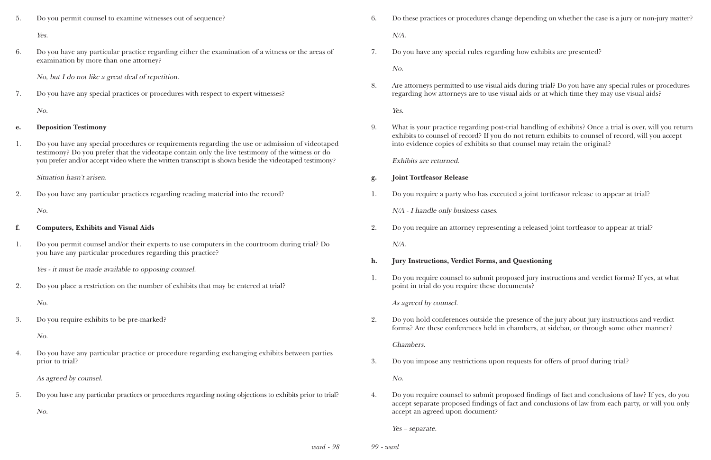*99 • ward*

procedures change depending on whether the case is a jury or non-jury matter?

ecial rules regarding how exhibits are presented?

ted to use visual aids during trial? Do you have any special rules or procedures neys are to use visual aids or at which time they may use visual aids?

e regarding post-trial handling of exhibits? Once a trial is over, will you return of record? If you do not return exhibits to counsel of record, will you accept into of exhibits so that counsel may retain the original?

rty who has executed a joint tortfeasor release to appear at trial?

ttorney representing a released joint tortfeasor to appear at trial?

#### *<u>kerdict Forms, and Questioning</u>*

1. It is submit proposed jury instructions and verdict forms? If yes, at what require these documents?

ences outside the presence of the jury about jury instructions and verdict herences held in chambers, at sidebar, or through some other manner?

estrictions upon requests for offers of proof during trial?

isel to submit proposed findings of fact and conclusions of law? If yes, do you bosed findings of fact and conclusions of law from each party, or will you only

| 5. | Do you permit counsel to examine witnesses out of sequence?                                                                                                                                                                                                                                                  | 6. | Do these practices or procedures ch                                                                        |
|----|--------------------------------------------------------------------------------------------------------------------------------------------------------------------------------------------------------------------------------------------------------------------------------------------------------------|----|------------------------------------------------------------------------------------------------------------|
|    | Yes.                                                                                                                                                                                                                                                                                                         |    | $N/A$ .                                                                                                    |
| 6. | Do you have any particular practice regarding either the examination of a witness or the areas of<br>examination by more than one attorney?                                                                                                                                                                  | 7. | Do you have any special rules regar                                                                        |
|    | No, but I do not like a great deal of repetition.                                                                                                                                                                                                                                                            |    | No.                                                                                                        |
| 7. | Do you have any special practices or procedures with respect to expert witnesses?                                                                                                                                                                                                                            | 8. | Are attorneys permitted to use visual<br>regarding how attorneys are to use                                |
|    | No.                                                                                                                                                                                                                                                                                                          |    | Yes.                                                                                                       |
| e. | <b>Deposition Testimony</b>                                                                                                                                                                                                                                                                                  | 9. | What is your practice regarding po<br>exhibits to counsel of record? If you                                |
| 1. | Do you have any special procedures or requirements regarding the use or admission of videotaped<br>testimony? Do you prefer that the videotape contain only the live testimony of the witness or do<br>you prefer and/or accept video where the written transcript is shown beside the videotaped testimony? |    | into evidence copies of exhibits so                                                                        |
|    |                                                                                                                                                                                                                                                                                                              |    | Exhibits are returned.                                                                                     |
|    | Situation hasn't arisen.                                                                                                                                                                                                                                                                                     | g. | <b>Joint Tortfeasor Release</b>                                                                            |
| 2. | Do you have any particular practices regarding reading material into the record?                                                                                                                                                                                                                             | 1. | Do you require a party who has exe                                                                         |
|    | No.                                                                                                                                                                                                                                                                                                          |    | N/A - I handle only business cases.                                                                        |
| f. | <b>Computers, Exhibits and Visual Aids</b>                                                                                                                                                                                                                                                                   | 2. | Do you require an attorney represe                                                                         |
| 1. | Do you permit counsel and/or their experts to use computers in the courtroom during trial? Do                                                                                                                                                                                                                |    | $N/A$ .                                                                                                    |
|    | you have any particular procedures regarding this practice?                                                                                                                                                                                                                                                  | h. | <b>Jury Instructions, Verdict Forms,</b>                                                                   |
|    | Yes - it must be made available to opposing counsel.                                                                                                                                                                                                                                                         | 1. | Do you require counsel to submit p                                                                         |
| 2. | Do you place a restriction on the number of exhibits that may be entered at trial?                                                                                                                                                                                                                           |    | point in trial do you require these                                                                        |
|    | No.                                                                                                                                                                                                                                                                                                          |    | As agreed by counsel.                                                                                      |
| 3. | Do you require exhibits to be pre-marked?                                                                                                                                                                                                                                                                    | 2. | Do you hold conferences outside the<br>forms? Are these conferences held                                   |
|    | No.                                                                                                                                                                                                                                                                                                          |    | Chambers.                                                                                                  |
| 4. | Do you have any particular practice or procedure regarding exchanging exhibits between parties<br>prior to trial?                                                                                                                                                                                            | 3. | Do you impose any restrictions upon                                                                        |
|    | As agreed by counsel.                                                                                                                                                                                                                                                                                        |    | No.                                                                                                        |
|    |                                                                                                                                                                                                                                                                                                              |    |                                                                                                            |
| 5. | Do you have any particular practices or procedures regarding noting objections to exhibits prior to trial?<br>No.                                                                                                                                                                                            | 4. | Do you require counsel to submit p<br>accept separate proposed findings<br>accept an agreed upon document? |
|    |                                                                                                                                                                                                                                                                                                              |    | $Yes - separate$ .                                                                                         |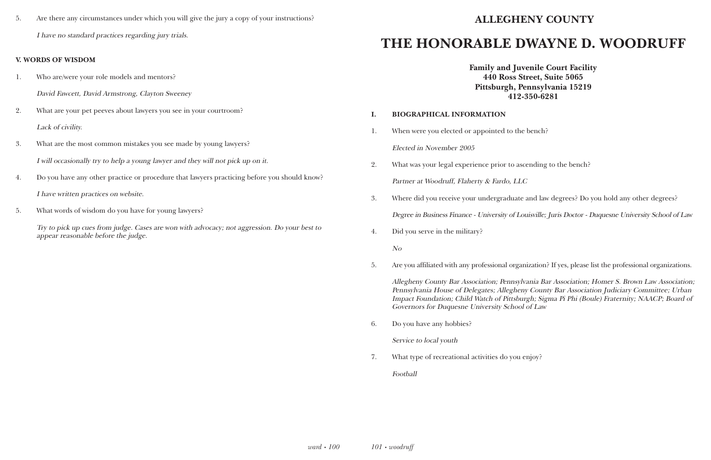5. Are there any circumstances under which you will give the jury a copy of your instructions? I have no standard practices regarding jury trials.

#### **V. WORDS OF WISDOM**

- 1. Who are/were your role models and mentors?
	- David Fawcett, David Armstrong, Clayton Sweeney
- 2. What are your pet peeves about lawyers you see in your courtroom? Lack of civility.
- 3. What are the most common mistakes you see made by young lawyers? I will occasionally try to help a young lawyer and they will not pick up on it.
- 4. Do you have any other practice or procedure that lawyers practicing before you should know?

I have written practices on website.

5. What words of wisdom do you have for young lawyers?

Try to pick up cues from judge. Cases are won with advocacy; not aggression. Do your best to appear reasonable before the judge.

# **ALLEGHENY COUNTY**

# **THE HONORABLE DWAYNE D. WOODRUFF**

**Family and Juvenile Court Facility 440 Ross Street, Suite 5065 Pittsburgh, Pennsylvania 15219 412-350-6281**

## **I. BIOGRAPHICAL INFORMATION**

- 1. When were you elected or appointed to the bench? Elected in November 2005
- 2. What was your legal experience prior to ascending to the bench? Partner at Woodruff, Flaherty & Fardo, LLC
- 

3. Where did you receive your undergraduate and law degrees? Do you hold any other degrees?

Degree in Business Finance - University of Louisville; Juris Doctor - Duquesne University School of Law

4. Did you serve in the military?

No

5. Are you affiliated with any professional organization? If yes, please list the professional organizations.

Allegheny County Bar Association; Pennsylvania Bar Association; Homer S. Brown Law Association; Pennsylvania House of Delegates; Allegheny County Bar Association Judiciary Committee; Urban Impact Foundation; Child Watch of Pittsburgh; Sigma Pi Phi (Boule) Fraternity; NAACP; Board of Governors for Duquesne University School of Law

6. Do you have any hobbies?

Service to local youth

7. What type of recreational activities do you enjoy?

Football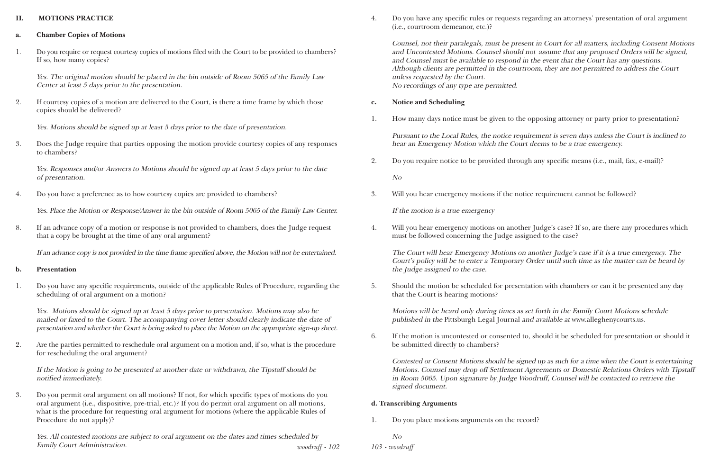#### **II. MOTIONS PRACTICE**

- **a. Chamber Copies of Motions**
- 1. Do you require or request courtesy copies of motions filed with the Court to be provided to chambers? If so, how many copies?

Yes. The original motion should be placed in the bin outside of Room 5065 of the Family Law Center at least 5 days prior to the presentation.

2. If courtesy copies of a motion are delivered to the Court, is there a time frame by which those copies should be delivered?

Yes. Motions should be signed up at least 5 days prior to the date of presentation.

3. Does the Judge require that parties opposing the motion provide courtesy copies of any responses to chambers?

Yes. Responses and/or Answers to Motions should be signed up at least 5 days prior to the date of presentation.

4. Do you have a preference as to how courtesy copies are provided to chambers?

Yes. Place the Motion or Response/Answer in the bin outside of Room 5065 of the Family Law Center.

8. If an advance copy of a motion or response is not provided to chambers, does the Judge request that a copy be brought at the time of any oral argument?

If an advance copy is not provided in the time frame specified above, the Motion will not be entertained.

#### **b. Presentation**

1. Do you have any specific requirements, outside of the applicable Rules of Procedure, regarding the scheduling of oral argument on a motion?

Yes. Motions should be signed up at least 5 days prior to presentation. Motions may also be mailed or faxed to the Court. The accompanying cover letter should clearly indicate the date of presentation and whether the Court is being asked to place the Motion on the appropriate sign-up sheet.

2. Are the parties permitted to reschedule oral argument on a motion and, if so, what is the procedure for rescheduling the oral argument?

If the Motion is going to be presented at another date or withdrawn, the Tipstaff should be notified immediately.

3. Do you permit oral argument on all motions? If not, for which specific types of motions do you oral argument (i.e., dispositive, pre-trial, etc.)? If you do permit oral argument on all motions, what is the procedure for requesting oral argument for motions (where the applicable Rules of Procedure do not apply)?

*woodruff • 102* Yes. All contested motions are subject to oral argument on the dates and times scheduled by Family Court Administration. **103 •** *woodruff* • 102 *103* **•** *woodruff* 

4. Do you have any specific rules or requests regarding an attorneys' presentation of oral argument

(i.e., courtroom demeanor, etc.)?

Counsel, not their paralegals, must be present in Court for all matters, including Consent Motions and Uncontested Motions. Counsel should not assume that any proposed Orders will be signed, and Counsel must be available to respond in the event that the Court has any questions. Although clients are permitted in the courtroom, they are not permitted to address the Court unless requested by the Court. No recordings of any type are permitted.

#### **c. Notice and Scheduling**

1. How many days notice must be given to the opposing attorney or party prior to presentation?

Pursuant to the Local Rules, the notice requirement is seven days unless the Court is inclined to hear an Emergency Motion which the Court deems to be a true emergency.

2. Do you require notice to be provided through any specific means (i.e., mail, fax, e-mail)?

No

3. Will you hear emergency motions if the notice requirement cannot be followed?

If the motion is a true emergency

4. Will you hear emergency motions on another Judge's case? If so, are there any procedures which

must be followed concerning the Judge assigned to the case?

The Court will hear Emergency Motions on another Judge's case if it is a true emergency. The Court's policy will be to enter a Temporary Order until such time as the matter can be heard by the Judge assigned to the case.

5. Should the motion be scheduled for presentation with chambers or can it be presented any day

that the Court is hearing motions?

Motions will be heard only during times as set forth in the Family Court Motions schedule published in the Pittsburgh Legal Journal and available at www.alleghenycourts.us.

6. If the motion is uncontested or consented to, should it be scheduled for presentation or should it

be submitted directly to chambers?

Contested or Consent Motions should be signed up as such for a time when the Court is entertaining Motions. Counsel may drop off Settlement Agreements or Domestic Relations Orders with Tipstaff in Room 5065. Upon signature by Judge Woodruff, Counsel will be contacted to retrieve the signed document.

#### **d. Transcribing Arguments**

1. Do you place motions arguments on the record?

No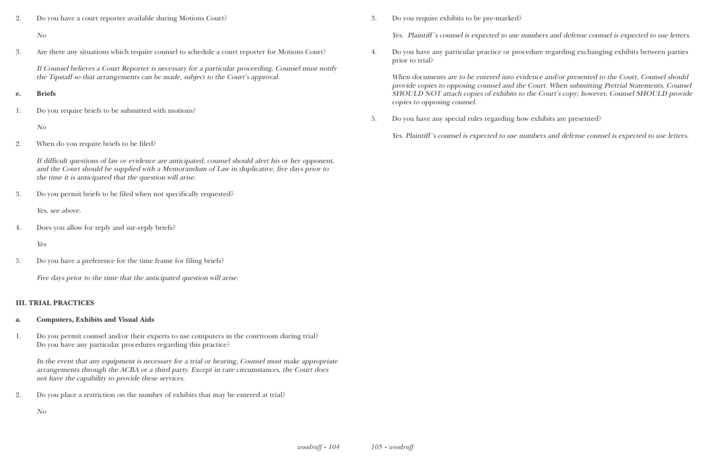2. Do you have a court reporter available during Motions Court?

#### No

3. Are there any situations which require counsel to schedule a court reporter for Motions Court?

If Counsel believes a Court Reporter is necessary for a particular proceeding, Counsel must notify the Tipstaff so that arrangements can be made, subject to the Court's approval.

#### **e. Briefs**

1. Do you require briefs to be submitted with motions?

#### No

2. When do you require briefs to be filed?

If difficult questions of law or evidence are anticipated, counsel should alert his or her opponent, and the Court should be supplied with a Memorandum of Law in duplicative, five days prior to the time it is anticipated that the question will arise.

3. Do you permit briefs to be filed when not specifically requested?

Yes, see above.

4. Does you allow for reply and sur-reply briefs?

Yes

5. Do you have a preference for the time frame for filing briefs?

Five days prior to the time that the anticipated question will arise.

#### **III. TRIAL PRACTICES**

- **a. Computers, Exhibits and Visual Aids**
- 1. Do you permit counsel and/or their experts to use computers in the courtroom during trial? Do you have any particular procedures regarding this practice?

In the event that any equipment is necessary for a trial or hearing, Counsel must make appropriate arrangements through the ACBA or a third party. Except in rare circumstances, the Court does not have the capability to provide these services.

2. Do you place a restriction on the number of exhibits that may be entered at trial?

No

3. Do you require exhibits to be pre-marked?

Yes. Plaintiff 's counsel is expected to use numbers and defense counsel is expected to use letters.

4. Do you have any particular practice or procedure regarding exchanging exhibits between parties

prior to trial?

When documents are to be entered into evidence and/or presented to the Court, Counsel should provide copies to opposing counsel and the Court. When submitting Pretrial Statements, Counsel SHOULD NOT attach copies of exhibits to the Court's copy; however, Counsel SHOULD provide copies to opposing counsel.

5. Do you have any special rules regarding how exhibits are presented?

Yes. Plaintiff 's counsel is expected to use numbers and defense counsel is expected to use letters.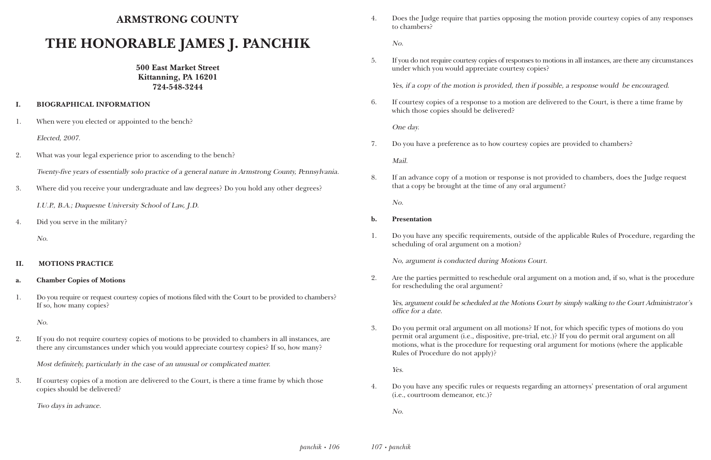## **ARMSTRONG COUNTY**

# **THE HONORABLE JAMES J. PANCHIK**

**500 East Market Street Kittanning, PA 16201 724-548-3244**

#### **I. BIOGRAPHICAL INFORMATION**

1. When were you elected or appointed to the bench?

Elected, 2007.

2. What was your legal experience prior to ascending to the bench?

Twenty-five years of essentially solo practice of a general nature in Armstrong County, Pennsylvania.

3. Where did you receive your undergraduate and law degrees? Do you hold any other degrees?

I.U.P., B.A.; Duquesne University School of Law, J.D.

4. Did you serve in the military?

No.

#### **II. MOTIONS PRACTICE**

#### **a. Chamber Copies of Motions**

1. Do you require or request courtesy copies of motions filed with the Court to be provided to chambers? If so, how many copies?

No.

2. If you do not require courtesy copies of motions to be provided to chambers in all instances, are there any circumstances under which you would appreciate courtesy copies? If so, how many?

Most definitely, particularly in the case of an unusual or complicated matter.

3. If courtesy copies of a motion are delivered to the Court, is there a time frame by which those copies should be delivered?

Two days in advance.

4. Does the Judge require that parties opposing the motion provide courtesy copies of any responses

to chambers?

No.

5. If you do not require courtesy copies of responses to motions in all instances, are there any circumstances

under which you would appreciate courtesy copies?

Yes, if a copy of the motion is provided, then if possible, a response would be encouraged.

6. If courtesy copies of a response to a motion are delivered to the Court, is there a time frame by

which those copies should be delivered?

One day.

- 7. Do you have a preference as to how courtesy copies are provided to chambers? Mail.
- that a copy be brought at the time of any oral argument?

8. If an advance copy of a motion or response is not provided to chambers, does the Judge request

No.

#### **b. Presentation**

1. Do you have any specific requirements, outside of the applicable Rules of Procedure, regarding the

scheduling of oral argument on a motion?

No, argument is conducted during Motions Court.

2. Are the parties permitted to reschedule oral argument on a motion and, if so, what is the procedure

for rescheduling the oral argument?

Yes, argument could be scheduled at the Motions Court by simply walking to the Court Administrator's office for a date.

3. Do you permit oral argument on all motions? If not, for which specific types of motions do you permit oral argument (i.e., dispositive, pre-trial, etc.)? If you do permit oral argument on all motions, what is the procedure for requesting oral argument for motions (where the applicable

Rules of Procedure do not apply)?

Yes.

4. Do you have any specific rules or requests regarding an attorneys' presentation of oral argument

(i.e., courtroom demeanor, etc.)?

No.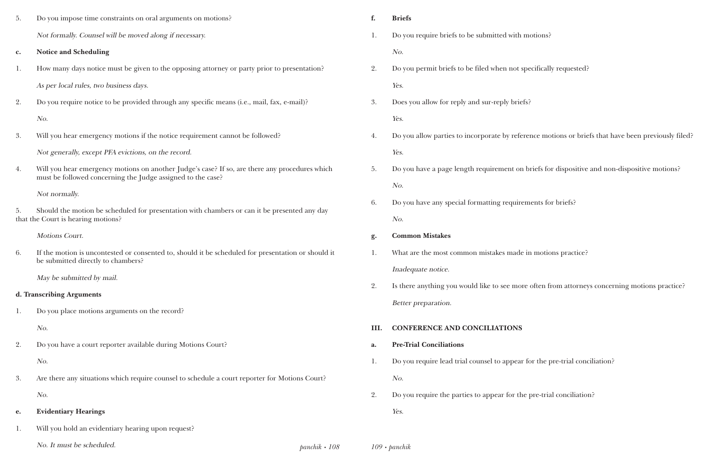| 5.             | Do you impose time constraints on oral arguments on motions?                                                                                                  | f.                  | <b>Briefs</b>                                   |
|----------------|---------------------------------------------------------------------------------------------------------------------------------------------------------------|---------------------|-------------------------------------------------|
|                | Not formally. Counsel will be moved along if necessary.                                                                                                       | 1.                  | Do you require briefs to be submitted with mo   |
| $\mathbf{c}$ . | <b>Notice and Scheduling</b>                                                                                                                                  |                     | No.                                             |
| 1.             | How many days notice must be given to the opposing attorney or party prior to presentation?                                                                   | 2.                  | Do you permit briefs to be filed when not spe   |
|                | As per local rules, two business days.                                                                                                                        |                     | Yes.                                            |
| 2.             | Do you require notice to be provided through any specific means (i.e., mail, fax, e-mail)?                                                                    | 3.                  | Does you allow for reply and sur-reply briefs?  |
|                | No.                                                                                                                                                           |                     | Yes.                                            |
| 3.             | Will you hear emergency motions if the notice requirement cannot be followed?                                                                                 | 4.                  | Do you allow parties to incorporate by referent |
|                | Not generally, except PFA evictions, on the record.                                                                                                           |                     | Yes.                                            |
| 4.             | Will you hear emergency motions on another Judge's case? If so, are there any procedures which<br>must be followed concerning the Judge assigned to the case? | 5.                  | Do you have a page length requirement on bi     |
|                | Not normally.                                                                                                                                                 |                     | No.                                             |
| 5.             | Should the motion be scheduled for presentation with chambers or can it be presented any day                                                                  | 6.                  | Do you have any special formatting requirem     |
|                | that the Court is hearing motions?                                                                                                                            |                     | No.                                             |
|                | <b>Motions Court.</b>                                                                                                                                         | g.                  | <b>Common Mistakes</b>                          |
| 6.             | If the motion is uncontested or consented to, should it be scheduled for presentation or should it<br>be submitted directly to chambers?                      | 1.                  | What are the most common mistakes made in       |
|                | May be submitted by mail.                                                                                                                                     |                     | Inadequate notice.                              |
|                | d. Transcribing Arguments                                                                                                                                     | 2.                  | Is there anything you would like to see more    |
|                |                                                                                                                                                               |                     | Better preparation.                             |
| 1.             | Do you place motions arguments on the record?                                                                                                                 |                     |                                                 |
|                | No.                                                                                                                                                           | III.                | <b>CONFERENCE AND CONCILIATIONS</b>             |
| 2.             | Do you have a court reporter available during Motions Court?                                                                                                  | a.                  | <b>Pre-Trial Conciliations</b>                  |
|                | No.                                                                                                                                                           | 1.                  | Do you require lead trial counsel to appear fo  |
| 3.             | Are there any situations which require counsel to schedule a court reporter for Motions Court?                                                                |                     | No.                                             |
|                | No.                                                                                                                                                           | 2.                  | Do you require the parties to appear for the p  |
| e.             | <b>Evidentiary Hearings</b>                                                                                                                                   |                     | Yes.                                            |
| 1.             | Will you hold an evidentiary hearing upon request?                                                                                                            |                     |                                                 |
|                | No. It must be scheduled.                                                                                                                                     | $panchik \cdot 108$ | $109 \cdot \text{panchik}$                      |

motions?

pecifically requested?

rence motions or briefs that have been previously filed?

briefs for dispositive and non-dispositive motions?

ments for briefs?

in motions practice?

e often from attorneys concerning motions practice?

for the pre-trial conciliation?

e pre-trial conciliation?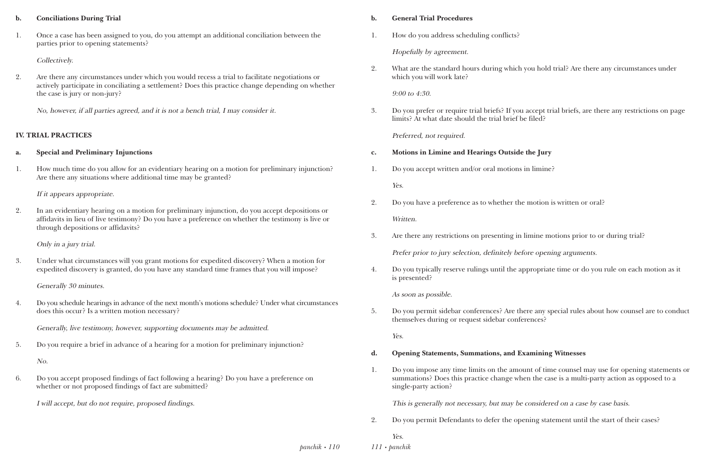#### **b. Conciliations During Trial**

1. Once a case has been assigned to you, do you attempt an additional conciliation between the parties prior to opening statements?

#### Collectively.

2. Are there any circumstances under which you would recess a trial to facilitate negotiations or actively participate in conciliating a settlement? Does this practice change depending on whether the case is jury or non-jury?

No, however, if all parties agreed, and it is not a bench trial, I may consider it.

#### **IV. TRIAL PRACTICES**

#### **a. Special and Preliminary Injunctions**

1. How much time do you allow for an evidentiary hearing on a motion for preliminary injunction? Are there any situations where additional time may be granted?

If it appears appropriate.

2. In an evidentiary hearing on a motion for preliminary injunction, do you accept depositions or affidavits in lieu of live testimony? Do you have a preference on whether the testimony is live or through depositions or affidavits?

> *panchik • 110 111 • panchik*

Only in a jury trial.

3. Under what circumstances will you grant motions for expedited discovery? When a motion for expedited discovery is granted, do you have any standard time frames that you will impose?

Generally 30 minutes.

4. Do you schedule hearings in advance of the next month's motions schedule? Under what circumstances does this occur? Is a written motion necessary?

Generally, live testimony, however, supporting documents may be admitted.

5. Do you require a brief in advance of a hearing for a motion for preliminary injunction?

No.

6. Do you accept proposed findings of fact following a hearing? Do you have a preference on whether or not proposed findings of fact are submitted?

I will accept, but do not require, proposed findings.

#### **b. General Trial Procedures**

1. How do you address scheduling conflicts?

Hopefully by agreement.

2. What are the standard hours during which you hold trial? Are there any circumstances under

which you will work late?

9:00 to 4:30.

3. Do you prefer or require trial briefs? If you accept trial briefs, are there any restrictions on page

limits? At what date should the trial brief be filed?

Preferred, not required.

- **c. Motions in Limine and Hearings Outside the Jury**
- 1. Do you accept written and/or oral motions in limine?

Yes.

- 2. Do you have a preference as to whether the motion is written or oral? Written.
- 3. Are there any restrictions on presenting in limine motions prior to or during trial?

Prefer prior to jury selection, definitely before opening arguments.

4. Do you typically reserve rulings until the appropriate time or do you rule on each motion as it

is presented?

As soon as possible.

5. Do you permit sidebar conferences? Are there any special rules about how counsel are to conduct

themselves during or request sidebar conferences?

Yes.

- **d. Opening Statements, Summations, and Examining Witnesses**
- single-party action?

1. Do you impose any time limits on the amount of time counsel may use for opening statements or summations? Does this practice change when the case is a multi-party action as opposed to a

This is generally not necessary, but may be considered on a case by case basis.

2. Do you permit Defendants to defer the opening statement until the start of their cases?

Yes.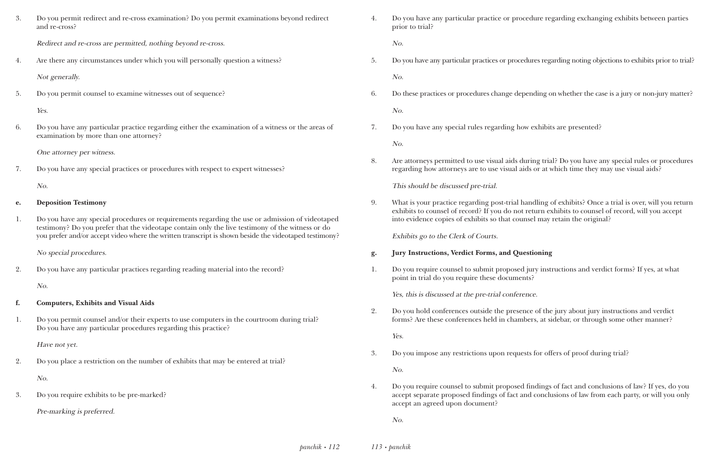rticular practice or procedure regarding exchanging exhibits between parties

icular practices or procedures regarding noting objections to exhibits prior to trial?

procedures change depending on whether the case is a jury or non-jury matter?

ecial rules regarding how exhibits are presented?

tted to use visual aids during trial? Do you have any special rules or procedures neys are to use visual aids or at which time they may use visual aids?

e regarding post-trial handling of exhibits? Once a trial is over, will you return of record? If you do not return exhibits to counsel of record, will you accept of exhibits so that counsel may retain the original?

#### *<u>Ferdict Forms, and Questioning</u>*

1. It is submit proposed jury instructions and verdict forms? If yes, at what require these documents?

#### at the pre-trial conference.

nces outside the presence of the jury about jury instructions and verdict herences held in chambers, at sidebar, or through some other manner?

restrictions upon requests for offers of proof during trial?

isel to submit proposed findings of fact and conclusions of law? If yes, do you bosed findings of fact and conclusions of law from each party, or will you only

| 3.             | Do you permit redirect and re-cross examination? Do you permit examinations beyond redirect<br>and re-cross?                                                                                                                                                                                                 | 4. | Do you have any particular practic<br>prior to trial?                       |
|----------------|--------------------------------------------------------------------------------------------------------------------------------------------------------------------------------------------------------------------------------------------------------------------------------------------------------------|----|-----------------------------------------------------------------------------|
|                | Redirect and re-cross are permitted, nothing beyond re-cross.                                                                                                                                                                                                                                                |    | No.                                                                         |
| 4.             | Are there any circumstances under which you will personally question a witness?                                                                                                                                                                                                                              | 5. | Do you have any particular practices                                        |
|                | Not generally.                                                                                                                                                                                                                                                                                               |    | No.                                                                         |
| 5.             | Do you permit counsel to examine witnesses out of sequence?                                                                                                                                                                                                                                                  | 6. | Do these practices or procedures ch                                         |
|                | Yes.                                                                                                                                                                                                                                                                                                         |    | No.                                                                         |
| 6.             | Do you have any particular practice regarding either the examination of a witness or the areas of<br>examination by more than one attorney?                                                                                                                                                                  | 7. | Do you have any special rules regar                                         |
|                | One attorney per witness.                                                                                                                                                                                                                                                                                    |    | No.                                                                         |
| 7.             | Do you have any special practices or procedures with respect to expert witnesses?                                                                                                                                                                                                                            | 8. | Are attorneys permitted to use visu<br>regarding how attorneys are to use   |
|                | No.                                                                                                                                                                                                                                                                                                          |    | This should be discussed pre-trial.                                         |
| e.             | <b>Deposition Testimony</b>                                                                                                                                                                                                                                                                                  | 9. | What is your practice regarding po<br>exhibits to counsel of record? If you |
| 1.             | Do you have any special procedures or requirements regarding the use or admission of videotaped<br>testimony? Do you prefer that the videotape contain only the live testimony of the witness or do<br>you prefer and/or accept video where the written transcript is shown beside the videotaped testimony? |    | into evidence copies of exhibits so<br>Exhibits go to the Clerk of Courts.  |
|                | No special procedures.                                                                                                                                                                                                                                                                                       | g. | <b>Jury Instructions, Verdict Forms,</b>                                    |
| $\overline{2}$ | Do you have any particular practices regarding reading material into the record?                                                                                                                                                                                                                             |    | Do you require counsel to submit p<br>point in trial do you require these   |
|                | No.                                                                                                                                                                                                                                                                                                          |    | Yes, this is discussed at the pre-tria                                      |
| f.             | <b>Computers, Exhibits and Visual Aids</b>                                                                                                                                                                                                                                                                   |    |                                                                             |
| 1.             | Do you permit counsel and/or their experts to use computers in the courtroom during trial?<br>Do you have any particular procedures regarding this practice?                                                                                                                                                 | 2. | Do you hold conferences outside th<br>forms? Are these conferences held     |
|                | Have not yet.                                                                                                                                                                                                                                                                                                |    | Yes.                                                                        |
| 2.             | Do you place a restriction on the number of exhibits that may be entered at trial?                                                                                                                                                                                                                           | 3. | Do you impose any restrictions upon                                         |
|                | No.                                                                                                                                                                                                                                                                                                          |    | No.                                                                         |
| 3.             | Do you require exhibits to be pre-marked?                                                                                                                                                                                                                                                                    | 4. | Do you require counsel to submit p<br>accept separate proposed findings     |
|                | Pre-marking is preferred.                                                                                                                                                                                                                                                                                    |    | accept an agreed upon document?                                             |
|                |                                                                                                                                                                                                                                                                                                              |    | No.                                                                         |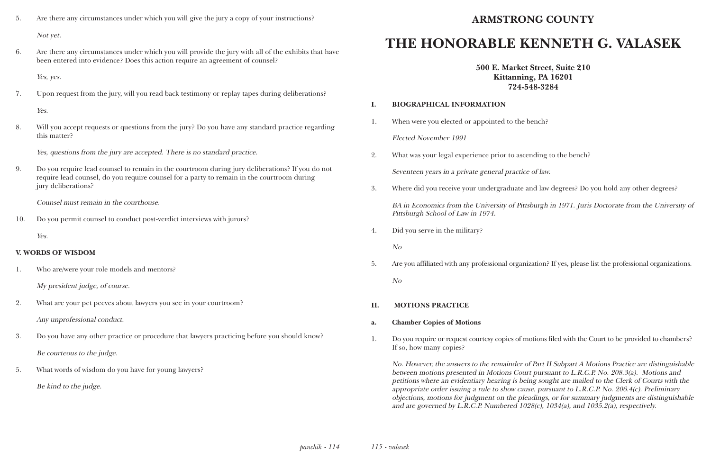- 5. Are there any circumstances under which you will give the jury a copy of your instructions? Not yet.
- 6. Are there any circumstances under which you will provide the jury with all of the exhibits that have been entered into evidence? Does this action require an agreement of counsel?

Yes, yes.

7. Upon request from the jury, will you read back testimony or replay tapes during deliberations?

Yes.

8. Will you accept requests or questions from the jury? Do you have any standard practice regarding this matter?

Yes, questions from the jury are accepted. There is no standard practice.

9. Do you require lead counsel to remain in the courtroom during jury deliberations? If you do not require lead counsel, do you require counsel for a party to remain in the courtroom during jury deliberations?

Counsel must remain in the courthouse.

10. Do you permit counsel to conduct post-verdict interviews with jurors?

Yes.

### **V. WORDS OF WISDOM**

- 1. Who are/were your role models and mentors? My president judge, of course.
- 2. What are your pet peeves about lawyers you see in your courtroom? Any unprofessional conduct.
- 3. Do you have any other practice or procedure that lawyers practicing before you should know? Be courteous to the judge.
- 5. What words of wisdom do you have for young lawyers? Be kind to the judge.

# **ARMSTRONG COUNTY**

# **THE HONORABLE KENNETH G. VALASEK**

**500 E. Market Street, Suite 210 Kittanning, PA 16201 724-548-3284**

### **I. BIOGRAPHICAL INFORMATION**

1. When were you elected or appointed to the bench?

Elected November 1991

- 2. What was your legal experience prior to ascending to the bench? Seventeen years in a private general practice of law.
- 

3. Where did you receive your undergraduate and law degrees? Do you hold any other degrees?

BA in Economics from the University of Pittsburgh in 1971. Juris Doctorate from the University of Pittsburgh School of Law in 1974.

4. Did you serve in the military?

No

5. Are you affiliated with any professional organization? If yes, please list the professional organizations.

No

### **II. MOTIONS PRACTICE**

### **a. Chamber Copies of Motions**

1. Do you require or request courtesy copies of motions filed with the Court to be provided to chambers?

If so, how many copies?

No. However, the answers to the remainder of Part II Subpart A Motions Practice are distinguishable between motions presented in Motions Court pursuant to L.R.C.P. No. 208.3(a). Motions and petitions where an evidentiary hearing is being sought are mailed to the Clerk of Courts with the appropriate order issuing a rule to show cause, pursuant to L.R.C.P. No. 206.4(c). Preliminary objections, motions for judgment on the pleadings, or for summary judgments are distinguishable and are governed by L.R.C.P. Numbered 1028(c), 1034(a), and 1035.2(a), respectively.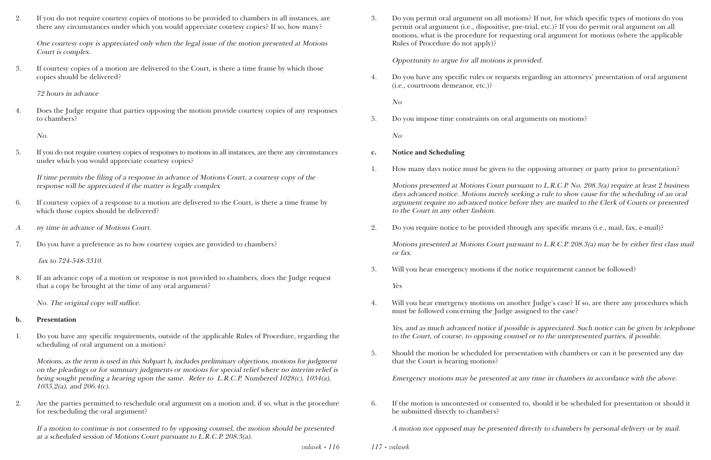2. If you do not require courtesy copies of motions to be provided to chambers in all instances, are there any circumstances under which you would appreciate courtesy copies? If so, how many?

One courtesy copy is appreciated only when the legal issue of the motion presented at Motions Court is complex.

3. If courtesy copies of a motion are delivered to the Court, is there a time frame by which those copies should be delivered?

72 hours in advance

4. Does the Judge require that parties opposing the motion provide courtesy copies of any responses to chambers?

No.

5. If you do not require courtesy copies of responses to motions in all instances, are there any circumstances under which you would appreciate courtesy copies?

Motions, as the term is used in this Subpart b, includes preliminary objections, motions for judgment on the pleadings or for summary judgments or motions for special relief where no interim relief is being sought pending a hearing upon the same. Refer to L.R.C.P. Numbered 1028(c), 1034(a),  $1035.2(a)$ , and  $206.4(c)$ .

If time permits the filing of a response in advance of Motions Court, a courtesy copy of the response will be appreciated if the matter is legally complex

- 6. If courtesy copies of a response to a motion are delivered to the Court, is there a time frame by which those copies should be delivered?
- <sup>A</sup> ny time in advance of Motions Court.
- 7. Do you have a preference as to how courtesy copies are provided to chambers?

*valasek • 116 117 • valasek*

fax to 724-548-3310.

8. If an advance copy of a motion or response is not provided to chambers, does the Judge request that a copy be brought at the time of any oral argument?

No. The original copy will suffice.

#### **b. Presentation**

1. Do you have any specific requirements, outside of the applicable Rules of Procedure, regarding the scheduling of oral argument on a motion?

2. Are the parties permitted to reschedule oral argument on a motion and, if so, what is the procedure for rescheduling the oral argument?

If a motion to continue is not consented to by opposing counsel, the motion should be presented at a scheduled session of Motions Court pursuant to L.R.C.P. 208.3(a).

3. Do you permit oral argument on all motions? If not, for which specific types of motions do you permit oral argument (i.e., dispositive, pre-trial, etc.)? If you do permit oral argument on all motions, what is the procedure for requesting oral argument for motions (where the applicable

Rules of Procedure do not apply)?

Opportunity to argue for all motions is provided.

4. Do you have any specific rules or requests regarding an attorneys' presentation of oral argument

(i.e., courtroom demeanor, etc.)?

No

5. Do you impose time constraints on oral arguments on motions?

No

#### **c. Notice and Scheduling**

1. How many days notice must be given to the opposing attorney or party prior to presentation?

Motions presented at Motions Court pursuant to L.R.C.P. No. 208.3(a) require at least 2 business days advanced notice. Motions merely seeking a rule to show cause for the scheduling of an oral argument require no advanced notice before they are mailed to the Clerk of Courts or presented to the Court in any other fashion.

2. Do you require notice to be provided through any specific means (i.e., mail, fax, e-mail)?

Motions presented at Motions Court pursuant to L.R.C.P. 208.3(a) may be by either first class mail or fax.

3. Will you hear emergency motions if the notice requirement cannot be followed?

Yes

4. Will you hear emergency motions on another Judge's case? If so, are there any procedures which

must be followed concerning the Judge assigned to the case?

Yes, and as much advanced notice if possible is appreciated. Such notice can be given by telephone to the Court, of course, to opposing counsel or to the unrepresented parties, if possible.

5. Should the motion be scheduled for presentation with chambers or can it be presented any day

that the Court is hearing motions?

Emergency motions may be presented at any time in chambers in accordance with the above.

6. If the motion is uncontested or consented to, should it be scheduled for presentation or should it

be submitted directly to chambers?

A motion not opposed may be presented directly to chambers by personal delivery or by mail.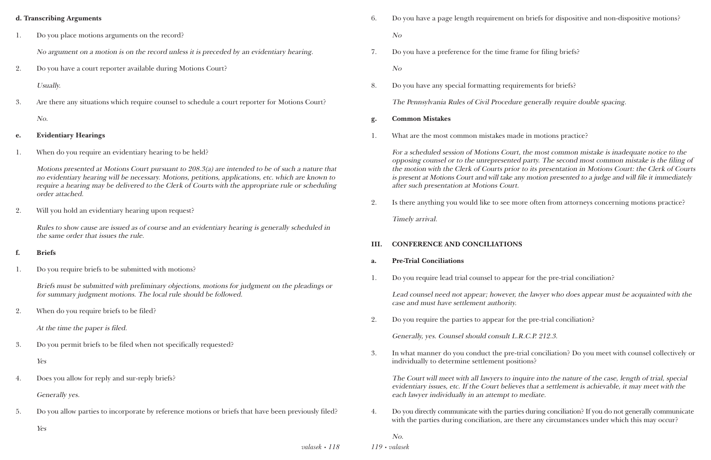#### **d. Transcribing Arguments**

1. Do you place motions arguments on the record?

No argument on a motion is on the record unless it is preceded by an evidentiary hearing.

2. Do you have a court reporter available during Motions Court?

Usually.

3. Are there any situations which require counsel to schedule a court reporter for Motions Court?

No.

#### **e. Evidentiary Hearings**

1. When do you require an evidentiary hearing to be held?

Motions presented at Motions Court pursuant to 208.3(a) are intended to be of such a nature that no evidentiary hearing will be necessary. Motions, petitions, applications, etc. which are known to require a hearing may be delivered to the Clerk of Courts with the appropriate rule or scheduling order attached.

2. Will you hold an evidentiary hearing upon request?

Rules to show cause are issued as of course and an evidentiary hearing is generally scheduled in the same order that issues the rule.

#### **f. Briefs**

1. Do you require briefs to be submitted with motions?

Briefs must be submitted with preliminary objections, motions for judgment on the pleadings or for summary judgment motions. The local rule should be followed.

2. When do you require briefs to be filed?

At the time the paper is filed.

3. Do you permit briefs to be filed when not specifically requested?

Yes

4. Does you allow for reply and sur-reply briefs?

Generally yes.

5. Do you allow parties to incorporate by reference motions or briefs that have been previously filed?

Yes

6. Do you have a page length requirement on briefs for dispositive and non-dispositive motions?

No

7. Do you have a preference for the time frame for filing briefs?

No

8. Do you have any special formatting requirements for briefs?

The Pennsylvania Rules of Civil Procedure generally require double spacing.

- **g. Common Mistakes**
- 1. What are the most common mistakes made in motions practice?

For a scheduled session of Motions Court, the most common mistake is inadequate notice to the opposing counsel or to the unrepresented party. The second most common mistake is the filing of the motion with the Clerk of Courts prior to its presentation in Motions Court: the Clerk of Courts is present at Motions Court and will take any motion presented to a judge and will file it immediately after such presentation at Motions Court.

2. Is there anything you would like to see more often from attorneys concerning motions practice?

Timely arrival.

### **III. CONFERENCE AND CONCILIATIONS**

#### **a. Pre-Trial Conciliations**

1. Do you require lead trial counsel to appear for the pre-trial conciliation?

Lead counsel need not appear; however, the lawyer who does appear must be acquainted with the case and must have settlement authority.

2. Do you require the parties to appear for the pre-trial conciliation?

Generally, yes. Counsel should consult L.R.C.P. 212.3.

3. In what manner do you conduct the pre-trial conciliation? Do you meet with counsel collectively or

individually to determine settlement positions?

The Court will meet with all lawyers to inquire into the nature of the case, length of trial, special evidentiary issues, etc. If the Court believes that a settlement is achievable, it may meet with the each lawyer individually in an attempt to mediate.

4. Do you directly communicate with the parties during conciliation? If you do not generally communicate with the parties during conciliation, are there any circumstances under which this may occur?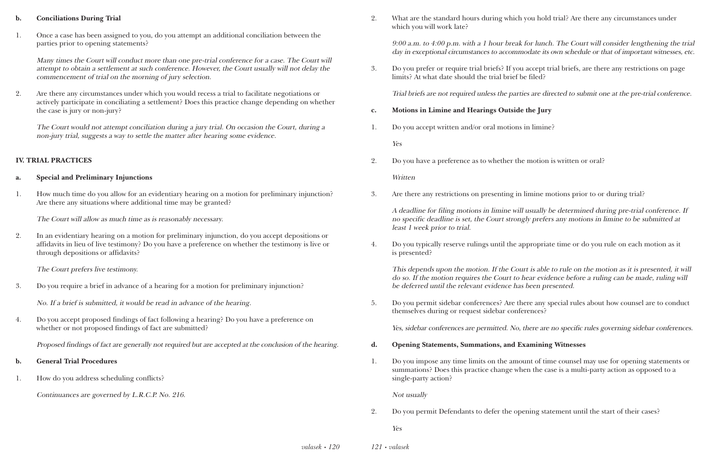#### **b. Conciliations During Trial**

1. Once a case has been assigned to you, do you attempt an additional conciliation between the parties prior to opening statements?

Many times the Court will conduct more than one pre-trial conference for a case. The Court will attempt to obtain a settlement at such conference. However, the Court usually will not delay the commencement of trial on the morning of jury selection.

2. Are there any circumstances under which you would recess a trial to facilitate negotiations or actively participate in conciliating a settlement? Does this practice change depending on whether the case is jury or non-jury?

The Court would not attempt conciliation during a jury trial. On occasion the Court, during a non-jury trial, suggests a way to settle the matter after hearing some evidence.

#### **IV. TRIAL PRACTICES**

#### **a. Special and Preliminary Injunctions**

1. How much time do you allow for an evidentiary hearing on a motion for preliminary injunction? Are there any situations where additional time may be granted?

The Court will allow as much time as is reasonably necessary.

2. In an evidentiary hearing on a motion for preliminary injunction, do you accept depositions or affidavits in lieu of live testimony? Do you have a preference on whether the testimony is live or through depositions or affidavits?

The Court prefers live testimony.

3. Do you require a brief in advance of a hearing for a motion for preliminary injunction?

No. If a brief is submitted, it would be read in advance of the hearing.

4. Do you accept proposed findings of fact following a hearing? Do you have a preference on whether or not proposed findings of fact are submitted?

Proposed findings of fact are generally not required but are accepted at the conclusion of the hearing.

#### **b. General Trial Procedures**

1. How do you address scheduling conflicts?

Continuances are governed by L.R.C.P. No. 216.

2. What are the standard hours during which you hold trial? Are there any circumstances under

which you will work late?

9:00 a.m. to 4:00 p.m. with a 1 hour break for lunch. The Court will consider lengthening the trial day in exceptional circumstances to accommodate its own schedule or that of important witnesses, etc.

3. Do you prefer or require trial briefs? If you accept trial briefs, are there any restrictions on page

limits? At what date should the trial brief be filed?

Trial briefs are not required unless the parties are directed to submit one at the pre-trial conference.

- **c. Motions in Limine and Hearings Outside the Jury**
- 1. Do you accept written and/or oral motions in limine?

Yes

2. Do you have a preference as to whether the motion is written or oral?

**Written** 

3. Are there any restrictions on presenting in limine motions prior to or during trial?

A deadline for filing motions in limine will usually be determined during pre-trial conference. If no specific deadline is set, the Court strongly prefers any motions in limine to be submitted at least 1 week prior to trial.

4. Do you typically reserve rulings until the appropriate time or do you rule on each motion as it

is presented?

This depends upon the motion. If the Court is able to rule on the motion as it is presented, it will do so. If the motion requires the Court to hear evidence before a ruling can be made, ruling will be deferred until the relevant evidence has been presented.

5. Do you permit sidebar conferences? Are there any special rules about how counsel are to conduct

themselves during or request sidebar conferences?

Yes, sidebar conferences are permitted. No, there are no specific rules governing sidebar conferences.

- **d. Opening Statements, Summations, and Examining Witnesses**
- single-party action?

1. Do you impose any time limits on the amount of time counsel may use for opening statements or summations? Does this practice change when the case is a multi-party action as opposed to a

Not usually

2. Do you permit Defendants to defer the opening statement until the start of their cases?

Yes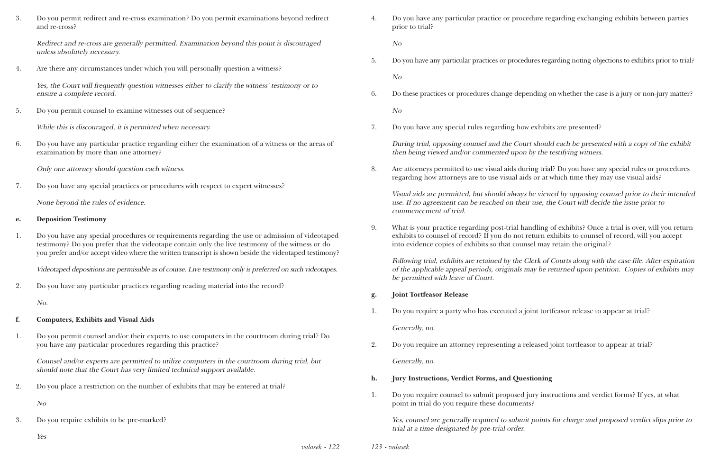3. Do you permit redirect and re-cross examination? Do you permit examinations beyond redirect and re-cross?

Redirect and re-cross are generally permitted. Examination beyond this point is discouraged unless absolutely necessary.

4. Are there any circumstances under which you will personally question a witness?

Yes, the Court will frequently question witnesses either to clarify the witness' testimony or to ensure a complete record.

5. Do you permit counsel to examine witnesses out of sequence?

While this is discouraged, it is permitted when necessary.

6. Do you have any particular practice regarding either the examination of a witness or the areas of examination by more than one attorney?

Only one attorney should question each witness.

7. Do you have any special practices or procedures with respect to expert witnesses?

None beyond the rules of evidence.

#### **e. Deposition Testimony**

1. Do you have any special procedures or requirements regarding the use or admission of videotaped testimony? Do you prefer that the videotape contain only the live testimony of the witness or do you prefer and/or accept video where the written transcript is shown beside the videotaped testimony?

Videotaped depositions are permissible as of course. Live testimony only is preferred on such videotapes.

2. Do you have any particular practices regarding reading material into the record?

No.

#### **f. Computers, Exhibits and Visual Aids**

1. Do you permit counsel and/or their experts to use computers in the courtroom during trial? Do you have any particular procedures regarding this practice?

Counsel and/or experts are permitted to utilize computers in the courtroom during trial, but should note that the Court has very limited technical support available.

2. Do you place a restriction on the number of exhibits that may be entered at trial?

No

3. Do you require exhibits to be pre-marked?

Yes

4. Do you have any particular practice or procedure regarding exchanging exhibits between parties

prior to trial?

No

5. Do you have any particular practices or procedures regarding noting objections to exhibits prior to trial?

No

6. Do these practices or procedures change depending on whether the case is a jury or non-jury matter?

No

7. Do you have any special rules regarding how exhibits are presented?

During trial, opposing counsel and the Court should each be presented with a copy of the exhibit then being viewed and/or commented upon by the testifying witness.

8. Are attorneys permitted to use visual aids during trial? Do you have any special rules or procedures regarding how attorneys are to use visual aids or at which time they may use visual aids?

Visual aids are permitted, but should always be viewed by opposing counsel prior to their intended use. If no agreement can be reached on their use, the Court will decide the issue prior to commencement of trial.

9. What is your practice regarding post-trial handling of exhibits? Once a trial is over, will you return exhibits to counsel of record? If you do not return exhibits to counsel of record, will you accept

into evidence copies of exhibits so that counsel may retain the original?

Following trial, exhibits are retained by the Clerk of Courts along with the case file. After expiration of the applicable appeal periods, originals may be returned upon petition. Copies of exhibits may be permitted with leave of Court.

- **g. Joint Tortfeasor Release**
- 1. Do you require a party who has executed a joint tortfeasor release to appear at trial?

Generally, no.

2. Do you require an attorney representing a released joint tortfeasor to appear at trial?

Generally, no.

- **h. Jury Instructions, Verdict Forms, and Questioning**
- point in trial do you require these documents?

1. Do you require counsel to submit proposed jury instructions and verdict forms? If yes, at what

Yes, counsel are generally required to submit points for charge and proposed verdict slips prior to trial at a time designated by pre-trial order.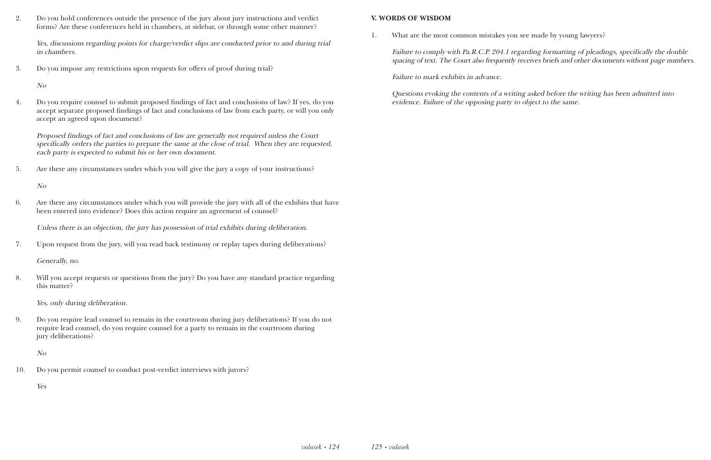2. Do you hold conferences outside the presence of the jury about jury instructions and verdict forms? Are these conferences held in chambers, at sidebar, or through some other manner?

Yes, discussions regarding points for charge/verdict slips are conducted prior to and during trial in chambers.

3. Do you impose any restrictions upon requests for offers of proof during trial?

No

4. Do you require counsel to submit proposed findings of fact and conclusions of law? If yes, do you accept separate proposed findings of fact and conclusions of law from each party, or will you only accept an agreed upon document?

Proposed findings of fact and conclusions of law are generally not required unless the Court specifically orders the parties to prepare the same at the close of trial. When they are requested, each party is expected to submit his or her own document.

5. Are there any circumstances under which you will give the jury a copy of your instructions?

No

Failure to comply with Pa.R.C.P. 204.1 regarding formatting of pleadings, specifically the double spacing of text. The Court also frequently receives briefs and other documents without page numbers.

6. Are there any circumstances under which you will provide the jury with all of the exhibits that have been entered into evidence? Does this action require an agreement of counsel?

Unless there is an objection, the jury has possession of trial exhibits during deliberation.

7. Upon request from the jury, will you read back testimony or replay tapes during deliberations?

Generally, no.

8. Will you accept requests or questions from the jury? Do you have any standard practice regarding this matter?

Yes, only during deliberation.

9. Do you require lead counsel to remain in the courtroom during jury deliberations? If you do not require lead counsel, do you require counsel for a party to remain in the courtroom during jury deliberations?

No

10. Do you permit counsel to conduct post-verdict interviews with jurors?

Yes

#### **V. WORDS OF WISDOM**

1. What are the most common mistakes you see made by young lawyers?

Failure to mark exhibits in advance.

Questions evoking the contents of a writing asked before the writing has been admitted into evidence. Failure of the opposing party to object to the same.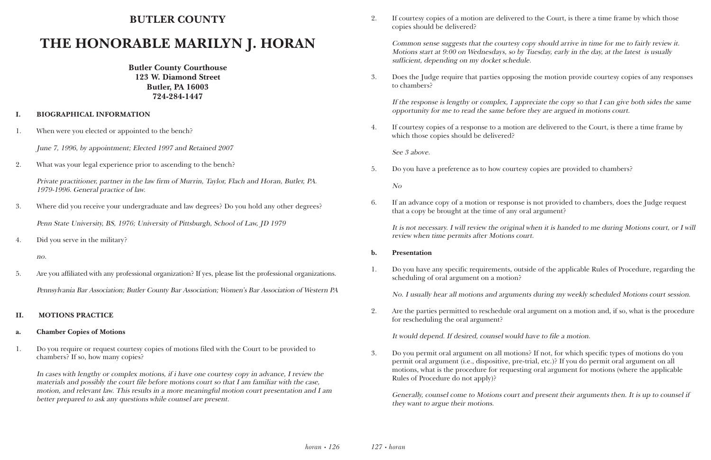## **BUTLER COUNTY**

# **THE HONORABLE MARILYN J. HORAN**

**Butler County Courthouse 123 W. Diamond Street Butler, PA 16003 724-284-1447**

#### **I. BIOGRAPHICAL INFORMATION**

1. When were you elected or appointed to the bench?

June 7, 1996, by appointment; Elected 1997 and Retained 2007

2. What was your legal experience prior to ascending to the bench?

Private practitioner, partner in the law firm of Murrin, Taylor, Flach and Horan, Butler, PA. 1979-1996. General practice of law.

3. Where did you receive your undergraduate and law degrees? Do you hold any other degrees?

Penn State University, BS, 1976; University of Pittsburgh, School of Law, JD 1979

4. Did you serve in the military?

no.

5. Are you affiliated with any professional organization? If yes, please list the professional organizations. Pennsylvania Bar Association; Butler County Bar Association; Women's Bar Association of Western PA

#### **II. MOTIONS PRACTICE**

#### **a. Chamber Copies of Motions**

1. Do you require or request courtesy copies of motions filed with the Court to be provided to chambers? If so, how many copies?

In cases with lengthy or complex motions, if i have one courtesy copy in advance, I review the materials and possibly the court file before motions court so that I am familiar with the case, motion, and relevant law. This results in a more meaningful motion court presentation and I am better prepared to ask any questions while counsel are present.

2. If courtesy copies of a motion are delivered to the Court, is there a time frame by which those

copies should be delivered?

Common sense suggests that the courtesy copy should arrive in time for me to fairly review it. Motions start at 9:00 on Wednesdays, so by Tuesday, early in the day, at the latest is usually sufficient, depending on my docket schedule.

3. Does the Judge require that parties opposing the motion provide courtesy copies of any responses

to chambers?

If the response is lengthy or complex, I appreciate the copy so that I can give both sides the same opportunity for me to read the same before they are argued in motions court.

4. If courtesy copies of a response to a motion are delivered to the Court, is there a time frame by

which those copies should be delivered?

See 3 above.

5. Do you have a preference as to how courtesy copies are provided to chambers?

No

6. If an advance copy of a motion or response is not provided to chambers, does the Judge request

that a copy be brought at the time of any oral argument?

It is not necessary. I will review the original when it is handed to me during Motions court, or I will review when time permits after Motions court.

#### **b. Presentation**

1. Do you have any specific requirements, outside of the applicable Rules of Procedure, regarding the

scheduling of oral argument on a motion?

No. I usually hear all motions and arguments during my weekly scheduled Motions court session.

2. Are the parties permitted to reschedule oral argument on a motion and, if so, what is the procedure

for rescheduling the oral argument?

It would depend. If desired, counsel would have to file a motion.

3. Do you permit oral argument on all motions? If not, for which specific types of motions do you permit oral argument (i.e., dispositive, pre-trial, etc.)? If you do permit oral argument on all motions, what is the procedure for requesting oral argument for motions (where the applicable

Rules of Procedure do not apply)?

Generally, counsel come to Motions court and present their arguments then. It is up to counsel if they want to argue their motions.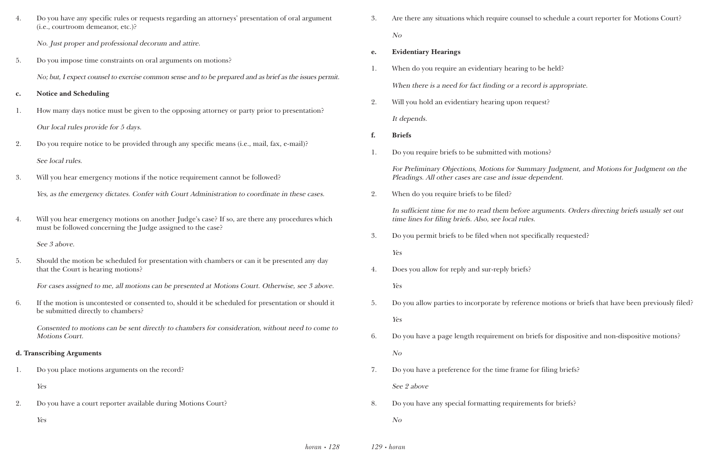4. Do you have any specific rules or requests regarding an attorneys' presentation of oral argument

(i.e., courtroom demeanor, etc.)?

|                      | No. Just proper and professional decorum and attire.                                                                                                          | e. | <b>Evidentiary Hearings</b>                                                                         |
|----------------------|---------------------------------------------------------------------------------------------------------------------------------------------------------------|----|-----------------------------------------------------------------------------------------------------|
| 5.                   | Do you impose time constraints on oral arguments on motions?                                                                                                  | 1. | When do you require an evidentiary hearing                                                          |
|                      | No; but, I expect counsel to exercise common sense and to be prepared and as brief as the issues permit.                                                      |    | When there is a need for fact finding or a rec                                                      |
| $\mathbf{c}$ .<br>1. | <b>Notice and Scheduling</b><br>How many days notice must be given to the opposing attorney or party prior to presentation?                                   | 2. | Will you hold an evidentiary hearing upon re                                                        |
|                      | Our local rules provide for 5 days.                                                                                                                           | f. | It depends.<br><b>Briefs</b>                                                                        |
| 2.                   | Do you require notice to be provided through any specific means (i.e., mail, fax, e-mail)?<br>See local rules.                                                | 1. | Do you require briefs to be submitted with me                                                       |
| 3.                   | Will you hear emergency motions if the notice requirement cannot be followed?                                                                                 |    | For Preliminary Objections, Motions for Sum<br>Pleadings. All other cases are case and issue of     |
|                      | Yes, as the emergency dictates. Confer with Court Administration to coordinate in these cases.                                                                | 2. | When do you require briefs to be filed?                                                             |
| 4.                   | Will you hear emergency motions on another Judge's case? If so, are there any procedures which<br>must be followed concerning the Judge assigned to the case? |    | In sufficient time for me to read them before<br>time lines for filing briefs. Also, see local rule |
|                      | See 3 above.                                                                                                                                                  | 3. | Do you permit briefs to be filed when not spe                                                       |
| 5.                   | Should the motion be scheduled for presentation with chambers or can it be presented any day<br>that the Court is hearing motions?                            | 4. | Yes<br>Does you allow for reply and sur-reply briefs?                                               |
|                      | For cases assigned to me, all motions can be presented at Motions Court. Otherwise, see 3 above.                                                              |    | Yes                                                                                                 |
| 6.                   | If the motion is uncontested or consented to, should it be scheduled for presentation or should it<br>be submitted directly to chambers?                      | 5. | Do you allow parties to incorporate by referent                                                     |
|                      | Consented to motions can be sent directly to chambers for consideration, without need to come to<br><b>Motions Court.</b>                                     | 6. | Yes<br>Do you have a page length requirement on bi                                                  |
|                      | d. Transcribing Arguments                                                                                                                                     |    | N <sub>O</sub>                                                                                      |
| 1.                   | Do you place motions arguments on the record?                                                                                                                 | 7. | Do you have a preference for the time frame                                                         |
|                      | Yes                                                                                                                                                           |    | See 2 above                                                                                         |
| 2.                   | Do you have a court reporter available during Motions Court?                                                                                                  | 8. | Do you have any special formatting requirem                                                         |
|                      | Yes                                                                                                                                                           |    | N <sub>O</sub>                                                                                      |
|                      | $horan \cdot 128$                                                                                                                                             |    | $129 \cdot horan$                                                                                   |

3. Are there any situations which require counsel to schedule a court reporter for Motions Court?

ing to be held?

*n* record is appropriate.

on request?

No

h motions?

Summary Judgment, and Motions for Judgment on the sue dependent.

fore arguments. Orders directing briefs usually set out rules.

t specifically requested?

ference motions or briefs that have been previously filed?

on briefs for dispositive and non-dispositive motions?

ame for filing briefs?

irements for briefs?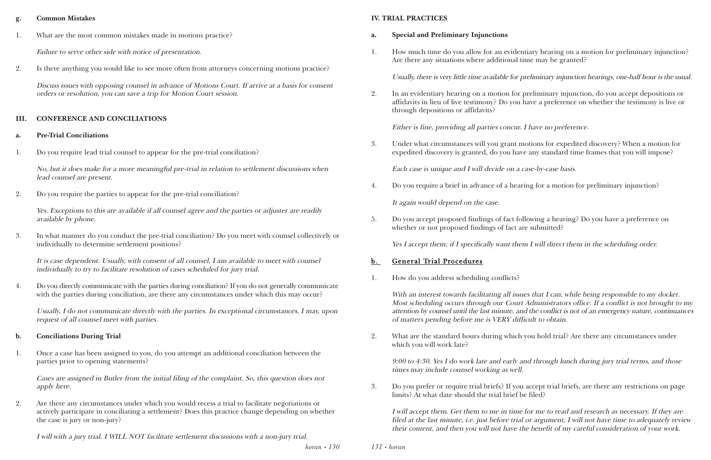*horan • 130*

#### **g. Common Mistakes**

1. What are the most common mistakes made in motions practice?

Failure to serve other side with notice of presentation.

2. Is there anything you would like to see more often from attorneys concerning motions practice?

Discuss issues with opposing counsel in advance of Motions Court. If arrive at a basis for consent orders or resolution, you can save a trip for Motion Court session.

#### **III. CONFERENCE AND CONCILIATIONS**

#### **a. Pre-Trial Conciliations**

1. Do you require lead trial counsel to appear for the pre-trial conciliation?

No, but it does make for a more meaningful pre-trial in relation to settlement discussions when lead counsel are present.

2. Do you require the parties to appear for the pre-trial conciliation?

Yes. Exceptions to this are available if all counsel agree and the parties or adjuster are readily available by phone.

3. In what manner do you conduct the pre-trial conciliation? Do you meet with counsel collectively or individually to determine settlement positions?

It is case dependent. Usually, with consent of all counsel, I am available to meet with counsel individually to try to facilitate resolution of cases scheduled for jury trial.

4. Do you directly communicate with the parties during conciliation? If you do not generally communicate with the parties during conciliation, are there any circumstances under which this may occur?

Usually, I do not communicate directly with the parties. In exceptional circumstances, I may, upon request of all counsel meet with parties.

#### **b. Conciliations During Trial**

1. Once a case has been assigned to you, do you attempt an additional conciliation between the parties prior to opening statements?

Cases are assigned in Butler from the initial filing of the complaint. So, this question does not apply here.

With an interest towards facilitating all issues that I can, while being responsible to my docket. Most scheduling occurs through our Court Administrators office. If a conflict is not brought to my attention by counsel until the last minute, and the conflict is not of an emergency nature, continuances of matters pending before me is VERY difficult to obtain.

2. Are there any circumstances under which you would recess a trial to facilitate negotiations or actively participate in conciliating a settlement? Does this practice change depending on whether the case is jury or non-jury?

I will with a jury trial. I WILL NOT facilitate settlement discussions with a non-jury trial.

*131 • horan*

#### **IV. TRIAL PRACTICES**

#### **a. Special and Preliminary Injunctions**

1. How much time do you allow for an evidentiary hearing on a motion for preliminary injunction?

Are there any situations where additional time may be granted?

Usually, there is very little time available for preliminary injunction hearings, one-half hour is the usual.

2. In an evidentiary hearing on a motion for preliminary injunction, do you accept depositions or affidavits in lieu of live testimony? Do you have a preference on whether the testimony is live or

through depositions or affidavits?

Either is fine, providing all parties concur. I have no preference.

3. Under what circumstances will you grant motions for expedited discovery? When a motion for expedited discovery is granted, do you have any standard time frames that you will impose?

Each case is unique and I will decide on a case-by-case basis.

4. Do you require a brief in advance of a hearing for a motion for preliminary injunction?

It again would depend on the case.

5. Do you accept proposed findings of fact following a hearing? Do you have a preference on whether or not proposed findings of fact are submitted?

Yes I accept them; if I specifically want them I will direct them in the scheduling order.

### b. General Trial Procedures

1. How do you address scheduling conflicts?

2. What are the standard hours during which you hold trial? Are there any circumstances under

which you will work late?

9:00 to 4:30. Yes I do work late and early and through lunch during jury trial terms, and those times may include counsel working as well.

3. Do you prefer or require trial briefs? If you accept trial briefs, are there any restrictions on page

limits? At what date should the trial brief be filed?

I will accept them. Get them to me in time for me to read and research as necessary. If they are filed at the last minute, i.e. just before trial or argument, I will not have time to adequately review their content, and then you will not have the benefit of my careful consideration of your work.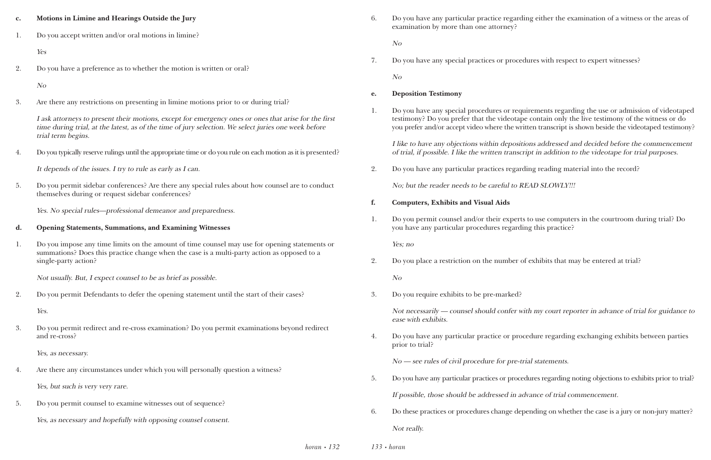| $\mathbf{c}$ . | Motions in Limine and Hearings Outside the Jury                                                                                                                                                                                    |
|----------------|------------------------------------------------------------------------------------------------------------------------------------------------------------------------------------------------------------------------------------|
| 1.             | Do you accept written and/or oral motions in limine?                                                                                                                                                                               |
|                | Yes                                                                                                                                                                                                                                |
| 2.             | Do you have a preference as to whether the motion is written or oral?                                                                                                                                                              |
|                | N <sub>O</sub>                                                                                                                                                                                                                     |
| 3.             | Are there any restrictions on presenting in limine motions prior to or during trial?                                                                                                                                               |
|                | I ask attorneys to present their motions, except for emergency ones or ones that arise for the first<br>time during trial, at the latest, as of the time of jury selection. We select juries one week before<br>trial term begins. |
| 4.             | Do you typically reserve rulings until the appropriate time or do you rule on each motion as it is presented?                                                                                                                      |
|                | It depends of the issues. I try to rule as early as I can.                                                                                                                                                                         |
| 5.             | Do you permit sidebar conferences? Are there any special rules about how counsel are to conduct<br>themselves during or request sidebar conferences?                                                                               |
|                | Yes. No special rules-professional demeanor and preparedness.                                                                                                                                                                      |
| d.             | <b>Opening Statements, Summations, and Examining Witnesses</b>                                                                                                                                                                     |
| 1.             | Do you impose any time limits on the amount of time counsel may use for opening statements or<br>summations? Does this practice change when the case is a multi-party action as opposed to a<br>single-party action?               |
|                | Not usually. But, I expect counsel to be as brief as possible.                                                                                                                                                                     |
| 2.             | Do you permit Defendants to defer the opening statement until the start of their cases?                                                                                                                                            |
|                | Yes.                                                                                                                                                                                                                               |
| 3.             | Do you permit redirect and re-cross examination? Do you permit examinations beyond redirect<br>and re-cross?                                                                                                                       |

*horan • 132 133 • horan*

Yes, as necessary.

- 4. Are there any circumstances under which you will personally question a witness? Yes, but such is very very rare.
- 5. Do you permit counsel to examine witnesses out of sequence? Yes, as necessary and hopefully with opposing counsel consent.

6. Do you have any particular practice regarding either the examination of a witness or the areas of

examination by more than one attorney?

No

7. Do you have any special practices or procedures with respect to expert witnesses?

No

### **e. Deposition Testimony**

1. Do you have any special procedures or requirements regarding the use or admission of videotaped testimony? Do you prefer that the videotape contain only the live testimony of the witness or do you prefer and/or accept video where the written transcript is shown beside the videotaped testimony?

I like to have any objections within depositions addressed and decided before the commencement of trial, if possible. I like the written transcript in addition to the videotape for trial purposes.

2. Do you have any particular practices regarding reading material into the record?

No; but the reader needs to be careful to READ SLOWLY!!!

1. Do you permit counsel and/or their experts to use computers in the courtroom during trial? Do

- **f. Computers, Exhibits and Visual Aids**
- you have any particular procedures regarding this practice?

Yes; no

2. Do you place a restriction on the number of exhibits that may be entered at trial?

No

3. Do you require exhibits to be pre-marked?

Not necessarily — counsel should confer with my court reporter in advance of trial for guidance to ease with exhibits.

4. Do you have any particular practice or procedure regarding exchanging exhibits between parties

prior to trial?

No — see rules of civil procedure for pre-trial statements.

5. Do you have any particular practices or procedures regarding noting objections to exhibits prior to trial?

If possible, those should be addressed in advance of trial commencement.

6. Do these practices or procedures change depending on whether the case is a jury or non-jury matter?

Not really.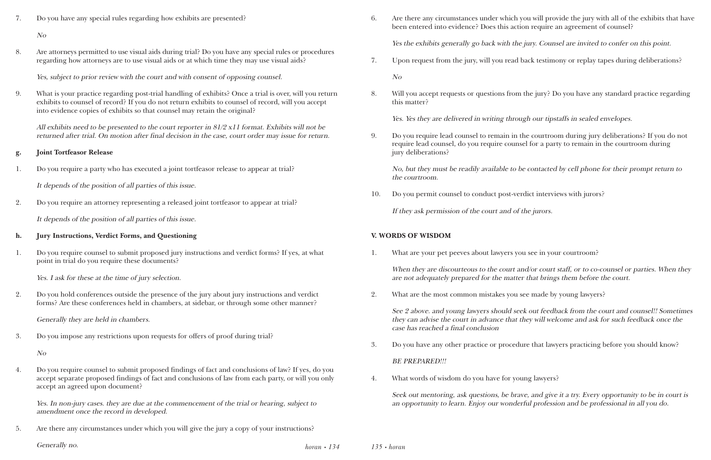7. Do you have any special rules regarding how exhibits are presented?

No

8. Are attorneys permitted to use visual aids during trial? Do you have any special rules or procedures regarding how attorneys are to use visual aids or at which time they may use visual aids?

Yes, subject to prior review with the court and with consent of opposing counsel.

9. What is your practice regarding post-trial handling of exhibits? Once a trial is over, will you return exhibits to counsel of record? If you do not return exhibits to counsel of record, will you accept into evidence copies of exhibits so that counsel may retain the original?

All exhibits need to be presented to the court reporter in 81/2 x11 format. Exhibits will not be returned after trial. On motion after final decision in the case, court order may issue for return.

#### **g. Joint Tortfeasor Release**

1. Do you require a party who has executed a joint tortfeasor release to appear at trial?

It depends of the position of all parties of this issue.

2. Do you require an attorney representing a released joint tortfeasor to appear at trial?

It depends of the position of all parties of this issue.

#### **h. Jury Instructions, Verdict Forms, and Questioning**

1. Do you require counsel to submit proposed jury instructions and verdict forms? If yes, at what point in trial do you require these documents?

Yes. I ask for these at the time of jury selection.

2. Do you hold conferences outside the presence of the jury about jury instructions and verdict forms? Are these conferences held in chambers, at sidebar, or through some other manner?

Generally they are held in chambers.

3. Do you impose any restrictions upon requests for offers of proof during trial?

No

When they are discourteous to the court and/or court staff, or to co-counsel or parties. When they are not adequately prepared for the matter that brings them before the court.

4. Do you require counsel to submit proposed findings of fact and conclusions of law? If yes, do you accept separate proposed findings of fact and conclusions of law from each party, or will you only accept an agreed upon document?

Yes. In non-jury cases. they are due at the commencement of the trial or hearing, subject to amendment once the record in developed.

5. Are there any circumstances under which you will give the jury a copy of your instructions?

6. Are there any circumstances under which you will provide the jury with all of the exhibits that have

been entered into evidence? Does this action require an agreement of counsel?

Yes the exhibits generally go back with the jury. Counsel are invited to confer on this point.

7. Upon request from the jury, will you read back testimony or replay tapes during deliberations?

No

8. Will you accept requests or questions from the jury? Do you have any standard practice regarding

this matter?

Yes. Yes they are delivered in writing through our tipstaffs in sealed envelopes.

9. Do you require lead counsel to remain in the courtroom during jury deliberations? If you do not require lead counsel, do you require counsel for a party to remain in the courtroom during

jury deliberations?

No, but they must be readily available to be contacted by cell phone for their prompt return to the courtroom.

10. Do you permit counsel to conduct post-verdict interviews with jurors?

If they ask permission of the court and of the jurors.

## **V. WORDS OF WISDOM**

1. What are your pet peeves about lawyers you see in your courtroom?

2. What are the most common mistakes you see made by young lawyers?

See 2 above. and young lawyers should seek out feedback from the court and counsel!! Sometimes they can advise the court in advance that they will welcome and ask for such feedback once the case has reached a final conclusion

3. Do you have any other practice or procedure that lawyers practicing before you should know?

BE PREPARED!!!

4. What words of wisdom do you have for young lawyers?

Seek out mentoring, ask questions, be brave, and give it a try. Every opportunity to be in court is an opportunity to learn. Enjoy our wonderful profession and be professional in all you do.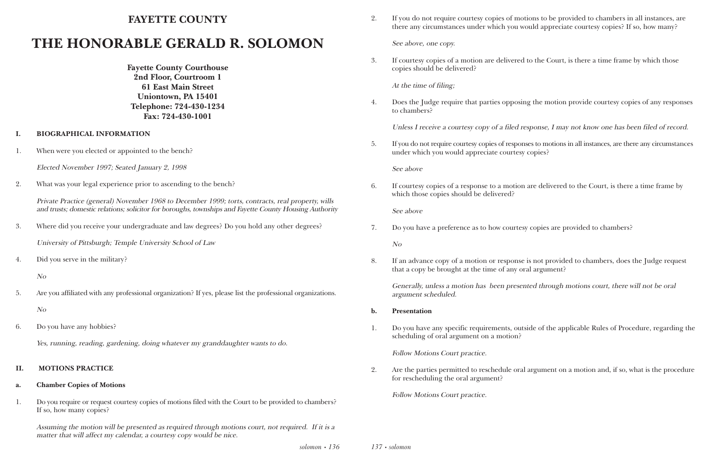*solomon • 136*

## **FAYETTE COUNTY**

# **THE HONORABLE GERALD R. SOLOMON**

**Fayette County Courthouse 2nd Floor, Courtroom 1 61 East Main Street Uniontown, PA 15401 Telephone: 724-430-1234 Fax: 724-430-1001**

- **I. BIOGRAPHICAL INFORMATION**
- 1. When were you elected or appointed to the bench?

Elected November 1997; Seated January 2, 1998

2. What was your legal experience prior to ascending to the bench?

Private Practice (general) November 1968 to December 1999; torts, contracts, real property, wills and trusts; domestic relations; solicitor for boroughs, townships and Fayette County Housing Authority

3. Where did you receive your undergraduate and law degrees? Do you hold any other degrees?

University of Pittsburgh; Temple University School of Law

4. Did you serve in the military?

No

5. Are you affiliated with any professional organization? If yes, please list the professional organizations.

No

6. Do you have any hobbies?

Yes, running, reading, gardening, doing whatever my granddaughter wants to do.

### **II. MOTIONS PRACTICE**

### **a. Chamber Copies of Motions**

1. Do you require or request courtesy copies of motions filed with the Court to be provided to chambers? If so, how many copies?

Assuming the motion will be presented as required through motions court, not required. If it is a matter that will affect my calendar, a courtesy copy would be nice.

*137 • solomon*

2. If you do not require courtesy copies of motions to be provided to chambers in all instances, are there any circumstances under which you would appreciate courtesy copies? If so, how many?

See above, one copy.

3. If courtesy copies of a motion are delivered to the Court, is there a time frame by which those

copies should be delivered?

At the time of filing;

4. Does the Judge require that parties opposing the motion provide courtesy copies of any responses

to chambers?

Unless I receive a courtesy copy of a filed response, I may not know one has been filed of record.

5. If you do not require courtesy copies of responses to motions in all instances, are there any circumstances

under which you would appreciate courtesy copies?

See above

6. If courtesy copies of a response to a motion are delivered to the Court, is there a time frame by

which those copies should be delivered?

See above

7. Do you have a preference as to how courtesy copies are provided to chambers?

No

8. If an advance copy of a motion or response is not provided to chambers, does the Judge request

that a copy be brought at the time of any oral argument?

Generally, unless a motion has been presented through motions court, there will not be oral argument scheduled.

1. Do you have any specific requirements, outside of the applicable Rules of Procedure, regarding the

- **b. Presentation**
- scheduling of oral argument on a motion?

Follow Motions Court practice.

2. Are the parties permitted to reschedule oral argument on a motion and, if so, what is the procedure

for rescheduling the oral argument?

Follow Motions Court practice.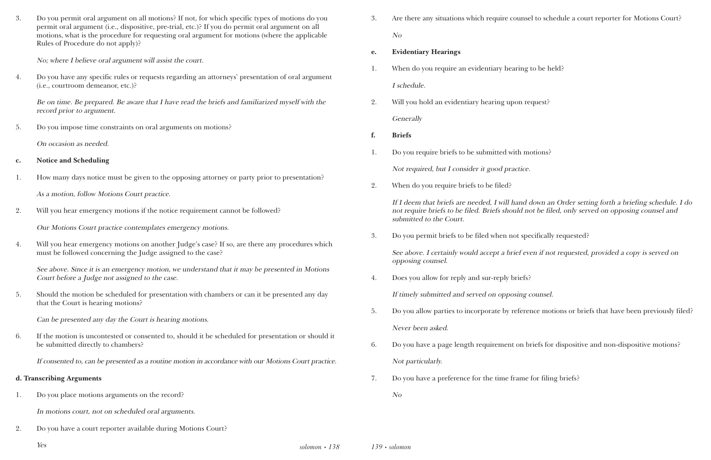3. Do you permit oral argument on all motions? If not, for which specific types of motions do you permit oral argument (i.e., dispositive, pre-trial, etc.)? If you do permit oral argument on all motions, what is the procedure for requesting oral argument for motions (where the applicable Rules of Procedure do not apply)?

No; where I believe oral argument will assist the court.

4. Do you have any specific rules or requests regarding an attorneys' presentation of oral argument (i.e., courtroom demeanor, etc.)?

Be on time. Be prepared. Be aware that I have read the briefs and familiarized myself with the record prior to argument.

5. Do you impose time constraints on oral arguments on motions?

On occasion as needed.

- **c. Notice and Scheduling**
- 1. How many days notice must be given to the opposing attorney or party prior to presentation?

As a motion, follow Motions Court practice.

2. Will you hear emergency motions if the notice requirement cannot be followed?

Our Motions Court practice contemplates emergency motions.

4. Will you hear emergency motions on another Judge's case? If so, are there any procedures which must be followed concerning the Judge assigned to the case?

See above. Since it is an emergency motion, we understand that it may be presented in Motions Court before a Judge not assigned to the case.

5. Should the motion be scheduled for presentation with chambers or can it be presented any day that the Court is hearing motions?

Can be presented any day the Court is hearing motions.

6. If the motion is uncontested or consented to, should it be scheduled for presentation or should it be submitted directly to chambers?

If consented to, can be presented as a routine motion in accordance with our Motions Court practice.

#### **d. Transcribing Arguments**

1. Do you place motions arguments on the record?

In motions court, not on scheduled oral arguments.

2. Do you have a court reporter available during Motions Court?

3. Are there any situations which require counsel to schedule a court reporter for Motions Court?

No

- **e. Evidentiary Hearings**
- 1. When do you require an evidentiary hearing to be held? I schedule.
- 2. Will you hold an evidentiary hearing upon request? **Generally**
- **f. Briefs**
- 1. Do you require briefs to be submitted with motions? Not required, but I consider it good practice.
- 2. When do you require briefs to be filed?

### If I deem that briefs are needed, I will hand down an Order setting forth a briefing schedule. I do not require briefs to be filed. Briefs should not be filed, only served on opposing counsel and

submitted to the Court.

3. Do you permit briefs to be filed when not specifically requested?

See above. I certainly would accept a brief even if not requested, provided a copy is served on opposing counsel.

4. Does you allow for reply and sur-reply briefs?

If timely submitted and served on opposing counsel.

5. Do you allow parties to incorporate by reference motions or briefs that have been previously filed?

6. Do you have a page length requirement on briefs for dispositive and non-dispositive motions?

- Never been asked.
- Not particularly.
- 7. Do you have a preference for the time frame for filing briefs?

No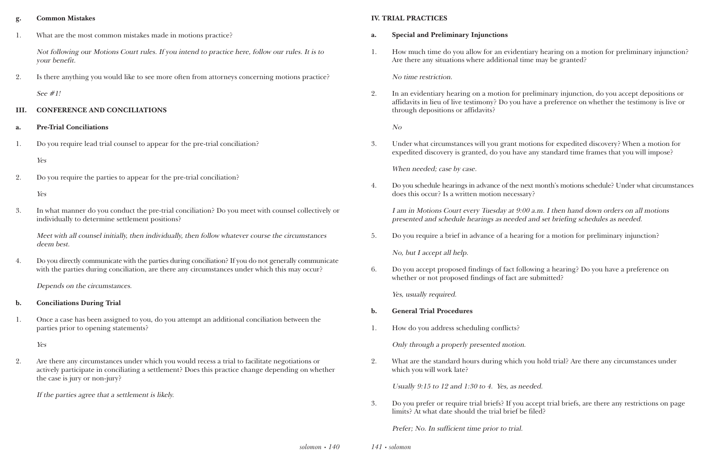#### **g. Common Mistakes**

1. What are the most common mistakes made in motions practice?

Not following our Motions Court rules. If you intend to practice here, follow our rules. It is to your benefit.

2. Is there anything you would like to see more often from attorneys concerning motions practice?

See #1!

#### **III. CONFERENCE AND CONCILIATIONS**

4. Do you directly communicate with the parties during conciliation? If you do not generally communicate with the parties during conciliation, are there any circumstances under which this may occur?

- **a. Pre-Trial Conciliations**
- 1. Do you require lead trial counsel to appear for the pre-trial conciliation?

#### Yes

2. Do you require the parties to appear for the pre-trial conciliation?

#### Yes

3. In what manner do you conduct the pre-trial conciliation? Do you meet with counsel collectively or individually to determine settlement positions?

Meet with all counsel initially, then individually, then follow whatever course the circumstances deem best.

Depends on the circumstances.

#### **b. Conciliations During Trial**

1. Once a case has been assigned to you, do you attempt an additional conciliation between the parties prior to opening statements?

Yes

2. Are there any circumstances under which you would recess a trial to facilitate negotiations or actively participate in conciliating a settlement? Does this practice change depending on whether the case is jury or non-jury?

If the parties agree that a settlement is likely.

#### **IV. TRIAL PRACTICES**

1. How much time do you allow for an evidentiary hearing on a motion for preliminary injunction?

- **a. Special and Preliminary Injunctions**
- Are there any situations where additional time may be granted?

#### No time restriction.

2. In an evidentiary hearing on a motion for preliminary injunction, do you accept depositions or affidavits in lieu of live testimony? Do you have a preference on whether the testimony is live or

through depositions or affidavits?

No

When needed; case by case.

3. Under what circumstances will you grant motions for expedited discovery? When a motion for expedited discovery is granted, do you have any standard time frames that you will impose?

4. Do you schedule hearings in advance of the next month's motions schedule? Under what circumstances

does this occur? Is a written motion necessary?

I am in Motions Court every Tuesday at 9:00 a.m. I then hand down orders on all motions presented and schedule hearings as needed and set briefing schedules as needed.

5. Do you require a brief in advance of a hearing for a motion for preliminary injunction?

No, but I accept all help.

6. Do you accept proposed findings of fact following a hearing? Do you have a preference on whether or not proposed findings of fact are submitted?

Yes, usually required.

- **b. General Trial Procedures**
- 1. How do you address scheduling conflicts?

Only through a properly presented motion.

2. What are the standard hours during which you hold trial? Are there any circumstances under

which you will work late?

Usually 9:15 to 12 and 1:30 to 4. Yes, as needed.

3. Do you prefer or require trial briefs? If you accept trial briefs, are there any restrictions on page

limits? At what date should the trial brief be filed?

Prefer; No. In sufficient time prior to trial.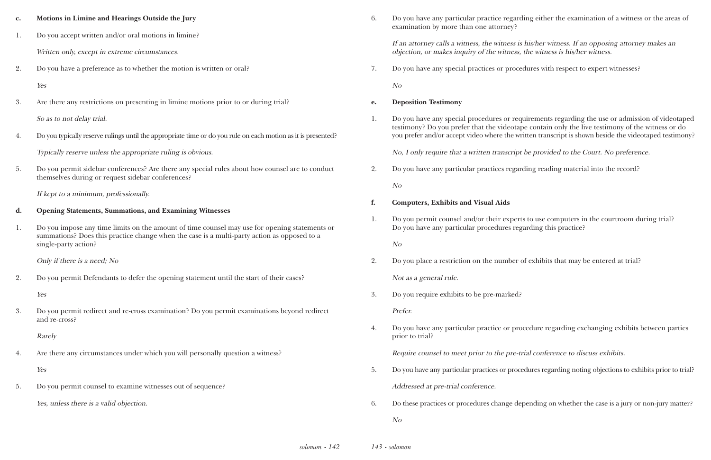ny particular practice regarding either the examination of a witness or the areas of

calls a witness, the witness is his/her witness. If an opposing attorney makes an rakes inquiry of the witness, the witness is his/her witness.

ny special practices or procedures with respect to expert witnesses?

ny special procedures or requirements regarding the use or admission of videotaped you prefer that the videotape contain only the live testimony of the witness or do or accept video where the written transcript is shown beside the videotaped testimony?

uire that a written transcript be provided to the Court. No preference.

ny particular practices regarding reading material into the record?

counsel and/or their experts to use computers in the courtroom during trial? ny particular procedures regarding this practice?

restriction on the number of exhibits that may be entered at trial?

ny particular practice or procedure regarding exchanging exhibits between parties

rel to meet prior to the pre-trial conference to discuss exhibits.

ist particular practices or procedures regarding noting objections to exhibits prior to trial?

ices or procedures change depending on whether the case is a jury or non-jury matter?

| $\mathbf{c}$ . | Motions in Limine and Hearings Outside the Jury                                                                                                                                              | 6. | Do you have any particular practice regard<br>examination by more than one attorney?          |
|----------------|----------------------------------------------------------------------------------------------------------------------------------------------------------------------------------------------|----|-----------------------------------------------------------------------------------------------|
| 1.             | Do you accept written and/or oral motions in limine?                                                                                                                                         |    |                                                                                               |
|                | Written only, except in extreme circumstances.                                                                                                                                               |    | If an attorney calls a witness, the witness is<br>objection, or makes inquiry of the witness, |
| 2.             | Do you have a preference as to whether the motion is written or oral?                                                                                                                        | 7. | Do you have any special practices or proce                                                    |
|                | Yes                                                                                                                                                                                          |    | N <sub>O</sub>                                                                                |
| 3.             | Are there any restrictions on presenting in limine motions prior to or during trial?                                                                                                         | e. | <b>Deposition Testimony</b>                                                                   |
|                | So as to not delay trial.                                                                                                                                                                    | 1. | Do you have any special procedures or req                                                     |
| 4.             | Do you typically reserve rulings until the appropriate time or do you rule on each motion as it is presented?                                                                                |    | testimony? Do you prefer that the videotap<br>you prefer and/or accept video where the wi     |
|                | Typically reserve unless the appropriate ruling is obvious.                                                                                                                                  |    | No, I only require that a written transcript                                                  |
| 5.             | Do you permit sidebar conferences? Are there any special rules about how counsel are to conduct<br>themselves during or request sidebar conferences?                                         | 2. | Do you have any particular practices regar                                                    |
|                |                                                                                                                                                                                              |    | N <sub>O</sub>                                                                                |
|                | If kept to a minimum, professionally.                                                                                                                                                        | f. | <b>Computers, Exhibits and Visual Aids</b>                                                    |
| d.             | <b>Opening Statements, Summations, and Examining Witnesses</b>                                                                                                                               | 1. | Do you permit counsel and/or their expert                                                     |
| 1.             | Do you impose any time limits on the amount of time counsel may use for opening statements or<br>summations? Does this practice change when the case is a multi-party action as opposed to a |    | Do you have any particular procedures reg                                                     |
|                | single-party action?                                                                                                                                                                         |    | N o                                                                                           |
|                | Only if there is a need; No                                                                                                                                                                  | 2. | Do you place a restriction on the number                                                      |
| 2.             | Do you permit Defendants to defer the opening statement until the start of their cases?                                                                                                      |    | Not as a general rule.                                                                        |
|                | Yes                                                                                                                                                                                          | 3. | Do you require exhibits to be pre-marked?                                                     |
| 3.             | Do you permit redirect and re-cross examination? Do you permit examinations beyond redirect<br>and re-cross?                                                                                 |    | Prefer.                                                                                       |
|                |                                                                                                                                                                                              | 4. | Do you have any particular practice or pro                                                    |
|                | Rarely                                                                                                                                                                                       |    | prior to trial?                                                                               |
| 4.             | Are there any circumstances under which you will personally question a witness?                                                                                                              |    | Require counsel to meet prior to the pre-ti                                                   |
|                | Yes                                                                                                                                                                                          | 5. | Do you have any particular practices or proce                                                 |
| 5.             | Do you permit counsel to examine witnesses out of sequence?                                                                                                                                  |    | Addressed at pre-trial conference.                                                            |
|                | Yes, unless there is a valid objection.                                                                                                                                                      | 6. | Do these practices or procedures change de                                                    |
|                |                                                                                                                                                                                              |    | N <sub>O</sub>                                                                                |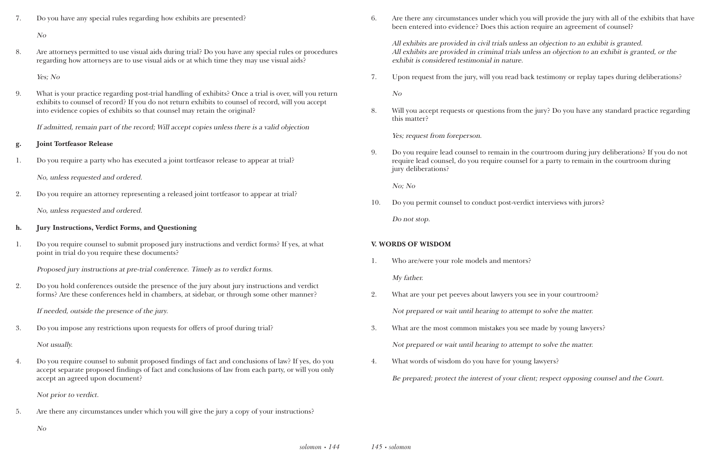7. Do you have any special rules regarding how exhibits are presented?

No

8. Are attorneys permitted to use visual aids during trial? Do you have any special rules or procedures regarding how attorneys are to use visual aids or at which time they may use visual aids?

Yes; No

9. What is your practice regarding post-trial handling of exhibits? Once a trial is over, will you return exhibits to counsel of record? If you do not return exhibits to counsel of record, will you accept into evidence copies of exhibits so that counsel may retain the original?

If admitted, remain part of the record; Will accept copies unless there is a valid objection

#### **g. Joint Tortfeasor Release**

1. Do you require a party who has executed a joint tortfeasor release to appear at trial?

No, unless requested and ordered.

2. Do you require an attorney representing a released joint tortfeasor to appear at trial?

No, unless requested and ordered.

#### **h. Jury Instructions, Verdict Forms, and Questioning**

1. Do you require counsel to submit proposed jury instructions and verdict forms? If yes, at what point in trial do you require these documents?

Proposed jury instructions at pre-trial conference. Timely as to verdict forms.

2. Do you hold conferences outside the presence of the jury about jury instructions and verdict forms? Are these conferences held in chambers, at sidebar, or through some other manner?

If needed, outside the presence of the jury.

3. Do you impose any restrictions upon requests for offers of proof during trial?

Not usually.

4. Do you require counsel to submit proposed findings of fact and conclusions of law? If yes, do you accept separate proposed findings of fact and conclusions of law from each party, or will you only accept an agreed upon document?

Not prior to verdict.

5. Are there any circumstances under which you will give the jury a copy of your instructions?

6. Are there any circumstances under which you will provide the jury with all of the exhibits that have

been entered into evidence? Does this action require an agreement of counsel?

All exhibits are provided in civil trials unless an objection to an exhibit is granted. All exhibits are provided in criminal trials unless an objection to an exhibit is granted, or the exhibit is considered testimonial in nature.

7. Upon request from the jury, will you read back testimony or replay tapes during deliberations?

No

8. Will you accept requests or questions from the jury? Do you have any standard practice regarding

this matter?

Yes; request from foreperson.

9. Do you require lead counsel to remain in the courtroom during jury deliberations? If you do not require lead counsel, do you require counsel for a party to remain in the courtroom during

jury deliberations?

No; No

10. Do you permit counsel to conduct post-verdict interviews with jurors?

Do not stop.

## **V. WORDS OF WISDOM**

- 1. Who are/were your role models and mentors? My father.
- 2. What are your pet peeves about lawyers you see in your courtroom? Not prepared or wait until hearing to attempt to solve the matter.
- 3. What are the most common mistakes you see made by young lawyers? Not prepared or wait until hearing to attempt to solve the matter.
- 4. What words of wisdom do you have for young lawyers?

Be prepared; protect the interest of your client; respect opposing counsel and the Court.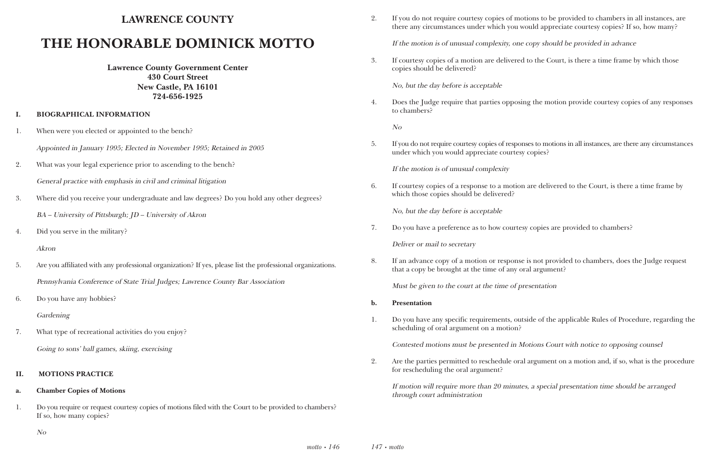# **LAWRENCE COUNTY**

# **THE HONORABLE DOMINICK MOTTO**

**Lawrence County Government Center 430 Court Street New Castle, PA 16101 724-656-1925**

#### **I. BIOGRAPHICAL INFORMATION**

- 1. When were you elected or appointed to the bench?
	- Appointed in January 1995; Elected in November 1995; Retained in 2005
- 2. What was your legal experience prior to ascending to the bench? General practice with emphasis in civil and criminal litigation
- 3. Where did you receive your undergraduate and law degrees? Do you hold any other degrees? BA – University of Pittsburgh; JD – University of Akron
- 4. Did you serve in the military?

#### Akron

- 5. Are you affiliated with any professional organization? If yes, please list the professional organizations. Pennsylvania Conference of State Trial Judges; Lawrence County Bar Association
- 6. Do you have any hobbies?

Gardening

7. What type of recreational activities do you enjoy? Going to sons' ball games, skiing, exercising

#### **II. MOTIONS PRACTICE**

#### **a. Chamber Copies of Motions**

1. Do you require or request courtesy copies of motions filed with the Court to be provided to chambers? If so, how many copies?

No

2. If you do not require courtesy copies of motions to be provided to chambers in all instances, are there any circumstances under which you would appreciate courtesy copies? If so, how many?

If the motion is of unusual complexity, one copy should be provided in advance

3. If courtesy copies of a motion are delivered to the Court, is there a time frame by which those

copies should be delivered?

No, but the day before is acceptable

4. Does the Judge require that parties opposing the motion provide courtesy copies of any responses

to chambers?

No

5. If you do not require courtesy copies of responses to motions in all instances, are there any circumstances

under which you would appreciate courtesy copies?

If the motion is of unusual complexity

6. If courtesy copies of a response to a motion are delivered to the Court, is there a time frame by

which those copies should be delivered?

No, but the day before is acceptable

7. Do you have a preference as to how courtesy copies are provided to chambers?

Deliver or mail to secretary

8. If an advance copy of a motion or response is not provided to chambers, does the Judge request

that a copy be brought at the time of any oral argument?

Must be given to the court at the time of presentation

1. Do you have any specific requirements, outside of the applicable Rules of Procedure, regarding the

- **b. Presentation**
- scheduling of oral argument on a motion?

Contested motions must be presented in Motions Court with notice to opposing counsel

2. Are the parties permitted to reschedule oral argument on a motion and, if so, what is the procedure

for rescheduling the oral argument?

If motion will require more than 20 minutes, a special presentation time should be arranged through court administration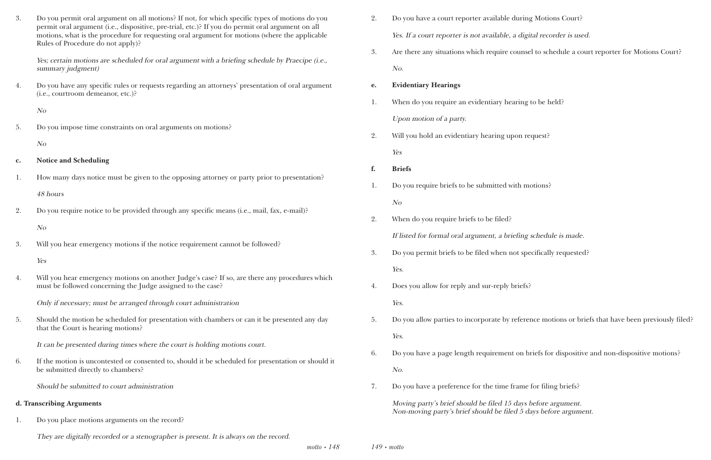*motto • 148 149 • motto* 1g Motions Court?

gital recorder is used.

sel to schedule a court reporter for Motions Court?

to be held?

request?

motions?

g schedule is made.

becifically requested?

frence motions or briefs that have been previously filed?

briefs for dispositive and non-dispositive motions?

<sup>2</sup> for filing briefs?

before argument. days before argument.

| 3.             | Do you permit oral argument on all motions? If not, for which specific types of motions do you<br>permit oral argument (i.e., dispositive, pre-trial, etc.)? If you do permit oral argument on all<br>motions, what is the procedure for requesting oral argument for motions (where the applicable | 2. | Do you have a court reporter available during<br>Yes. If a court reporter is not available, a digi |
|----------------|-----------------------------------------------------------------------------------------------------------------------------------------------------------------------------------------------------------------------------------------------------------------------------------------------------|----|----------------------------------------------------------------------------------------------------|
|                | Rules of Procedure do not apply)?                                                                                                                                                                                                                                                                   | 3. | Are there any situations which require counse                                                      |
|                | Yes; certain motions are scheduled for oral argument with a briefing schedule by Praecipe (i.e.,<br>summary judgment)                                                                                                                                                                               |    | No.                                                                                                |
| 4.             | Do you have any specific rules or requests regarding an attorneys' presentation of oral argument                                                                                                                                                                                                    | e. | <b>Evidentiary Hearings</b>                                                                        |
|                | (i.e., courtroom demeanor, etc.)?                                                                                                                                                                                                                                                                   | 1. | When do you require an evidentiary hearing                                                         |
|                | N <sub>O</sub>                                                                                                                                                                                                                                                                                      |    | Upon motion of a party.                                                                            |
| 5.             | Do you impose time constraints on oral arguments on motions?                                                                                                                                                                                                                                        | 2. | Will you hold an evidentiary hearing upon re                                                       |
|                | N <sub>O</sub>                                                                                                                                                                                                                                                                                      |    | Yes                                                                                                |
| $\mathbf{c}$ . | <b>Notice and Scheduling</b>                                                                                                                                                                                                                                                                        | f. | <b>Briefs</b>                                                                                      |
| 1.             | How many days notice must be given to the opposing attorney or party prior to presentation?                                                                                                                                                                                                         | 1. | Do you require briefs to be submitted with mo                                                      |
|                | 48 hours                                                                                                                                                                                                                                                                                            |    | N <sub>O</sub>                                                                                     |
| 2.             | Do you require notice to be provided through any specific means (i.e., mail, fax, e-mail)?                                                                                                                                                                                                          | 2. | When do you require briefs to be filed?                                                            |
|                | N <sub>O</sub>                                                                                                                                                                                                                                                                                      |    | If listed for formal oral argument, a briefing                                                     |
| 3.             | Will you hear emergency motions if the notice requirement cannot be followed?                                                                                                                                                                                                                       | 3. | Do you permit briefs to be filed when not spe                                                      |
|                | Yes                                                                                                                                                                                                                                                                                                 |    | Yes.                                                                                               |
| 4.             | Will you hear emergency motions on another Judge's case? If so, are there any procedures which<br>must be followed concerning the Judge assigned to the case?                                                                                                                                       | 4. | Does you allow for reply and sur-reply briefs?                                                     |
|                | Only if necessary; must be arranged through court administration                                                                                                                                                                                                                                    |    | Yes.                                                                                               |
| 5.             | Should the motion be scheduled for presentation with chambers or can it be presented any day<br>that the Court is hearing motions?                                                                                                                                                                  | 5. | Do you allow parties to incorporate by referent                                                    |
|                | It can be presented during times where the court is holding motions court.                                                                                                                                                                                                                          |    | Yes.                                                                                               |
| 6.             | If the motion is uncontested or consented to, should it be scheduled for presentation or should it                                                                                                                                                                                                  | 6. | Do you have a page length requirement on bi                                                        |
|                | be submitted directly to chambers?                                                                                                                                                                                                                                                                  |    | No.                                                                                                |
|                | Should be submitted to court administration                                                                                                                                                                                                                                                         | 7. | Do you have a preference for the time frame                                                        |
|                | d. Transcribing Arguments                                                                                                                                                                                                                                                                           |    | Moving party's brief should be filed 15 days b<br>Non-moving party's brief should be filed 5 da    |
| 1.             | Do you place motions arguments on the record?                                                                                                                                                                                                                                                       |    |                                                                                                    |

They are digitally recorded or a stenographer is present. It is always on the record.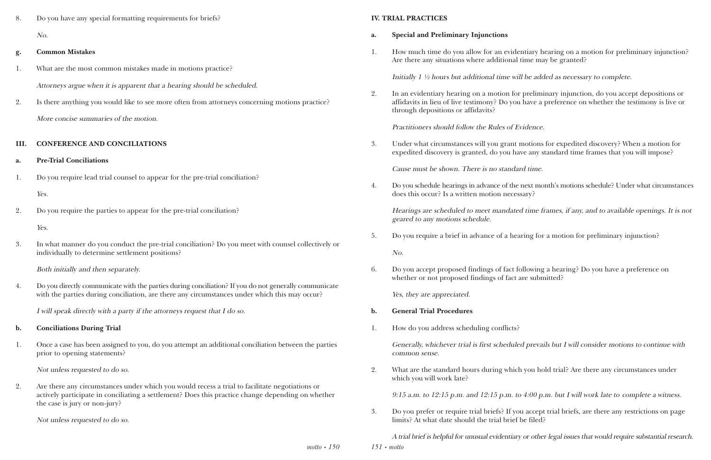*motto • 150*

8. Do you have any special formatting requirements for briefs? No.

#### **g. Common Mistakes**

- 1. What are the most common mistakes made in motions practice? Attorneys argue when it is apparent that a hearing should be scheduled.
- 2. Is there anything you would like to see more often from attorneys concerning motions practice? More concise summaries of the motion.

#### **III. CONFERENCE AND CONCILIATIONS**

- **a. Pre-Trial Conciliations**
- 1. Do you require lead trial counsel to appear for the pre-trial conciliation?

Yes.

2. Do you require the parties to appear for the pre-trial conciliation?

Yes.

3. In what manner do you conduct the pre-trial conciliation? Do you meet with counsel collectively or individually to determine settlement positions?

Both initially and then separately.

4. Do you directly communicate with the parties during conciliation? If you do not generally communicate with the parties during conciliation, are there any circumstances under which this may occur?

I will speak directly with a party if the attorneys request that I do so.

#### **b. Conciliations During Trial**

1. Once a case has been assigned to you, do you attempt an additional conciliation between the parties prior to opening statements?

Not unless requested to do so.

2. Are there any circumstances under which you would recess a trial to facilitate negotiations or actively participate in conciliating a settlement? Does this practice change depending on whether the case is jury or non-jury?

Not unless requested to do so.

*151 • motto*

#### **IV. TRIAL PRACTICES**

1. How much time do you allow for an evidentiary hearing on a motion for preliminary injunction?

- **a. Special and Preliminary Injunctions**
- Are there any situations where additional time may be granted?

Initially 1 ½ hours but additional time will be added as necessary to complete.

2. In an evidentiary hearing on a motion for preliminary injunction, do you accept depositions or affidavits in lieu of live testimony? Do you have a preference on whether the testimony is live or

through depositions or affidavits?

Practitioners should follow the Rules of Evidence.

3. Under what circumstances will you grant motions for expedited discovery? When a motion for expedited discovery is granted, do you have any standard time frames that you will impose?

Cause must be shown. There is no standard time.

4. Do you schedule hearings in advance of the next month's motions schedule? Under what circumstances

does this occur? Is a written motion necessary?

Hearings are scheduled to meet mandated time frames, if any, and to available openings. It is not geared to any motions schedule.

5. Do you require a brief in advance of a hearing for a motion for preliminary injunction?

No.

6. Do you accept proposed findings of fact following a hearing? Do you have a preference on whether or not proposed findings of fact are submitted?

Yes, they are appreciated.

- **b. General Trial Procedures**
- 1. How do you address scheduling conflicts?

Generally, whichever trial is first scheduled prevails but I will consider motions to continue with common sense.

2. What are the standard hours during which you hold trial? Are there any circumstances under

which you will work late?

9:15 a.m. to 12:15 p.m. and 12:15 p.m. to 4:00 p.m. but I will work late to complete a witness.

3. Do you prefer or require trial briefs? If you accept trial briefs, are there any restrictions on page

limits? At what date should the trial brief be filed?

A trial brief is helpful for unusual evidentiary or other legal issues that would require substantial research.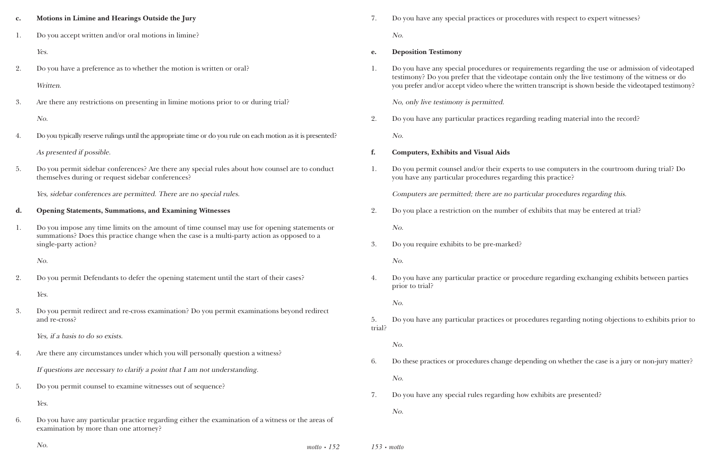*motto • 152*

es or procedures with respect to expert witnesses?

ires or requirements regarding the use or admission of videotaped the videotape contain only the live testimony of the witness or do here the written transcript is shown beside the videotaped testimony?

tices regarding reading material into the record?

neir experts to use computers in the courtroom during trial? Do res regarding this practice?

are no particular procedures regarding this.

enumber of exhibits that may be entered at trial?

tice or procedure regarding exchanging exhibits between parties

tices or procedures regarding noting objections to exhibits prior to

change depending on whether the case is a jury or non-jury matter?

garding how exhibits are presented?

| $\mathbf{c}$ . | Motions in Limine and Hearings Outside the Jury                                                                                                                                                                      | 7.           | Do you have any special practices or proce                                                                                             |
|----------------|----------------------------------------------------------------------------------------------------------------------------------------------------------------------------------------------------------------------|--------------|----------------------------------------------------------------------------------------------------------------------------------------|
| 1.             | Do you accept written and/or oral motions in limine?                                                                                                                                                                 |              | No.                                                                                                                                    |
|                | Yes.                                                                                                                                                                                                                 | e.           | <b>Deposition Testimony</b>                                                                                                            |
| 2.             | Do you have a preference as to whether the motion is written or oral?<br>Written.                                                                                                                                    | 1.           | Do you have any special procedures or req<br>testimony? Do you prefer that the videotap<br>you prefer and/or accept video where the wr |
| 3.             | Are there any restrictions on presenting in limine motions prior to or during trial?                                                                                                                                 |              | No, only live testimony is permitted.                                                                                                  |
|                | No.                                                                                                                                                                                                                  | 2.           | Do you have any particular practices regar                                                                                             |
| 4.             | Do you typically reserve rulings until the appropriate time or do you rule on each motion as it is presented?                                                                                                        |              | No.                                                                                                                                    |
|                | As presented if possible.                                                                                                                                                                                            | f.           | <b>Computers, Exhibits and Visual Aids</b>                                                                                             |
| 5.             | Do you permit sidebar conferences? Are there any special rules about how counsel are to conduct<br>themselves during or request sidebar conferences?                                                                 | 1.           | Do you permit counsel and/or their expert<br>you have any particular procedures regard                                                 |
|                | Yes, sidebar conferences are permitted. There are no special rules.                                                                                                                                                  |              | Computers are permitted; there are no pai                                                                                              |
| d.             | <b>Opening Statements, Summations, and Examining Witnesses</b>                                                                                                                                                       | 2.           | Do you place a restriction on the number of                                                                                            |
| 1.             | Do you impose any time limits on the amount of time counsel may use for opening statements or<br>summations? Does this practice change when the case is a multi-party action as opposed to a<br>single-party action? | 3.           | No.<br>Do you require exhibits to be pre-marked?                                                                                       |
|                | No.                                                                                                                                                                                                                  |              | No.                                                                                                                                    |
| 2.             | Do you permit Defendants to defer the opening statement until the start of their cases?                                                                                                                              | 4.           | Do you have any particular practice or pro<br>prior to trial?                                                                          |
|                | Yes.                                                                                                                                                                                                                 |              | No.                                                                                                                                    |
| 3.             | Do you permit redirect and re-cross examination? Do you permit examinations beyond redirect<br>and re-cross?                                                                                                         | 5.<br>trial? | Do you have any particular practices or pro                                                                                            |
|                | Yes, if a basis to do so exists.                                                                                                                                                                                     |              | No.                                                                                                                                    |
| 4.             | Are there any circumstances under which you will personally question a witness?                                                                                                                                      | 6.           | Do these practices or procedures change de                                                                                             |
|                | If questions are necessary to clarify a point that I am not understanding.                                                                                                                                           |              | No.                                                                                                                                    |
| 5.             | Do you permit counsel to examine witnesses out of sequence?                                                                                                                                                          | 7.           | Do you have any special rules regarding ho                                                                                             |
|                | Yes.                                                                                                                                                                                                                 |              | No.                                                                                                                                    |
| 6.             | Do you have any particular practice regarding either the examination of a witness or the areas of<br>examination by more than one attorney?                                                                          |              |                                                                                                                                        |

No. *153 • motto*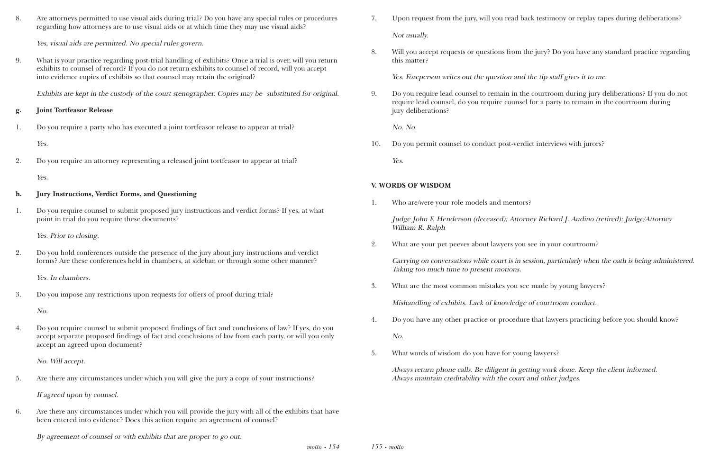8. Are attorneys permitted to use visual aids during trial? Do you have any special rules or procedures regarding how attorneys are to use visual aids or at which time they may use visual aids?

Yes, visual aids are permitted. No special rules govern.

9. What is your practice regarding post-trial handling of exhibits? Once a trial is over, will you return exhibits to counsel of record? If you do not return exhibits to counsel of record, will you accept into evidence copies of exhibits so that counsel may retain the original?

Exhibits are kept in the custody of the court stenographer. Copies may be substituted for original.

#### **g. Joint Tortfeasor Release**

1. Do you require a party who has executed a joint tortfeasor release to appear at trial?

Yes.

2. Do you require an attorney representing a released joint tortfeasor to appear at trial?

Yes.

#### **h. Jury Instructions, Verdict Forms, and Questioning**

1. Do you require counsel to submit proposed jury instructions and verdict forms? If yes, at what point in trial do you require these documents?

> *motto • 154 155 • motto*

Yes. Prior to closing.

2. Do you hold conferences outside the presence of the jury about jury instructions and verdict forms? Are these conferences held in chambers, at sidebar, or through some other manner?

Yes. In chambers.

3. Do you impose any restrictions upon requests for offers of proof during trial?

No.

4. Do you require counsel to submit proposed findings of fact and conclusions of law? If yes, do you accept separate proposed findings of fact and conclusions of law from each party, or will you only accept an agreed upon document?

No. Will accept.

5. Are there any circumstances under which you will give the jury a copy of your instructions?

If agreed upon by counsel.

6. Are there any circumstances under which you will provide the jury with all of the exhibits that have been entered into evidence? Does this action require an agreement of counsel?

By agreement of counsel or with exhibits that are proper to go out.

7. Upon request from the jury, will you read back testimony or replay tapes during deliberations?

- Not usually.
- this matter?

8. Will you accept requests or questions from the jury? Do you have any standard practice regarding

Yes. Foreperson writes out the question and the tip staff gives it to me.

9. Do you require lead counsel to remain in the courtroom during jury deliberations? If you do not require lead counsel, do you require counsel for a party to remain in the courtroom during

jury deliberations?

No. No.

10. Do you permit counsel to conduct post-verdict interviews with jurors?

Yes.

### **V. WORDS OF WISDOM**

1. Who are/were your role models and mentors?

Judge John F. Henderson (deceased); Attorney Richard J. Audino (retired); Judge/Attorney William R. Ralph

2. What are your pet peeves about lawyers you see in your courtroom?

Carrying on conversations while court is in session, particularly when the oath is being administered. Taking too much time to present motions.

3. What are the most common mistakes you see made by young lawyers?

Mishandling of exhibits. Lack of knowledge of courtroom conduct.

4. Do you have any other practice or procedure that lawyers practicing before you should know?

- No.
- 5. What words of wisdom do you have for young lawyers?

Always return phone calls. Be diligent in getting work done. Keep the client informed. Always maintain creditability with the court and other judges.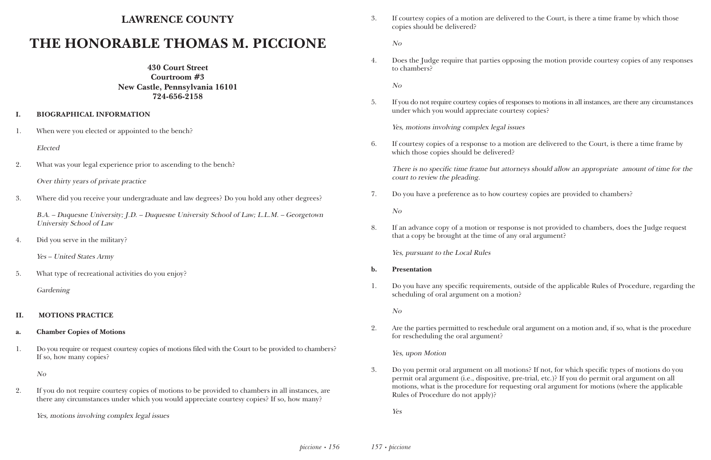# **LAWRENCE COUNTY**

# **THE HONORABLE THOMAS M. PICCIONE**

**430 Court Street Courtroom #3 New Castle, Pennsylvania 16101 724-656-2158**

#### **I. BIOGRAPHICAL INFORMATION**

1. When were you elected or appointed to the bench?

Elected

2. What was your legal experience prior to ascending to the bench?

3. Where did you receive your undergraduate and law degrees? Do you hold any other degrees?

B.A. – Duquesne University; J.D. – Duquesne University School of Law; L.L.M. – Georgetown University School of Law

4. Did you serve in the military?

Yes – United States Army

5. What type of recreational activities do you enjoy?

Gardening

#### **II. MOTIONS PRACTICE**

#### **a. Chamber Copies of Motions**

1. Do you require or request courtesy copies of motions filed with the Court to be provided to chambers? If so, how many copies?

No

2. If you do not require courtesy copies of motions to be provided to chambers in all instances, are there any circumstances under which you would appreciate courtesy copies? If so, how many?

Yes, motions involving complex legal issues

3. If courtesy copies of a motion are delivered to the Court, is there a time frame by which those

copies should be delivered?

No

4. Does the Judge require that parties opposing the motion provide courtesy copies of any responses

to chambers?

No

5. If you do not require courtesy copies of responses to motions in all instances, are there any circumstances

under which you would appreciate courtesy copies?

Yes, motions involving complex legal issues

6. If courtesy copies of a response to a motion are delivered to the Court, is there a time frame by

which those copies should be delivered?

There is no specific time frame but attorneys should allow an appropriate amount of time for the court to review the pleading.

7. Do you have a preference as to how courtesy copies are provided to chambers?

No

8. If an advance copy of a motion or response is not provided to chambers, does the Judge request

that a copy be brought at the time of any oral argument?

Yes, pursuant to the Local Rules

1. Do you have any specific requirements, outside of the applicable Rules of Procedure, regarding the

- **b. Presentation**
- scheduling of oral argument on a motion?

No

2. Are the parties permitted to reschedule oral argument on a motion and, if so, what is the procedure

for rescheduling the oral argument?

Yes, upon Motion

3. Do you permit oral argument on all motions? If not, for which specific types of motions do you permit oral argument (i.e., dispositive, pre-trial, etc.)? If you do permit oral argument on all motions, what is the procedure for requesting oral argument for motions (where the applicable

Rules of Procedure do not apply)?

Yes

Over thirty years of private practice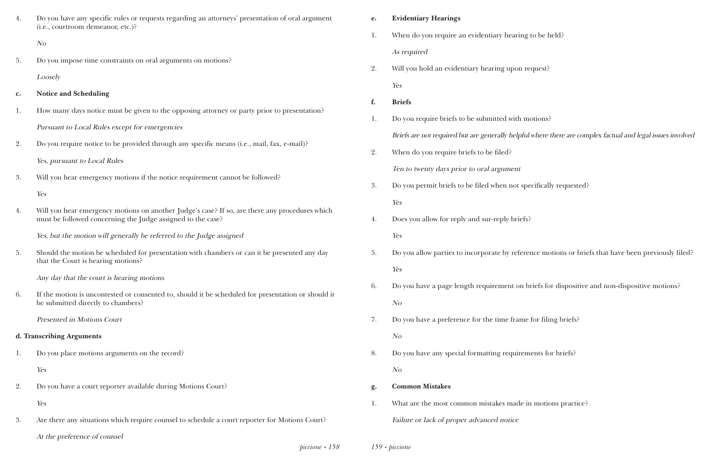*piccione • 158*

| 4. | Do you have any specific rules or requests regarding an attorneys' presentation of oral argument<br>(i.e., courtroom demeanor, etc.)?                         | e. | <b>Evidentiary Hearings</b>                                   |
|----|---------------------------------------------------------------------------------------------------------------------------------------------------------------|----|---------------------------------------------------------------|
|    | N o                                                                                                                                                           | 1. | When do you require an evidentiary hearing                    |
|    |                                                                                                                                                               |    | As required                                                   |
| 5. | Do you impose time constraints on oral arguments on motions?                                                                                                  | 2. | Will you hold an evidentiary hearing upon re                  |
|    | Loosely                                                                                                                                                       |    | Yes                                                           |
| c. | <b>Notice and Scheduling</b>                                                                                                                                  | f. | <b>Briefs</b>                                                 |
| 1. | How many days notice must be given to the opposing attorney or party prior to presentation?                                                                   | 1. | Do you require briefs to be submitted with mo                 |
|    | Pursuant to Local Rules except for emergencies                                                                                                                |    | Briefs are not required but are generally helpful             |
| 2. | Do you require notice to be provided through any specific means (i.e., mail, fax, e-mail)?                                                                    | 2. | When do you require briefs to be filed?                       |
|    | Yes, pursuant to Local Rules                                                                                                                                  |    |                                                               |
| 3. | Will you hear emergency motions if the notice requirement cannot be followed?                                                                                 |    | Ten to twenty days prior to oral argument                     |
|    | Yes                                                                                                                                                           | 3. | Do you permit briefs to be filed when not spe                 |
| 4. | Will you hear emergency motions on another Judge's case? If so, are there any procedures which<br>must be followed concerning the Judge assigned to the case? | 4. | Yes<br>Does you allow for reply and sur-reply briefs?         |
|    | Yes, but the motion will generally be referred to the Judge assigned                                                                                          |    | Yes                                                           |
| 5. | Should the motion be scheduled for presentation with chambers or can it be presented any day<br>that the Court is hearing motions?                            | 5. | Do you allow parties to incorporate by referent               |
|    | Any day that the court is hearing motions                                                                                                                     |    | Yes                                                           |
| 6. | If the motion is uncontested or consented to, should it be scheduled for presentation or should it<br>be submitted directly to chambers?                      | 6. | Do you have a page length requirement on bi<br>N <sub>O</sub> |
|    | <b>Presented in Motions Court</b>                                                                                                                             | 7. | Do you have a preference for the time frame                   |
|    | d. Transcribing Arguments                                                                                                                                     |    | N <sub>O</sub>                                                |
| 1. | Do you place motions arguments on the record?                                                                                                                 | 8. | Do you have any special formatting requirem                   |
|    | Yes                                                                                                                                                           |    | N <sub>O</sub>                                                |
| 2. | Do you have a court reporter available during Motions Court?                                                                                                  | g. | <b>Common Mistakes</b>                                        |
|    | Yes                                                                                                                                                           | 1. | What are the most common mistakes made in                     |
| 3. | Are there any situations which require counsel to schedule a court reporter for Motions Court?                                                                |    | Failure or lack of proper advanced notice                     |
|    | At the preference of counsel                                                                                                                                  |    |                                                               |

*159 • piccione*

g to be held?

request?

motions?

 $\ddot{\text{u}}$ l where there are complex factual and legal issues involved

pecifically requested?

frence motions or briefs that have been previously filed?

briefs for dispositive and non-dispositive motions?

re for filing briefs?

ments for briefs?

in motions practice?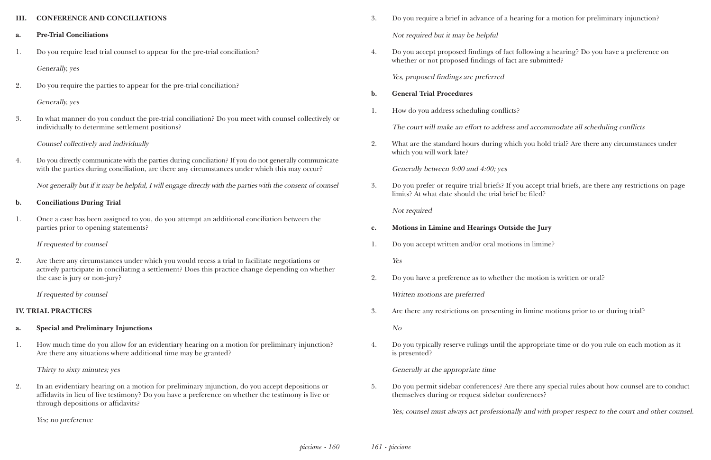#### **III. CONFERENCE AND CONCILIATIONS**

#### **a. Pre-Trial Conciliations**

1. Do you require lead trial counsel to appear for the pre-trial conciliation?

Generally, yes

2. Do you require the parties to appear for the pre-trial conciliation?

#### Generally, yes

3. In what manner do you conduct the pre-trial conciliation? Do you meet with counsel collectively or individually to determine settlement positions?

### Counsel collectively and individually

4. Do you directly communicate with the parties during conciliation? If you do not generally communicate with the parties during conciliation, are there any circumstances under which this may occur?

Not generally but if it may be helpful, I will engage directly with the parties with the consent of counsel

#### **b. Conciliations During Trial**

1. Once a case has been assigned to you, do you attempt an additional conciliation between the parties prior to opening statements?

If requested by counsel

2. Are there any circumstances under which you would recess a trial to facilitate negotiations or actively participate in conciliating a settlement? Does this practice change depending on whether the case is jury or non-jury?

If requested by counsel

### **IV. TRIAL PRACTICES**

#### **a. Special and Preliminary Injunctions**

1. How much time do you allow for an evidentiary hearing on a motion for preliminary injunction? Are there any situations where additional time may be granted?

Thirty to sixty minutes; yes

2. In an evidentiary hearing on a motion for preliminary injunction, do you accept depositions or affidavits in lieu of live testimony? Do you have a preference on whether the testimony is live or through depositions or affidavits?

Yes; no preference

- 3. Do you require a brief in advance of a hearing for a motion for preliminary injunction? Not required but it may be helpful
- 4. Do you accept proposed findings of fact following a hearing? Do you have a preference on whether or not proposed findings of fact are submitted?

Yes, proposed findings are preferred

#### **b. General Trial Procedures**

1. How do you address scheduling conflicts?

The court will make an effort to address and accommodate all scheduling conflicts

2. What are the standard hours during which you hold trial? Are there any circumstances under

which you will work late?

Generally between 9:00 and 4:00; yes

3. Do you prefer or require trial briefs? If you accept trial briefs, are there any restrictions on page

limits? At what date should the trial brief be filed?

Not required

- **c. Motions in Limine and Hearings Outside the Jury**
- 1. Do you accept written and/or oral motions in limine?

Yes

2. Do you have a preference as to whether the motion is written or oral?

Written motions are preferred

3. Are there any restrictions on presenting in limine motions prior to or during trial?

No

4. Do you typically reserve rulings until the appropriate time or do you rule on each motion as it

is presented?

Generally at the appropriate time

5. Do you permit sidebar conferences? Are there any special rules about how counsel are to conduct

themselves during or request sidebar conferences?

Yes; counsel must always act professionally and with proper respect to the court and other counsel.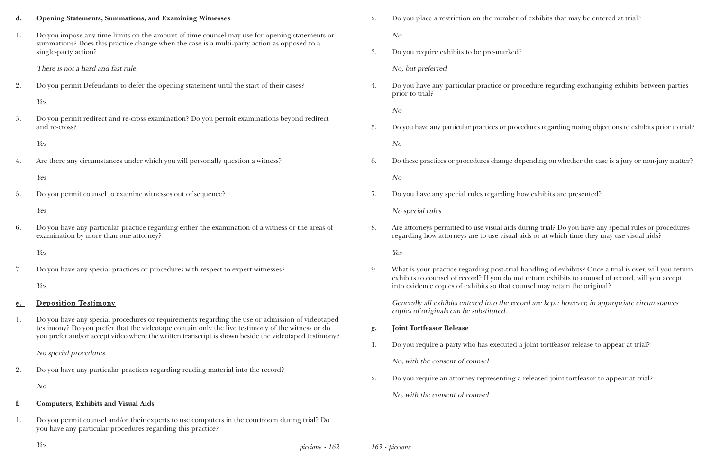*piccione • 162*

# **d. Opening Statements, Summations, and Examining Witnesses** 1. Do you impose any time limits on the amount of time counsel may use for opening statements or summations? Does this practice change when the case is a multi-party action as opposed to a single-party action? There is not a hard and fast rule. 2. Do you permit Defendants to defer the opening statement until the start of their cases? Yes 3. Do you permit redirect and re-cross examination? Do you permit examinations beyond redirect and re-cross? Yes 4. Are there any circumstances under which you will personally question a witness? Yes 5. Do you permit counsel to examine witnesses out of sequence? Yes 6. Do you have any particular practice regarding either the examination of a witness or the areas of examination by more than one attorney? Yes 7. Do you have any special practices or procedures with respect to expert witnesses? Yes e. Deposition Testimony 1. Do you have any special procedures or requirements regarding the use or admission of videotaped testimony? Do you prefer that the videotape contain only the live testimony of the witness or do you prefer and/or accept video where the written transcript is shown beside the videotaped testimony? No special procedures 2. Do you have any particular practices regarding reading material into the record? No **f. Computers, Exhibits and Visual Aids** 1. Do you permit counsel and/or their experts to use computers in the courtroom during trial? Do you have any particular procedures regarding this practice? Yes *163 • piccione*

| Do you place a restriction on the number of exhibits that may be entered at trial? |
|------------------------------------------------------------------------------------|
| $N_{\Omega}$                                                                       |

3. Do you require exhibits to be pre-marked?

No, but preferred

4. Do you have any particular practice or procedure regarding exchanging exhibits between parties

prior to trial?

No

5. Do you have any particular practices or procedures regarding noting objections to exhibits prior to trial?

No

6. Do these practices or procedures change depending on whether the case is a jury or non-jury matter?

No

7. Do you have any special rules regarding how exhibits are presented?

No special rules

8. Are attorneys permitted to use visual aids during trial? Do you have any special rules or procedures regarding how attorneys are to use visual aids or at which time they may use visual aids?

Yes

9. What is your practice regarding post-trial handling of exhibits? Once a trial is over, will you return exhibits to counsel of record? If you do not return exhibits to counsel of record, will you accept

into evidence copies of exhibits so that counsel may retain the original?

Generally all exhibits entered into the record are kept; however, in appropriate circumstances copies of originals can be substituted.

- **g. Joint Tortfeasor Release**
- 1. Do you require a party who has executed a joint tortfeasor release to appear at trial?

No, with the consent of counsel

2. Do you require an attorney representing a released joint tortfeasor to appear at trial?

No, with the consent of counsel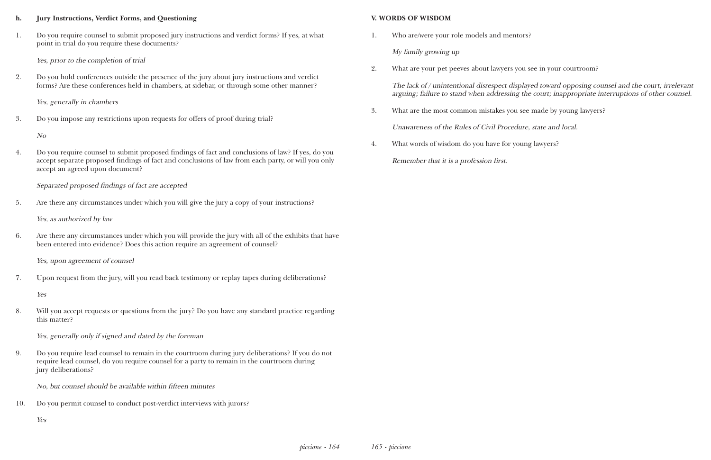#### **h. Jury Instructions, Verdict Forms, and Questioning**

1. Do you require counsel to submit proposed jury instructions and verdict forms? If yes, at what point in trial do you require these documents?

Yes, prior to the completion of trial

2. Do you hold conferences outside the presence of the jury about jury instructions and verdict forms? Are these conferences held in chambers, at sidebar, or through some other manner?

Yes, generally in chambers

3. Do you impose any restrictions upon requests for offers of proof during trial?

No

4. Do you require counsel to submit proposed findings of fact and conclusions of law? If yes, do you accept separate proposed findings of fact and conclusions of law from each party, or will you only accept an agreed upon document?

Separated proposed findings of fact are accepted

5. Are there any circumstances under which you will give the jury a copy of your instructions?

Yes, as authorized by law

6. Are there any circumstances under which you will provide the jury with all of the exhibits that have been entered into evidence? Does this action require an agreement of counsel?

Yes, upon agreement of counsel

7. Upon request from the jury, will you read back testimony or replay tapes during deliberations?

Yes

8. Will you accept requests or questions from the jury? Do you have any standard practice regarding this matter?

Yes, generally only if signed and dated by the foreman

9. Do you require lead counsel to remain in the courtroom during jury deliberations? If you do not require lead counsel, do you require counsel for a party to remain in the courtroom during jury deliberations?

No, but counsel should be available within fifteen minutes

10. Do you permit counsel to conduct post-verdict interviews with jurors?

Yes

#### **V. WORDS OF WISDOM**

1. Who are/were your role models and mentors?

My family growing up

2. What are your pet peeves about lawyers you see in your courtroom?

The lack of / unintentional disrespect displayed toward opposing counsel and the court; irrelevant arguing; failure to stand when addressing the court; inappropriate interruptions of other counsel.

3. What are the most common mistakes you see made by young lawyers?

Unawareness of the Rules of Civil Procedure, state and local.

4. What words of wisdom do you have for young lawyers?

Remember that it is a profession first.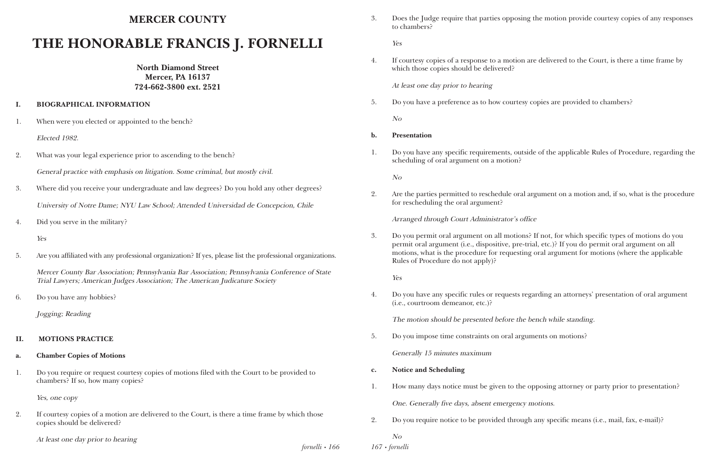*fornelli • 166*

## **MERCER COUNTY**

# **THE HONORABLE FRANCIS J. FORNELLI**

**North Diamond Street Mercer, PA 16137 724-662-3800 ext. 2521**

#### **I. BIOGRAPHICAL INFORMATION**

1. When were you elected or appointed to the bench?

Elected 1982.

- 2. What was your legal experience prior to ascending to the bench? General practice with emphasis on litigation. Some criminal, but mostly civil.
- 3. Where did you receive your undergraduate and law degrees? Do you hold any other degrees? University of Notre Dame; NYU Law School; Attended Universidad de Concepcion, Chile
- 4. Did you serve in the military?

Yes

5. Are you affiliated with any professional organization? If yes, please list the professional organizations.

Mercer County Bar Association; Pennsylvania Bar Association; Pennsylvania Conference of State Trial Lawyers; American Judges Association; The American Judicature Society

6. Do you have any hobbies?

Jogging; Reading

#### **II. MOTIONS PRACTICE**

#### **a. Chamber Copies of Motions**

1. Do you require or request courtesy copies of motions filed with the Court to be provided to chambers? If so, how many copies?

Yes, one copy

2. If courtesy copies of a motion are delivered to the Court, is there a time frame by which those copies should be delivered?

At least one day prior to hearing

*167 • fornelli*

3. Does the Judge require that parties opposing the motion provide courtesy copies of any responses

to chambers?

Yes

4. If courtesy copies of a response to a motion are delivered to the Court, is there a time frame by

which those copies should be delivered?

At least one day prior to hearing

5. Do you have a preference as to how courtesy copies are provided to chambers?

No

1. Do you have any specific requirements, outside of the applicable Rules of Procedure, regarding the

- **b. Presentation**
- scheduling of oral argument on a motion?

No

2. Are the parties permitted to reschedule oral argument on a motion and, if so, what is the procedure

for rescheduling the oral argument?

Arranged through Court Administrator's office

3. Do you permit oral argument on all motions? If not, for which specific types of motions do you permit oral argument (i.e., dispositive, pre-trial, etc.)? If you do permit oral argument on all motions, what is the procedure for requesting oral argument for motions (where the applicable

Rules of Procedure do not apply)?

Yes

4. Do you have any specific rules or requests regarding an attorneys' presentation of oral argument

(i.e., courtroom demeanor, etc.)?

The motion should be presented before the bench while standing.

5. Do you impose time constraints on oral arguments on motions?

Generally 15 minutes maximum

- **c. Notice and Scheduling**
- 1. How many days notice must be given to the opposing attorney or party prior to presentation?

One. Generally five days, absent emergency motions.

2. Do you require notice to be provided through any specific means (i.e., mail, fax, e-mail)?

No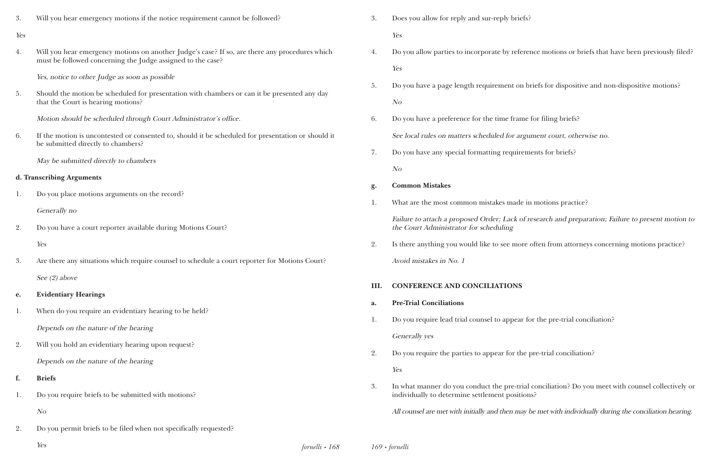*fornelli • 168* Yes *169 • fornelli*

te by reference motions or briefs that have been previously filed?

ement on briefs for dispositive and non-dispositive motions?

time frame for filing briefs? ed for argument court, otherwise no. g requirements for briefs?

kes made in motions practice? r; Lack of research and preparation; Failure to present motion to

see more often from attorneys concerning motions practice?

to appear for the pre-trial conciliation?

ear for the pre-trial conciliation?

he pre-trial conciliation? Do you meet with counsel collectively or ent positions?

I then may be met with individually during the conciliation hearing.

| 3.  | Will you hear emergency motions if the notice requirement cannot be followed?                                                                                 | 3.   | Does you allow for reply and sur-reply brie                                              |
|-----|---------------------------------------------------------------------------------------------------------------------------------------------------------------|------|------------------------------------------------------------------------------------------|
| Yes |                                                                                                                                                               |      | Yes                                                                                      |
| 4.  | Will you hear emergency motions on another Judge's case? If so, are there any procedures which<br>must be followed concerning the Judge assigned to the case? | 4.   | Do you allow parties to incorporate by refe                                              |
|     |                                                                                                                                                               |      | Yes                                                                                      |
|     | Yes, notice to other Judge as soon as possible                                                                                                                | 5.   | Do you have a page length requirement or                                                 |
| 5.  | Should the motion be scheduled for presentation with chambers or can it be presented any day<br>that the Court is hearing motions?                            |      | N <sub>O</sub>                                                                           |
|     | Motion should be scheduled through Court Administrator's office.                                                                                              | 6.   | Do you have a preference for the time fran                                               |
| 6.  | If the motion is uncontested or consented to, should it be scheduled for presentation or should it<br>be submitted directly to chambers?                      |      | See local rules on matters scheduled for ar                                              |
|     | May be submitted directly to chambers                                                                                                                         | 7.   | Do you have any special formatting require                                               |
|     |                                                                                                                                                               |      | N <sub>O</sub>                                                                           |
|     | d. Transcribing Arguments                                                                                                                                     | g.   | <b>Common Mistakes</b>                                                                   |
| 1.  | Do you place motions arguments on the record?                                                                                                                 | 1.   | What are the most common mistakes made                                                   |
|     | Generally no                                                                                                                                                  |      | Failure to attach a proposed Order; Lack o                                               |
| 2.  | Do you have a court reporter available during Motions Court?                                                                                                  |      | the Court Administrator for scheduling                                                   |
|     | Yes                                                                                                                                                           | 2.   | Is there anything you would like to see mo:                                              |
| 3.  | Are there any situations which require counsel to schedule a court reporter for Motions Court?                                                                |      | Avoid mistakes in No. 1                                                                  |
|     | See $(2)$ above                                                                                                                                               | III. | <b>CONFERENCE AND CONCILIATIONS</b>                                                      |
| e.  | <b>Evidentiary Hearings</b>                                                                                                                                   | a.   | <b>Pre-Trial Conciliations</b>                                                           |
| 1.  | When do you require an evidentiary hearing to be held?                                                                                                        | 1.   | Do you require lead trial counsel to appear                                              |
|     | Depends on the nature of the hearing                                                                                                                          |      |                                                                                          |
| 2.  | Will you hold an evidentiary hearing upon request?                                                                                                            |      | Generally yes                                                                            |
|     | Depends on the nature of the hearing                                                                                                                          | 2.   | Do you require the parties to appear for the                                             |
| f.  | <b>Briefs</b>                                                                                                                                                 |      | Yes                                                                                      |
| 1.  | Do you require briefs to be submitted with motions?                                                                                                           | 3.   | In what manner do you conduct the pre-tri<br>individually to determine settlement positi |
|     | N o                                                                                                                                                           |      | All counsel are met with initially and then ma                                           |
| 2.  | Do you permit briefs to be filed when not specifically requested?                                                                                             |      |                                                                                          |
|     |                                                                                                                                                               |      |                                                                                          |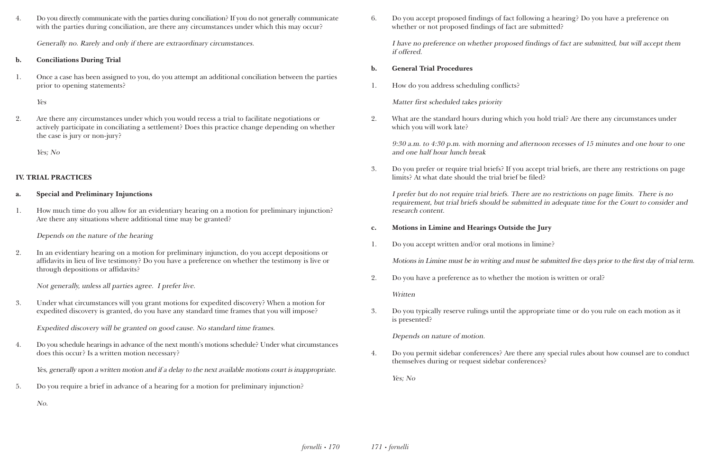4. Do you directly communicate with the parties during conciliation? If you do not generally communicate with the parties during conciliation, are there any circumstances under which this may occur?

Generally no. Rarely and only if there are extraordinary circumstances.

#### **b. Conciliations During Trial**

1. Once a case has been assigned to you, do you attempt an additional conciliation between the parties prior to opening statements?

Yes

2. Are there any circumstances under which you would recess a trial to facilitate negotiations or actively participate in conciliating a settlement? Does this practice change depending on whether the case is jury or non-jury?

Yes; No

### **IV. TRIAL PRACTICES**

#### **a. Special and Preliminary Injunctions**

1. How much time do you allow for an evidentiary hearing on a motion for preliminary injunction? Are there any situations where additional time may be granted?

Depends on the nature of the hearing

2. In an evidentiary hearing on a motion for preliminary injunction, do you accept depositions or affidavits in lieu of live testimony? Do you have a preference on whether the testimony is live or through depositions or affidavits?

Not generally, unless all parties agree. I prefer live.

3. Under what circumstances will you grant motions for expedited discovery? When a motion for expedited discovery is granted, do you have any standard time frames that you will impose?

Expedited discovery will be granted on good cause. No standard time frames.

4. Do you schedule hearings in advance of the next month's motions schedule? Under what circumstances does this occur? Is a written motion necessary?

Yes, generally upon a written motion and if a delay to the next available motions court is inappropriate.

5. Do you require a brief in advance of a hearing for a motion for preliminary injunction?

No.

6. Do you accept proposed findings of fact following a hearing? Do you have a preference on whether or not proposed findings of fact are submitted?

I have no preference on whether proposed findings of fact are submitted, but will accept them if offered.

- **b. General Trial Procedures**
- 1. How do you address scheduling conflicts?

Matter first scheduled takes priority

2. What are the standard hours during which you hold trial? Are there any circumstances under

which you will work late?

9:30 a.m. to 4:30 p.m. with morning and afternoon recesses of 15 minutes and one hour to one and one half hour lunch break

3. Do you prefer or require trial briefs? If you accept trial briefs, are there any restrictions on page

limits? At what date should the trial brief be filed?

I prefer but do not require trial briefs. There are no restrictions on page limits. There is no requirement, but trial briefs should be submitted in adequate time for the Court to consider and research content.

## **c. Motions in Limine and Hearings Outside the Jury**

1. Do you accept written and/or oral motions in limine?

Motions in Limine must be in writing and must be submitted five days prior to the first day of trial term.

2. Do you have a preference as to whether the motion is written or oral?

**Written** 

3. Do you typically reserve rulings until the appropriate time or do you rule on each motion as it is presented?

Depends on nature of motion.

4. Do you permit sidebar conferences? Are there any special rules about how counsel are to conduct

themselves during or request sidebar conferences?

Yes; No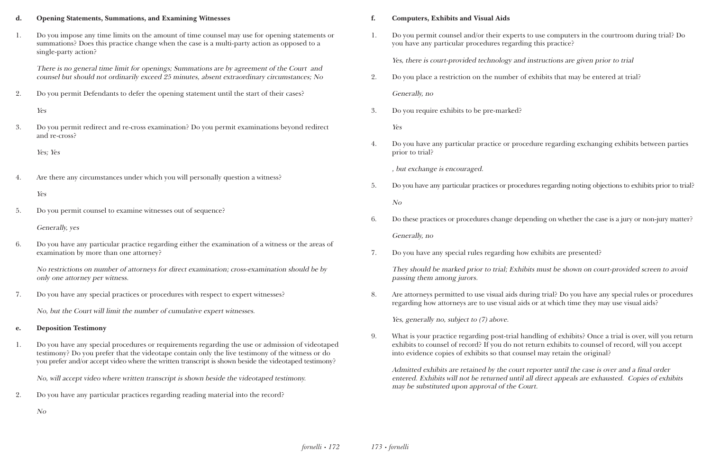#### **d. Opening Statements, Summations, and Examining Witnesses**

1. Do you impose any time limits on the amount of time counsel may use for opening statements or summations? Does this practice change when the case is a multi-party action as opposed to a single-party action?

There is no general time limit for openings; Summations are by agreement of the Court and counsel but should not ordinarily exceed 25 minutes, absent extraordinary circumstances; No

2. Do you permit Defendants to defer the opening statement until the start of their cases?

Yes

3. Do you permit redirect and re-cross examination? Do you permit examinations beyond redirect and re-cross?

Yes; Yes

4. Are there any circumstances under which you will personally question a witness?

Yes

5. Do you permit counsel to examine witnesses out of sequence?

Generally, yes

6. Do you have any particular practice regarding either the examination of a witness or the areas of examination by more than one attorney?

No restrictions on number of attorneys for direct examination; cross-examination should be by only one attorney per witness.

7. Do you have any special practices or procedures with respect to expert witnesses?

No, but the Court will limit the number of cumulative expert witnesses.

#### **e. Deposition Testimony**

1. Do you have any special procedures or requirements regarding the use or admission of videotaped testimony? Do you prefer that the videotape contain only the live testimony of the witness or do you prefer and/or accept video where the written transcript is shown beside the videotaped testimony?

No, will accept video where written transcript is shown beside the videotaped testimony.

2. Do you have any particular practices regarding reading material into the record?

No

#### **f. Computers, Exhibits and Visual Aids**

1. Do you permit counsel and/or their experts to use computers in the courtroom during trial? Do

you have any particular procedures regarding this practice?

Yes, there is court-provided technology and instructions are given prior to trial

2. Do you place a restriction on the number of exhibits that may be entered at trial?

Generally, no

3. Do you require exhibits to be pre-marked?

Yes

4. Do you have any particular practice or procedure regarding exchanging exhibits between parties

prior to trial?

, but exchange is encouraged.

5. Do you have any particular practices or procedures regarding noting objections to exhibits prior to trial?

No

6. Do these practices or procedures change depending on whether the case is a jury or non-jury matter?

- Generally, no
- 7. Do you have any special rules regarding how exhibits are presented?

They should be marked prior to trial; Exhibits must be shown on court-provided screen to avoid passing them among jurors.

8. Are attorneys permitted to use visual aids during trial? Do you have any special rules or procedures regarding how attorneys are to use visual aids or at which time they may use visual aids?

Yes, generally no, subject to (7) above.

9. What is your practice regarding post-trial handling of exhibits? Once a trial is over, will you return exhibits to counsel of record? If you do not return exhibits to counsel of record, will you accept

into evidence copies of exhibits so that counsel may retain the original?

Admitted exhibits are retained by the court reporter until the case is over and a final order entered. Exhibits will not be returned until all direct appeals are exhausted. Copies of exhibits may be substituted upon approval of the Court.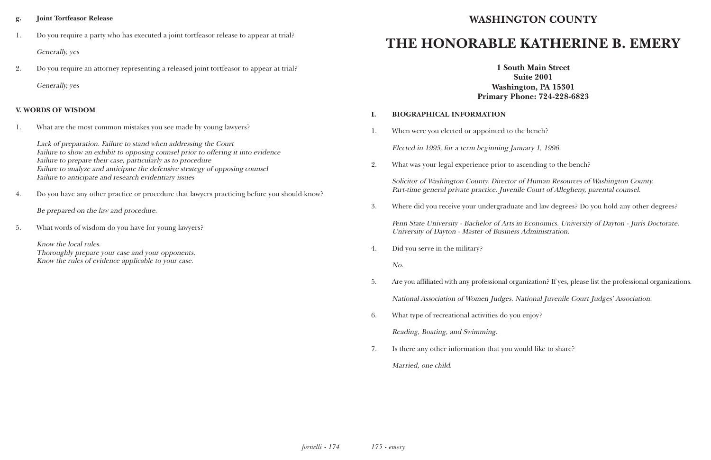#### **g. Joint Tortfeasor Release**

1. Do you require a party who has executed a joint tortfeasor release to appear at trial?

Generally, yes

2. Do you require an attorney representing a released joint tortfeasor to appear at trial?

Generally, yes

#### **V. WORDS OF WISDOM**

1. What are the most common mistakes you see made by young lawyers?

bench?

ary 1, 1996.

ending to the bench?

Human Resources of Washington County. Court of Allegheny, parental counsel.

and law degrees? Do you hold any other degrees?

Economics. University of Dayton - Juris Doctorate. dministration.

ization? If yes, please list the professional organizations.

tional Juvenile Court Judges' Association.

Lack of preparation. Failure to stand when addressing the Court Failure to show an exhibit to opposing counsel prior to offering it into evidence Failure to prepare their case, particularly as to procedure Failure to analyze and anticipate the defensive strategy of opposing counsel Failure to anticipate and research evidentiary issues

4. Do you have any other practice or procedure that lawyers practicing before you should know?

Be prepared on the law and procedure.

5. What words of wisdom do you have for young lawyers?

Know the local rules. Thoroughly prepare your case and your opponents. Know the rules of evidence applicable to your case.

# **WASHINGTON COUNTY**

# **THE HONORABLE KATHERINE B. EMERY**

**1 South Main Street Suite 2001 Washington, PA 15301 Primary Phone: 724-228-6823**

| I. | <b>BIOGRAPHICAL INFORMATION</b>                                                                      |
|----|------------------------------------------------------------------------------------------------------|
| 1. | When were you elected or appointed to the bencl                                                      |
|    | Elected in 1995, for a term beginning January 1,                                                     |
| 2. | What was your legal experience prior to ascendin                                                     |
|    | Solicitor of Washington County. Director of Hum<br>Part-time general private practice. Juvenile Cour |
| 3. | Where did you receive your undergraduate and la                                                      |
|    | Penn State University - Bachelor of Arts in Econo<br>University of Dayton - Master of Business Admin |
| 4. | Did you serve in the military?                                                                       |
|    | No.                                                                                                  |
| 5. | Are you affiliated with any professional organizatio                                                 |
|    | National Association of Women Judges. National                                                       |
| 6. | What type of recreational activities do you enjoy?                                                   |
|    | Reading, Boating, and Swimming.                                                                      |
| 7. | Is there any other information that you would like                                                   |

7. Is there any other information that you would like to share? Married, one child.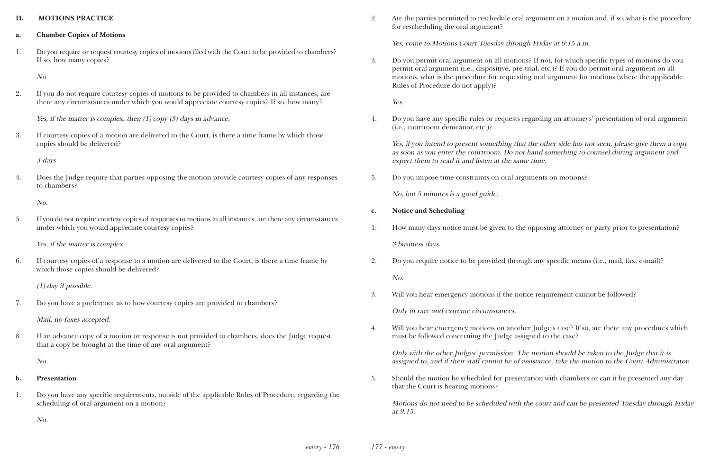#### **II. MOTIONS PRACTICE**

- **a. Chamber Copies of Motions**
- 1. Do you require or request courtesy copies of motions filed with the Court to be provided to chambers? If so, how many copies?

No

2. If you do not require courtesy copies of motions to be provided to chambers in all instances, are there any circumstances under which you would appreciate courtesy copies? If so, how many?

Yes, if the matter is complex, then (1) copy (3) days in advance.

3. If courtesy copies of a motion are delivered to the Court, is there a time frame by which those copies should be delivered?

3 days

4. Does the Judge require that parties opposing the motion provide courtesy copies of any responses to chambers?

No.

5. If you do not require courtesy copies of responses to motions in all instances, are there any circumstances under which you would appreciate courtesy copies?

Yes, if the matter is complex.

6. If courtesy copies of a response to a motion are delivered to the Court, is there a time frame by which those copies should be delivered?

(1) day if possible.

7. Do you have a preference as to how courtesy copies are provided to chambers?

Mail, no faxes accepted.

8. If an advance copy of a motion or response is not provided to chambers, does the Judge request that a copy be brought at the time of any oral argument?

No.

#### **b. Presentation**

1. Do you have any specific requirements, outside of the applicable Rules of Procedure, regarding the scheduling of oral argument on a motion?

No.

2. Are the parties permitted to reschedule oral argument on a motion and, if so, what is the procedure

for rescheduling the oral argument?

Yes, come to Motions Court Tuesday through Friday at 9:15 a.m.

3. Do you permit oral argument on all motions? If not, for which specific types of motions do you permit oral argument (i.e., dispositive, pre-trial, etc.)? If you do permit oral argument on all motions, what is the procedure for requesting oral argument for motions (where the applicable

Rules of Procedure do not apply)?

Yes

4. Do you have any specific rules or requests regarding an attorneys' presentation of oral argument

(i.e., courtroom demeanor, etc.)?

Yes, if you intend to present something that the other side has not seen, please give them a copy as soon as you enter the courtroom. Do not hand something to counsel during argument and expect them to read it and listen at the same time.

5. Do you impose time constraints on oral arguments on motions?

No, but 5 minutes is a good guide.

- **c. Notice and Scheduling**
- 

1. How many days notice must be given to the opposing attorney or party prior to presentation?

3 business days.

2. Do you require notice to be provided through any specific means (i.e., mail, fax, e-mail)?

No.

3. Will you hear emergency motions if the notice requirement cannot be followed?

Only in rare and extreme circumstances.

4. Will you hear emergency motions on another Judge's case? If so, are there any procedures which

must be followed concerning the Judge assigned to the case?

Only with the other Judges' permission. The motion should be taken to the Judge that it is assigned to, and if their staff cannot be of assistance, take the motion to the Court Administrator.

5. Should the motion be scheduled for presentation with chambers or can it be presented any day

that the Court is hearing motions?

Motions do not need to be scheduled with the court and can be presented Tuesday through Friday at 9:15.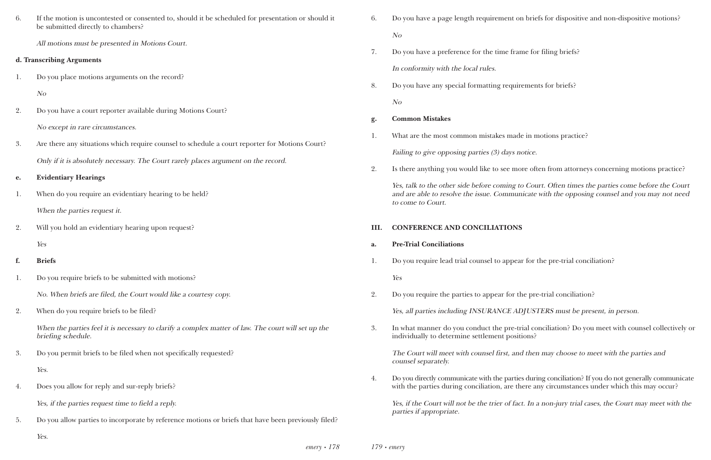*emery • 178*

you have a page length requirement on briefs for dispositive and non-dispositive motions?

ere anything you would like to see more often from attorneys concerning motions practice?

| 6. |                                                                                                                                          |      |                       |
|----|------------------------------------------------------------------------------------------------------------------------------------------|------|-----------------------|
|    | If the motion is uncontested or consented to, should it be scheduled for presentation or should it<br>be submitted directly to chambers? | 6.   | Do y                  |
|    | All motions must be presented in Motions Court.                                                                                          |      | No                    |
|    | d. Transcribing Arguments                                                                                                                | 7.   | Do y                  |
|    |                                                                                                                                          |      | In $cc$               |
| 1. | Do you place motions arguments on the record?                                                                                            | 8.   | Do y                  |
|    | N <sub>O</sub>                                                                                                                           |      | No                    |
| 2. | Do you have a court reporter available during Motions Court?                                                                             | g.   | Com                   |
|    | No except in rare circumstances.                                                                                                         | 1.   | Wha                   |
| 3. | Are there any situations which require counsel to schedule a court reporter for Motions Court?                                           |      | Failin                |
|    | Only if it is absolutely necessary. The Court rarely places argument on the record.                                                      |      |                       |
| e. | <b>Evidentiary Hearings</b>                                                                                                              | 2.   | Is the                |
| 1. | When do you require an evidentiary hearing to be held?                                                                                   |      | Yes,<br>and.<br>to co |
|    | When the parties request it.                                                                                                             |      |                       |
| 2. | Will you hold an evidentiary hearing upon request?                                                                                       | III. | <b>CON</b>            |
|    | Yes                                                                                                                                      | a.   | Pre-                  |
|    |                                                                                                                                          |      |                       |
| f. | <b>Briefs</b>                                                                                                                            | 1.   | Doy                   |
| 1. | Do you require briefs to be submitted with motions?                                                                                      |      | Yes                   |
|    | No. When briefs are filed, the Court would like a courtesy copy.                                                                         | 2.   | Do y                  |
| 2. | When do you require briefs to be filed?                                                                                                  |      | Yes,                  |
|    | When the parties feel it is necessary to clarify a complex matter of law. The court will set up the<br>briefing schedule.                | 3.   | In w<br>indi          |
| 3. | Do you permit briefs to be filed when not specifically requested?                                                                        |      | <b>The</b>            |
|    | Yes.                                                                                                                                     |      | coun                  |
| 4. | Does you allow for reply and sur-reply briefs?                                                                                           | 4.   | Do y<br>with          |
|    | Yes, if the parties request time to field a reply.                                                                                       |      | Yes,<br>parti         |

- 
- you have a preference for the time frame for filing briefs? onformity with the local rules.
- you have any special formatting requirements for briefs?

Yes.

*179 • emery*

## **g. Common Mistakes**

- at are the most common mistakes made in motions practice? ing to give opposing parties  $(3)$  days notice.
- 

talk to the other side before coming to Court. Often times the parties come before the Court are able to resolve the issue. Communicate with the opposing counsel and you may not need ome to Court.

## **INFERENCE AND CONCILIATIONS**

- **Trial Conciliations**
- you require lead trial counsel to appear for the pre-trial conciliation?
- you require the parties to appear for the pre-trial conciliation?
	- all parties including INSURANCE ADJUSTERS must be present, in person.
- vidually to determine settlement positions?

The Court will meet with counsel first, and then may choose to meet with the parties and el separately.

if the Court will not be the trier of fact. In a non-jury trial cases, the Court may meet with the ies if appropriate.

3. In what manner do you conduct the pre-trial conciliation? Do you meet with counsel collectively or

ou directly communicate with the parties during conciliation? If you do not generally communicate the parties during conciliation, are there any circumstances under which this may occur?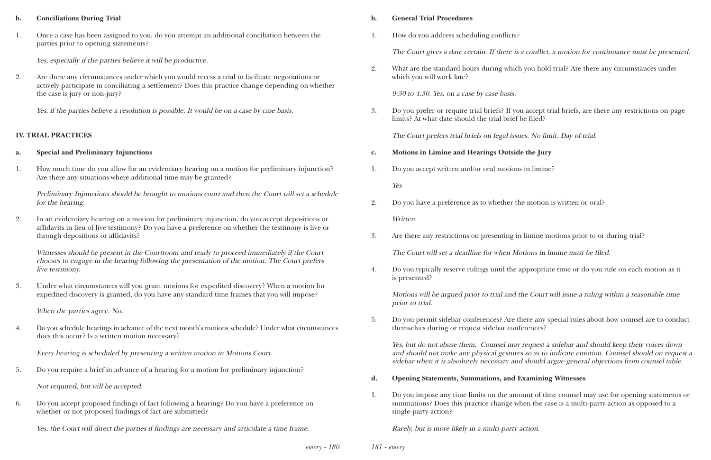#### **b. Conciliations During Trial**

1. Once a case has been assigned to you, do you attempt an additional conciliation between the parties prior to opening statements?

Yes, especially if the parties believe it will be productive.

2. Are there any circumstances under which you would recess a trial to facilitate negotiations or actively participate in conciliating a settlement? Does this practice change depending on whether the case is jury or non-jury?

Yes, if the parties believe a resolution is possible. It would be on a case by case basis.

#### **IV. TRIAL PRACTICES**

#### **a. Special and Preliminary Injunctions**

1. How much time do you allow for an evidentiary hearing on a motion for preliminary injunction? Are there any situations where additional time may be granted?

Preliminary Injunctions should be brought to motions court and then the Court will set a schedule for the hearing.

2. In an evidentiary hearing on a motion for preliminary injunction, do you accept depositions or affidavits in lieu of live testimony? Do you have a preference on whether the testimony is live or through depositions or affidavits?

> *emery • 180 181 • emery*

Witnesses should be present in the Courtroom and ready to proceed immediately if the Court chooses to engage in the hearing following the presentation of the motion. The Court prefers live testimony.

3. Under what circumstances will you grant motions for expedited discovery? When a motion for expedited discovery is granted, do you have any standard time frames that you will impose?

When the parties agree. No.

4. Do you schedule hearings in advance of the next month's motions schedule? Under what circumstances does this occur? Is a written motion necessary?

Every hearing is scheduled by presenting a written motion in Motions Court.

5. Do you require a brief in advance of a hearing for a motion for preliminary injunction?

Not required, but will be accepted.

6. Do you accept proposed findings of fact following a hearing? Do you have a preference on whether or not proposed findings of fact are submitted?

Yes, the Court will direct the parties if findings are necessary and articulate a time frame.

#### **b. General Trial Procedures**

1. How do you address scheduling conflicts?

The Court gives a date certain. If there is a conflict, a motion for continuance must be presented.

2. What are the standard hours during which you hold trial? Are there any circumstances under

which you will work late?

9:30 to 4:30. Yes, on a case by case basis.

3. Do you prefer or require trial briefs? If you accept trial briefs, are there any restrictions on page

limits? At what date should the trial brief be filed?

The Court prefers trial briefs on legal issues. No limit. Day of trial.

- **c. Motions in Limine and Hearings Outside the Jury**
- 1. Do you accept written and/or oral motions in limine?

Yes

- 2. Do you have a preference as to whether the motion is written or oral? Written.
- 3. Are there any restrictions on presenting in limine motions prior to or during trial?

The Court will set a deadline for when Motions in limine must be filed.

4. Do you typically reserve rulings until the appropriate time or do you rule on each motion as it

is presented?

Motions will be argued prior to trial and the Court will issue a ruling within a reasonable time prior to trial.

5. Do you permit sidebar conferences? Are there any special rules about how counsel are to conduct

themselves during or request sidebar conferences?

Yes, but do not abuse them. Counsel may request a sidebar and should keep their voices down and should not make any physical gestures so as to indicate emotion. Counsel should on request a sidebar when it is absolutely necessary and should argue general objections from counsel table.

- **d. Opening Statements, Summations, and Examining Witnesses**
- single-party action?

1. Do you impose any time limits on the amount of time counsel may use for opening statements or summations? Does this practice change when the case is a multi-party action as opposed to a

Rarely, but is more likely in a multi-party action.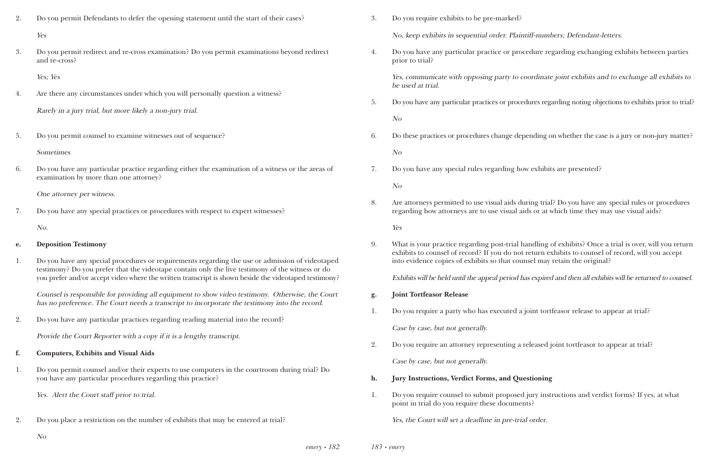- 2. Do you permit Defendants to defer the opening statement until the start of their cases? Yes
- 3. Do you permit redirect and re-cross examination? Do you permit examinations beyond redirect and re-cross?

Yes; Yes

4. Are there any circumstances under which you will personally question a witness?

Rarely in a jury trial, but more likely a non-jury trial.

5. Do you permit counsel to examine witnesses out of sequence?

### Sometimes

6. Do you have any particular practice regarding either the examination of a witness or the areas of examination by more than one attorney?

One attorney per witness.

7. Do you have any special practices or procedures with respect to expert witnesses?

No.

- **e. Deposition Testimony**
- 1. Do you have any special procedures or requirements regarding the use or admission of videotaped testimony? Do you prefer that the videotape contain only the live testimony of the witness or do you prefer and/or accept video where the written transcript is shown beside the videotaped testimony?

Counsel is responsible for providing all equipment to show video testimony. Otherwise, the Court has no preference. The Court needs a transcript to incorporate the testimony into the record.

2. Do you have any particular practices regarding reading material into the record?

Provide the Court Reporter with a copy if it is a lengthy transcript.

- **f. Computers, Exhibits and Visual Aids**
- 1. Do you permit counsel and/or their experts to use computers in the courtroom during trial? Do you have any particular procedures regarding this practice?

Yes. Alert the Court staff prior to trial.

2. Do you place a restriction on the number of exhibits that may be entered at trial?

No, keep exhibits in sequential order. Plaintiff-numbers; Defendant-letters.

- 3. Do you require exhibits to be pre-marked?
- prior to trial?

4. Do you have any particular practice or procedure regarding exchanging exhibits between parties

Yes, communicate with opposing party to coordinate joint exhibits and to exchange all exhibits to be used at trial.

5. Do you have any particular practices or procedures regarding noting objections to exhibits prior to trial?

No

6. Do these practices or procedures change depending on whether the case is a jury or non-jury matter?

No

7. Do you have any special rules regarding how exhibits are presented?

No

8. Are attorneys permitted to use visual aids during trial? Do you have any special rules or procedures regarding how attorneys are to use visual aids or at which time they may use visual aids?

Yes

9. What is your practice regarding post-trial handling of exhibits? Once a trial is over, will you return exhibits to counsel of record? If you do not return exhibits to counsel of record, will you accept

into evidence copies of exhibits so that counsel may retain the original?

Exhibits will be held until the appeal period has expired and then all exhibits will be returned to counsel.

- **g. Joint Tortfeasor Release**
- 1. Do you require a party who has executed a joint tortfeasor release to appear at trial?

Case by case, but not generally.

2. Do you require an attorney representing a released joint tortfeasor to appear at trial?

Case by case, but not generally.

- **h. Jury Instructions, Verdict Forms, and Questioning**
- point in trial do you require these documents?

1. Do you require counsel to submit proposed jury instructions and verdict forms? If yes, at what

Yes, the Court will set a deadline in pre-trial order.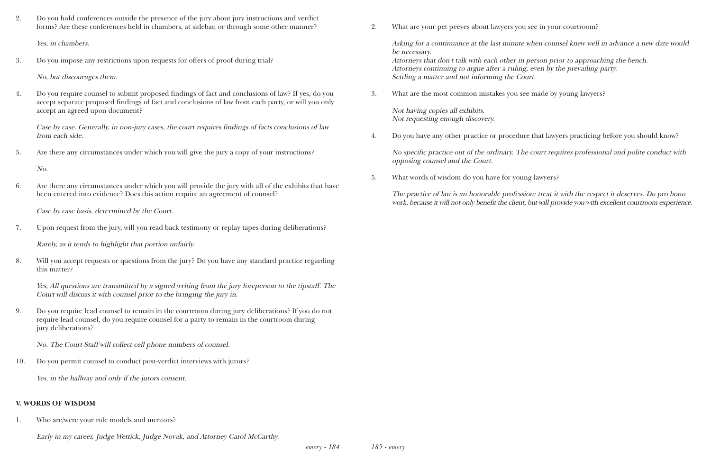2. Do you hold conferences outside the presence of the jury about jury instructions and verdict forms? Are these conferences held in chambers, at sidebar, or through some other manner?

Yes, in chambers.

3. Do you impose any restrictions upon requests for offers of proof during trial?

No, but discourages them.

4. Do you require counsel to submit proposed findings of fact and conclusions of law? If yes, do you accept separate proposed findings of fact and conclusions of law from each party, or will you only accept an agreed upon document?

Case by case. Generally, in non-jury cases, the court requires findings of facts conclusions of law from each side.

5. Are there any circumstances under which you will give the jury a copy of your instructions?

No.

6. Are there any circumstances under which you will provide the jury with all of the exhibits that have been entered into evidence? Does this action require an agreement of counsel?

Case by case basis, determined by the Court.

7. Upon request from the jury, will you read back testimony or replay tapes during deliberations?

Rarely, as it tends to highlight that portion unfairly.

8. Will you accept requests or questions from the jury? Do you have any standard practice regarding this matter?

Yes, All questions are transmitted by a signed writing from the jury foreperson to the tipstaff. The Court will discuss it with counsel prior to the bringing the jury in.

9. Do you require lead counsel to remain in the courtroom during jury deliberations? If you do not require lead counsel, do you require counsel for a party to remain in the courtroom during jury deliberations?

No. The Court Staff will collect cell phone numbers of counsel.

10. Do you permit counsel to conduct post-verdict interviews with jurors?

Yes, in the hallway and only if the jurors consent.

#### **V. WORDS OF WISDOM**

1. Who are/were your role models and mentors?

Early in my career, Judge Wettick, Judge Novak, and Attorney Carol McCarthy.

2. What are your pet peeves about lawyers you see in your courtroom?

Asking for a continuance at the last minute when counsel knew well in advance a new date would be necessary.

Attorneys that don't talk with each other in person prior to approaching the bench. Attorneys continuing to argue after a ruling, even by the prevailing party. Settling a matter and not informing the Court.

3. What are the most common mistakes you see made by young lawyers?

Not having copies all exhibits. Not requesting enough discovery.

4. Do you have any other practice or procedure that lawyers practicing before you should know?

No specific practice out of the ordinary. The court requires professional and polite conduct with opposing counsel and the Court.

5. What words of wisdom do you have for young lawyers?

The practice of law is an honorable profession; treat it with the respect it deserves. Do pro bono work, because it will not only benefit the client, but will provide you with excellent courtroom experience.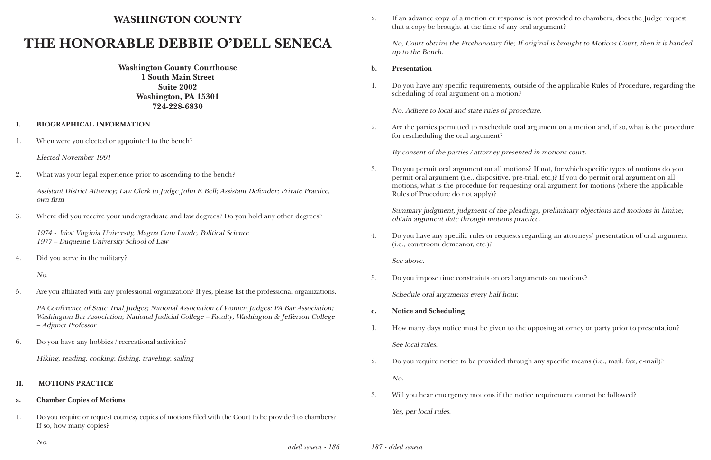# **WASHINGTON COUNTY**

# **THE HONORABLE DEBBIE O'DELL SENECA**

**Washington County Courthouse 1 South Main Street Suite 2002 Washington, PA 15301 724-228-6830**

#### **I. BIOGRAPHICAL INFORMATION**

1. When were you elected or appointed to the bench?

Elected November 1991

2. What was your legal experience prior to ascending to the bench?

Assistant District Attorney; Law Clerk to Judge John F. Bell; Assistant Defender; Private Practice, own firm

3. Where did you receive your undergraduate and law degrees? Do you hold any other degrees?

1974 - West Virginia University, Magna Cum Laude, Political Science 1977 – Duquesne University School of Law

4. Did you serve in the military?

No.

5. Are you affiliated with any professional organization? If yes, please list the professional organizations.

PA Conference of State Trial Judges; National Association of Women Judges; PA Bar Association; Washington Bar Association; National Judicial College – Faculty; Washington & Jefferson College – Adjunct Professor

6. Do you have any hobbies / recreational activities?

Hiking, reading, cooking, fishing, traveling, sailing

#### **II. MOTIONS PRACTICE**

#### **a. Chamber Copies of Motions**

1. Do you require or request courtesy copies of motions filed with the Court to be provided to chambers? If so, how many copies?

2. If an advance copy of a motion or response is not provided to chambers, does the Judge request

that a copy be brought at the time of any oral argument?

No, Court obtains the Prothonotary file; If original is brought to Motions Court, then it is handed up to the Bench.

#### **b. Presentation**

1. Do you have any specific requirements, outside of the applicable Rules of Procedure, regarding the

scheduling of oral argument on a motion?

No. Adhere to local and state rules of procedure.

2. Are the parties permitted to reschedule oral argument on a motion and, if so, what is the procedure

for rescheduling the oral argument?

By consent of the parties / attorney presented in motions court.

3. Do you permit oral argument on all motions? If not, for which specific types of motions do you permit oral argument (i.e., dispositive, pre-trial, etc.)? If you do permit oral argument on all motions, what is the procedure for requesting oral argument for motions (where the applicable

Rules of Procedure do not apply)?

Summary judgment, judgment of the pleadings, preliminary objections and motions in limine; obtain argument date through motions practice.

4. Do you have any specific rules or requests regarding an attorneys' presentation of oral argument

(i.e., courtroom demeanor, etc.)?

See above.

5. Do you impose time constraints on oral arguments on motions?

Schedule oral arguments every half hour.

1. How many days notice must be given to the opposing attorney or party prior to presentation?

- **c. Notice and Scheduling**
- See local rules.
- 2. Do you require notice to be provided through any specific means (i.e., mail, fax, e-mail)? No.
- 3. Will you hear emergency motions if the notice requirement cannot be followed? Yes, per local rules.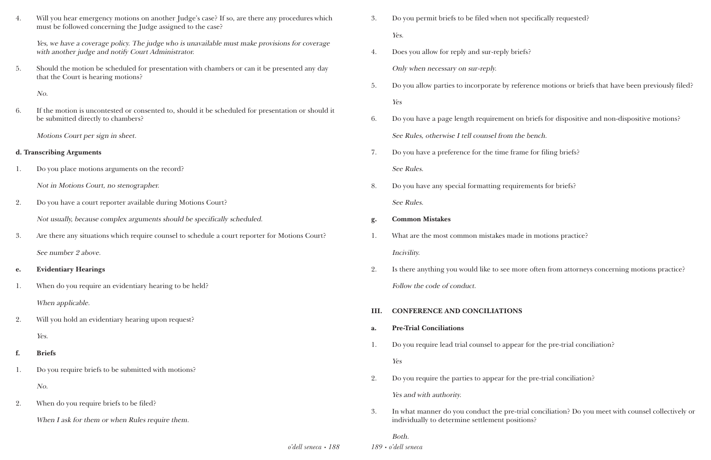| 4. | Will you hear emergency motions on another Judge's case? If so, are there any procedures which<br>must be followed concerning the Judge assigned to the case? | 3.   | Do you permit briefs to be filed when not s                                              |
|----|---------------------------------------------------------------------------------------------------------------------------------------------------------------|------|------------------------------------------------------------------------------------------|
|    | Yes, we have a coverage policy. The judge who is unavailable must make provisions for coverage<br>with another judge and notify Court Administrator.          | 4.   | Yes.<br>Does you allow for reply and sur-reply brie                                      |
| 5. | Should the motion be scheduled for presentation with chambers or can it be presented any day<br>that the Court is hearing motions?                            |      | Only when necessary on sur-reply.                                                        |
|    | No.                                                                                                                                                           | 5.   | Do you allow parties to incorporate by refe                                              |
|    |                                                                                                                                                               |      | Yes                                                                                      |
| 6. | If the motion is uncontested or consented to, should it be scheduled for presentation or should it<br>be submitted directly to chambers?                      | 6.   | Do you have a page length requirement on                                                 |
|    | Motions Court per sign in sheet.                                                                                                                              |      | See Rules, otherwise I tell counsel from the                                             |
|    | d. Transcribing Arguments                                                                                                                                     | 7.   | Do you have a preference for the time fram                                               |
| 1. | Do you place motions arguments on the record?                                                                                                                 |      | See Rules.                                                                               |
|    | Not in Motions Court, no stenographer.                                                                                                                        | 8.   | Do you have any special formatting require                                               |
| 2. | Do you have a court reporter available during Motions Court?                                                                                                  |      | See Rules.                                                                               |
|    | Not usually, because complex arguments should be specifically scheduled.                                                                                      | g.   | <b>Common Mistakes</b>                                                                   |
| 3. | Are there any situations which require counsel to schedule a court reporter for Motions Court?                                                                |      | What are the most common mistakes made                                                   |
|    | See number 2 above.                                                                                                                                           |      | Incivility.                                                                              |
| e. | <b>Evidentiary Hearings</b>                                                                                                                                   | 2.   | Is there anything you would like to see more                                             |
| 1. | When do you require an evidentiary hearing to be held?                                                                                                        |      | Follow the code of conduct.                                                              |
|    | When applicable.                                                                                                                                              |      |                                                                                          |
| 2. | Will you hold an evidentiary hearing upon request?                                                                                                            | III. | <b>CONFERENCE AND CONCILIATIONS</b>                                                      |
|    | Yes.                                                                                                                                                          | a.   | <b>Pre-Trial Conciliations</b>                                                           |
| f. | <b>Briefs</b>                                                                                                                                                 | 1.   | Do you require lead trial counsel to appear                                              |
| 1. | Do you require briefs to be submitted with motions?                                                                                                           |      | Yes                                                                                      |
|    | No.                                                                                                                                                           | 2.   | Do you require the parties to appear for the                                             |
| 2. | When do you require briefs to be filed?                                                                                                                       |      | Yes and with authority.                                                                  |
|    | When I ask for them or when Rules require them.                                                                                                               | 3.   | In what manner do you conduct the pre-tri<br>individually to determine settlement positi |
|    |                                                                                                                                                               |      |                                                                                          |

*189 • o'dell seneca* Both.

en not specifically requested?

ply briefs?

by reference motions or briefs that have been previously filed?

nent on briefs for dispositive and non-dispositive motions? From the bench.

me frame for filing briefs?

requirements for briefs?

es made in motions practice?

see more often from attorneys concerning motions practice?

appear for the pre-trial conciliation?

e of the pre-trial conciliation?

e pre-trial conciliation? Do you meet with counsel collectively or it positions?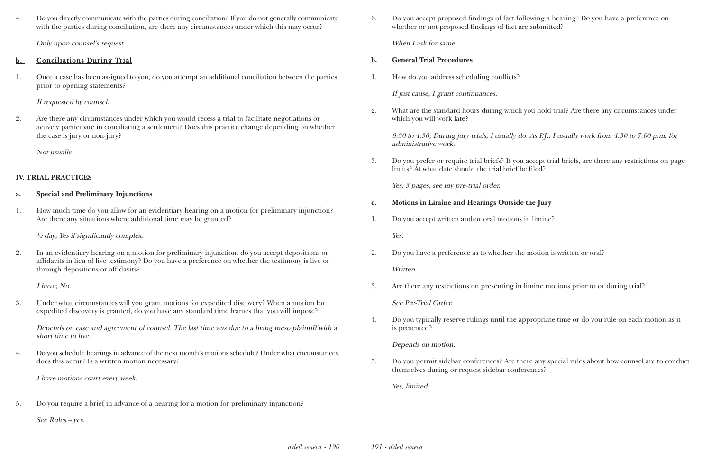4. Do you directly communicate with the parties during conciliation? If you do not generally communicate with the parties during conciliation, are there any circumstances under which this may occur?

Only upon counsel's request.

### b. Conciliations During Trial

1. Once a case has been assigned to you, do you attempt an additional conciliation between the parties prior to opening statements?

If requested by counsel.

2. Are there any circumstances under which you would recess a trial to facilitate negotiations or actively participate in conciliating a settlement? Does this practice change depending on whether the case is jury or non-jury?

Not usually.

### **IV. TRIAL PRACTICES**

#### **a. Special and Preliminary Injunctions**

1. How much time do you allow for an evidentiary hearing on a motion for preliminary injunction? Are there any situations where additional time may be granted?

½ day; Yes if significantly complex.

2. In an evidentiary hearing on a motion for preliminary injunction, do you accept depositions or affidavits in lieu of live testimony? Do you have a preference on whether the testimony is live or through depositions or affidavits?

I have; No.

3. Under what circumstances will you grant motions for expedited discovery? When a motion for expedited discovery is granted, do you have any standard time frames that you will impose?

Depends on case and agreement of counsel. The last time was due to a living meso plaintiff with a short time to live.

4. Do you schedule hearings in advance of the next month's motions schedule? Under what circumstances does this occur? Is a written motion necessary?

I have motions court every week.

5. Do you require a brief in advance of a hearing for a motion for preliminary injunction?

See Rules – yes.

6. Do you accept proposed findings of fact following a hearing? Do you have a preference on whether or not proposed findings of fact are submitted?

When I ask for same.

- **b. General Trial Procedures**
- 1. How do you address scheduling conflicts?

If just cause, I grant continuances.

2. What are the standard hours during which you hold trial? Are there any circumstances under

which you will work late?

9:30 to 4:30; During jury trials, I usually do. As P.J., I usually work from 4:30 to 7:00 p.m. for administrative work.

3. Do you prefer or require trial briefs? If you accept trial briefs, are there any restrictions on page

limits? At what date should the trial brief be filed?

Yes, 3 pages, see my pre-trial order.

- **c. Motions in Limine and Hearings Outside the Jury**
- 1. Do you accept written and/or oral motions in limine? Yes.
- 2. Do you have a preference as to whether the motion is written or oral? Written
- 3. Are there any restrictions on presenting in limine motions prior to or during trial?

See Pre-Trial Order.

4. Do you typically reserve rulings until the appropriate time or do you rule on each motion as it

is presented?

Depends on motion.

5. Do you permit sidebar conferences? Are there any special rules about how counsel are to conduct

themselves during or request sidebar conferences?

Yes, limited.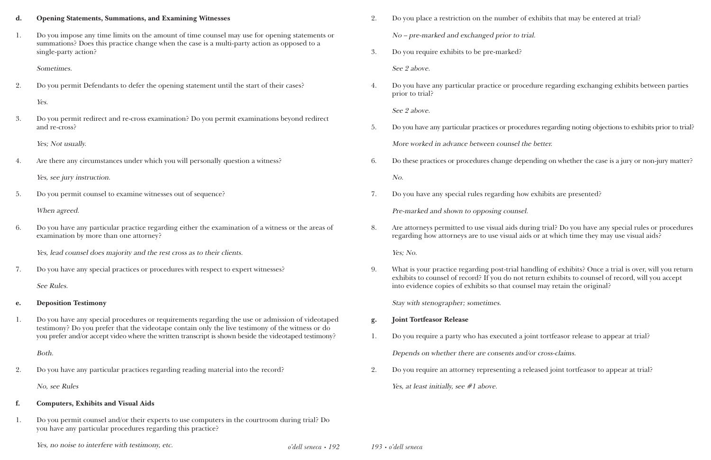#### **d. Opening Statements, Summations, and Examining Witnesses**

1. Do you impose any time limits on the amount of time counsel may use for opening statements or summations? Does this practice change when the case is a multi-party action as opposed to a single-party action?

Sometimes.

2. Do you permit Defendants to defer the opening statement until the start of their cases?

Yes.

3. Do you permit redirect and re-cross examination? Do you permit examinations beyond redirect and re-cross?

Yes; Not usually.

4. Are there any circumstances under which you will personally question a witness?

Yes, see jury instruction.

5. Do you permit counsel to examine witnesses out of sequence?

When agreed.

6. Do you have any particular practice regarding either the examination of a witness or the areas of examination by more than one attorney?

Yes, lead counsel does majority and the rest cross as to their clients.

7. Do you have any special practices or procedures with respect to expert witnesses?

See Rules.

#### **e. Deposition Testimony**

1. Do you have any special procedures or requirements regarding the use or admission of videotaped testimony? Do you prefer that the videotape contain only the live testimony of the witness or do you prefer and/or accept video where the written transcript is shown beside the videotaped testimony?

Both.

2. Do you have any particular practices regarding reading material into the record?

No, see Rules

#### **f. Computers, Exhibits and Visual Aids**

1. Do you permit counsel and/or their experts to use computers in the courtroom during trial? Do you have any particular procedures regarding this practice?

Yes, no noise to interfere with testimony, etc.  $o'dell$  seneca • 192 193 •  $o'dell$  seneca

2. Do you place a restriction on the number of exhibits that may be entered at trial? No – pre-marked and exchanged prior to trial.

3. Do you require exhibits to be pre-marked?

See 2 above.

4. Do you have any particular practice or procedure regarding exchanging exhibits between parties

prior to trial?

See 2 above.

5. Do you have any particular practices or procedures regarding noting objections to exhibits prior to trial?

More worked in advance between counsel the better.

6. Do these practices or procedures change depending on whether the case is a jury or non-jury matter?

- No.
- 7. Do you have any special rules regarding how exhibits are presented?

Pre-marked and shown to opposing counsel.

8. Are attorneys permitted to use visual aids during trial? Do you have any special rules or procedures regarding how attorneys are to use visual aids or at which time they may use visual aids?

Yes; No.

9. What is your practice regarding post-trial handling of exhibits? Once a trial is over, will you return exhibits to counsel of record? If you do not return exhibits to counsel of record, will you accept

into evidence copies of exhibits so that counsel may retain the original?

Stay with stenographer; sometimes.

- **g. Joint Tortfeasor Release**
- 1. Do you require a party who has executed a joint tortfeasor release to appear at trial?

Depends on whether there are consents and/or cross-claims.

2. Do you require an attorney representing a released joint tortfeasor to appear at trial?

Yes, at least initially, see #1 above.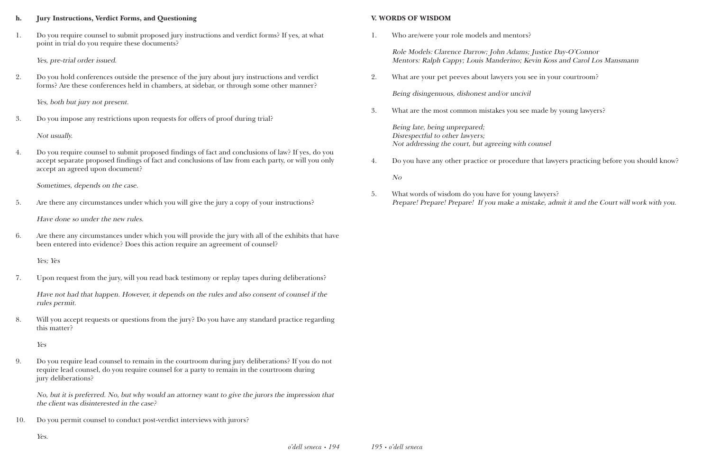#### **h. Jury Instructions, Verdict Forms, and Questioning**

1. Do you require counsel to submit proposed jury instructions and verdict forms? If yes, at what point in trial do you require these documents?

Yes, pre-trial order issued.

2. Do you hold conferences outside the presence of the jury about jury instructions and verdict forms? Are these conferences held in chambers, at sidebar, or through some other manner?

Yes, both but jury not present.

3. Do you impose any restrictions upon requests for offers of proof during trial?

Not usually.

4. Do you require counsel to submit proposed findings of fact and conclusions of law? If yes, do you accept separate proposed findings of fact and conclusions of law from each party, or will you only accept an agreed upon document?

Sometimes, depends on the case.

5. Are there any circumstances under which you will give the jury a copy of your instructions?

Have done so under the new rules.

6. Are there any circumstances under which you will provide the jury with all of the exhibits that have been entered into evidence? Does this action require an agreement of counsel?

Yes; Yes

7. Upon request from the jury, will you read back testimony or replay tapes during deliberations?

Have not had that happen. However, it depends on the rules and also consent of counsel if the rules permit.

8. Will you accept requests or questions from the jury? Do you have any standard practice regarding this matter?

Yes

9. Do you require lead counsel to remain in the courtroom during jury deliberations? If you do not require lead counsel, do you require counsel for a party to remain in the courtroom during jury deliberations?

No, but it is preferred. No, but why would an attorney want to give the jurors the impression that the client was disinterested in the case?

10. Do you permit counsel to conduct post-verdict interviews with jurors?

Yes.

#### **V. WORDS OF WISDOM**

1. Who are/were your role models and mentors?

Role Models: Clarence Darrow; John Adams; Justice Day-O'Connor Mentors: Ralph Cappy; Louis Manderino; Kevin Koss and Carol Los Mansmann

2. What are your pet peeves about lawyers you see in your courtroom?

Being disingenuous, dishonest and/or uncivil

3. What are the most common mistakes you see made by young lawyers?

Being late, being unprepared; Disrespectful to other lawyers; Not addressing the court, but agreeing with counsel

4. Do you have any other practice or procedure that lawyers practicing before you should know?

No

5. What words of wisdom do you have for young lawyers?

Prepare! Prepare! Prepare! If you make a mistake, admit it and the Court will work with you.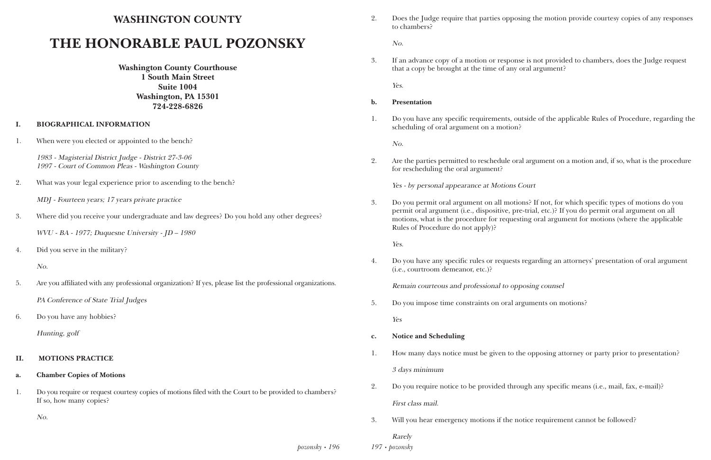## **WASHINGTON COUNTY**

# **THE HONORABLE PAUL POZONSKY**

**Washington County Courthouse 1 South Main Street Suite 1004 Washington, PA 15301 724-228-6826**

#### **I. BIOGRAPHICAL INFORMATION**

1. When were you elected or appointed to the bench?

1983 - Magisterial District Judge - District 27-3-06 1997 - Court of Common Pleas - Washington County

- 2. What was your legal experience prior to ascending to the bench?
	- MDJ Fourteen years; 17 years private practice
- 3. Where did you receive your undergraduate and law degrees? Do you hold any other degrees?

*pozonsky • 196 197 • pozonsky*

WVU - BA - 1977; Duquesne University - JD – 1980

4. Did you serve in the military?

No.

5. Are you affiliated with any professional organization? If yes, please list the professional organizations.

PA Conference of State Trial Judges

6. Do you have any hobbies?

Hunting, golf

#### **II. MOTIONS PRACTICE**

#### **a. Chamber Copies of Motions**

1. Do you require or request courtesy copies of motions filed with the Court to be provided to chambers? If so, how many copies?

No.

2. Does the Judge require that parties opposing the motion provide courtesy copies of any responses

to chambers?

No.

3. If an advance copy of a motion or response is not provided to chambers, does the Judge request

that a copy be brought at the time of any oral argument?

Yes.

1. Do you have any specific requirements, outside of the applicable Rules of Procedure, regarding the

- **b. Presentation**
- scheduling of oral argument on a motion?

No.

2. Are the parties permitted to reschedule oral argument on a motion and, if so, what is the procedure

for rescheduling the oral argument?

Yes - by personal appearance at Motions Court

3. Do you permit oral argument on all motions? If not, for which specific types of motions do you permit oral argument (i.e., dispositive, pre-trial, etc.)? If you do permit oral argument on all motions, what is the procedure for requesting oral argument for motions (where the applicable Rules of Procedure do not apply)?

Yes.

4. Do you have any specific rules or requests regarding an attorneys' presentation of oral argument

(i.e., courtroom demeanor, etc.)?

Remain courteous and professional to opposing counsel

5. Do you impose time constraints on oral arguments on motions?

Yes

- **c. Notice and Scheduling**
- 

1. How many days notice must be given to the opposing attorney or party prior to presentation?

3 days minimum

2. Do you require notice to be provided through any specific means (i.e., mail, fax, e-mail)?

- First class mail.
- 3. Will you hear emergency motions if the notice requirement cannot be followed?

Rarely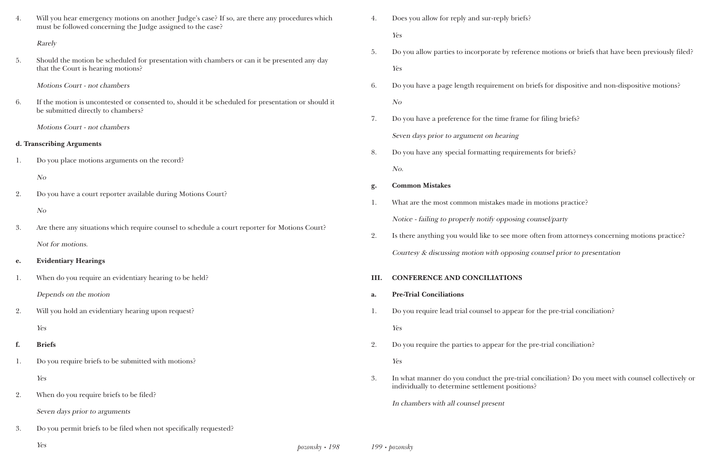| 4. | Will you hear emergency motions on another Judge's case? If so, are there any procedures which<br>must be followed concerning the Judge assigned to the case? | 4.   | Does you allow for reply and sur-reply brie  |
|----|---------------------------------------------------------------------------------------------------------------------------------------------------------------|------|----------------------------------------------|
|    | Rarely                                                                                                                                                        |      | Yes                                          |
| 5. | Should the motion be scheduled for presentation with chambers or can it be presented any day                                                                  | 5.   | Do you allow parties to incorporate by refe  |
|    | that the Court is hearing motions?                                                                                                                            |      | Yes                                          |
|    | Motions Court - not chambers                                                                                                                                  | 6.   | Do you have a page length requirement or     |
| 6. | If the motion is uncontested or consented to, should it be scheduled for presentation or should it<br>be submitted directly to chambers?                      |      | N <sub>O</sub>                               |
|    | Motions Court - not chambers                                                                                                                                  | 7.   | Do you have a preference for the time fran   |
|    | d. Transcribing Arguments                                                                                                                                     |      | Seven days prior to argument on hearing      |
|    |                                                                                                                                                               | 8.   | Do you have any special formatting require   |
| 1. | Do you place motions arguments on the record?                                                                                                                 |      | No.                                          |
|    | N <sub>O</sub>                                                                                                                                                | g.   | <b>Common Mistakes</b>                       |
| 2. | Do you have a court reporter available during Motions Court?                                                                                                  | 1.   | What are the most common mistakes made       |
|    | N <sub>O</sub>                                                                                                                                                |      | Notice - failing to properly notify opposing |
| 3. | Are there any situations which require counsel to schedule a court reporter for Motions Court?                                                                | 2.   | Is there anything you would like to see mo.  |
|    | Not for motions.                                                                                                                                              |      | Courtesy & discussing motion with opposit    |
| e. | <b>Evidentiary Hearings</b>                                                                                                                                   |      |                                              |
| 1. | When do you require an evidentiary hearing to be held?                                                                                                        | III. | <b>CONFERENCE AND CONCILIATIONS</b>          |
|    | Depends on the motion                                                                                                                                         | a.   | <b>Pre-Trial Conciliations</b>               |
| 2. | Will you hold an evidentiary hearing upon request?                                                                                                            | 1.   | Do you require lead trial counsel to appear  |
|    | Yes                                                                                                                                                           |      | Yes                                          |
| f. | <b>Briefs</b>                                                                                                                                                 | 2.   | Do you require the parties to appear for the |
| 1. | Do you require briefs to be submitted with motions?                                                                                                           |      | Yes                                          |
|    | Yes                                                                                                                                                           | 3.   | In what manner do you conduct the pre-tr     |
| 2. | When do you require briefs to be filed?                                                                                                                       |      | individually to determine settlement positi  |
|    | Seven days prior to arguments                                                                                                                                 |      | In chambers with all counsel present         |
| 3. | Do you permit briefs to be filed when not specifically requested?                                                                                             |      |                                              |
|    |                                                                                                                                                               |      |                                              |

*pozonsky • 198* Yes *199 • pozonsky*

llow parties to incorporate by reference motions or briefs that have been previously filed?

ave a page length requirement on briefs for dispositive and non-dispositive motions?

ave a preference for the time frame for filing briefs?

ave any special formatting requirements for briefs?

the most common mistakes made in motions practice?

failing to properly notify opposing counsel/party

nything you would like to see more often from attorneys concerning motions practice?

& discussing motion with opposing counsel prior to presentation

equire lead trial counsel to appear for the pre-trial conciliation?

equire the parties to appear for the pre-trial conciliation?

nanner do you conduct the pre-trial conciliation? Do you meet with counsel collectively or lly to determine settlement positions?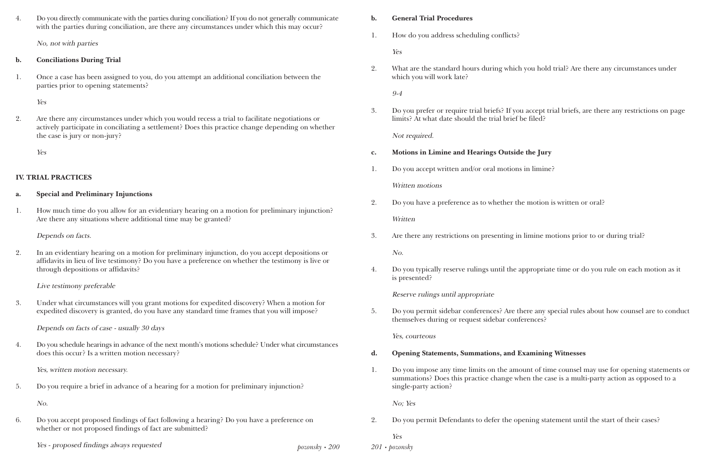*pozonsky • 200*

4. Do you directly communicate with the parties during conciliation? If you do not generally communicate with the parties during conciliation, are there any circumstances under which this may occur?

No, not with parties

### **b. Conciliations During Trial**

1. Once a case has been assigned to you, do you attempt an additional conciliation between the parties prior to opening statements?

Yes

2. Are there any circumstances under which you would recess a trial to facilitate negotiations or actively participate in conciliating a settlement? Does this practice change depending on whether the case is jury or non-jury?

Yes

## **IV. TRIAL PRACTICES**

### **a. Special and Preliminary Injunctions**

1. How much time do you allow for an evidentiary hearing on a motion for preliminary injunction? Are there any situations where additional time may be granted?

Depends on facts.

2. In an evidentiary hearing on a motion for preliminary injunction, do you accept depositions or affidavits in lieu of live testimony? Do you have a preference on whether the testimony is live or through depositions or affidavits?

Live testimony preferable

3. Under what circumstances will you grant motions for expedited discovery? When a motion for expedited discovery is granted, do you have any standard time frames that you will impose?

Depends on facts of case - usually 30 days

4. Do you schedule hearings in advance of the next month's motions schedule? Under what circumstances does this occur? Is a written motion necessary?

Yes, written motion necessary.

5. Do you require a brief in advance of a hearing for a motion for preliminary injunction?

No.

6. Do you accept proposed findings of fact following a hearing? Do you have a preference on whether or not proposed findings of fact are submitted?

Yes - proposed findings always requested *201 • pozonsky*

## **b. General Trial Procedures**

1. How do you address scheduling conflicts?

Yes

2. What are the standard hours during which you hold trial? Are there any circumstances under

which you will work late?

9-4

3. Do you prefer or require trial briefs? If you accept trial briefs, are there any restrictions on page

limits? At what date should the trial brief be filed?

Not required.

- **c. Motions in Limine and Hearings Outside the Jury**
- 1. Do you accept written and/or oral motions in limine?

Written motions

2. Do you have a preference as to whether the motion is written or oral?

**Written** 

3. Are there any restrictions on presenting in limine motions prior to or during trial?

No.

4. Do you typically reserve rulings until the appropriate time or do you rule on each motion as it

is presented?

Reserve rulings until appropriate

5. Do you permit sidebar conferences? Are there any special rules about how counsel are to conduct

themselves during or request sidebar conferences?

Yes, courteous

- **d. Opening Statements, Summations, and Examining Witnesses**
- single-party action?

1. Do you impose any time limits on the amount of time counsel may use for opening statements or summations? Does this practice change when the case is a multi-party action as opposed to a

No; Yes

2. Do you permit Defendants to defer the opening statement until the start of their cases?

Yes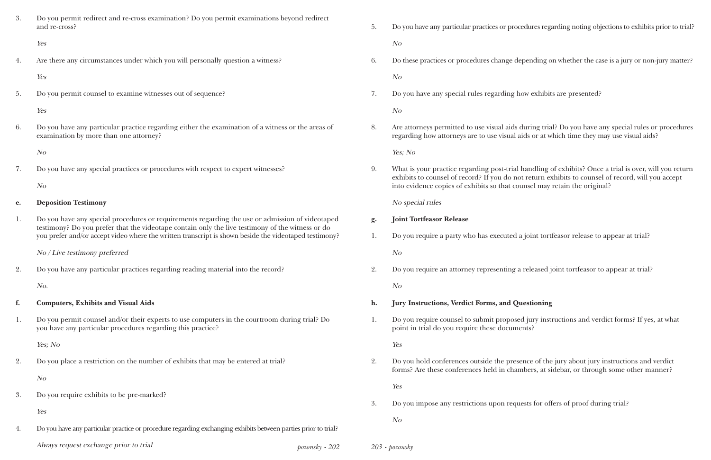| 3. | Do you permit redirect and re-cross examination? Do you permit examinations beyond redirect<br>and re-cross?                                                                                        |                      | 5.                                             | Do you have any particular practices or procedur                                                                                                       |
|----|-----------------------------------------------------------------------------------------------------------------------------------------------------------------------------------------------------|----------------------|------------------------------------------------|--------------------------------------------------------------------------------------------------------------------------------------------------------|
|    | Yes                                                                                                                                                                                                 |                      |                                                | No                                                                                                                                                     |
| 4. | Are there any circumstances under which you will personally question a witness?                                                                                                                     |                      | 6.                                             | Do these practices or procedures change depend                                                                                                         |
|    | Yes                                                                                                                                                                                                 |                      |                                                | N o                                                                                                                                                    |
| 5. | Do you permit counsel to examine witnesses out of sequence?                                                                                                                                         |                      | 7.                                             | Do you have any special rules regarding how e                                                                                                          |
|    | Yes                                                                                                                                                                                                 |                      |                                                | N <sub>O</sub>                                                                                                                                         |
| 6. | Do you have any particular practice regarding either the examination of a witness or the areas of<br>examination by more than one attorney?                                                         |                      | 8.                                             | Are attorneys permitted to use visual aids durin<br>regarding how attorneys are to use visual aids of                                                  |
|    | N <sub>O</sub>                                                                                                                                                                                      |                      |                                                | Yes; No                                                                                                                                                |
| 7. | Do you have any special practices or procedures with respect to expert witnesses?<br>N <sub>O</sub>                                                                                                 |                      | 9.                                             | What is your practice regarding post-trial hand<br>exhibits to counsel of record? If you do not ret<br>into evidence copies of exhibits so that counse |
| e. | <b>Deposition Testimony</b>                                                                                                                                                                         |                      |                                                | No special rules                                                                                                                                       |
|    |                                                                                                                                                                                                     |                      |                                                |                                                                                                                                                        |
| 1. | Do you have any special procedures or requirements regarding the use or admission of videotaped<br>testimony? Do you prefer that the videotape contain only the live testimony of the witness or do |                      | g.                                             | <b>Joint Tortfeasor Release</b>                                                                                                                        |
|    | you prefer and/or accept video where the written transcript is shown beside the videotaped testimony?                                                                                               | 1.                   | Do you require a party who has executed a join |                                                                                                                                                        |
|    | No / Live testimony preferred                                                                                                                                                                       |                      |                                                | N <sub>O</sub>                                                                                                                                         |
| 2. | Do you have any particular practices regarding reading material into the record?                                                                                                                    |                      |                                                | Do you require an attorney representing a rele                                                                                                         |
|    | No.                                                                                                                                                                                                 |                      |                                                | N <sub>O</sub>                                                                                                                                         |
| f. | <b>Computers, Exhibits and Visual Aids</b>                                                                                                                                                          |                      | h.                                             | <b>Jury Instructions, Verdict Forms, and Questi</b>                                                                                                    |
| 1. | Do you permit counsel and/or their experts to use computers in the courtroom during trial? Do<br>you have any particular procedures regarding this practice?                                        |                      | 1.                                             | Do you require counsel to submit proposed jui<br>point in trial do you require these documents?                                                        |
|    | Yes; No                                                                                                                                                                                             |                      |                                                | Yes                                                                                                                                                    |
| 2. | Do you place a restriction on the number of exhibits that may be entered at trial?                                                                                                                  |                      | 2.                                             | Do you hold conferences outside the presence<br>forms? Are these conferences held in chamber                                                           |
|    | N <sub>O</sub>                                                                                                                                                                                      |                      |                                                | Yes                                                                                                                                                    |
| 3. | Do you require exhibits to be pre-marked?                                                                                                                                                           |                      | 3.                                             | Do you impose any restrictions upon requests                                                                                                           |
|    | Yes                                                                                                                                                                                                 |                      |                                                |                                                                                                                                                        |
| 4. | Do you have any particular practice or procedure regarding exchanging exhibits between parties prior to trial?                                                                                      |                      |                                                | N <sub>O</sub>                                                                                                                                         |
|    | Always request exchange prior to trial                                                                                                                                                              | $pozonsky \cdot 202$ |                                                | $203 \cdot pozonsky$                                                                                                                                   |

lures regarding noting objections to exhibits prior to trial?

ending on whether the case is a jury or non-jury matter?

exhibits are presented?

ring trial? Do you have any special rules or procedures s or at which time they may use visual aids?

Indling of exhibits? Once a trial is over, will you return return exhibits to counsel of record, will you accept isel may retain the original?

oint tortfeasor release to appear at trial?

eleased joint tortfeasor to appear at trial?

#### **heatin heatin heatin heatin heatin heatin heatin heatin heatin heatin heatin heatin heati n heati n heati n heati n heati n heati n heati n heati**

jury instructions and verdict forms? If yes, at what

ce of the jury about jury instructions and verdict forms, at sidebar, or through some other manner?

ts for offers of proof during trial?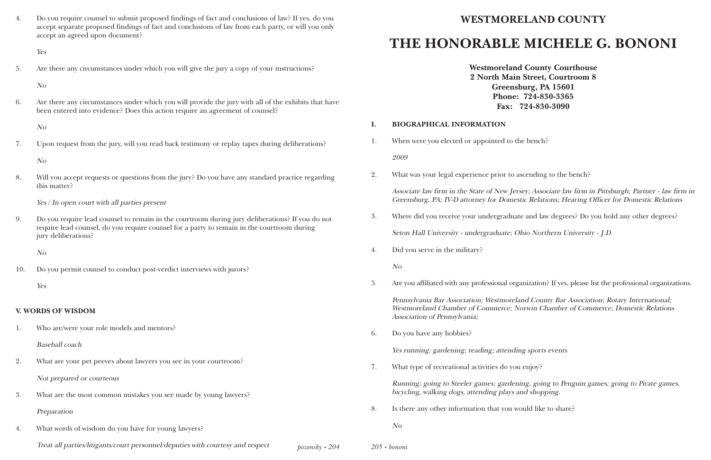#### *pozonsky • 204*

4. Do you require counsel to submit proposed findings of fact and conclusions of law? If yes, do you accept separate proposed findings of fact and conclusions of law from each party, or will you only accept an agreed upon document?

Yes

5. Are there any circumstances under which you will give the jury a copy of your instructions?

No

6. Are there any circumstances under which you will provide the jury with all of the exhibits that have been entered into evidence? Does this action require an agreement of counsel?

No

7. Upon request from the jury, will you read back testimony or replay tapes during deliberations?

No

8. Will you accept requests or questions from the jury? Do you have any standard practice regarding this matter?

Yes / In open court with all parties present

9. Do you require lead counsel to remain in the courtroom during jury deliberations? If you do not require lead counsel, do you require counsel for a party to remain in the courtroom during jury deliberations?

No

10. Do you permit counsel to conduct post-verdict interviews with jurors?

Yes

#### **V. WORDS OF WISDOM**

1. Who are/were your role models and mentors?

Baseball coach

2. What are your pet peeves about lawyers you see in your courtroom?

Not prepared or courteous

- 3. What are the most common mistakes you see made by young lawyers? Preparation
- 4. What words of wisdom do you have for young lawyers?

Treat all parties/litigants/court personnel/deputies with courtesy and respect *205 • bononi*

# **WESTMORELAND COUNTY THE HONORABLE MICHELE G. BONONI**

**Westmoreland County Courthouse 2 North Main Street, Courtroom 8 Greensburg, PA 15601 Phone: 724-830-3365 Fax: 724-830-3090**

### **I. BIOGRAPHICAL INFORMATION**

1. When were you elected or appointed to the bench? 2009

2. What was your legal experience prior to ascending to the bench?

Associate law firm in the State of New Jersey; Associate law firm in Pittsburgh; Partner - law firm in Greensburg, PA; IV-D attorney for Domestic Relations; Hearing Officer for Domestic Relations

3. Where did you receive your undergraduate and law degrees? Do you hold any other degrees?

Seton Hall University - undergraduate; Ohio Northern University - J.D.

4. Did you serve in the military?

No

5. Are you affiliated with any professional organization? If yes, please list the professional organizations.

Pennsylvania Bar Association; Westmoreland County Bar Association; Rotary International; Westmoreland Chamber of Commerce; Norwin Chamber of Commerce; Domestic Relations Association of Pennsylvania;

6. Do you have any hobbies?

Yes running; gardening; reading; attending sports events

7. What type of recreational activities do you enjoy?

Running; going to Steeler games; gardening, going to Penguin games; going to Pirate games, bicycling, walking dogs, attending plays and shopping.

8. Is there any other information that you would like to share?

No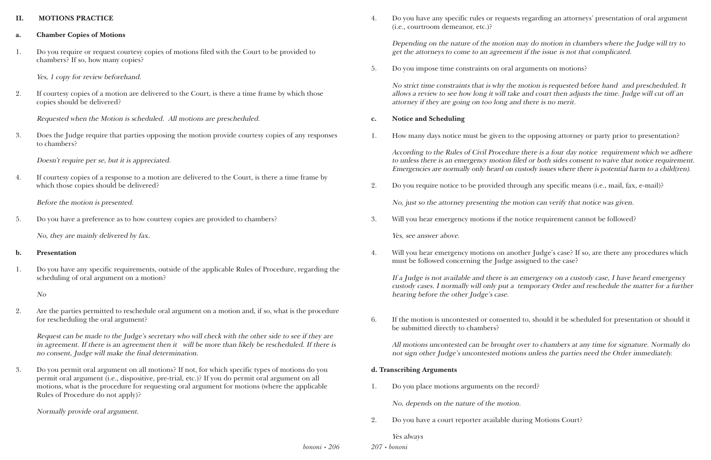#### **II. MOTIONS PRACTICE**

- **a. Chamber Copies of Motions**
- 1. Do you require or request courtesy copies of motions filed with the Court to be provided to chambers? If so, how many copies?

Yes, 1 copy for review beforehand.

2. If courtesy copies of a motion are delivered to the Court, is there a time frame by which those copies should be delivered?

Requested when the Motion is scheduled. All motions are prescheduled.

3. Does the Judge require that parties opposing the motion provide courtesy copies of any responses to chambers?

Doesn't require per se, but it is appreciated.

4. If courtesy copies of a response to a motion are delivered to the Court, is there a time frame by which those copies should be delivered?

Before the motion is presented.

5. Do you have a preference as to how courtesy copies are provided to chambers?

No, they are mainly delivered by fax.

#### **b. Presentation**

1. Do you have any specific requirements, outside of the applicable Rules of Procedure, regarding the scheduling of oral argument on a motion?

No

2. Are the parties permitted to reschedule oral argument on a motion and, if so, what is the procedure for rescheduling the oral argument?

Request can be made to the Judge's secretary who will check with the other side to see if they are in agreement. If there is an agreement then it will be more than likely be rescheduled. If there is no consent, Judge will make the final determination.

3. Do you permit oral argument on all motions? If not, for which specific types of motions do you permit oral argument (i.e., dispositive, pre-trial, etc.)? If you do permit oral argument on all motions, what is the procedure for requesting oral argument for motions (where the applicable Rules of Procedure do not apply)?

Normally provide oral argument.

4. Do you have any specific rules or requests regarding an attorneys' presentation of oral argument

(i.e., courtroom demeanor, etc.)?

Depending on the nature of the motion may do motion in chambers where the Judge will try to get the attorneys to come to an agreement if the issue is not that complicated.

5. Do you impose time constraints on oral arguments on motions?

No strict time constraints that is why the motion is requested before hand and prescheduled. It allows a review to see how long it will take and court then adjusts the time. Judge will cut off an attorney if they are going on too long and there is no merit.

### **c. Notice and Scheduling**

1. How many days notice must be given to the opposing attorney or party prior to presentation?

According to the Rules of Civil Procedure there is a four day notice requirement which we adhere to unless there is an emergency motion filed or both sides consent to waive that notice requirement. Emergencies are normally only heard on custody issues where there is potential harm to a child(ren).

2. Do you require notice to be provided through any specific means (i.e., mail, fax, e-mail)?

No, just so the attorney presenting the motion can verify that notice was given.

3. Will you hear emergency motions if the notice requirement cannot be followed?

Yes, see answer above.

4. Will you hear emergency motions on another Judge's case? If so, are there any procedures which

must be followed concerning the Judge assigned to the case?

If a Judge is not available and there is an emergency on a custody case, I have heard emergency custody cases. I normally will only put a temporary Order and reschedule the matter for a further hearing before the other Judge's case.

6. If the motion is uncontested or consented to, should it be scheduled for presentation or should it

be submitted directly to chambers?

All motions uncontested can be brought over to chambers at any time for signature. Normally do not sign other Judge's uncontested motions unless the parties need the Order immediately.

#### **d. Transcribing Arguments**

1. Do you place motions arguments on the record?

No, depends on the nature of the motion.

2. Do you have a court reporter available during Motions Court?

#### Yes always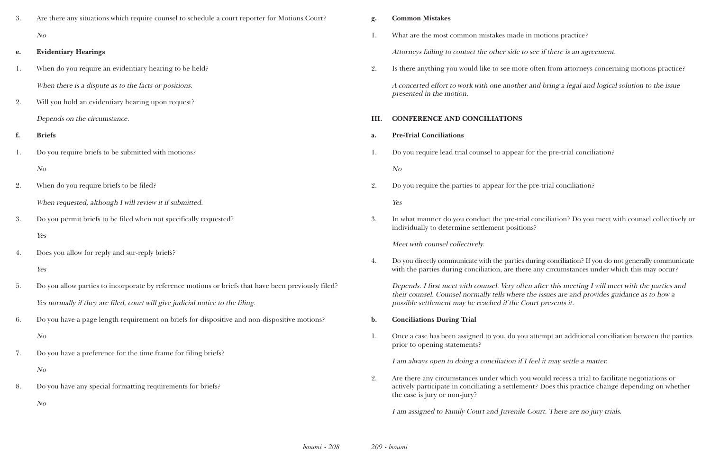de in motions practice?

 $\alpha$  to see if there is an agreement.

nore often from attorneys concerning motions practice? ther and bring a legal and logical solution to the issue

ear for the pre-trial conciliation?

the pre-trial conciliation?

trial conciliation? Do you meet with counsel collectively or itions?

ies during conciliation? If you do not generally communicate there any circumstances under which this may occur?

often after this meeting I will meet with the parties and ere the issues are and provides guidance as to how a e Court presents it.

you attempt an additional conciliation between the parties

If I feel it may settle a matter.

2. you would recess a trial to facilitate negotiations or ement? Does this practice change depending on whether

ile Court. There are no jury trials.

| 3. | Are there any situations which require counsel to schedule a court reporter for Motions Court?      | g.             | <b>Common Mistakes</b>                                                                                                       |
|----|-----------------------------------------------------------------------------------------------------|----------------|------------------------------------------------------------------------------------------------------------------------------|
|    | N o                                                                                                 |                | What are the most common mistakes made                                                                                       |
| e. | <b>Evidentiary Hearings</b>                                                                         |                | Attorneys failing to contact the other side                                                                                  |
| 1. | When do you require an evidentiary hearing to be held?                                              | 2.             | Is there anything you would like to see mo                                                                                   |
|    | When there is a dispute as to the facts or positions.                                               |                | A concerted effort to work with one another                                                                                  |
| 2. | Will you hold an evidentiary hearing upon request?                                                  |                | presented in the motion.                                                                                                     |
|    | Depends on the circumstance.                                                                        | III.           | <b>CONFERENCE AND CONCILIATIONS</b>                                                                                          |
| f. | <b>Briefs</b>                                                                                       | a.             | <b>Pre-Trial Conciliations</b>                                                                                               |
| 1. | Do you require briefs to be submitted with motions?                                                 | 1.             | Do you require lead trial counsel to appear                                                                                  |
|    | N <sub>O</sub>                                                                                      |                | N <sub>O</sub>                                                                                                               |
| 2. | When do you require briefs to be filed?                                                             | 2.             | Do you require the parties to appear for the                                                                                 |
|    | When requested, although I will review it if submitted.                                             |                | Yes                                                                                                                          |
| 3. | Do you permit briefs to be filed when not specifically requested?                                   | 3.             | In what manner do you conduct the pre-tr                                                                                     |
|    | Yes                                                                                                 |                | individually to determine settlement positi                                                                                  |
| 4. | Does you allow for reply and sur-reply briefs?                                                      |                | Meet with counsel collectively.                                                                                              |
|    | Yes                                                                                                 | 4.             | Do you directly communicate with the partie<br>with the parties during conciliation, are th                                  |
| 5. | Do you allow parties to incorporate by reference motions or briefs that have been previously filed? |                | Depends. I first meet with counsel. Very of                                                                                  |
|    | Yes normally if they are filed, court will give judicial notice to the filing.                      |                | their counsel. Counsel normally tells when<br>possible settlement may be reached if the                                      |
| 6. | Do you have a page length requirement on briefs for dispositive and non-dispositive motions?        | $\mathbf{b}$ . | <b>Conciliations During Trial</b>                                                                                            |
|    | N <sub>O</sub>                                                                                      | 1.             | Once a case has been assigned to you, do yo                                                                                  |
| 7. | Do you have a preference for the time frame for filing briefs?                                      |                | prior to opening statements?                                                                                                 |
|    | N o                                                                                                 |                | I am always open to doing a conciliation if                                                                                  |
| 8. | Do you have any special formatting requirements for briefs?                                         | 2.             | Are there any circumstances under which y<br>actively participate in conciliating a settler<br>the case is jury or non-jury? |
|    | N o                                                                                                 |                | I am assigned to Family Court and Juvenil                                                                                    |
|    |                                                                                                     |                |                                                                                                                              |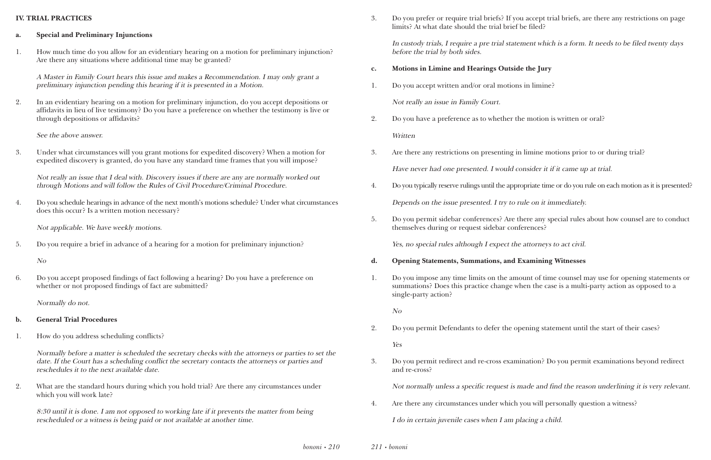#### **IV. TRIAL PRACTICES**

- **a. Special and Preliminary Injunctions**
- 1. How much time do you allow for an evidentiary hearing on a motion for preliminary injunction? Are there any situations where additional time may be granted?

A Master in Family Court hears this issue and makes a Recommendation. I may only grant a preliminary injunction pending this hearing if it is presented in a Motion.

2. In an evidentiary hearing on a motion for preliminary injunction, do you accept depositions or affidavits in lieu of live testimony? Do you have a preference on whether the testimony is live or through depositions or affidavits?

See the above answer.

3. Under what circumstances will you grant motions for expedited discovery? When a motion for expedited discovery is granted, do you have any standard time frames that you will impose?

Not really an issue that I deal with. Discovery issues if there are any are normally worked out through Motions and will follow the Rules of Civil Procedure/Criminal Procedure.

4. Do you schedule hearings in advance of the next month's motions schedule? Under what circumstances does this occur? Is a written motion necessary?

Not applicable. We have weekly motions.

5. Do you require a brief in advance of a hearing for a motion for preliminary injunction?

#### No

6. Do you accept proposed findings of fact following a hearing? Do you have a preference on whether or not proposed findings of fact are submitted?

Normally do not.

- **b. General Trial Procedures**
- 1. How do you address scheduling conflicts?

Normally before a matter is scheduled the secretary checks with the attorneys or parties to set the date. If the Court has a scheduling conflict the secretary contacts the attorneys or parties and reschedules it to the next available date.

2. What are the standard hours during which you hold trial? Are there any circumstances under which you will work late?

8:30 until it is done. I am not opposed to working late if it prevents the matter from being rescheduled or a witness is being paid or not available at another time.

3. Do you prefer or require trial briefs? If you accept trial briefs, are there any restrictions on page

limits? At what date should the trial brief be filed?

In custody trials, I require a pre trial statement which is a form. It needs to be filed twenty days before the trial by both sides.

- **c. Motions in Limine and Hearings Outside the Jury**
- 1. Do you accept written and/or oral motions in limine?

Not really an issue in Family Court.

2. Do you have a preference as to whether the motion is written or oral?

Written

- 3. Are there any restrictions on presenting in limine motions prior to or during trial? Have never had one presented. I would consider it if it came up at trial.
- 

4. Do you typically reserve rulings until the appropriate time or do you rule on each motion as it is presented?

Depends on the issue presented. I try to rule on it immediately.

5. Do you permit sidebar conferences? Are there any special rules about how counsel are to conduct

themselves during or request sidebar conferences?

Yes, no special rules although I expect the attorneys to act civil.

- **d. Opening Statements, Summations, and Examining Witnesses**
- single-party action?

1. Do you impose any time limits on the amount of time counsel may use for opening statements or summations? Does this practice change when the case is a multi-party action as opposed to a

No

2. Do you permit Defendants to defer the opening statement until the start of their cases?

Yes

3. Do you permit redirect and re-cross examination? Do you permit examinations beyond redirect

and re-cross?

Not normally unless a specific request is made and find the reason underlining it is very relevant.

4. Are there any circumstances under which you will personally question a witness? I do in certain juvenile cases when I am placing a child.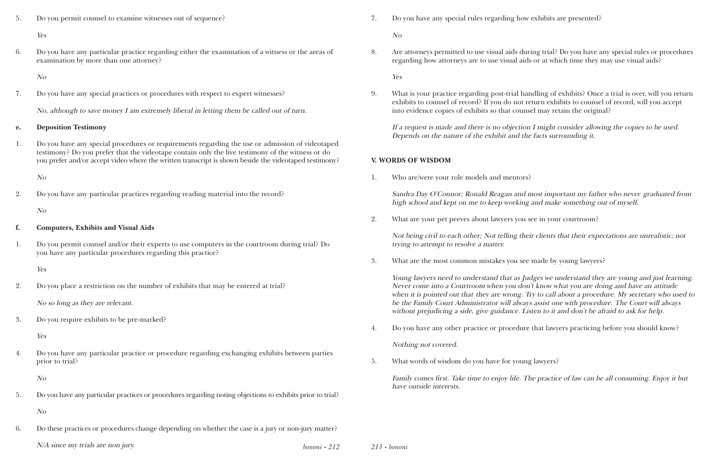*bononi • 212*

5. Do you permit counsel to examine witnesses out of sequence?

#### Yes

6. Do you have any particular practice regarding either the examination of a witness or the areas of examination by more than one attorney?

No

7. Do you have any special practices or procedures with respect to expert witnesses?

No, although to save money I am extremely liberal in letting them be called out of turn.

#### **e. Deposition Testimony**

1. Do you have any special procedures or requirements regarding the use or admission of videotaped testimony? Do you prefer that the videotape contain only the live testimony of the witness or do you prefer and/or accept video where the written transcript is shown beside the videotaped testimony?

No

2. Do you have any particular practices regarding reading material into the record?

No

#### **f. Computers, Exhibits and Visual Aids**

1. Do you permit counsel and/or their experts to use computers in the courtroom during trial? Do you have any particular procedures regarding this practice?

Yes

2. Do you place a restriction on the number of exhibits that may be entered at trial?

No so long as they are relevant.

3. Do you require exhibits to be pre-marked?

Yes

4. Do you have any particular practice or procedure regarding exchanging exhibits between parties prior to trial?

No

5. Do you have any particular practices or procedures regarding noting objections to exhibits prior to trial?

No

6. Do these practices or procedures change depending on whether the case is a jury or non-jury matter?

N/A since my trials are non jury. *213 • bononi*

7. Do you have any special rules regarding how exhibits are presented?

No

8. Are attorneys permitted to use visual aids during trial? Do you have any special rules or procedures regarding how attorneys are to use visual aids or at which time they may use visual aids?

Yes

9. What is your practice regarding post-trial handling of exhibits? Once a trial is over, will you return exhibits to counsel of record? If you do not return exhibits to counsel of record, will you accept

into evidence copies of exhibits so that counsel may retain the original?

If a request is made and there is no objection I might consider allowing the copies to be used. Depends on the nature of the exhibit and the facts surrounding it.

#### **V. WORDS OF WISDOM**

1. Who are/were your role models and mentors?

Sandra Day O'Connor; Ronald Reagan and most important my father who never graduated from high school and kept on me to keep working and make something out of myself.

2. What are your pet peeves about lawyers you see in your courtroom?

Not being civil to each other; Not telling their clients that their expectations are unrealistic; not trying to attempt to resolve a matter.

3. What are the most common mistakes you see made by young lawyers?

Young lawyers need to understand that as Judges we understand they are young and just learning. Never come into a Courtroom when you don't know what you are doing and have an attitude when it is pointed out that they are wrong. Try to call about a procedure. My secretary who used to be the Family Court Administrator will always assist one with procedure. The Court will always without prejudicing a side, give guidance. Listen to it and don't be afraid to ask for help.

4. Do you have any other practice or procedure that lawyers practicing before you should know?

Nothing not covered.

5. What words of wisdom do you have for young lawyers?

Family comes first. Take time to enjoy life. The practice of law can be all consuming. Enjoy it but have outside interests.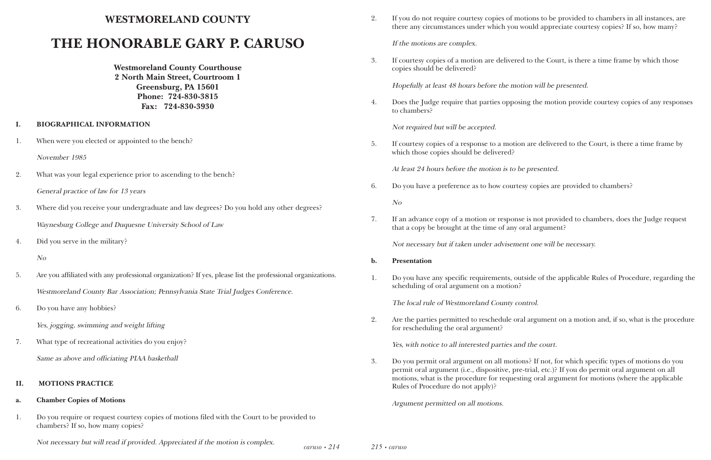*caruso • 214*

## **WESTMORELAND COUNTY**

# **THE HONORABLE GARY P. CARUSO**

**Westmoreland County Courthouse 2 North Main Street, Courtroom 1 Greensburg, PA 15601 Phone: 724-830-3815 Fax: 724-830-3930**

#### **I. BIOGRAPHICAL INFORMATION**

1. When were you elected or appointed to the bench?

November 1985

- 2. What was your legal experience prior to ascending to the bench? General practice of law for 13 years
- 3. Where did you receive your undergraduate and law degrees? Do you hold any other degrees? Waynesburg College and Duquesne University School of Law
- 4. Did you serve in the military?

No

5. Are you affiliated with any professional organization? If yes, please list the professional organizations. Westmoreland County Bar Association; Pennsylvania State Trial Judges Conference.

6. Do you have any hobbies?

Yes, jogging, swimming and weight lifting

7. What type of recreational activities do you enjoy?

Same as above and officiating PIAA basketball

#### **II. MOTIONS PRACTICE**

#### **a. Chamber Copies of Motions**

1. Do you require or request courtesy copies of motions filed with the Court to be provided to chambers? If so, how many copies?

Not necessary but will read if provided. Appreciated if the motion is complex. *<sup>215</sup> • caruso*

2. If you do not require courtesy copies of motions to be provided to chambers in all instances, are there any circumstances under which you would appreciate courtesy copies? If so, how many?

If the motions are complex.

3. If courtesy copies of a motion are delivered to the Court, is there a time frame by which those

copies should be delivered?

Hopefully at least 48 hours before the motion will be presented.

4. Does the Judge require that parties opposing the motion provide courtesy copies of any responses

to chambers?

Not required but will be accepted.

5. If courtesy copies of a response to a motion are delivered to the Court, is there a time frame by

which those copies should be delivered?

At least 24 hours before the motion is to be presented.

6. Do you have a preference as to how courtesy copies are provided to chambers?

No

7. If an advance copy of a motion or response is not provided to chambers, does the Judge request

that a copy be brought at the time of any oral argument?

Not necessary but if taken under advisement one will be necessary.

#### **b. Presentation**

1. Do you have any specific requirements, outside of the applicable Rules of Procedure, regarding the

scheduling of oral argument on a motion?

The local rule of Westmoreland County control.

2. Are the parties permitted to reschedule oral argument on a motion and, if so, what is the procedure

for rescheduling the oral argument?

Yes, with notice to all interested parties and the court.

3. Do you permit oral argument on all motions? If not, for which specific types of motions do you permit oral argument (i.e., dispositive, pre-trial, etc.)? If you do permit oral argument on all motions, what is the procedure for requesting oral argument for motions (where the applicable

Rules of Procedure do not apply)?

Argument permitted on all motions.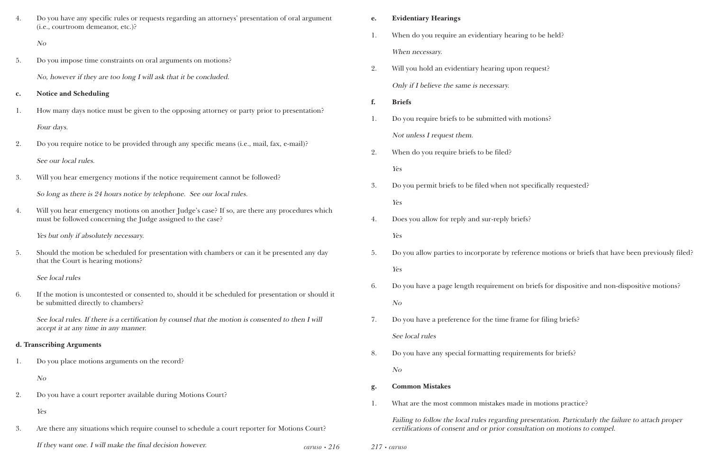| 4. | Do you have any specific rules or requests regarding an attorneys' presentation of oral argument<br>(i.e., courtroom demeanor, etc.)?                         |                    | e. | <b>Evidentiary Hearings</b>                     |
|----|---------------------------------------------------------------------------------------------------------------------------------------------------------------|--------------------|----|-------------------------------------------------|
|    | N <sub>O</sub>                                                                                                                                                |                    | 1. | When do you require an evidentiary hearing      |
|    |                                                                                                                                                               |                    |    | When necessary.                                 |
| 5. | Do you impose time constraints on oral arguments on motions?<br>No, however if they are too long I will ask that it be concluded.                             |                    | 2. | Will you hold an evidentiary hearing upon re    |
|    |                                                                                                                                                               |                    |    | Only if I believe the same is necessary.        |
| c. | <b>Notice and Scheduling</b>                                                                                                                                  |                    | f. | <b>Briefs</b>                                   |
| 1. | How many days notice must be given to the opposing attorney or party prior to presentation?                                                                   |                    | 1. | Do you require briefs to be submitted with mo   |
|    | Four days.                                                                                                                                                    |                    |    | Not unless I request them.                      |
| 2. | Do you require notice to be provided through any specific means (i.e., mail, fax, e-mail)?                                                                    |                    | 2. | When do you require briefs to be filed?         |
|    | See our local rules.                                                                                                                                          |                    |    | Yes                                             |
| 3. | Will you hear emergency motions if the notice requirement cannot be followed?                                                                                 |                    |    |                                                 |
|    | So long as there is 24 hours notice by telephone. See our local rules.                                                                                        |                    | 3. | Do you permit briefs to be filed when not spe   |
| 4. | Will you hear emergency motions on another Judge's case? If so, are there any procedures which<br>must be followed concerning the Judge assigned to the case? |                    | 4. | Yes                                             |
|    |                                                                                                                                                               |                    |    | Does you allow for reply and sur-reply briefs?  |
|    | Yes but only if absolutely necessary.                                                                                                                         |                    |    | Yes                                             |
| 5. | Should the motion be scheduled for presentation with chambers or can it be presented any day<br>that the Court is hearing motions?                            |                    | 5. | Do you allow parties to incorporate by referent |
|    | See local rules                                                                                                                                               |                    |    | Yes                                             |
| 6. | If the motion is uncontested or consented to, should it be scheduled for presentation or should it<br>be submitted directly to chambers?                      |                    | 6. | Do you have a page length requirement on bi     |
|    |                                                                                                                                                               |                    |    | N o                                             |
|    | See local rules. If there is a certification by counsel that the motion is consented to then I will                                                           |                    | 7. | Do you have a preference for the time frame     |
|    | accept it at any time in any manner.                                                                                                                          |                    |    | See local rules                                 |
|    | d. Transcribing Arguments<br>Do you place motions arguments on the record?                                                                                    |                    | 8. | Do you have any special formatting requirem     |
| 1. |                                                                                                                                                               |                    |    | N <sub>O</sub>                                  |
| 2. | N <sub>O</sub><br>Do you have a court reporter available during Motions Court?                                                                                |                    | g. | <b>Common Mistakes</b>                          |
|    |                                                                                                                                                               |                    | 1. | What are the most common mistakes made in       |
|    | Yes                                                                                                                                                           |                    |    | Failing to follow the local rules regarding pre |
| 3. | Are there any situations which require counsel to schedule a court reporter for Motions Court?                                                                |                    |    | certifications of consent and or prior consulta |
|    | If they want one. I will make the final decision however.                                                                                                     | $caruso \cdot 216$ |    | $217 \cdot \text{caruso}$                       |

ing to be held?

. request?

1. motions?

specifically requested?

ference motions or briefs that have been previously filed?

on briefs for dispositive and non-dispositive motions?

ame for filing briefs?

rements for briefs?

de in motions practice?

Failing to follow the failure to attach proper sultation on motions to compel.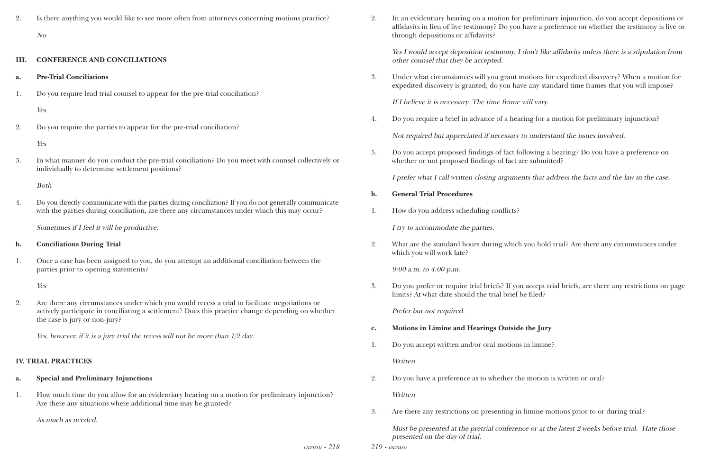*caruso • 218*

2. Is there anything you would like to see more often from attorneys concerning motions practice? No

#### **III. CONFERENCE AND CONCILIATIONS**

- **a. Pre-Trial Conciliations**
- 1. Do you require lead trial counsel to appear for the pre-trial conciliation?

Yes

2. Do you require the parties to appear for the pre-trial conciliation?

Yes

3. In what manner do you conduct the pre-trial conciliation? Do you meet with counsel collectively or individually to determine settlement positions?

Both

4. Do you directly communicate with the parties during conciliation? If you do not generally communicate with the parties during conciliation, are there any circumstances under which this may occur?

Sometimes if I feel it will be productive.

- **b. Conciliations During Trial**
- 1. Once a case has been assigned to you, do you attempt an additional conciliation between the parties prior to opening statements?

Yes

2. Are there any circumstances under which you would recess a trial to facilitate negotiations or actively participate in conciliating a settlement? Does this practice change depending on whether the case is jury or non-jury?

Yes, however, if it is a jury trial the recess will not be more than 1/2 day.

### **IV. TRIAL PRACTICES**

### **a. Special and Preliminary Injunctions**

1. How much time do you allow for an evidentiary hearing on a motion for preliminary injunction? Are there any situations where additional time may be granted?

As much as needed.

*219 • caruso*

2. In an evidentiary hearing on a motion for preliminary injunction, do you accept depositions or affidavits in lieu of live testimony? Do you have a preference on whether the testimony is live or

through depositions or affidavits?

Yes I would accept deposition testimony. I don't like affidavits unless there is a stipulation from other counsel that they be accepted.

3. Under what circumstances will you grant motions for expedited discovery? When a motion for expedited discovery is granted, do you have any standard time frames that you will impose?

If I believe it is necessary. The time frame will vary.

4. Do you require a brief in advance of a hearing for a motion for preliminary injunction?

Not required but appreciated if necessary to understand the issues involved.

5. Do you accept proposed findings of fact following a hearing? Do you have a preference on whether or not proposed findings of fact are submitted?

I prefer what I call written closing arguments that address the facts and the law in the case.

- **b. General Trial Procedures**
- 1. How do you address scheduling conflicts?

I try to accommodate the parties.

2. What are the standard hours during which you hold trial? Are there any circumstances under

which you will work late?

9:00 a.m. to 4:00 p.m.

3. Do you prefer or require trial briefs? If you accept trial briefs, are there any restrictions on page

limits? At what date should the trial brief be filed?

Prefer but not required.

- **c. Motions in Limine and Hearings Outside the Jury**
- 1. Do you accept written and/or oral motions in limine?

**Written** 

2. Do you have a preference as to whether the motion is written or oral?

Written

3. Are there any restrictions on presenting in limine motions prior to or during trial?

Must be presented at the pretrial conference or at the latest 2 weeks before trial. Hate those presented on the day of trial.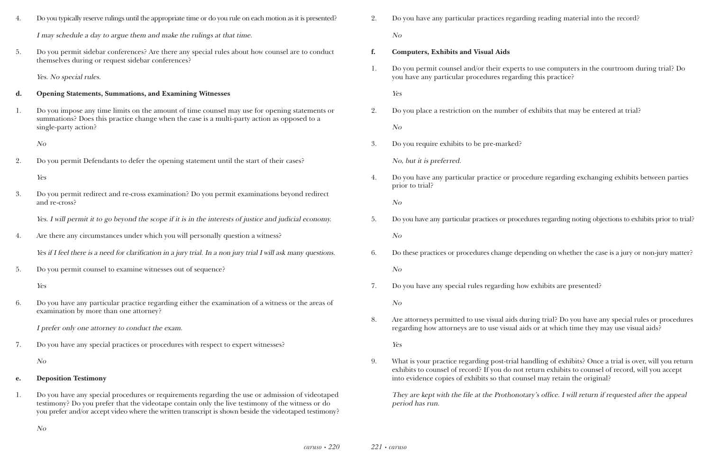| 4. | Do you typically reserve rulings until the appropriate time or do you rule on each motion as it is presented?                                                                                                        |
|----|----------------------------------------------------------------------------------------------------------------------------------------------------------------------------------------------------------------------|
|    | I may schedule a day to argue them and make the rulings at that time.                                                                                                                                                |
| 5. | Do you permit sidebar conferences? Are there any special rules about how counsel are to conduct<br>themselves during or request sidebar conferences?                                                                 |
|    | Yes. No special rules.                                                                                                                                                                                               |
| d. | <b>Opening Statements, Summations, and Examining Witnesses</b>                                                                                                                                                       |
| 1. | Do you impose any time limits on the amount of time counsel may use for opening statements or<br>summations? Does this practice change when the case is a multi-party action as opposed to a<br>single-party action? |
|    | N <sub>O</sub>                                                                                                                                                                                                       |
| 2. | Do you permit Defendants to defer the opening statement until the start of their cases?                                                                                                                              |
|    | Yes                                                                                                                                                                                                                  |
| 3. | Do you permit redirect and re-cross examination? Do you permit examinations beyond redirect<br>and re-cross?                                                                                                         |
|    | Yes. I will permit it to go beyond the scope if it is in the interests of justice and judicial economy.                                                                                                              |
| 4. | Are there any circumstances under which you will personally question a witness?                                                                                                                                      |
|    | Yes if I feel there is a need for clarification in a jury trial. In a non jury trial I will ask many questions.                                                                                                      |
| 5. | Do you permit counsel to examine witnesses out of sequence?                                                                                                                                                          |
|    | Yes                                                                                                                                                                                                                  |
| 6. | Do you have any particular practice regarding either the examination of a witness or the areas of<br>examination by more than one attorney?                                                                          |
|    | I prefer only one attorney to conduct the exam.                                                                                                                                                                      |
| 7. | Do you have any special practices or procedures with respect to expert witnesses?                                                                                                                                    |
|    | N <sub>O</sub>                                                                                                                                                                                                       |
| e. | <b>Deposition Testimony</b>                                                                                                                                                                                          |
| 1. | Do you have any special procedures or requirements regarding the use or admission of videotaped<br>testimony? Do you prefer that the videotape contain only the live testimony of the witness or do                  |

you prefer and/or accept video where the written transcript is shown beside the videotaped testimony?

| Do you have any particular practices regarding reading material into the record? |
|----------------------------------------------------------------------------------|
| $N_{O}$                                                                          |

1. Do you permit counsel and/or their experts to use computers in the courtroom during trial? Do

- **f. Computers, Exhibits and Visual Aids**
- you have any particular procedures regarding this practice?

Yes

2. Do you place a restriction on the number of exhibits that may be entered at trial?

No

3. Do you require exhibits to be pre-marked?

No, but it is preferred.

4. Do you have any particular practice or procedure regarding exchanging exhibits between parties

prior to trial?

No

5. Do you have any particular practices or procedures regarding noting objections to exhibits prior to trial?

No

6. Do these practices or procedures change depending on whether the case is a jury or non-jury matter?

No

7. Do you have any special rules regarding how exhibits are presented?

No

8. Are attorneys permitted to use visual aids during trial? Do you have any special rules or procedures regarding how attorneys are to use visual aids or at which time they may use visual aids?

Yes

9. What is your practice regarding post-trial handling of exhibits? Once a trial is over, will you return exhibits to counsel of record? If you do not return exhibits to counsel of record, will you accept

into evidence copies of exhibits so that counsel may retain the original?

They are kept with the file at the Prothonotary's office. I will return if requested after the appeal period has run.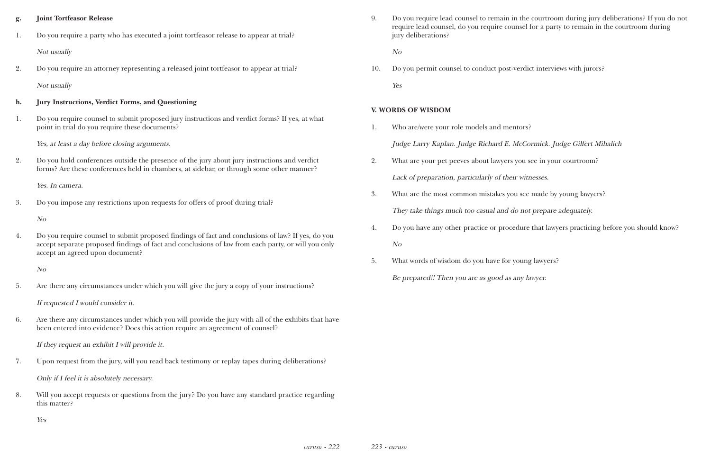### **g. Joint Tortfeasor Release**

- 1. Do you require a party who has executed a joint tortfeasor release to appear at trial? Not usually
- 2. Do you require an attorney representing a released joint tortfeasor to appear at trial? Not usually

### **h. Jury Instructions, Verdict Forms, and Questioning**

1. Do you require counsel to submit proposed jury instructions and verdict forms? If yes, at what point in trial do you require these documents?

Yes, at least a day before closing arguments.

2. Do you hold conferences outside the presence of the jury about jury instructions and verdict forms? Are these conferences held in chambers, at sidebar, or through some other manner?

Yes. In camera.

3. Do you impose any restrictions upon requests for offers of proof during trial?

No

4. Do you require counsel to submit proposed findings of fact and conclusions of law? If yes, do you accept separate proposed findings of fact and conclusions of law from each party, or will you only accept an agreed upon document?

No

5. Are there any circumstances under which you will give the jury a copy of your instructions?

If requested I would consider it.

6. Are there any circumstances under which you will provide the jury with all of the exhibits that have been entered into evidence? Does this action require an agreement of counsel?

If they request an exhibit I will provide it.

7. Upon request from the jury, will you read back testimony or replay tapes during deliberations?

Only if I feel it is absolutely necessary.

8. Will you accept requests or questions from the jury? Do you have any standard practice regarding this matter?

Yes

9. Do you require lead counsel to remain in the courtroom during jury deliberations? If you do not require lead counsel, do you require counsel for a party to remain in the courtroom during

jury deliberations?

No

10. Do you permit counsel to conduct post-verdict interviews with jurors? Yes

### **V. WORDS OF WISDOM**

- 1. Who are/were your role models and mentors? Judge Larry Kaplan. Judge Richard E. McCormick. Judge Gilfert Mihalich
- 2. What are your pet peeves about lawyers you see in your courtroom? Lack of preparation, particularly of their witnesses.
- 3. What are the most common mistakes you see made by young lawyers? They take things much too casual and do not prepare adequately.
- No
- 5. What words of wisdom do you have for young lawyers? Be prepared!! Then you are as good as any lawyer.

4. Do you have any other practice or procedure that lawyers practicing before you should know?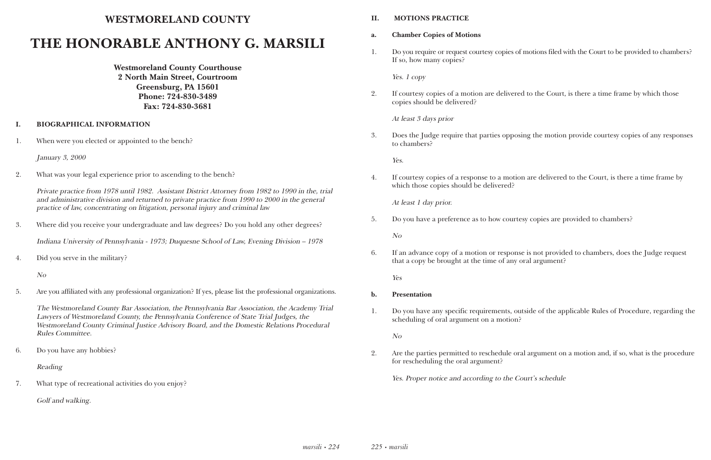## **WESTMORELAND COUNTY**

# **THE HONORABLE ANTHONY G. MARSILI**

**Westmoreland County Courthouse 2 North Main Street, Courtroom Greensburg, PA 15601 Phone: 724-830-3489 Fax: 724-830-3681**

### **I. BIOGRAPHICAL INFORMATION**

1. When were you elected or appointed to the bench?

January 3, 2000

2. What was your legal experience prior to ascending to the bench?

Private practice from 1978 until 1982. Assistant District Attorney from 1982 to 1990 in the, trial and administrative division and returned to private practice from 1990 to 2000 in the general practice of law, concentrating on litigation, personal injury and criminal law

3. Where did you receive your undergraduate and law degrees? Do you hold any other degrees?

Indiana University of Pennsylvania - 1973; Duquesne School of Law, Evening Division – 1978

4. Did you serve in the military?

No

5. Are you affiliated with any professional organization? If yes, please list the professional organizations.

The Westmoreland County Bar Association, the Pennsylvania Bar Association, the Academy Trial Lawyers of Westmoreland County, the Pennsylvania Conference of State Trial Judges, the Westmoreland County Criminal Justice Advisory Board, and the Domestic Relations Procedural Rules Committee.

6. Do you have any hobbies?

Reading

7. What type of recreational activities do you enjoy?

Golf and walking.

### **II. MOTIONS PRACTICE**

- **a. Chamber Copies of Motions**
- If so, how many copies?

Yes. 1 copy

1. Do you require or request courtesy copies of motions filed with the Court to be provided to chambers?

2. If courtesy copies of a motion are delivered to the Court, is there a time frame by which those

copies should be delivered?

At least 3 days prior

3. Does the Judge require that parties opposing the motion provide courtesy copies of any responses

to chambers?

Yes.

4. If courtesy copies of a response to a motion are delivered to the Court, is there a time frame by

which those copies should be delivered?

At least 1 day prior.

5. Do you have a preference as to how courtesy copies are provided to chambers?

No

6. If an advance copy of a motion or response is not provided to chambers, does the Judge request

that a copy be brought at the time of any oral argument?

Yes

1. Do you have any specific requirements, outside of the applicable Rules of Procedure, regarding the

- **b. Presentation**
- scheduling of oral argument on a motion?

No

2. Are the parties permitted to reschedule oral argument on a motion and, if so, what is the procedure

for rescheduling the oral argument?

Yes. Proper notice and according to the Court's schedule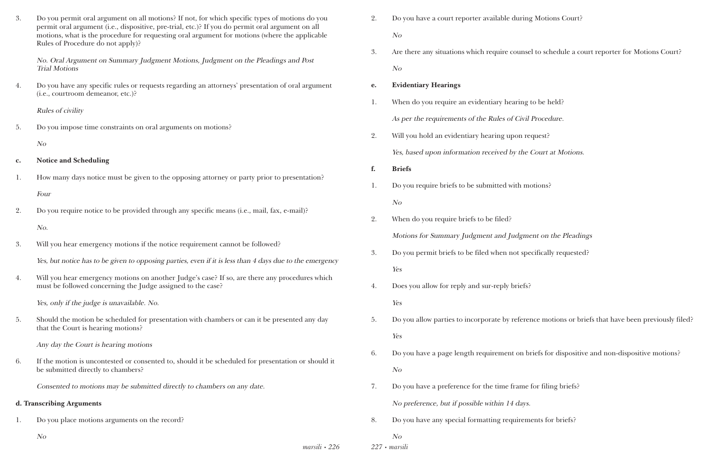*marsili • 226*

| 3.             | Do you permit oral argument on all motions? If not, for which specific types of motions do you<br>permit oral argument (i.e., dispositive, pre-trial, etc.)? If you do permit oral argument on all<br>motions, what is the procedure for requesting oral argument for motions (where the applicable<br>Rules of Procedure do not apply)? | 2. | Do you have a court reporter available<br>No                |
|----------------|------------------------------------------------------------------------------------------------------------------------------------------------------------------------------------------------------------------------------------------------------------------------------------------------------------------------------------------|----|-------------------------------------------------------------|
|                | No. Oral Argument on Summary Judgment Motions, Judgment on the Pleadings and Post<br><b>Trial Motions</b>                                                                                                                                                                                                                                | 3. | Are there any situations which require of<br>N <sub>O</sub> |
| 4.             | Do you have any specific rules or requests regarding an attorneys' presentation of oral argument<br>(i.e., courtroom demeanor, etc.)?                                                                                                                                                                                                    | e. | <b>Evidentiary Hearings</b>                                 |
|                |                                                                                                                                                                                                                                                                                                                                          | 1. | When do you require an evidentiary hea                      |
|                | <b>Rules of civility</b>                                                                                                                                                                                                                                                                                                                 |    | As per the requirements of the Rules of                     |
| 5.             | Do you impose time constraints on oral arguments on motions?                                                                                                                                                                                                                                                                             | 2. | Will you hold an evidentiary hearing up                     |
|                | N <sub>O</sub>                                                                                                                                                                                                                                                                                                                           |    | Yes, based upon information received b                      |
| $\mathbf{c}$ . | <b>Notice and Scheduling</b>                                                                                                                                                                                                                                                                                                             | f. | <b>Briefs</b>                                               |
| 1.             | How many days notice must be given to the opposing attorney or party prior to presentation?                                                                                                                                                                                                                                              | 1. | Do you require briefs to be submitted w                     |
|                | Four                                                                                                                                                                                                                                                                                                                                     |    | N <sub>O</sub>                                              |
| 2.             | Do you require notice to be provided through any specific means (i.e., mail, fax, e-mail)?                                                                                                                                                                                                                                               | 2. | When do you require briefs to be filed?                     |
|                | No.                                                                                                                                                                                                                                                                                                                                      |    | Motions for Summary Judgment and Ju                         |
| 3.             | Will you hear emergency motions if the notice requirement cannot be followed?                                                                                                                                                                                                                                                            | 3. | Do you permit briefs to be filed when n                     |
|                | Yes, but notice has to be given to opposing parties, even if it is less than 4 days due to the emergency                                                                                                                                                                                                                                 |    | Yes                                                         |
| 4.             | Will you hear emergency motions on another Judge's case? If so, are there any procedures which<br>must be followed concerning the Judge assigned to the case?                                                                                                                                                                            | 4. | Does you allow for reply and sur-reply l                    |
|                | Yes, only if the judge is unavailable. No.                                                                                                                                                                                                                                                                                               |    | Yes                                                         |
| 5.             | Should the motion be scheduled for presentation with chambers or can it be presented any day<br>that the Court is hearing motions?                                                                                                                                                                                                       | 5. | Do you allow parties to incorporate by a                    |
|                | Any day the Court is hearing motions                                                                                                                                                                                                                                                                                                     |    | Yes                                                         |
| 6.             | If the motion is uncontested or consented to, should it be scheduled for presentation or should it<br>be submitted directly to chambers?                                                                                                                                                                                                 | 6. | Do you have a page length requirement<br>N <sub>O</sub>     |
|                | Consented to motions may be submitted directly to chambers on any date.                                                                                                                                                                                                                                                                  | 7. | Do you have a preference for the time f                     |
|                | d. Transcribing Arguments                                                                                                                                                                                                                                                                                                                |    | No preference, but if possible within 14                    |
| 1.             | Do you place motions arguments on the record?                                                                                                                                                                                                                                                                                            | 8. | Do you have any special formatting req                      |
|                | N o                                                                                                                                                                                                                                                                                                                                      |    | No                                                          |

*227 • marsili*

1 have a court reporter available during Motions Court?

ch require counsel to schedule a court reporter for Motions Court?

1. dentiary hearing to be held?

the Rules of Civil Procedure.

bearing upon request?

received by the Court at Motions.

submitted with motions?

ment and Judgment on the Pleadings

iled when not specifically requested?

sur-reply briefs?

rporate by reference motions or briefs that have been previously filed?

requirement on briefs for dispositive and non-dispositive motions?

r the time frame for filing briefs?

No within 14 days.

matting requirements for briefs?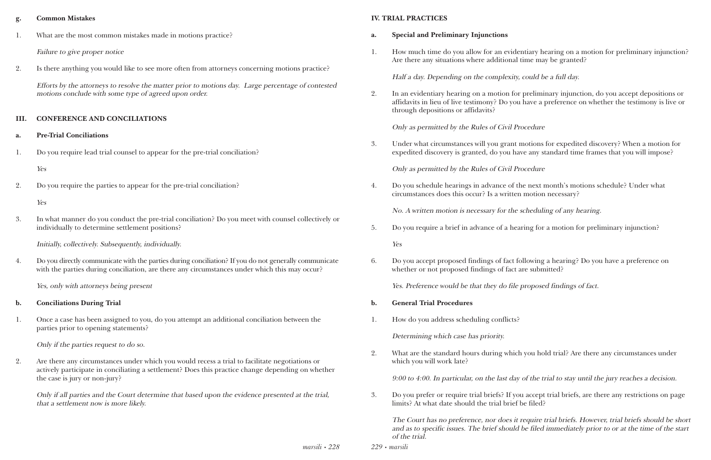*marsili • 228*

### **g. Common Mistakes**

1. What are the most common mistakes made in motions practice?

Failure to give proper notice

2. Is there anything you would like to see more often from attorneys concerning motions practice?

Efforts by the attorneys to resolve the matter prior to motions day. Large percentage of contested motions conclude with some type of agreed upon order.

### **III. CONFERENCE AND CONCILIATIONS**

4. Do you directly communicate with the parties during conciliation? If you do not generally communicate with the parties during conciliation, are there any circumstances under which this may occur?

### **a. Pre-Trial Conciliations**

1. Do you require lead trial counsel to appear for the pre-trial conciliation?

### Yes

2. Do you require the parties to appear for the pre-trial conciliation?

### Yes

3. In what manner do you conduct the pre-trial conciliation? Do you meet with counsel collectively or individually to determine settlement positions?

Initially, collectively. Subsequently, individually.

Yes, only with attorneys being present

### **b. Conciliations During Trial**

1. Once a case has been assigned to you, do you attempt an additional conciliation between the parties prior to opening statements?

Only if the parties request to do so.

2. Are there any circumstances under which you would recess a trial to facilitate negotiations or actively participate in conciliating a settlement? Does this practice change depending on whether the case is jury or non-jury?

Only if all parties and the Court determine that based upon the evidence presented at the trial, that a settlement now is more likely.

*229 • marsili*

### **IV. TRIAL PRACTICES**

1. How much time do you allow for an evidentiary hearing on a motion for preliminary injunction?

- **a. Special and Preliminary Injunctions**
- Are there any situations where additional time may be granted?

Half a day. Depending on the complexity, could be a full day.

2. In an evidentiary hearing on a motion for preliminary injunction, do you accept depositions or affidavits in lieu of live testimony? Do you have a preference on whether the testimony is live or

through depositions or affidavits?

Only as permitted by the Rules of Civil Procedure

3. Under what circumstances will you grant motions for expedited discovery? When a motion for expedited discovery is granted, do you have any standard time frames that you will impose?

Only as permitted by the Rules of Civil Procedure

4. Do you schedule hearings in advance of the next month's motions schedule? Under what circumstances does this occur? Is a written motion necessary?

No. A written motion is necessary for the scheduling of any hearing.

5. Do you require a brief in advance of a hearing for a motion for preliminary injunction?

Yes

6. Do you accept proposed findings of fact following a hearing? Do you have a preference on whether or not proposed findings of fact are submitted?

Yes. Preference would be that they do file proposed findings of fact.

- **b. General Trial Procedures**
- 1. How do you address scheduling conflicts?

Determining which case has priority.

2. What are the standard hours during which you hold trial? Are there any circumstances under which you will work late?

9:00 to 4:00. In particular, on the last day of the trial to stay until the jury reaches a decision.

3. Do you prefer or require trial briefs? If you accept trial briefs, are there any restrictions on page

limits? At what date should the trial brief be filed?

The Court has no preference, nor does it require trial briefs. However, trial briefs should be short and as to specific issues. The brief should be filed immediately prior to or at the time of the start of the trial.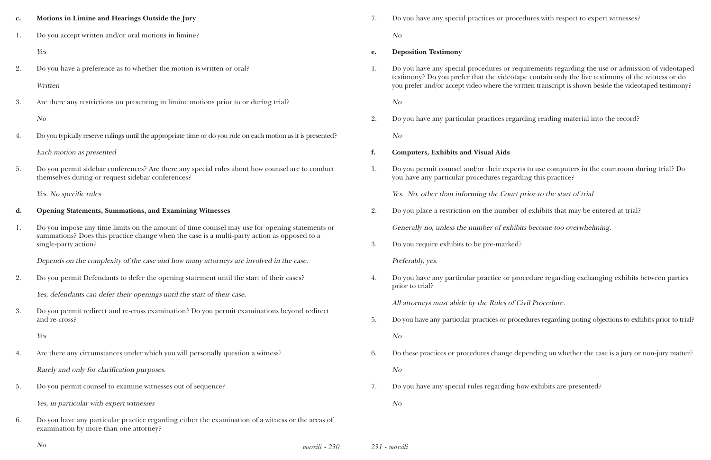ures with respect to expert witnesses?

irements regarding the use or admission of videotaped the contain only the live testimony of the witness or do ten transcript is shown beside the videotaped testimony?

ling reading material into the record?

to use computers in the courtroom during trial? Do ng this practice?

ior to the start of trial

exhibits that may be entered at trial?

become too overwhelming.

edure regarding exchanging exhibits between parties

vil Procedure.

dures regarding noting objections to exhibits prior to trial?

ending on whether the case is a jury or non-jury matter?

w exhibits are presented?

| $\mathbf{c}$ . | Motions in Limine and Hearings Outside the Jury                                                                                                                                                                      | 7. | Do you have any special practices or procedu                                                                                                  |
|----------------|----------------------------------------------------------------------------------------------------------------------------------------------------------------------------------------------------------------------|----|-----------------------------------------------------------------------------------------------------------------------------------------------|
| 1.             | Do you accept written and/or oral motions in limine?                                                                                                                                                                 |    | N <sub>O</sub>                                                                                                                                |
|                | Yes                                                                                                                                                                                                                  | e. | <b>Deposition Testimony</b>                                                                                                                   |
| 2.             | Do you have a preference as to whether the motion is written or oral?<br>Written                                                                                                                                     | 1. | Do you have any special procedures or requi<br>testimony? Do you prefer that the videotape<br>you prefer and/or accept video where the writte |
| 3.             | Are there any restrictions on presenting in limine motions prior to or during trial?                                                                                                                                 |    | N o                                                                                                                                           |
|                | N o                                                                                                                                                                                                                  | 2. | Do you have any particular practices regardi                                                                                                  |
| 4.             | Do you typically reserve rulings until the appropriate time or do you rule on each motion as it is presented?                                                                                                        |    | N <sub>O</sub>                                                                                                                                |
|                | Each motion as presented                                                                                                                                                                                             | f. | <b>Computers, Exhibits and Visual Aids</b>                                                                                                    |
| 5.             | Do you permit sidebar conferences? Are there any special rules about how counsel are to conduct<br>themselves during or request sidebar conferences?                                                                 | 1. | Do you permit counsel and/or their experts to<br>you have any particular procedures regardin                                                  |
|                | Yes. No specific rules                                                                                                                                                                                               |    | Yes. No, other than informing the Court pri                                                                                                   |
| d.             | <b>Opening Statements, Summations, and Examining Witnesses</b>                                                                                                                                                       | 2. | Do you place a restriction on the number of                                                                                                   |
| 1.             | Do you impose any time limits on the amount of time counsel may use for opening statements or<br>summations? Does this practice change when the case is a multi-party action as opposed to a<br>single-party action? |    | Generally no, unless the number of exhibits                                                                                                   |
|                |                                                                                                                                                                                                                      | 3. | Do you require exhibits to be pre-marked?                                                                                                     |
|                | Depends on the complexity of the case and how many attorneys are involved in the case.                                                                                                                               |    | Preferably, yes.                                                                                                                              |
| 2.             | Do you permit Defendants to defer the opening statement until the start of their cases?                                                                                                                              | 4. | Do you have any particular practice or proce<br>prior to trial?                                                                               |
|                | Yes, defendants can defer their openings until the start of their case.                                                                                                                                              |    | All attorneys must abide by the Rules of Civi                                                                                                 |
| 3.             | Do you permit redirect and re-cross examination? Do you permit examinations beyond redirect<br>and re-cross?                                                                                                         | 5. | Do you have any particular practices or proced                                                                                                |
|                | Yes                                                                                                                                                                                                                  |    | N o                                                                                                                                           |
| 4.             | Are there any circumstances under which you will personally question a witness?                                                                                                                                      | 6. | Do these practices or procedures change depe                                                                                                  |
|                | Rarely and only for clarification purposes.                                                                                                                                                                          |    | N o                                                                                                                                           |
| 5.             | Do you permit counsel to examine witnesses out of sequence?                                                                                                                                                          | 7. | Do you have any special rules regarding how                                                                                                   |
|                | Yes, in particular with expert witnesses                                                                                                                                                                             |    | No                                                                                                                                            |
| 6.             | Do you have any particular practice regarding either the examination of a witness or the areas of<br>examination by more than one attorney?                                                                          |    |                                                                                                                                               |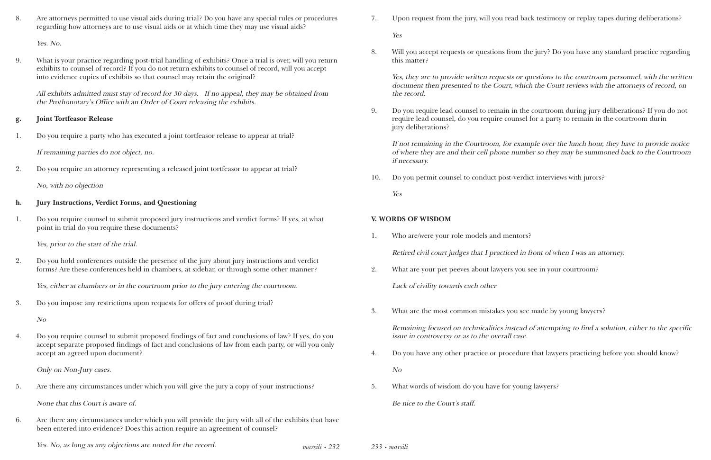*marsili • 232*

8. Are attorneys permitted to use visual aids during trial? Do you have any special rules or procedures regarding how attorneys are to use visual aids or at which time they may use visual aids?

Yes. No.

9. What is your practice regarding post-trial handling of exhibits? Once a trial is over, will you return exhibits to counsel of record? If you do not return exhibits to counsel of record, will you accept into evidence copies of exhibits so that counsel may retain the original?

All exhibits admitted must stay of record for 30 days. If no appeal, they may be obtained from the Prothonotary's Office with an Order of Court releasing the exhibits.

### **g. Joint Tortfeasor Release**

1. Do you require a party who has executed a joint tortfeasor release to appear at trial?

If remaining parties do not object, no.

2. Do you require an attorney representing a released joint tortfeasor to appear at trial?

No, with no objection

### **h. Jury Instructions, Verdict Forms, and Questioning**

1. Do you require counsel to submit proposed jury instructions and verdict forms? If yes, at what point in trial do you require these documents?

Yes, prior to the start of the trial.

2. Do you hold conferences outside the presence of the jury about jury instructions and verdict forms? Are these conferences held in chambers, at sidebar, or through some other manner?

Yes, either at chambers or in the courtroom prior to the jury entering the courtroom.

3. Do you impose any restrictions upon requests for offers of proof during trial?

No

4. Do you require counsel to submit proposed findings of fact and conclusions of law? If yes, do you accept separate proposed findings of fact and conclusions of law from each party, or will you only accept an agreed upon document?

Only on Non-Jury cases.

5. Are there any circumstances under which you will give the jury a copy of your instructions?

None that this Court is aware of.

6. Are there any circumstances under which you will provide the jury with all of the exhibits that have been entered into evidence? Does this action require an agreement of counsel?

Yes. No, as long as any objections are noted for the record. *233 • marsili*

7. Upon request from the jury, will you read back testimony or replay tapes during deliberations?

Yes

8. Will you accept requests or questions from the jury? Do you have any standard practice regarding

this matter?

Yes, they are to provide written requests or questions to the courtroom personnel, with the written document then presented to the Court, which the Court reviews with the attorneys of record, on the record.

9. Do you require lead counsel to remain in the courtroom during jury deliberations? If you do not require lead counsel, do you require counsel for a party to remain in the courtroom durin

jury deliberations?

If not remaining in the Courtroom, for example over the lunch hour, they have to provide notice of where they are and their cell phone number so they may be summoned back to the Courtroom if necessary.

10. Do you permit counsel to conduct post-verdict interviews with jurors?

Yes

### **V. WORDS OF WISDOM**

- 1. Who are/were your role models and mentors? Retired civil court judges that I practiced in front of when I was an attorney.
- 2. What are your pet peeves about lawyers you see in your courtroom?

Lack of civility towards each other

3. What are the most common mistakes you see made by young lawyers?

Remaining focused on technicalities instead of attempting to find a solution, either to the specific issue in controversy or as to the overall case.

4. Do you have any other practice or procedure that lawyers practicing before you should know?

No

5. What words of wisdom do you have for young lawyers?

Be nice to the Court's staff.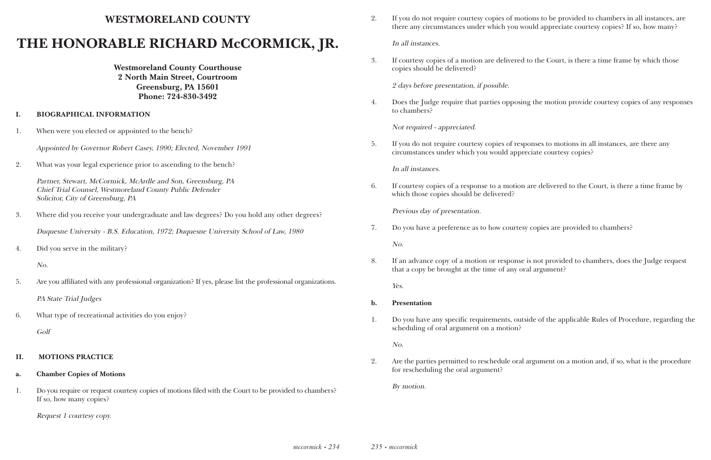### **WESTMORELAND COUNTY**

# **THE HONORABLE RICHARD McCORMICK, JR.**

**Westmoreland County Courthouse 2 North Main Street, Courtroom Greensburg, PA 15601 Phone: 724-830-3492**

### **I. BIOGRAPHICAL INFORMATION**

1. When were you elected or appointed to the bench?

Appointed by Governor Robert Casey, 1990; Elected, November 1991

2. What was your legal experience prior to ascending to the bench?

Partner, Stewart, McCormick, McArdle and Son, Greensburg, PA Chief Trial Counsel, Westmoreland County Public Defender Solicitor, City of Greensburg, PA

3. Where did you receive your undergraduate and law degrees? Do you hold any other degrees?

Duquesne University - B.S. Education, 1972; Duquesne University School of Law, 1980

4. Did you serve in the military?

No.

5. Are you affiliated with any professional organization? If yes, please list the professional organizations.

PA State Trial Judges

6. What type of recreational activities do you enjoy? Golf

### **II. MOTIONS PRACTICE**

#### **a. Chamber Copies of Motions**

1. Do you require or request courtesy copies of motions filed with the Court to be provided to chambers? If so, how many copies?

Request 1 courtesy copy.

2. If you do not require courtesy copies of motions to be provided to chambers in all instances, are there any circumstances under which you would appreciate courtesy copies? If so, how many?

In all instances.

3. If courtesy copies of a motion are delivered to the Court, is there a time frame by which those

copies should be delivered?

2 days before presentation, if possible.

4. Does the Judge require that parties opposing the motion provide courtesy copies of any responses

to chambers?

Not required - appreciated.

5. If you do not require courtesy copies of responses to motions in all instances, are there any circumstances under which you would appreciate courtesy copies?

In all instances.

6. If courtesy copies of a response to a motion are delivered to the Court, is there a time frame by

which those copies should be delivered?

Previous day of presentation.

7. Do you have a preference as to how courtesy copies are provided to chambers?

No.

8. If an advance copy of a motion or response is not provided to chambers, does the Judge request

that a copy be brought at the time of any oral argument?

Yes.

1. Do you have any specific requirements, outside of the applicable Rules of Procedure, regarding the

- **b. Presentation**
- scheduling of oral argument on a motion?

No.

2. Are the parties permitted to reschedule oral argument on a motion and, if so, what is the procedure

for rescheduling the oral argument?

By motion.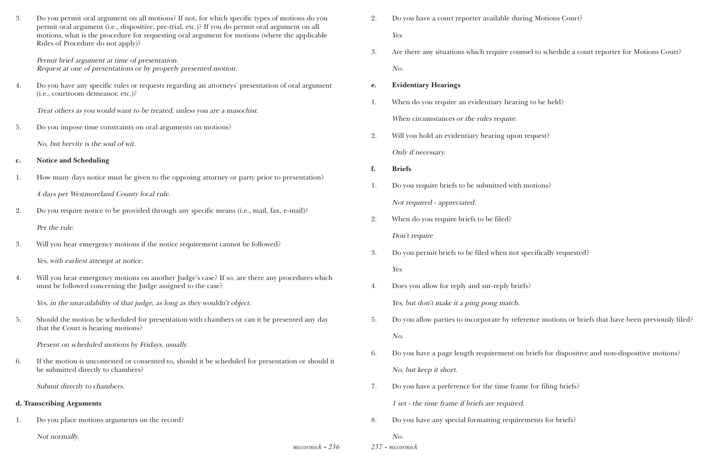| 3.             | Do you permit oral argument on all motions? If not, for which specific types of motions do you<br>permit oral argument (i.e., dispositive, pre-trial, etc.)? If you do permit oral argument on all<br>motions, what is the procedure for requesting oral argument for motions (where the applicable<br>Rules of Procedure do not apply)? |
|----------------|------------------------------------------------------------------------------------------------------------------------------------------------------------------------------------------------------------------------------------------------------------------------------------------------------------------------------------------|
|                | Permit brief argument at time of presentation.<br>Request at one of presentations or by properly presented motion.                                                                                                                                                                                                                       |
| 4.             | Do you have any specific rules or requests regarding an attorneys' presentation of oral argument<br>(i.e., courtroom demeanor, etc.)?                                                                                                                                                                                                    |
|                | Treat others as you would want to be treated, unless you are a masochist.                                                                                                                                                                                                                                                                |
| 5.             | Do you impose time constraints on oral arguments on motions?                                                                                                                                                                                                                                                                             |
|                | No, but brevity is the soul of wit.                                                                                                                                                                                                                                                                                                      |
| $\mathbf{c}$ . | <b>Notice and Scheduling</b>                                                                                                                                                                                                                                                                                                             |
| 1.             | How many days notice must be given to the opposing attorney or party prior to presentation?                                                                                                                                                                                                                                              |
|                | 4 days per Westmoreland County local rule.                                                                                                                                                                                                                                                                                               |
| 2.             | Do you require notice to be provided through any specific means (i.e., mail, fax, e-mail)?                                                                                                                                                                                                                                               |
|                | Per the rule.                                                                                                                                                                                                                                                                                                                            |
| 3.             | Will you hear emergency motions if the notice requirement cannot be followed?                                                                                                                                                                                                                                                            |
|                | Yes, with earliest attempt at notice.                                                                                                                                                                                                                                                                                                    |
| 4.             | Will you hear emergency motions on another Judge's case? If so, are there any procedures which<br>must be followed concerning the Judge assigned to the case?                                                                                                                                                                            |
|                | Yes, in the unavailability of that judge, as long as they wouldn't object.                                                                                                                                                                                                                                                               |
| 5.             | Should the motion be scheduled for presentation with chambers or can it be presented any day<br>that the Court is hearing motions?                                                                                                                                                                                                       |
|                | Present on scheduled motions by Fridays, usually.                                                                                                                                                                                                                                                                                        |
| 6.             | If the motion is uncontested or consented to, should it be scheduled for presentation or should it<br>be submitted directly to chambers?                                                                                                                                                                                                 |
|                | Submit directly to chambers.                                                                                                                                                                                                                                                                                                             |
|                | d. Transcribing Arguments                                                                                                                                                                                                                                                                                                                |
| 1.             | Do you place motions arguments on the record?                                                                                                                                                                                                                                                                                            |
|                | Not normally.                                                                                                                                                                                                                                                                                                                            |
|                | $\textit{mccormick} \cdot 236$                                                                                                                                                                                                                                                                                                           |

*237 • mccormick*

- 2. Do you have a court reporter available during Motions Court? Yes
- No.

3. Are there any situations which require counsel to schedule a court reporter for Motions Court?

### **e. Evidentiary Hearings**

- 1. When do you require an evidentiary hearing to be held? When circumstances or the rules require.
- 2. Will you hold an evidentiary hearing upon request? Only if necessary.
- **f. Briefs**
- 1. Do you require briefs to be submitted with motions? Not required - appreciated.
- 2. When do you require briefs to be filed? Don't require
- 3. Do you permit briefs to be filed when not specifically requested? Yes
- 4. Does you allow for reply and sur-reply briefs? Yes, but don't make it a ping pong match.
- No.
- No, but keep it short.
- 7. Do you have a preference for the time frame for filing briefs? 1 set - the time frame if briefs are required.
- 8. Do you have any special formatting requirements for briefs?

5. Do you allow parties to incorporate by reference motions or briefs that have been previously filed?

6. Do you have a page length requirement on briefs for dispositive and non-dispositive motions?

### No.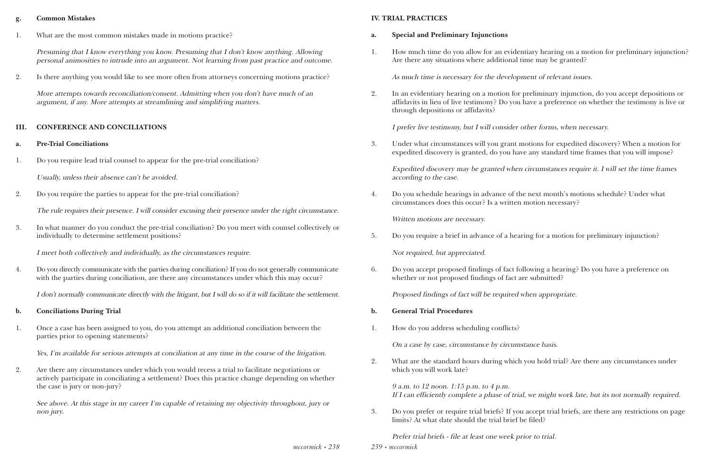### **g. Common Mistakes**

1. What are the most common mistakes made in motions practice?

Presuming that I know everything you know. Presuming that I don't know anything. Allowing personal animosities to intrude into an argument. Not learning from past practice and outcome.

2. Is there anything you would like to see more often from attorneys concerning motions practice?

More attempts towards reconciliation/consent. Admitting when you don't have much of an argument, if any. More attempts at streamlining and simplifying matters.

### **III. CONFERENCE AND CONCILIATIONS**

4. Do you directly communicate with the parties during conciliation? If you do not generally communicate with the parties during conciliation, are there any circumstances under which this may occur?

- **a. Pre-Trial Conciliations**
- 1. Do you require lead trial counsel to appear for the pre-trial conciliation?

Usually, unless their absence can't be avoided.

2. Do you require the parties to appear for the pre-trial conciliation?

The rule requires their presence. I will consider excusing their presence under the right circumstance.

3. In what manner do you conduct the pre-trial conciliation? Do you meet with counsel collectively or individually to determine settlement positions?

I meet both collectively and individually, as the circumstances require.

I don't normally communicate directly with the litigant, but I will do so if it will facilitate the settlement.

- **b. Conciliations During Trial**
- 1. Once a case has been assigned to you, do you attempt an additional conciliation between the parties prior to opening statements?

Yes, I'm available for serious attempts at conciliation at any time in the course of the litigation.

2. Are there any circumstances under which you would recess a trial to facilitate negotiations or actively participate in conciliating a settlement? Does this practice change depending on whether the case is jury or non-jury?

See above. At this stage in my career I'm capable of retaining my objectivity throughout, jury or non jury.

#### **IV. TRIAL PRACTICES**

1. How much time do you allow for an evidentiary hearing on a motion for preliminary injunction?

- **a. Special and Preliminary Injunctions**
- Are there any situations where additional time may be granted?

As much time is necessary for the development of relevant issues.

2. In an evidentiary hearing on a motion for preliminary injunction, do you accept depositions or affidavits in lieu of live testimony? Do you have a preference on whether the testimony is live or

through depositions or affidavits?

I prefer live testimony, but I will consider other forms, when necessary.

3. Under what circumstances will you grant motions for expedited discovery? When a motion for expedited discovery is granted, do you have any standard time frames that you will impose?

Expedited discovery may be granted when circumstances require it. I will set the time frames according to the case.

4. Do you schedule hearings in advance of the next month's motions schedule? Under what circumstances does this occur? Is a written motion necessary?

Written motions are necessary.

5. Do you require a brief in advance of a hearing for a motion for preliminary injunction?

Not required, but appreciated.

6. Do you accept proposed findings of fact following a hearing? Do you have a preference on whether or not proposed findings of fact are submitted?

Proposed findings of fact will be required when appropriate.

- **b. General Trial Procedures**
- 1. How do you address scheduling conflicts?

On a case by case, circumstance by circumstance basis.

2. What are the standard hours during which you hold trial? Are there any circumstances under

which you will work late?

9 a.m. to 12 noon. 1:15 p.m. to 4 p.m. If I can efficiently complete a phase of trial, we might work late, but its not normally required.

3. Do you prefer or require trial briefs? If you accept trial briefs, are there any restrictions on page

limits? At what date should the trial brief be filed?

Prefer trial briefs - file at least one week prior to trial.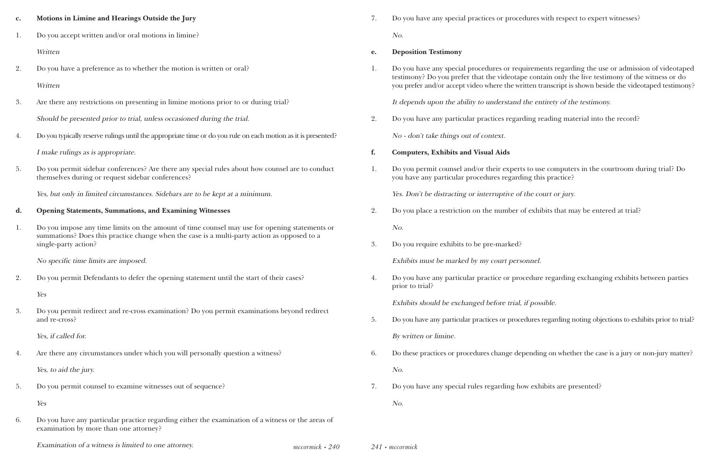ocedures with respect to expert witnesses?

equirements regarding the use or admission of videotaped tape contain only the live testimony of the witness or do written transcript is shown beside the videotaped testimony?

It depends upon the testimony.

arding reading material into the record?

erts to use computers in the courtroom during trial? Do rding this practice?

of the court or jury.

er of exhibits that may be entered at trial?

### ersonnel.

brocedure regarding exchanging exhibits between parties

### al, if possible.

ocedures regarding noting objections to exhibits prior to trial?

depending on whether the case is a jury or non-jury matter?

how exhibits are presented?

| $\mathbf{c}$ . | Motions in Limine and Hearings Outside the Jury                                                                                                      | 7.                           | Do you have any special practices or proce                                                                                             |
|----------------|------------------------------------------------------------------------------------------------------------------------------------------------------|------------------------------|----------------------------------------------------------------------------------------------------------------------------------------|
| 1.             | Do you accept written and/or oral motions in limine?                                                                                                 |                              | No.                                                                                                                                    |
|                | Written                                                                                                                                              | e.                           | <b>Deposition Testimony</b>                                                                                                            |
| 2.             | Do you have a preference as to whether the motion is written or oral?<br>Written                                                                     | 1.                           | Do you have any special procedures or req<br>testimony? Do you prefer that the videotap<br>you prefer and/or accept video where the wi |
| 3.             | Are there any restrictions on presenting in limine motions prior to or during trial?                                                                 |                              | It depends upon the ability to understand                                                                                              |
|                | Should be presented prior to trial, unless occasioned during the trial.                                                                              | 2.                           | Do you have any particular practices regar                                                                                             |
| 4.             | Do you typically reserve rulings until the appropriate time or do you rule on each motion as it is presented?                                        |                              | No - don't take things out of context.                                                                                                 |
|                | I make rulings as is appropriate.                                                                                                                    | f.                           | <b>Computers, Exhibits and Visual Aids</b>                                                                                             |
| 5.             | Do you permit sidebar conferences? Are there any special rules about how counsel are to conduct<br>themselves during or request sidebar conferences? | 1.                           | Do you permit counsel and/or their expert<br>you have any particular procedures regard                                                 |
|                | Yes, but only in limited circumstances. Sidebars are to be kept at a minimum.                                                                        |                              | Yes. Don't be distracting or interruptive of                                                                                           |
| d.             | <b>Opening Statements, Summations, and Examining Witnesses</b>                                                                                       | 2.                           | Do you place a restriction on the number                                                                                               |
| 1.             | Do you impose any time limits on the amount of time counsel may use for opening statements or                                                        |                              | No.                                                                                                                                    |
|                | summations? Does this practice change when the case is a multi-party action as opposed to a<br>single-party action?                                  | 3.                           | Do you require exhibits to be pre-marked?                                                                                              |
|                | No specific time limits are imposed.                                                                                                                 |                              | Exhibits must be marked by my court pers                                                                                               |
| 2.             | Do you permit Defendants to defer the opening statement until the start of their cases?                                                              | 4.                           | Do you have any particular practice or pro<br>prior to trial?                                                                          |
|                | Yes                                                                                                                                                  |                              | Exhibits should be exchanged before trial,                                                                                             |
| 3.             | Do you permit redirect and re-cross examination? Do you permit examinations beyond redirect<br>and re-cross?                                         | 5.                           | Do you have any particular practices or proce                                                                                          |
|                | Yes, if called for.                                                                                                                                  |                              | By written or limine.                                                                                                                  |
| 4.             | Are there any circumstances under which you will personally question a witness?                                                                      | 6.                           | Do these practices or procedures change de                                                                                             |
|                | Yes, to aid the jury.                                                                                                                                |                              | No.                                                                                                                                    |
| 5.             | Do you permit counsel to examine witnesses out of sequence?                                                                                          | 7.                           | Do you have any special rules regarding he                                                                                             |
|                | Yes                                                                                                                                                  |                              | No.                                                                                                                                    |
| 6.             | Do you have any particular practice regarding either the examination of a witness or the areas of<br>examination by more than one attorney?          |                              |                                                                                                                                        |
|                | Examination of a witness is limited to one attorney.                                                                                                 | $\emph{mccormick} \cdot 240$ | 241 • mccormick                                                                                                                        |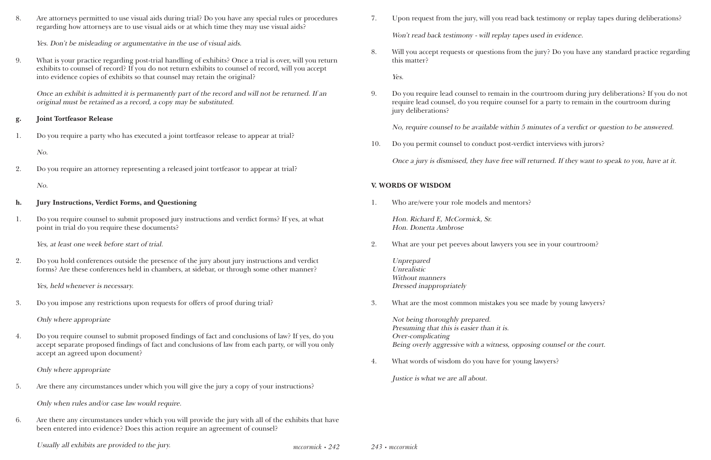*mccormick • 242*

8. Are attorneys permitted to use visual aids during trial? Do you have any special rules or procedures regarding how attorneys are to use visual aids or at which time they may use visual aids?

Yes. Don't be misleading or argumentative in the use of visual aids.

9. What is your practice regarding post-trial handling of exhibits? Once a trial is over, will you return exhibits to counsel of record? If you do not return exhibits to counsel of record, will you accept into evidence copies of exhibits so that counsel may retain the original?

Once an exhibit is admitted it is permanently part of the record and will not be returned. If an original must be retained as a record, a copy may be substituted.

### **g. Joint Tortfeasor Release**

1. Do you require a party who has executed a joint tortfeasor release to appear at trial?

No.

2. Do you require an attorney representing a released joint tortfeasor to appear at trial?

No.

### **h. Jury Instructions, Verdict Forms, and Questioning**

1. Do you require counsel to submit proposed jury instructions and verdict forms? If yes, at what point in trial do you require these documents?

Yes, at least one week before start of trial.

2. Do you hold conferences outside the presence of the jury about jury instructions and verdict forms? Are these conferences held in chambers, at sidebar, or through some other manner?

Yes, held whenever is necessary.

3. Do you impose any restrictions upon requests for offers of proof during trial?

Only where appropriate

4. Do you require counsel to submit proposed findings of fact and conclusions of law? If yes, do you accept separate proposed findings of fact and conclusions of law from each party, or will you only accept an agreed upon document?

Only where appropriate

5. Are there any circumstances under which you will give the jury a copy of your instructions?

Only when rules and/or case law would require.

6. Are there any circumstances under which you will provide the jury with all of the exhibits that have been entered into evidence? Does this action require an agreement of counsel?

Usually all exhibits are provided to the jury.<br>
243 • *mccormick* • 242 *and 243* • *mccormick* 

7. Upon request from the jury, will you read back testimony or replay tapes during deliberations?

- Won't read back testimony will replay tapes used in evidence.
- this matter?

Yes.

8. Will you accept requests or questions from the jury? Do you have any standard practice regarding

9. Do you require lead counsel to remain in the courtroom during jury deliberations? If you do not require lead counsel, do you require counsel for a party to remain in the courtroom during

jury deliberations?

No, require counsel to be available within 5 minutes of a verdict or question to be answered.

10. Do you permit counsel to conduct post-verdict interviews with jurors?

Once a jury is dismissed, they have free will returned. If they want to speak to you, have at it.

### **V. WORDS OF WISDOM**

1. Who are/were your role models and mentors?

Hon. Richard E, McCormick, Sr. Hon. Donetta Ambrose

2. What are your pet peeves about lawyers you see in your courtroom?

Unprepared Unrealistic Without manners Dressed inappropriately

3. What are the most common mistakes you see made by young lawyers?

Not being thoroughly prepared. Presuming that this is easier than it is. Over-complicating Being overly aggressive with a witness, opposing counsel or the court.

4. What words of wisdom do you have for young lawyers?

Justice is what we are all about.